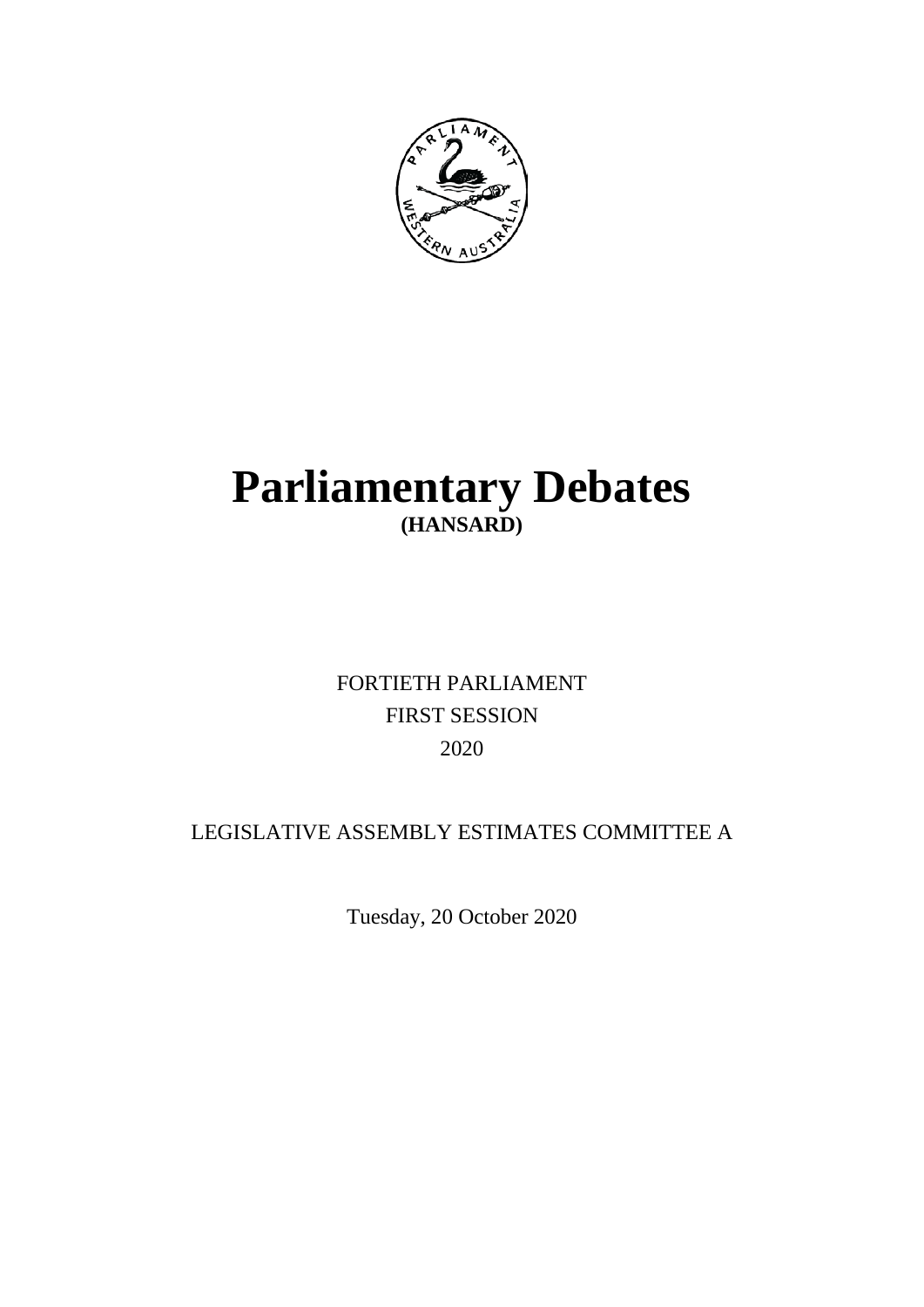

# **Parliamentary Debates (HANSARD)**

## FORTIETH PARLIAMENT FIRST SESSION 2020

## LEGISLATIVE ASSEMBLY ESTIMATES COMMITTEE A

Tuesday, 20 October 2020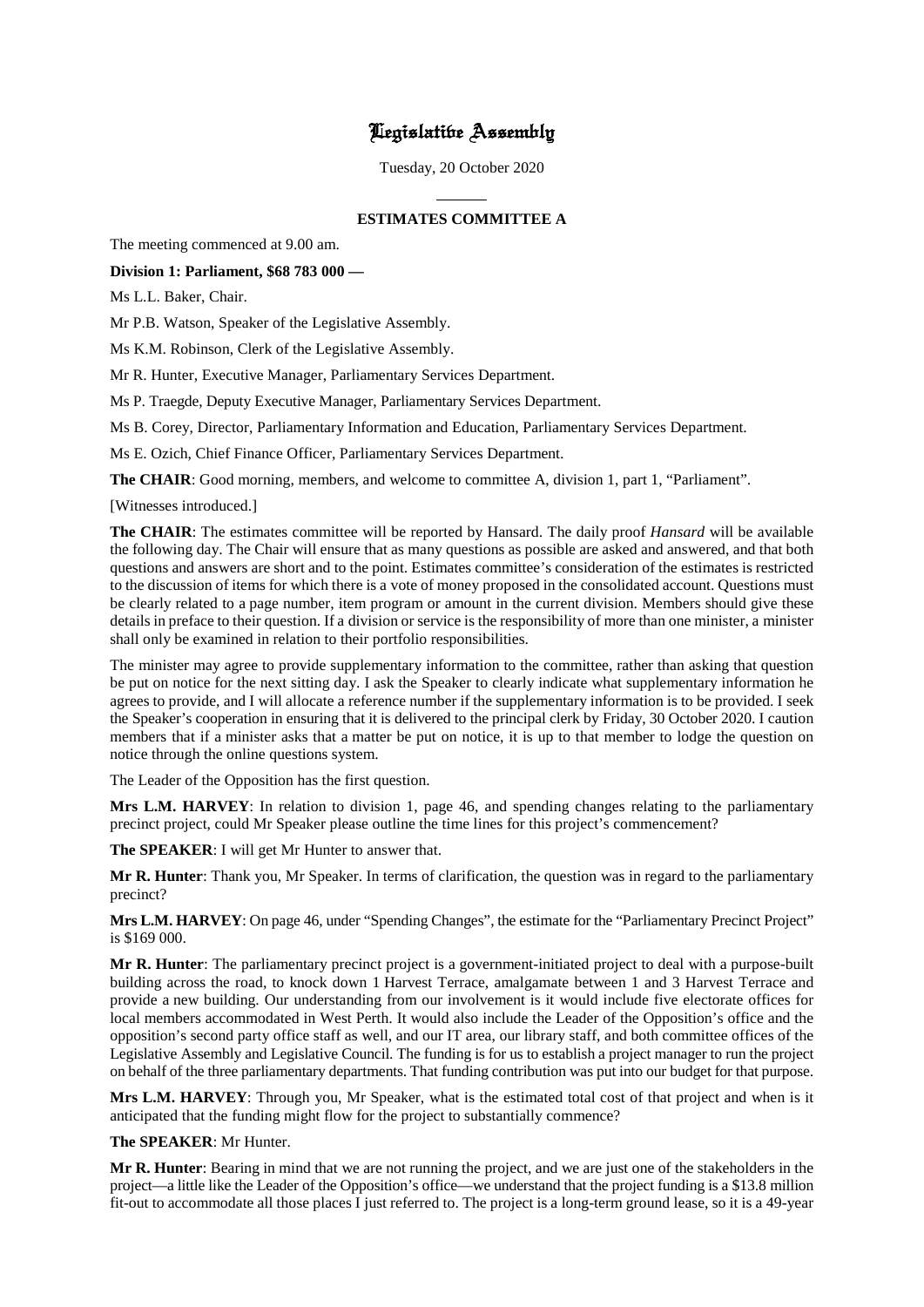## Legislative Assembly

Tuesday, 20 October 2020

 $\overline{a}$ 

## **ESTIMATES COMMITTEE A**

The meeting commenced at 9.00 am.

## **Division 1: Parliament, \$68 783 000 —**

Ms L.L. Baker, Chair.

Mr P.B. Watson, Speaker of the Legislative Assembly.

Ms K.M. Robinson, Clerk of the Legislative Assembly.

Mr R. Hunter, Executive Manager, Parliamentary Services Department.

Ms P. Traegde, Deputy Executive Manager, Parliamentary Services Department.

Ms B. Corey, Director, Parliamentary Information and Education, Parliamentary Services Department.

Ms E. Ozich, Chief Finance Officer, Parliamentary Services Department.

**The CHAIR**: Good morning, members, and welcome to committee A, division 1, part 1, "Parliament".

[Witnesses introduced.]

**The CHAIR**: The estimates committee will be reported by Hansard. The daily proof *Hansard* will be available the following day. The Chair will ensure that as many questions as possible are asked and answered, and that both questions and answers are short and to the point. Estimates committee's consideration of the estimates is restricted to the discussion of items for which there is a vote of money proposed in the consolidated account. Questions must be clearly related to a page number, item program or amount in the current division. Members should give these details in preface to their question. If a division or service is the responsibility of more than one minister, a minister shall only be examined in relation to their portfolio responsibilities.

The minister may agree to provide supplementary information to the committee, rather than asking that question be put on notice for the next sitting day. I ask the Speaker to clearly indicate what supplementary information he agrees to provide, and I will allocate a reference number if the supplementary information is to be provided. I seek the Speaker's cooperation in ensuring that it is delivered to the principal clerk by Friday, 30 October 2020. I caution members that if a minister asks that a matter be put on notice, it is up to that member to lodge the question on notice through the online questions system.

The Leader of the Opposition has the first question.

**Mrs L.M. HARVEY**: In relation to division 1, page 46, and spending changes relating to the parliamentary precinct project, could Mr Speaker please outline the time lines for this project's commencement?

**The SPEAKER**: I will get Mr Hunter to answer that.

**Mr R. Hunter**: Thank you, Mr Speaker. In terms of clarification, the question was in regard to the parliamentary precinct?

**Mrs L.M. HARVEY**: On page 46, under "Spending Changes", the estimate for the "Parliamentary Precinct Project" is \$169 000.

**Mr R. Hunter**: The parliamentary precinct project is a government-initiated project to deal with a purpose-built building across the road, to knock down 1 Harvest Terrace, amalgamate between 1 and 3 Harvest Terrace and provide a new building. Our understanding from our involvement is it would include five electorate offices for local members accommodated in West Perth. It would also include the Leader of the Opposition's office and the opposition's second party office staff as well, and our IT area, our library staff, and both committee offices of the Legislative Assembly and Legislative Council. The funding is for us to establish a project manager to run the project on behalf of the three parliamentary departments. That funding contribution was put into our budget for that purpose.

**Mrs L.M. HARVEY**: Through you, Mr Speaker, what is the estimated total cost of that project and when is it anticipated that the funding might flow for the project to substantially commence?

**The SPEAKER**: Mr Hunter.

**Mr R. Hunter**: Bearing in mind that we are not running the project, and we are just one of the stakeholders in the project—a little like the Leader of the Opposition's office—we understand that the project funding is a \$13.8 million fit-out to accommodate all those places I just referred to. The project is a long-term ground lease, so it is a 49-year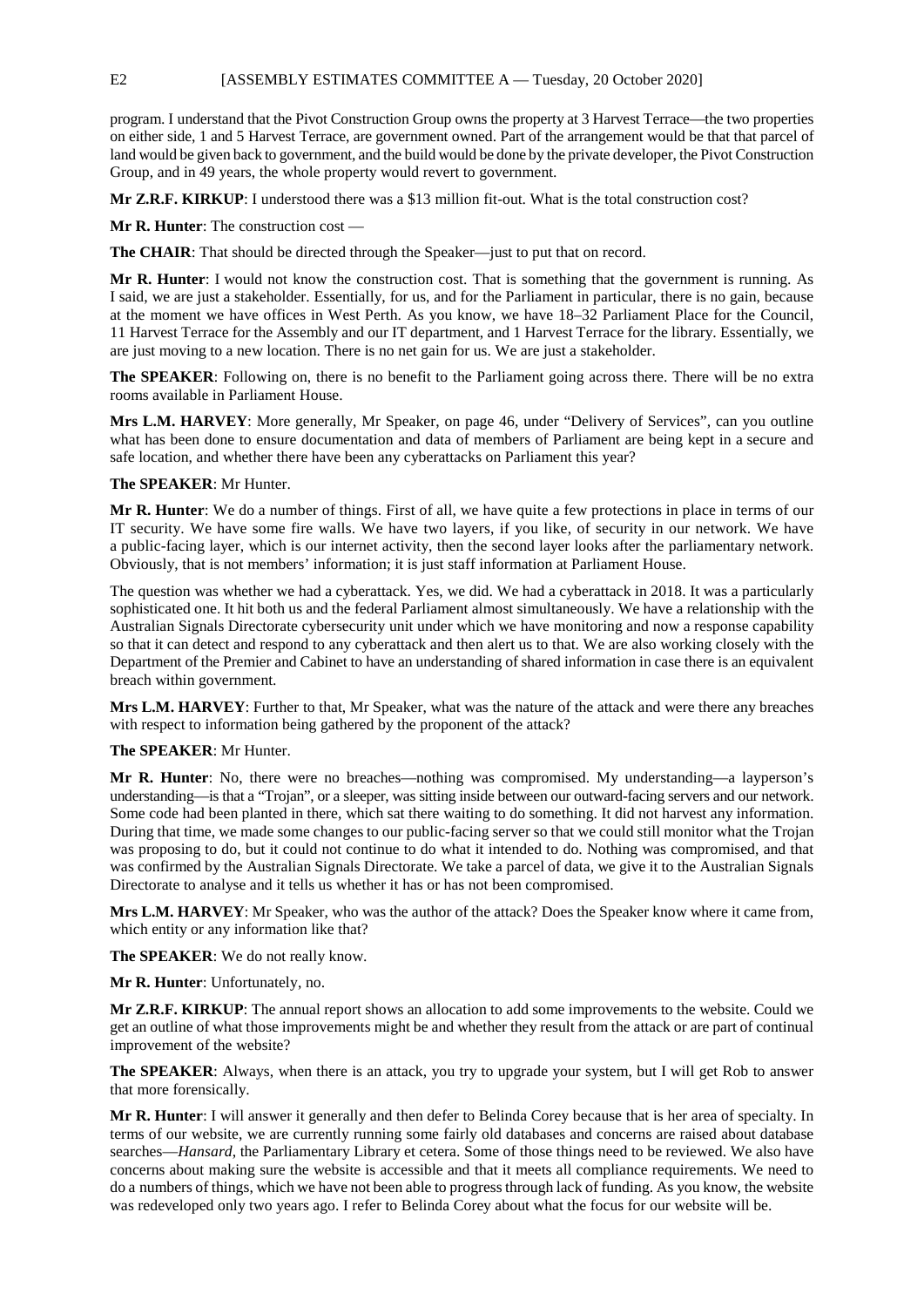program. I understand that the Pivot Construction Group owns the property at 3 Harvest Terrace—the two properties on either side, 1 and 5 Harvest Terrace, are government owned. Part of the arrangement would be that that parcel of land would be given back to government, and the build would be done by the private developer, the Pivot Construction Group, and in 49 years, the whole property would revert to government.

**Mr Z.R.F. KIRKUP**: I understood there was a \$13 million fit-out. What is the total construction cost?

**Mr R. Hunter:** The construction cost -

**The CHAIR**: That should be directed through the Speaker—just to put that on record.

**Mr R. Hunter**: I would not know the construction cost. That is something that the government is running. As I said, we are just a stakeholder. Essentially, for us, and for the Parliament in particular, there is no gain, because at the moment we have offices in West Perth. As you know, we have 18–32 Parliament Place for the Council, 11 Harvest Terrace for the Assembly and our IT department, and 1 Harvest Terrace for the library. Essentially, we are just moving to a new location. There is no net gain for us. We are just a stakeholder.

**The SPEAKER**: Following on, there is no benefit to the Parliament going across there. There will be no extra rooms available in Parliament House.

**Mrs L.M. HARVEY**: More generally, Mr Speaker, on page 46, under "Delivery of Services", can you outline what has been done to ensure documentation and data of members of Parliament are being kept in a secure and safe location, and whether there have been any cyberattacks on Parliament this year?

#### **The SPEAKER**: Mr Hunter.

**Mr R. Hunter**: We do a number of things. First of all, we have quite a few protections in place in terms of our IT security. We have some fire walls. We have two layers, if you like, of security in our network. We have a public-facing layer, which is our internet activity, then the second layer looks after the parliamentary network. Obviously, that is not members' information; it is just staff information at Parliament House.

The question was whether we had a cyberattack. Yes, we did. We had a cyberattack in 2018. It was a particularly sophisticated one. It hit both us and the federal Parliament almost simultaneously. We have a relationship with the Australian Signals Directorate cybersecurity unit under which we have monitoring and now a response capability so that it can detect and respond to any cyberattack and then alert us to that. We are also working closely with the Department of the Premier and Cabinet to have an understanding of shared information in case there is an equivalent breach within government.

**Mrs L.M. HARVEY**: Further to that, Mr Speaker, what was the nature of the attack and were there any breaches with respect to information being gathered by the proponent of the attack?

#### **The SPEAKER**: Mr Hunter.

**Mr R. Hunter**: No, there were no breaches—nothing was compromised. My understanding—a layperson's understanding—is that a "Trojan", or a sleeper, was sitting inside between our outward-facing servers and our network. Some code had been planted in there, which sat there waiting to do something. It did not harvest any information. During that time, we made some changes to our public-facing server so that we could still monitor what the Trojan was proposing to do, but it could not continue to do what it intended to do. Nothing was compromised, and that was confirmed by the Australian Signals Directorate. We take a parcel of data, we give it to the Australian Signals Directorate to analyse and it tells us whether it has or has not been compromised.

**Mrs L.M. HARVEY**: Mr Speaker, who was the author of the attack? Does the Speaker know where it came from, which entity or any information like that?

**The SPEAKER**: We do not really know.

**Mr R. Hunter**: Unfortunately, no.

**Mr Z.R.F. KIRKUP**: The annual report shows an allocation to add some improvements to the website. Could we get an outline of what those improvements might be and whether they result from the attack or are part of continual improvement of the website?

**The SPEAKER**: Always, when there is an attack, you try to upgrade your system, but I will get Rob to answer that more forensically.

**Mr R. Hunter**: I will answer it generally and then defer to Belinda Corey because that is her area of specialty. In terms of our website, we are currently running some fairly old databases and concerns are raised about database searches—*Hansard*, the Parliamentary Library et cetera. Some of those things need to be reviewed. We also have concerns about making sure the website is accessible and that it meets all compliance requirements. We need to do a numbers of things, which we have not been able to progress through lack of funding. As you know, the website was redeveloped only two years ago. I refer to Belinda Corey about what the focus for our website will be.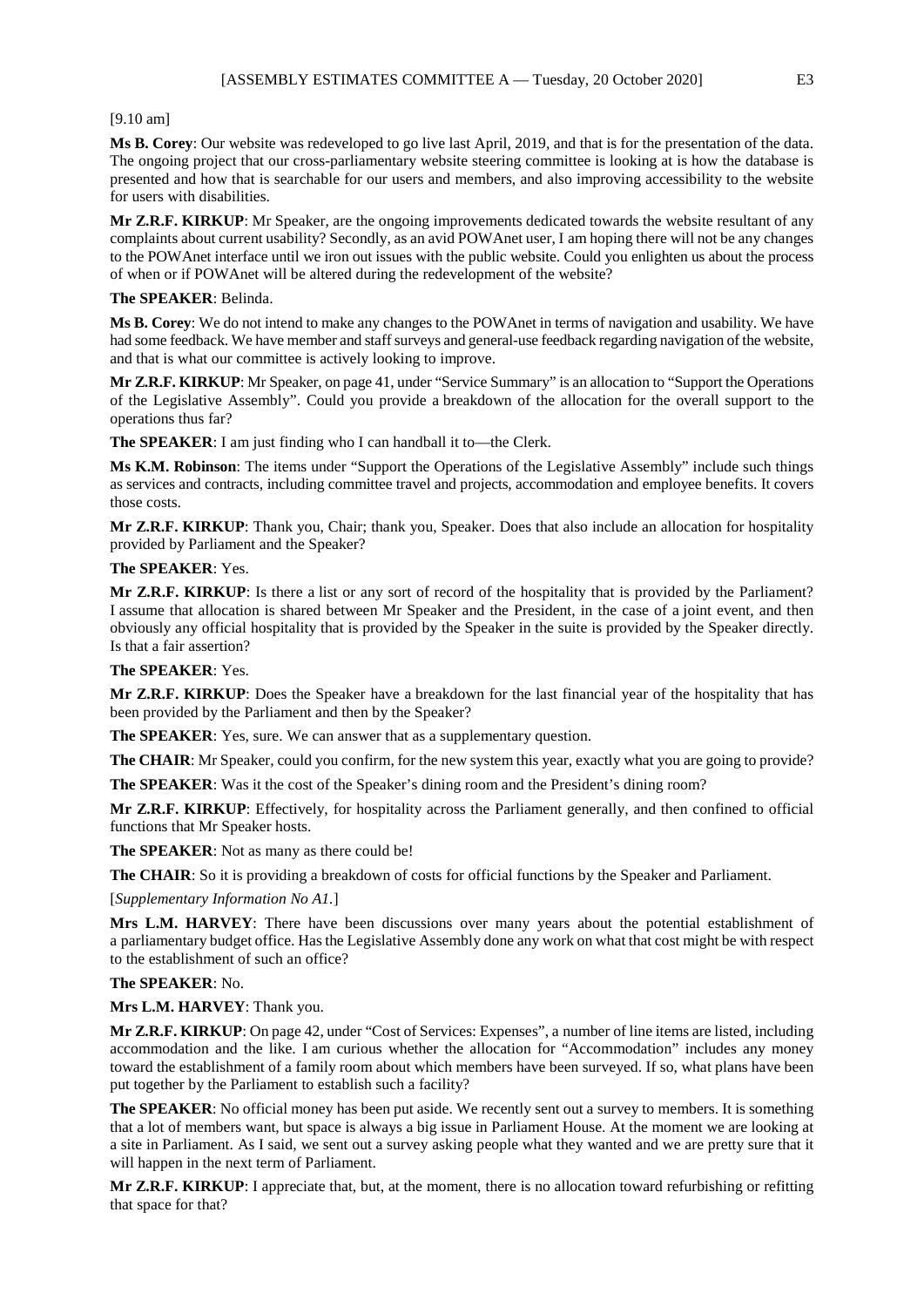#### [9.10 am]

**Ms B. Corey**: Our website was redeveloped to go live last April, 2019, and that is for the presentation of the data. The ongoing project that our cross-parliamentary website steering committee is looking at is how the database is presented and how that is searchable for our users and members, and also improving accessibility to the website for users with disabilities.

**Mr Z.R.F. KIRKUP**: Mr Speaker, are the ongoing improvements dedicated towards the website resultant of any complaints about current usability? Secondly, as an avid POWAnet user, I am hoping there will not be any changes to the POWAnet interface until we iron out issues with the public website. Could you enlighten us about the process of when or if POWAnet will be altered during the redevelopment of the website?

#### **The SPEAKER**: Belinda.

**Ms B. Corey**: We do not intend to make any changes to the POWAnet in terms of navigation and usability. We have had some feedback. We have member and staff surveys and general-use feedback regarding navigation of the website, and that is what our committee is actively looking to improve.

**Mr Z.R.F. KIRKUP**: Mr Speaker, on page 41, under "Service Summary" is an allocation to "Support the Operations of the Legislative Assembly". Could you provide a breakdown of the allocation for the overall support to the operations thus far?

**The SPEAKER**: I am just finding who I can handball it to—the Clerk.

**Ms K.M. Robinson**: The items under "Support the Operations of the Legislative Assembly" include such things as services and contracts, including committee travel and projects, accommodation and employee benefits. It covers those costs.

**Mr Z.R.F. KIRKUP**: Thank you, Chair; thank you, Speaker. Does that also include an allocation for hospitality provided by Parliament and the Speaker?

**The SPEAKER**: Yes.

**Mr Z.R.F. KIRKUP**: Is there a list or any sort of record of the hospitality that is provided by the Parliament? I assume that allocation is shared between Mr Speaker and the President, in the case of a joint event, and then obviously any official hospitality that is provided by the Speaker in the suite is provided by the Speaker directly. Is that a fair assertion?

#### **The SPEAKER**: Yes.

**Mr Z.R.F. KIRKUP**: Does the Speaker have a breakdown for the last financial year of the hospitality that has been provided by the Parliament and then by the Speaker?

**The SPEAKER**: Yes, sure. We can answer that as a supplementary question.

**The CHAIR**: Mr Speaker, could you confirm, for the new system this year, exactly what you are going to provide?

**The SPEAKER**: Was it the cost of the Speaker's dining room and the President's dining room?

**Mr Z.R.F. KIRKUP**: Effectively, for hospitality across the Parliament generally, and then confined to official functions that Mr Speaker hosts.

**The SPEAKER**: Not as many as there could be!

**The CHAIR**: So it is providing a breakdown of costs for official functions by the Speaker and Parliament.

[*Supplementary Information No A1.*]

**Mrs L.M. HARVEY**: There have been discussions over many years about the potential establishment of a parliamentary budget office. Has the Legislative Assembly done any work on what that cost might be with respect to the establishment of such an office?

### **The SPEAKER**: No.

**Mrs L.M. HARVEY**: Thank you.

**Mr Z.R.F. KIRKUP**: On page 42, under "Cost of Services: Expenses", a number of line items are listed, including accommodation and the like. I am curious whether the allocation for "Accommodation" includes any money toward the establishment of a family room about which members have been surveyed. If so, what plans have been put together by the Parliament to establish such a facility?

**The SPEAKER**: No official money has been put aside. We recently sent out a survey to members. It is something that a lot of members want, but space is always a big issue in Parliament House. At the moment we are looking at a site in Parliament. As I said, we sent out a survey asking people what they wanted and we are pretty sure that it will happen in the next term of Parliament.

**Mr Z.R.F. KIRKUP**: I appreciate that, but, at the moment, there is no allocation toward refurbishing or refitting that space for that?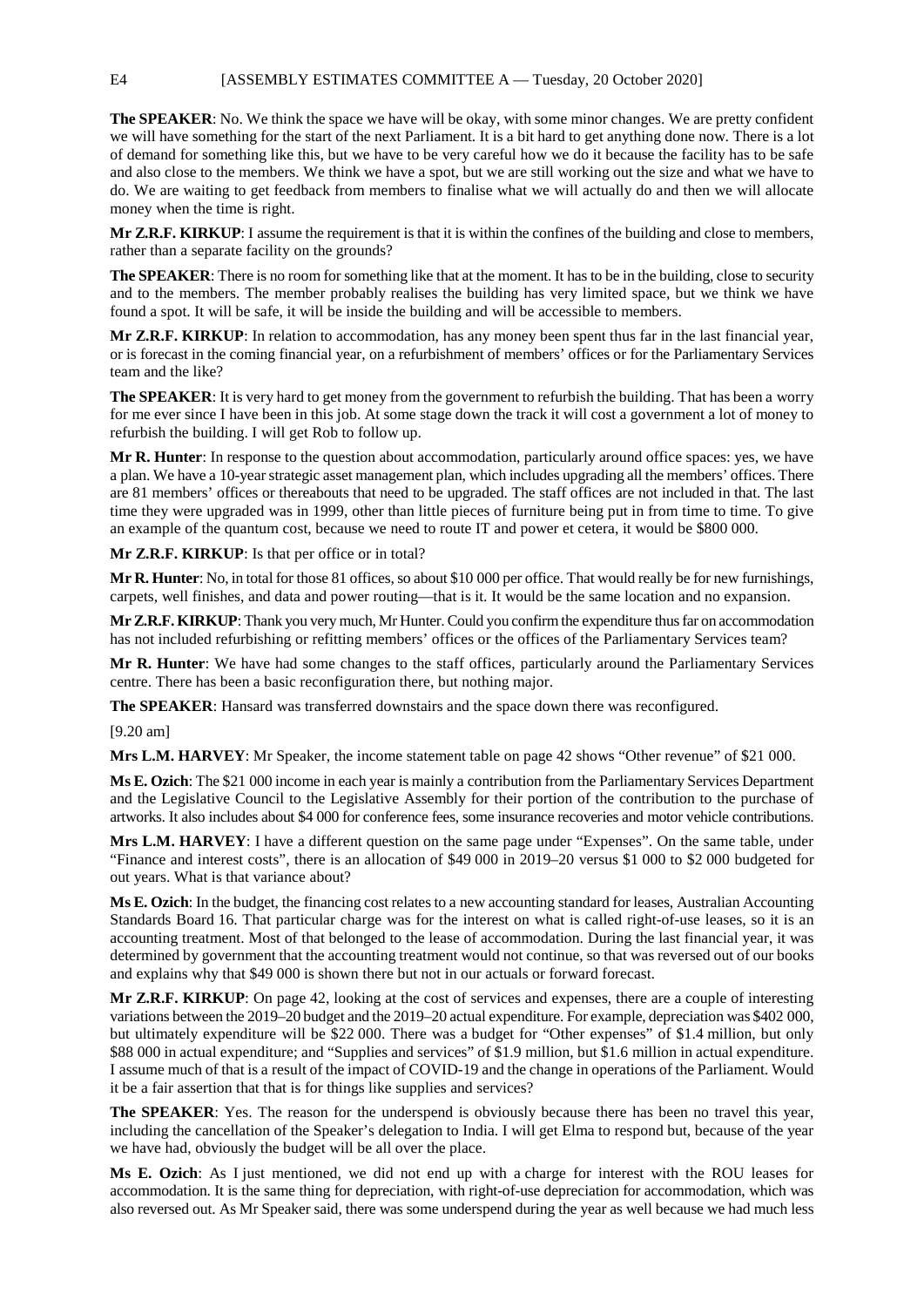**The SPEAKER**: No. We think the space we have will be okay, with some minor changes. We are pretty confident we will have something for the start of the next Parliament. It is a bit hard to get anything done now. There is a lot of demand for something like this, but we have to be very careful how we do it because the facility has to be safe and also close to the members. We think we have a spot, but we are still working out the size and what we have to do. We are waiting to get feedback from members to finalise what we will actually do and then we will allocate money when the time is right.

**Mr Z.R.F. KIRKUP**: I assume the requirement is that it is within the confines of the building and close to members, rather than a separate facility on the grounds?

**The SPEAKER**: There is no room for something like that at the moment. It has to be in the building, close to security and to the members. The member probably realises the building has very limited space, but we think we have found a spot. It will be safe, it will be inside the building and will be accessible to members.

**Mr Z.R.F. KIRKUP**: In relation to accommodation, has any money been spent thus far in the last financial year, or is forecast in the coming financial year, on a refurbishment of members' offices or for the Parliamentary Services team and the like?

**The SPEAKER:** It is very hard to get money from the government to refurbish the building. That has been a worry for me ever since I have been in this job. At some stage down the track it will cost a government a lot of money to refurbish the building. I will get Rob to follow up.

**Mr R. Hunter**: In response to the question about accommodation, particularly around office spaces: yes, we have a plan. We have a 10-year strategic asset management plan, which includes upgrading all the members' offices. There are 81 members' offices or thereabouts that need to be upgraded. The staff offices are not included in that. The last time they were upgraded was in 1999, other than little pieces of furniture being put in from time to time. To give an example of the quantum cost, because we need to route IT and power et cetera, it would be \$800 000.

**Mr Z.R.F. KIRKUP**: Is that per office or in total?

**Mr R. Hunter**: No, in total for those 81 offices, so about \$10 000 per office. That would really be for new furnishings, carpets, well finishes, and data and power routing—that is it. It would be the same location and no expansion.

**Mr Z.R.F. KIRKUP**: Thank you very much, Mr Hunter. Could you confirm the expenditure thus far on accommodation has not included refurbishing or refitting members' offices or the offices of the Parliamentary Services team?

**Mr R. Hunter**: We have had some changes to the staff offices, particularly around the Parliamentary Services centre. There has been a basic reconfiguration there, but nothing major.

**The SPEAKER**: Hansard was transferred downstairs and the space down there was reconfigured.

[9.20 am]

**Mrs L.M. HARVEY**: Mr Speaker, the income statement table on page 42 shows "Other revenue" of \$21 000.

**Ms E. Ozich**: The \$21 000 income in each year is mainly a contribution from the Parliamentary Services Department and the Legislative Council to the Legislative Assembly for their portion of the contribution to the purchase of artworks. It also includes about \$4 000 for conference fees, some insurance recoveries and motor vehicle contributions.

**Mrs L.M. HARVEY**: I have a different question on the same page under "Expenses". On the same table, under "Finance and interest costs", there is an allocation of \$49 000 in 2019–20 versus \$1 000 to \$2 000 budgeted for out years. What is that variance about?

**Ms E. Ozich**: In the budget, the financing cost relates to a new accounting standard for leases, Australian Accounting Standards Board 16. That particular charge was for the interest on what is called right-of-use leases, so it is an accounting treatment. Most of that belonged to the lease of accommodation. During the last financial year, it was determined by government that the accounting treatment would not continue, so that was reversed out of our books and explains why that \$49 000 is shown there but not in our actuals or forward forecast.

**Mr Z.R.F. KIRKUP**: On page 42, looking at the cost of services and expenses, there are a couple of interesting variations between the 2019–20 budget and the 2019–20 actual expenditure. For example, depreciation was \$402 000, but ultimately expenditure will be \$22 000. There was a budget for "Other expenses" of \$1.4 million, but only \$88 000 in actual expenditure; and "Supplies and services" of \$1.9 million, but \$1.6 million in actual expenditure. I assume much of that is a result of the impact of COVID-19 and the change in operations of the Parliament. Would it be a fair assertion that that is for things like supplies and services?

**The SPEAKER**: Yes. The reason for the underspend is obviously because there has been no travel this year, including the cancellation of the Speaker's delegation to India. I will get Elma to respond but, because of the year we have had, obviously the budget will be all over the place.

**Ms E. Ozich**: As I just mentioned, we did not end up with a charge for interest with the ROU leases for accommodation. It is the same thing for depreciation, with right-of-use depreciation for accommodation, which was also reversed out. As Mr Speaker said, there was some underspend during the year as well because we had much less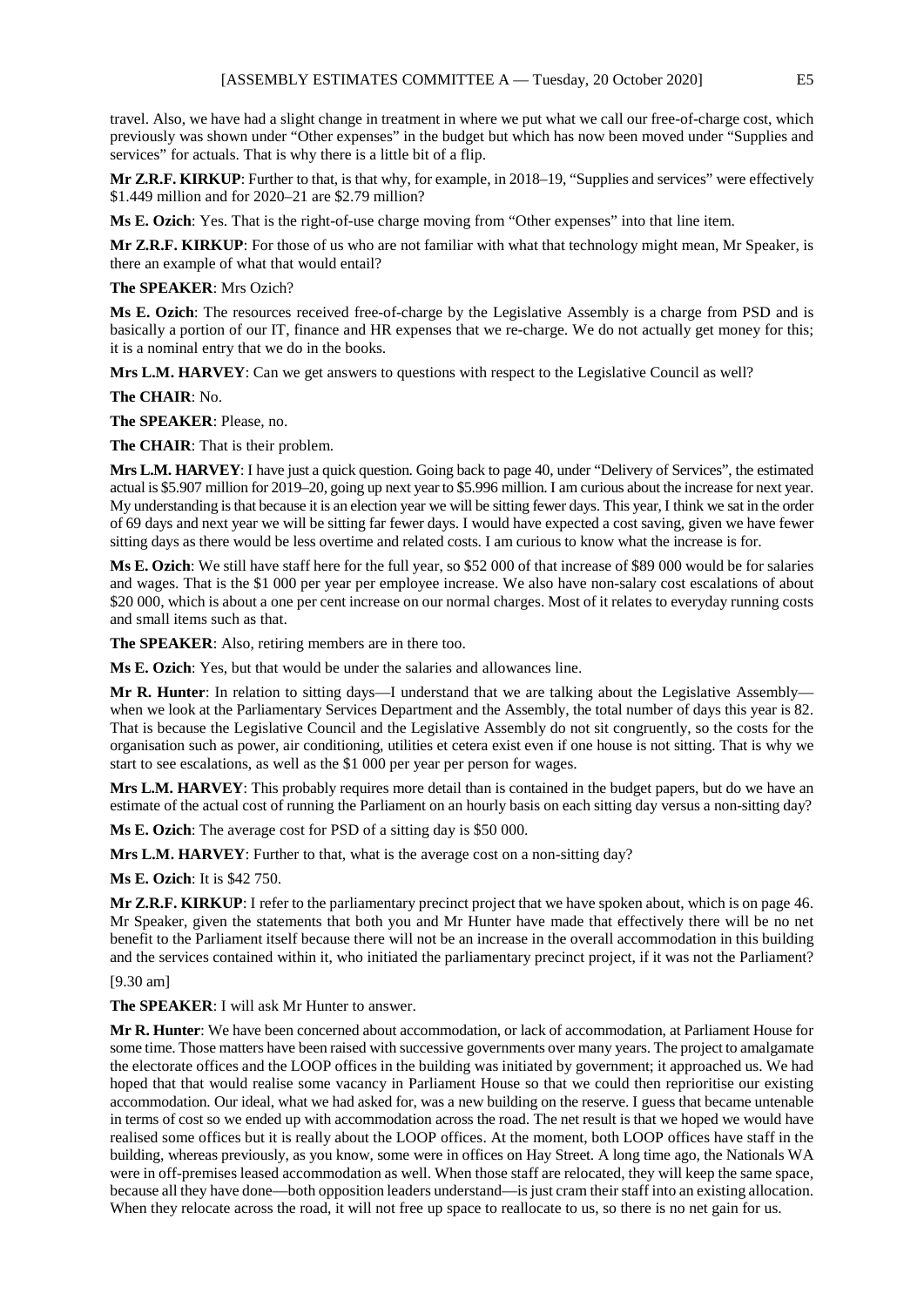travel. Also, we have had a slight change in treatment in where we put what we call our free-of-charge cost, which previously was shown under "Other expenses" in the budget but which has now been moved under "Supplies and services" for actuals. That is why there is a little bit of a flip.

**Mr Z.R.F. KIRKUP**: Further to that, is that why, for example, in 2018–19, "Supplies and services" were effectively \$1.449 million and for 2020–21 are \$2.79 million?

**Ms E. Ozich**: Yes. That is the right-of-use charge moving from "Other expenses" into that line item.

**Mr Z.R.F. KIRKUP**: For those of us who are not familiar with what that technology might mean, Mr Speaker, is there an example of what that would entail?

#### **The SPEAKER**: Mrs Ozich?

**Ms E. Ozich**: The resources received free-of-charge by the Legislative Assembly is a charge from PSD and is basically a portion of our IT, finance and HR expenses that we re-charge. We do not actually get money for this; it is a nominal entry that we do in the books.

**Mrs L.M. HARVEY**: Can we get answers to questions with respect to the Legislative Council as well?

#### **The CHAIR**: No.

**The SPEAKER**: Please, no.

**The CHAIR**: That is their problem.

**Mrs L.M. HARVEY**: I have just a quick question. Going back to page 40, under "Delivery of Services", the estimated actual is \$5.907 million for 2019–20, going up next year to \$5.996 million. I am curious about the increase for next year. My understanding is that because it is an election year we will be sitting fewer days. This year, I think we sat in the order of 69 days and next year we will be sitting far fewer days. I would have expected a cost saving, given we have fewer sitting days as there would be less overtime and related costs. I am curious to know what the increase is for.

**Ms E. Ozich**: We still have staff here for the full year, so \$52 000 of that increase of \$89 000 would be for salaries and wages. That is the \$1 000 per year per employee increase. We also have non-salary cost escalations of about \$20 000, which is about a one per cent increase on our normal charges. Most of it relates to everyday running costs and small items such as that.

**The SPEAKER**: Also, retiring members are in there too.

**Ms E. Ozich**: Yes, but that would be under the salaries and allowances line.

**Mr R. Hunter**: In relation to sitting days—I understand that we are talking about the Legislative Assembly when we look at the Parliamentary Services Department and the Assembly, the total number of days this year is 82. That is because the Legislative Council and the Legislative Assembly do not sit congruently, so the costs for the organisation such as power, air conditioning, utilities et cetera exist even if one house is not sitting. That is why we start to see escalations, as well as the \$1 000 per year per person for wages.

**Mrs L.M. HARVEY**: This probably requires more detail than is contained in the budget papers, but do we have an estimate of the actual cost of running the Parliament on an hourly basis on each sitting day versus a non-sitting day?

**Ms E. Ozich**: The average cost for PSD of a sitting day is \$50 000.

**Mrs L.M. HARVEY**: Further to that, what is the average cost on a non-sitting day?

**Ms E. Ozich**: It is \$42 750.

**Mr Z.R.F. KIRKUP**: I refer to the parliamentary precinct project that we have spoken about, which is on page 46. Mr Speaker, given the statements that both you and Mr Hunter have made that effectively there will be no net benefit to the Parliament itself because there will not be an increase in the overall accommodation in this building and the services contained within it, who initiated the parliamentary precinct project, if it was not the Parliament?

## [9.30 am]

**The SPEAKER**: I will ask Mr Hunter to answer.

**Mr R. Hunter**: We have been concerned about accommodation, or lack of accommodation, at Parliament House for some time. Those matters have been raised with successive governments over many years. The project to amalgamate the electorate offices and the LOOP offices in the building was initiated by government; it approached us. We had hoped that that would realise some vacancy in Parliament House so that we could then reprioritise our existing accommodation. Our ideal, what we had asked for, was a new building on the reserve. I guess that became untenable in terms of cost so we ended up with accommodation across the road. The net result is that we hoped we would have realised some offices but it is really about the LOOP offices. At the moment, both LOOP offices have staff in the building, whereas previously, as you know, some were in offices on Hay Street. A long time ago, the Nationals WA were in off-premises leased accommodation as well. When those staff are relocated, they will keep the same space, because all they have done—both opposition leaders understand—is just cram their staff into an existing allocation. When they relocate across the road, it will not free up space to reallocate to us, so there is no net gain for us.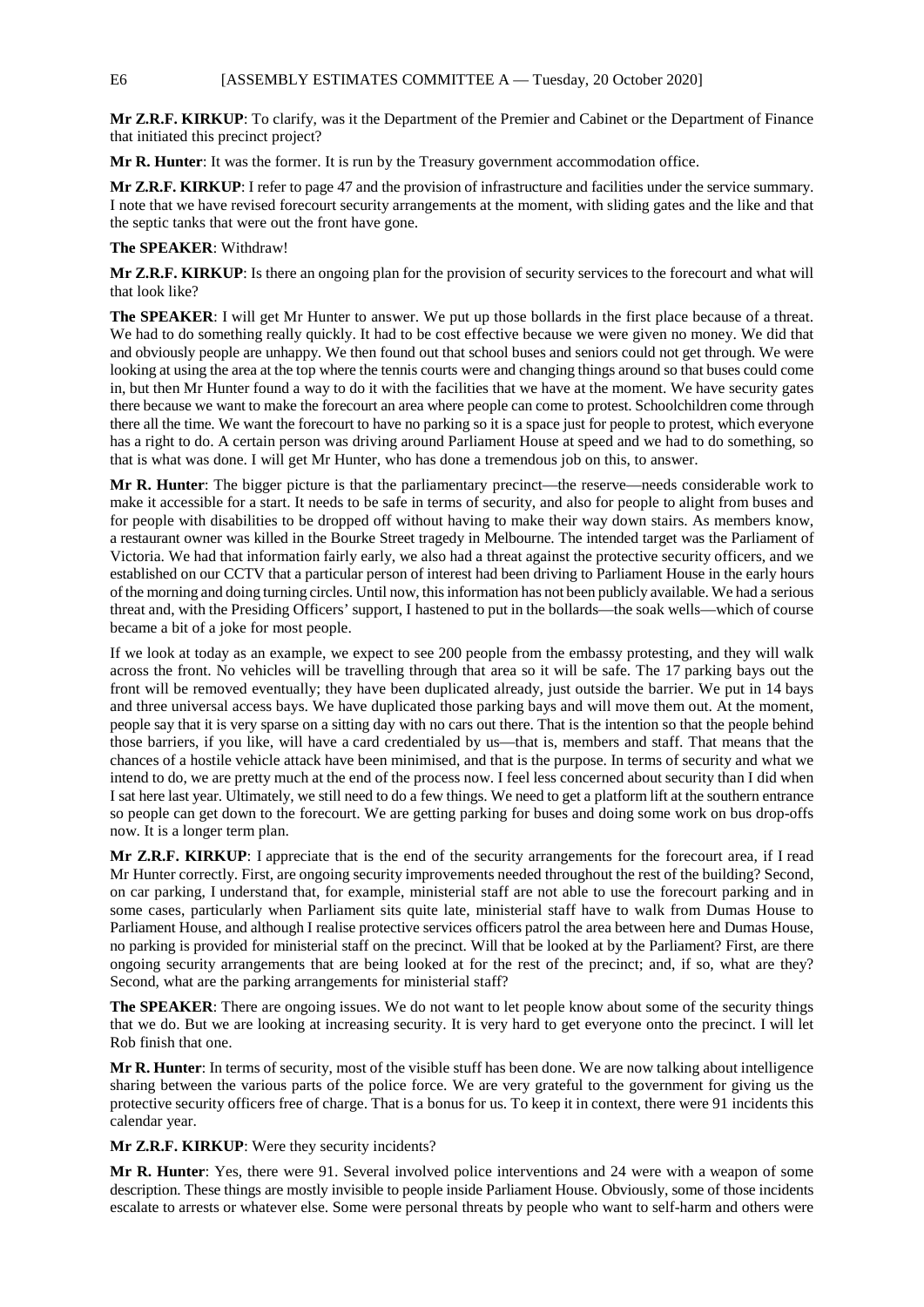**Mr Z.R.F. KIRKUP**: To clarify, was it the Department of the Premier and Cabinet or the Department of Finance that initiated this precinct project?

**Mr R. Hunter**: It was the former. It is run by the Treasury government accommodation office.

**Mr Z.R.F. KIRKUP**: I refer to page 47 and the provision of infrastructure and facilities under the service summary. I note that we have revised forecourt security arrangements at the moment, with sliding gates and the like and that the septic tanks that were out the front have gone.

#### **The SPEAKER**: Withdraw!

**Mr Z.R.F. KIRKUP**: Is there an ongoing plan for the provision of security services to the forecourt and what will that look like?

**The SPEAKER**: I will get Mr Hunter to answer. We put up those bollards in the first place because of a threat. We had to do something really quickly. It had to be cost effective because we were given no money. We did that and obviously people are unhappy. We then found out that school buses and seniors could not get through. We were looking at using the area at the top where the tennis courts were and changing things around so that buses could come in, but then Mr Hunter found a way to do it with the facilities that we have at the moment. We have security gates there because we want to make the forecourt an area where people can come to protest. Schoolchildren come through there all the time. We want the forecourt to have no parking so it is a space just for people to protest, which everyone has a right to do. A certain person was driving around Parliament House at speed and we had to do something, so that is what was done. I will get Mr Hunter, who has done a tremendous job on this, to answer.

**Mr R. Hunter**: The bigger picture is that the parliamentary precinct—the reserve—needs considerable work to make it accessible for a start. It needs to be safe in terms of security, and also for people to alight from buses and for people with disabilities to be dropped off without having to make their way down stairs. As members know, a restaurant owner was killed in the Bourke Street tragedy in Melbourne. The intended target was the Parliament of Victoria. We had that information fairly early, we also had a threat against the protective security officers, and we established on our CCTV that a particular person of interest had been driving to Parliament House in the early hours of the morning and doing turning circles. Until now, this information has not been publicly available. We had a serious threat and, with the Presiding Officers' support, I hastened to put in the bollards—the soak wells—which of course became a bit of a joke for most people.

If we look at today as an example, we expect to see 200 people from the embassy protesting, and they will walk across the front. No vehicles will be travelling through that area so it will be safe. The 17 parking bays out the front will be removed eventually; they have been duplicated already, just outside the barrier. We put in 14 bays and three universal access bays. We have duplicated those parking bays and will move them out. At the moment, people say that it is very sparse on a sitting day with no cars out there. That is the intention so that the people behind those barriers, if you like, will have a card credentialed by us—that is, members and staff. That means that the chances of a hostile vehicle attack have been minimised, and that is the purpose. In terms of security and what we intend to do, we are pretty much at the end of the process now. I feel less concerned about security than I did when I sat here last year. Ultimately, we still need to do a few things. We need to get a platform lift at the southern entrance so people can get down to the forecourt. We are getting parking for buses and doing some work on bus drop-offs now. It is a longer term plan.

**Mr Z.R.F. KIRKUP**: I appreciate that is the end of the security arrangements for the forecourt area, if I read Mr Hunter correctly. First, are ongoing security improvements needed throughout the rest of the building? Second, on car parking, I understand that, for example, ministerial staff are not able to use the forecourt parking and in some cases, particularly when Parliament sits quite late, ministerial staff have to walk from Dumas House to Parliament House, and although I realise protective services officers patrol the area between here and Dumas House, no parking is provided for ministerial staff on the precinct. Will that be looked at by the Parliament? First, are there ongoing security arrangements that are being looked at for the rest of the precinct; and, if so, what are they? Second, what are the parking arrangements for ministerial staff?

**The SPEAKER**: There are ongoing issues. We do not want to let people know about some of the security things that we do. But we are looking at increasing security. It is very hard to get everyone onto the precinct. I will let Rob finish that one.

**Mr R. Hunter**: In terms of security, most of the visible stuff has been done. We are now talking about intelligence sharing between the various parts of the police force. We are very grateful to the government for giving us the protective security officers free of charge. That is a bonus for us. To keep it in context, there were 91 incidents this calendar year.

**Mr Z.R.F. KIRKUP**: Were they security incidents?

**Mr R. Hunter**: Yes, there were 91. Several involved police interventions and 24 were with a weapon of some description. These things are mostly invisible to people inside Parliament House. Obviously, some of those incidents escalate to arrests or whatever else. Some were personal threats by people who want to self-harm and others were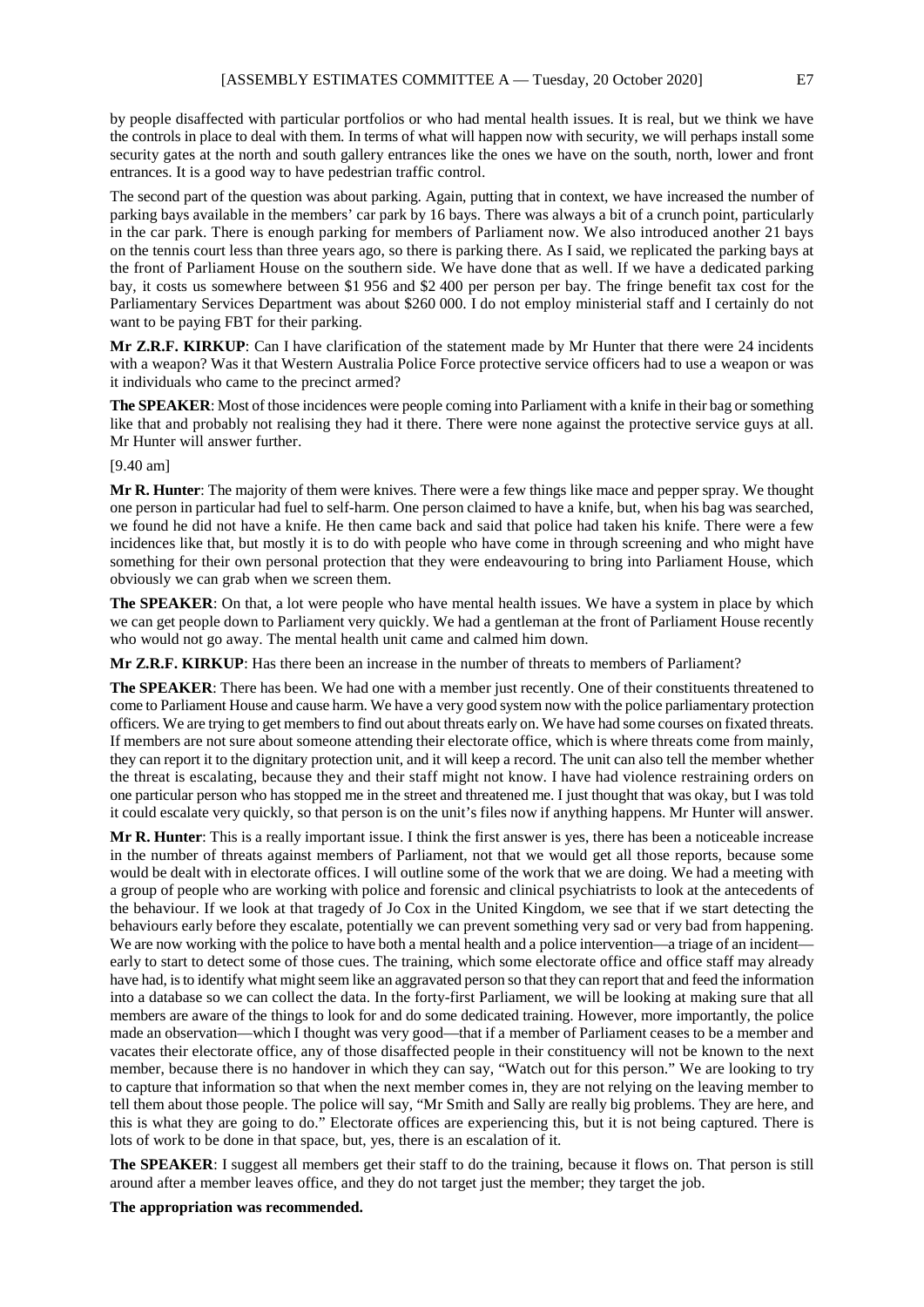by people disaffected with particular portfolios or who had mental health issues. It is real, but we think we have the controls in place to deal with them. In terms of what will happen now with security, we will perhaps install some security gates at the north and south gallery entrances like the ones we have on the south, north, lower and front entrances. It is a good way to have pedestrian traffic control.

The second part of the question was about parking. Again, putting that in context, we have increased the number of parking bays available in the members' car park by 16 bays. There was always a bit of a crunch point, particularly in the car park. There is enough parking for members of Parliament now. We also introduced another 21 bays on the tennis court less than three years ago, so there is parking there. As I said, we replicated the parking bays at the front of Parliament House on the southern side. We have done that as well. If we have a dedicated parking bay, it costs us somewhere between \$1 956 and \$2 400 per person per bay. The fringe benefit tax cost for the Parliamentary Services Department was about \$260 000. I do not employ ministerial staff and I certainly do not want to be paying FBT for their parking.

**Mr Z.R.F. KIRKUP**: Can I have clarification of the statement made by Mr Hunter that there were 24 incidents with a weapon? Was it that Western Australia Police Force protective service officers had to use a weapon or was it individuals who came to the precinct armed?

**The SPEAKER**: Most of those incidences were people coming into Parliament with a knife in their bag or something like that and probably not realising they had it there. There were none against the protective service guys at all. Mr Hunter will answer further.

#### [9.40 am]

**Mr R. Hunter**: The majority of them were knives. There were a few things like mace and pepper spray. We thought one person in particular had fuel to self-harm. One person claimed to have a knife, but, when his bag was searched, we found he did not have a knife. He then came back and said that police had taken his knife. There were a few incidences like that, but mostly it is to do with people who have come in through screening and who might have something for their own personal protection that they were endeavouring to bring into Parliament House, which obviously we can grab when we screen them.

**The SPEAKER**: On that, a lot were people who have mental health issues. We have a system in place by which we can get people down to Parliament very quickly. We had a gentleman at the front of Parliament House recently who would not go away. The mental health unit came and calmed him down.

**Mr Z.R.F. KIRKUP**: Has there been an increase in the number of threats to members of Parliament?

**The SPEAKER**: There has been. We had one with a member just recently. One of their constituents threatened to come to Parliament House and cause harm. We have a very good system now with the police parliamentary protection officers. We are trying to get members to find out about threats early on. We have had some courses on fixated threats. If members are not sure about someone attending their electorate office, which is where threats come from mainly, they can report it to the dignitary protection unit, and it will keep a record. The unit can also tell the member whether the threat is escalating, because they and their staff might not know. I have had violence restraining orders on one particular person who has stopped me in the street and threatened me. I just thought that was okay, but I was told it could escalate very quickly, so that person is on the unit's files now if anything happens. Mr Hunter will answer.

**Mr R. Hunter**: This is a really important issue. I think the first answer is yes, there has been a noticeable increase in the number of threats against members of Parliament, not that we would get all those reports, because some would be dealt with in electorate offices. I will outline some of the work that we are doing. We had a meeting with a group of people who are working with police and forensic and clinical psychiatrists to look at the antecedents of the behaviour. If we look at that tragedy of Jo Cox in the United Kingdom, we see that if we start detecting the behaviours early before they escalate, potentially we can prevent something very sad or very bad from happening. We are now working with the police to have both a mental health and a police intervention—a triage of an incident early to start to detect some of those cues. The training, which some electorate office and office staff may already have had, is to identify what might seem like an aggravated person so that they can report that and feed the information into a database so we can collect the data. In the forty-first Parliament, we will be looking at making sure that all members are aware of the things to look for and do some dedicated training. However, more importantly, the police made an observation—which I thought was very good—that if a member of Parliament ceases to be a member and vacates their electorate office, any of those disaffected people in their constituency will not be known to the next member, because there is no handover in which they can say, "Watch out for this person." We are looking to try to capture that information so that when the next member comes in, they are not relying on the leaving member to tell them about those people. The police will say, "Mr Smith and Sally are really big problems. They are here, and this is what they are going to do." Electorate offices are experiencing this, but it is not being captured. There is lots of work to be done in that space, but, yes, there is an escalation of it.

**The SPEAKER**: I suggest all members get their staff to do the training, because it flows on. That person is still around after a member leaves office, and they do not target just the member; they target the job.

**The appropriation was recommended.**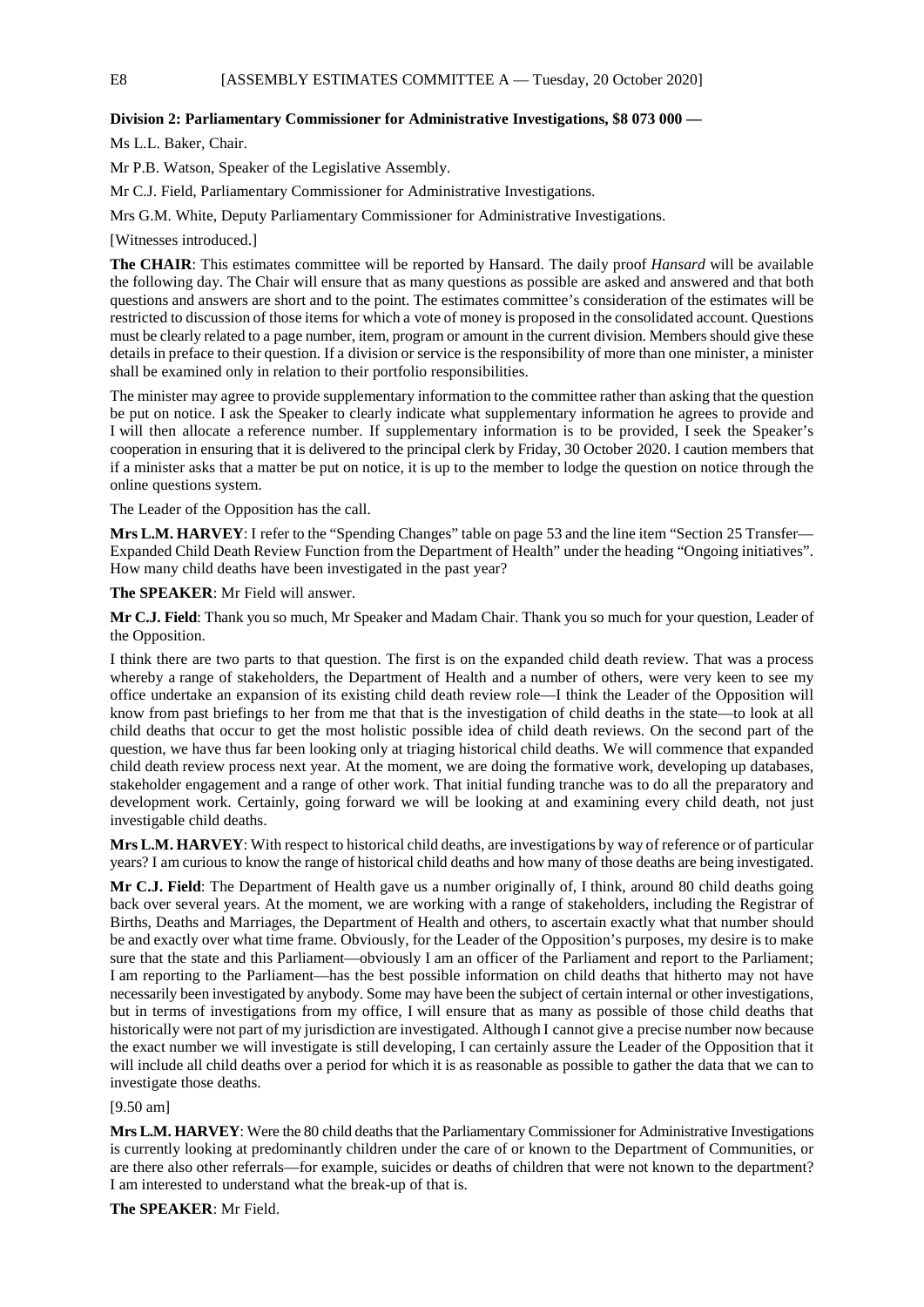#### **Division 2: Parliamentary Commissioner for Administrative Investigations, \$8 073 000 —**

Ms L.L. Baker, Chair.

Mr P.B. Watson, Speaker of the Legislative Assembly.

Mr C.J. Field, Parliamentary Commissioner for Administrative Investigations.

Mrs G.M. White, Deputy Parliamentary Commissioner for Administrative Investigations.

[Witnesses introduced.]

**The CHAIR**: This estimates committee will be reported by Hansard. The daily proof *Hansard* will be available the following day. The Chair will ensure that as many questions as possible are asked and answered and that both questions and answers are short and to the point. The estimates committee's consideration of the estimates will be restricted to discussion of those items for which a vote of money is proposed in the consolidated account. Questions must be clearly related to a page number, item, program or amount in the current division. Members should give these details in preface to their question. If a division or service is the responsibility of more than one minister, a minister shall be examined only in relation to their portfolio responsibilities.

The minister may agree to provide supplementary information to the committee rather than asking that the question be put on notice. I ask the Speaker to clearly indicate what supplementary information he agrees to provide and I will then allocate a reference number. If supplementary information is to be provided, I seek the Speaker's cooperation in ensuring that it is delivered to the principal clerk by Friday, 30 October 2020. I caution members that if a minister asks that a matter be put on notice, it is up to the member to lodge the question on notice through the online questions system.

The Leader of the Opposition has the call.

**Mrs L.M. HARVEY**: I refer to the "Spending Changes" table on page 53 and the line item "Section 25 Transfer— Expanded Child Death Review Function from the Department of Health" under the heading "Ongoing initiatives". How many child deaths have been investigated in the past year?

**The SPEAKER**: Mr Field will answer.

**Mr C.J. Field**: Thank you so much, Mr Speaker and Madam Chair. Thank you so much for your question, Leader of the Opposition.

I think there are two parts to that question. The first is on the expanded child death review. That was a process whereby a range of stakeholders, the Department of Health and a number of others, were very keen to see my office undertake an expansion of its existing child death review role—I think the Leader of the Opposition will know from past briefings to her from me that that is the investigation of child deaths in the state—to look at all child deaths that occur to get the most holistic possible idea of child death reviews. On the second part of the question, we have thus far been looking only at triaging historical child deaths. We will commence that expanded child death review process next year. At the moment, we are doing the formative work, developing up databases, stakeholder engagement and a range of other work. That initial funding tranche was to do all the preparatory and development work. Certainly, going forward we will be looking at and examining every child death, not just investigable child deaths.

**Mrs L.M. HARVEY**: With respect to historical child deaths, are investigations by way of reference or of particular years? I am curious to know the range of historical child deaths and how many of those deaths are being investigated.

**Mr C.J. Field**: The Department of Health gave us a number originally of, I think, around 80 child deaths going back over several years. At the moment, we are working with a range of stakeholders, including the Registrar of Births, Deaths and Marriages, the Department of Health and others, to ascertain exactly what that number should be and exactly over what time frame. Obviously, for the Leader of the Opposition's purposes, my desire is to make sure that the state and this Parliament—obviously I am an officer of the Parliament and report to the Parliament; I am reporting to the Parliament—has the best possible information on child deaths that hitherto may not have necessarily been investigated by anybody. Some may have been the subject of certain internal or other investigations, but in terms of investigations from my office, I will ensure that as many as possible of those child deaths that historically were not part of my jurisdiction are investigated. Although I cannot give a precise number now because the exact number we will investigate is still developing, I can certainly assure the Leader of the Opposition that it will include all child deaths over a period for which it is as reasonable as possible to gather the data that we can to investigate those deaths.

[9.50 am]

**Mrs L.M. HARVEY**: Were the 80 child deaths that the Parliamentary Commissioner for Administrative Investigations is currently looking at predominantly children under the care of or known to the Department of Communities, or are there also other referrals—for example, suicides or deaths of children that were not known to the department? I am interested to understand what the break-up of that is.

**The SPEAKER**: Mr Field.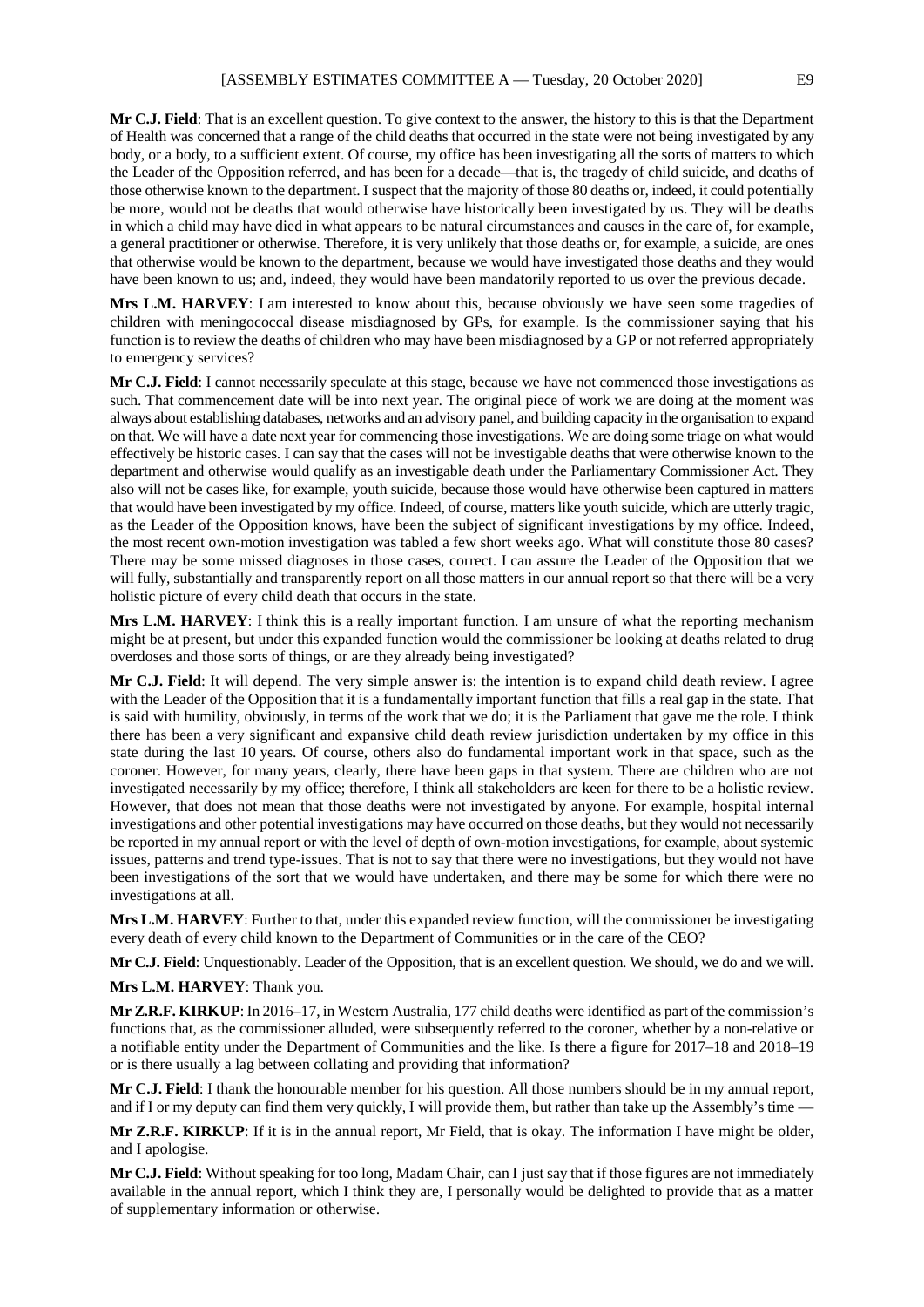**Mr C.J. Field**: That is an excellent question. To give context to the answer, the history to this is that the Department of Health was concerned that a range of the child deaths that occurred in the state were not being investigated by any body, or a body, to a sufficient extent. Of course, my office has been investigating all the sorts of matters to which the Leader of the Opposition referred, and has been for a decade—that is, the tragedy of child suicide, and deaths of those otherwise known to the department. I suspect that the majority of those 80 deaths or, indeed, it could potentially be more, would not be deaths that would otherwise have historically been investigated by us. They will be deaths in which a child may have died in what appears to be natural circumstances and causes in the care of, for example, a general practitioner or otherwise. Therefore, it is very unlikely that those deaths or, for example, a suicide, are ones that otherwise would be known to the department, because we would have investigated those deaths and they would have been known to us; and, indeed, they would have been mandatorily reported to us over the previous decade.

**Mrs L.M. HARVEY**: I am interested to know about this, because obviously we have seen some tragedies of children with meningococcal disease misdiagnosed by GPs, for example. Is the commissioner saying that his function is to review the deaths of children who may have been misdiagnosed by a GP or not referred appropriately to emergency services?

**Mr C.J. Field**: I cannot necessarily speculate at this stage, because we have not commenced those investigations as such. That commencement date will be into next year. The original piece of work we are doing at the moment was always about establishing databases, networks and an advisory panel, and building capacity in the organisation to expand on that. We will have a date next year for commencing those investigations. We are doing some triage on what would effectively be historic cases. I can say that the cases will not be investigable deaths that were otherwise known to the department and otherwise would qualify as an investigable death under the Parliamentary Commissioner Act. They also will not be cases like, for example, youth suicide, because those would have otherwise been captured in matters that would have been investigated by my office. Indeed, of course, matters like youth suicide, which are utterly tragic, as the Leader of the Opposition knows, have been the subject of significant investigations by my office. Indeed, the most recent own-motion investigation was tabled a few short weeks ago. What will constitute those 80 cases? There may be some missed diagnoses in those cases, correct. I can assure the Leader of the Opposition that we will fully, substantially and transparently report on all those matters in our annual report so that there will be a very holistic picture of every child death that occurs in the state.

**Mrs L.M. HARVEY**: I think this is a really important function. I am unsure of what the reporting mechanism might be at present, but under this expanded function would the commissioner be looking at deaths related to drug overdoses and those sorts of things, or are they already being investigated?

**Mr C.J. Field**: It will depend. The very simple answer is: the intention is to expand child death review. I agree with the Leader of the Opposition that it is a fundamentally important function that fills a real gap in the state. That is said with humility, obviously, in terms of the work that we do; it is the Parliament that gave me the role. I think there has been a very significant and expansive child death review jurisdiction undertaken by my office in this state during the last 10 years. Of course, others also do fundamental important work in that space, such as the coroner. However, for many years, clearly, there have been gaps in that system. There are children who are not investigated necessarily by my office; therefore, I think all stakeholders are keen for there to be a holistic review. However, that does not mean that those deaths were not investigated by anyone. For example, hospital internal investigations and other potential investigations may have occurred on those deaths, but they would not necessarily be reported in my annual report or with the level of depth of own-motion investigations, for example, about systemic issues, patterns and trend type-issues. That is not to say that there were no investigations, but they would not have been investigations of the sort that we would have undertaken, and there may be some for which there were no investigations at all.

**Mrs L.M. HARVEY**: Further to that, under this expanded review function, will the commissioner be investigating every death of every child known to the Department of Communities or in the care of the CEO?

**Mr C.J. Field**: Unquestionably. Leader of the Opposition, that is an excellent question. We should, we do and we will.

**Mrs L.M. HARVEY**: Thank you.

**Mr Z.R.F. KIRKUP**: In 2016–17, in Western Australia, 177 child deaths were identified as part of the commission's functions that, as the commissioner alluded, were subsequently referred to the coroner, whether by a non-relative or a notifiable entity under the Department of Communities and the like. Is there a figure for 2017–18 and 2018–19 or is there usually a lag between collating and providing that information?

**Mr C.J. Field**: I thank the honourable member for his question. All those numbers should be in my annual report, and if I or my deputy can find them very quickly, I will provide them, but rather than take up the Assembly's time —

**Mr Z.R.F. KIRKUP**: If it is in the annual report, Mr Field, that is okay. The information I have might be older, and I apologise.

**Mr C.J. Field**: Without speaking for too long, Madam Chair, can I just say that if those figures are not immediately available in the annual report, which I think they are, I personally would be delighted to provide that as a matter of supplementary information or otherwise.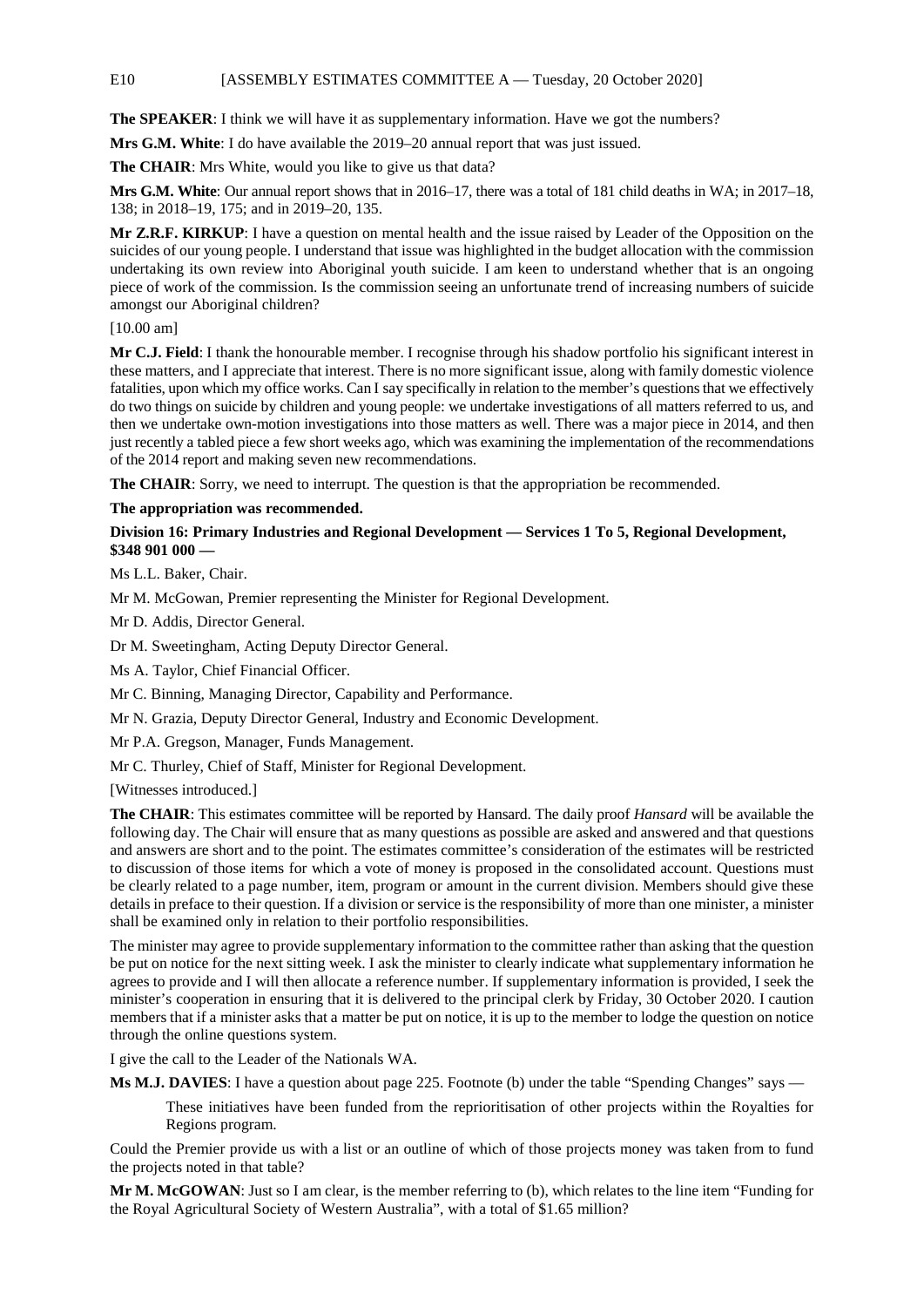E10 [ASSEMBLY ESTIMATES COMMITTEE A — Tuesday, 20 October 2020]

**The SPEAKER**: I think we will have it as supplementary information. Have we got the numbers?

**Mrs G.M. White**: I do have available the 2019–20 annual report that was just issued.

**The CHAIR**: Mrs White, would you like to give us that data?

**Mrs G.M. White**: Our annual report shows that in 2016–17, there was a total of 181 child deaths in WA; in 2017–18, 138; in 2018–19, 175; and in 2019–20, 135.

**Mr Z.R.F. KIRKUP**: I have a question on mental health and the issue raised by Leader of the Opposition on the suicides of our young people. I understand that issue was highlighted in the budget allocation with the commission undertaking its own review into Aboriginal youth suicide. I am keen to understand whether that is an ongoing piece of work of the commission. Is the commission seeing an unfortunate trend of increasing numbers of suicide amongst our Aboriginal children?

[10.00 am]

**Mr C.J. Field**: I thank the honourable member. I recognise through his shadow portfolio his significant interest in these matters, and I appreciate that interest. There is no more significant issue, along with family domestic violence fatalities, upon which my office works. Can I say specifically in relation to the member's questions that we effectively do two things on suicide by children and young people: we undertake investigations of all matters referred to us, and then we undertake own-motion investigations into those matters as well. There was a major piece in 2014, and then just recently a tabled piece a few short weeks ago, which was examining the implementation of the recommendations of the 2014 report and making seven new recommendations.

**The CHAIR**: Sorry, we need to interrupt. The question is that the appropriation be recommended.

**The appropriation was recommended.**

## **Division 16: Primary Industries and Regional Development — Services 1 To 5, Regional Development, \$348 901 000 —**

Ms L.L. Baker, Chair.

Mr M. McGowan, Premier representing the Minister for Regional Development.

Mr D. Addis, Director General.

Dr M. Sweetingham, Acting Deputy Director General.

Ms A. Taylor, Chief Financial Officer.

Mr C. Binning, Managing Director, Capability and Performance.

Mr N. Grazia, Deputy Director General, Industry and Economic Development.

Mr P.A. Gregson, Manager, Funds Management.

Mr C. Thurley, Chief of Staff, Minister for Regional Development.

[Witnesses introduced.]

**The CHAIR**: This estimates committee will be reported by Hansard. The daily proof *Hansard* will be available the following day. The Chair will ensure that as many questions as possible are asked and answered and that questions and answers are short and to the point. The estimates committee's consideration of the estimates will be restricted to discussion of those items for which a vote of money is proposed in the consolidated account. Questions must be clearly related to a page number, item, program or amount in the current division. Members should give these details in preface to their question. If a division or service is the responsibility of more than one minister, a minister shall be examined only in relation to their portfolio responsibilities.

The minister may agree to provide supplementary information to the committee rather than asking that the question be put on notice for the next sitting week. I ask the minister to clearly indicate what supplementary information he agrees to provide and I will then allocate a reference number. If supplementary information is provided, I seek the minister's cooperation in ensuring that it is delivered to the principal clerk by Friday, 30 October 2020. I caution members that if a minister asks that a matter be put on notice, it is up to the member to lodge the question on notice through the online questions system.

I give the call to the Leader of the Nationals WA.

**Ms M.J. DAVIES**: I have a question about page 225. Footnote (b) under the table "Spending Changes" says —

These initiatives have been funded from the reprioritisation of other projects within the Royalties for Regions program.

Could the Premier provide us with a list or an outline of which of those projects money was taken from to fund the projects noted in that table?

**Mr M. McGOWAN**: Just so I am clear, is the member referring to (b), which relates to the line item "Funding for the Royal Agricultural Society of Western Australia", with a total of \$1.65 million?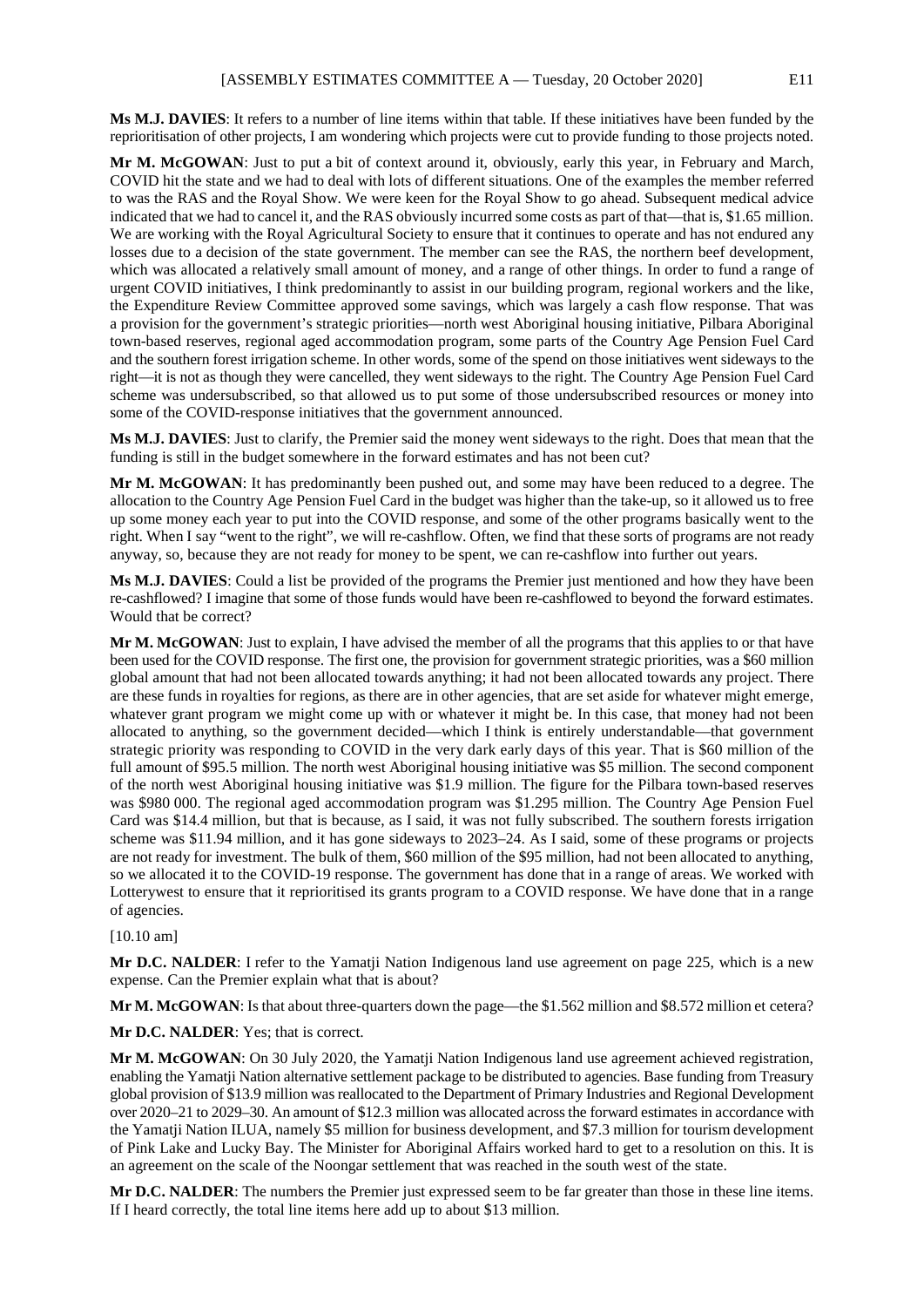**Ms M.J. DAVIES**: It refers to a number of line items within that table. If these initiatives have been funded by the reprioritisation of other projects, I am wondering which projects were cut to provide funding to those projects noted.

**Mr M. McGOWAN**: Just to put a bit of context around it, obviously, early this year, in February and March, COVID hit the state and we had to deal with lots of different situations. One of the examples the member referred to was the RAS and the Royal Show. We were keen for the Royal Show to go ahead. Subsequent medical advice indicated that we had to cancel it, and the RAS obviously incurred some costs as part of that—that is, \$1.65 million. We are working with the Royal Agricultural Society to ensure that it continues to operate and has not endured any losses due to a decision of the state government. The member can see the RAS, the northern beef development, which was allocated a relatively small amount of money, and a range of other things. In order to fund a range of urgent COVID initiatives, I think predominantly to assist in our building program, regional workers and the like, the Expenditure Review Committee approved some savings, which was largely a cash flow response. That was a provision for the government's strategic priorities—north west Aboriginal housing initiative, Pilbara Aboriginal town-based reserves, regional aged accommodation program, some parts of the Country Age Pension Fuel Card and the southern forest irrigation scheme. In other words, some of the spend on those initiatives went sideways to the right—it is not as though they were cancelled, they went sideways to the right. The Country Age Pension Fuel Card scheme was undersubscribed, so that allowed us to put some of those undersubscribed resources or money into some of the COVID-response initiatives that the government announced.

**Ms M.J. DAVIES**: Just to clarify, the Premier said the money went sideways to the right. Does that mean that the funding is still in the budget somewhere in the forward estimates and has not been cut?

**Mr M. McGOWAN**: It has predominantly been pushed out, and some may have been reduced to a degree. The allocation to the Country Age Pension Fuel Card in the budget was higher than the take-up, so it allowed us to free up some money each year to put into the COVID response, and some of the other programs basically went to the right. When I say "went to the right", we will re-cashflow. Often, we find that these sorts of programs are not ready anyway, so, because they are not ready for money to be spent, we can re-cashflow into further out years.

**Ms M.J. DAVIES**: Could a list be provided of the programs the Premier just mentioned and how they have been re-cashflowed? I imagine that some of those funds would have been re-cashflowed to beyond the forward estimates. Would that be correct?

**Mr M. McGOWAN**: Just to explain, I have advised the member of all the programs that this applies to or that have been used for the COVID response. The first one, the provision for government strategic priorities, was a \$60 million global amount that had not been allocated towards anything; it had not been allocated towards any project. There are these funds in royalties for regions, as there are in other agencies, that are set aside for whatever might emerge, whatever grant program we might come up with or whatever it might be. In this case, that money had not been allocated to anything, so the government decided—which I think is entirely understandable—that government strategic priority was responding to COVID in the very dark early days of this year. That is \$60 million of the full amount of \$95.5 million. The north west Aboriginal housing initiative was \$5 million. The second component of the north west Aboriginal housing initiative was \$1.9 million. The figure for the Pilbara town-based reserves was \$980 000. The regional aged accommodation program was \$1.295 million. The Country Age Pension Fuel Card was \$14.4 million, but that is because, as I said, it was not fully subscribed. The southern forests irrigation scheme was \$11.94 million, and it has gone sideways to 2023–24. As I said, some of these programs or projects are not ready for investment. The bulk of them, \$60 million of the \$95 million, had not been allocated to anything, so we allocated it to the COVID-19 response. The government has done that in a range of areas. We worked with Lotterywest to ensure that it reprioritised its grants program to a COVID response. We have done that in a range of agencies.

#### [10.10 am]

**Mr D.C. NALDER:** I refer to the Yamatii Nation Indigenous land use agreement on page 225, which is a new expense. Can the Premier explain what that is about?

**Mr M. McGOWAN**: Is that about three-quarters down the page—the \$1.562 million and \$8.572 million et cetera?

**Mr D.C. NALDER**: Yes; that is correct.

**Mr M. McGOWAN**: On 30 July 2020, the Yamatji Nation Indigenous land use agreement achieved registration, enabling the Yamatji Nation alternative settlement package to be distributed to agencies. Base funding from Treasury global provision of \$13.9 million was reallocated to the Department of Primary Industries and Regional Development over 2020–21 to 2029–30. An amount of \$12.3 million was allocated across the forward estimates in accordance with the Yamatji Nation ILUA, namely \$5 million for business development, and \$7.3 million for tourism development of Pink Lake and Lucky Bay. The Minister for Aboriginal Affairs worked hard to get to a resolution on this. It is an agreement on the scale of the Noongar settlement that was reached in the south west of the state.

**Mr D.C. NALDER**: The numbers the Premier just expressed seem to be far greater than those in these line items. If I heard correctly, the total line items here add up to about \$13 million.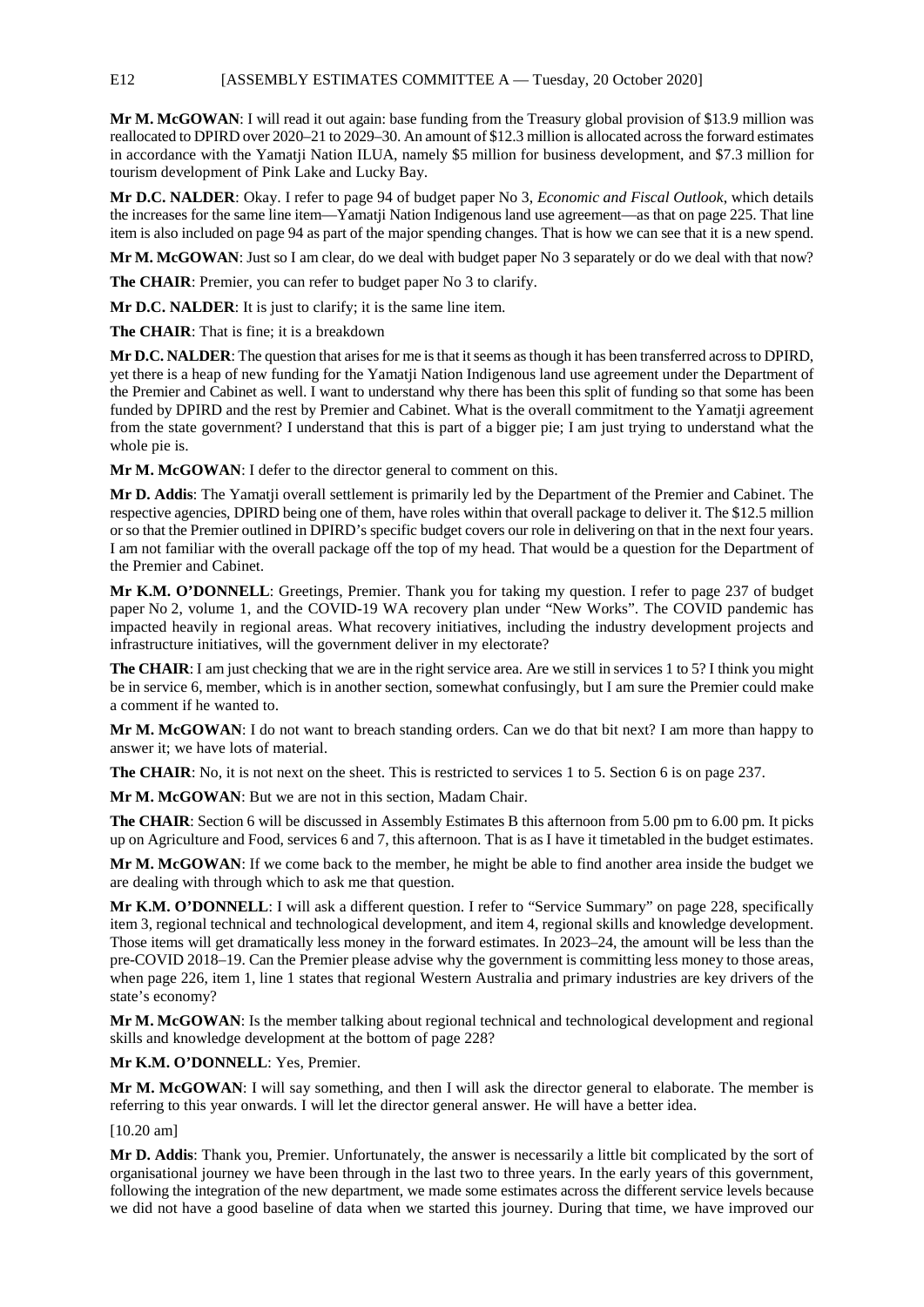E12 [ASSEMBLY ESTIMATES COMMITTEE A — Tuesday, 20 October 2020]

**Mr M. McGOWAN**: I will read it out again: base funding from the Treasury global provision of \$13.9 million was reallocated to DPIRD over 2020–21 to 2029–30. An amount of \$12.3 million is allocated across the forward estimates in accordance with the Yamatji Nation ILUA, namely \$5 million for business development, and \$7.3 million for tourism development of Pink Lake and Lucky Bay.

**Mr D.C. NALDER**: Okay. I refer to page 94 of budget paper No 3, *Economic and Fiscal Outlook*, which details the increases for the same line item—Yamatji Nation Indigenous land use agreement—as that on page 225. That line item is also included on page 94 as part of the major spending changes. That is how we can see that it is a new spend.

**Mr M. McGOWAN**: Just so I am clear, do we deal with budget paper No 3 separately or do we deal with that now?

**The CHAIR**: Premier, you can refer to budget paper No 3 to clarify.

**Mr D.C. NALDER**: It is just to clarify; it is the same line item.

**The CHAIR**: That is fine; it is a breakdown

**Mr D.C. NALDER**: The question that arises for me is that it seems as though it has been transferred across to DPIRD, yet there is a heap of new funding for the Yamatji Nation Indigenous land use agreement under the Department of the Premier and Cabinet as well. I want to understand why there has been this split of funding so that some has been funded by DPIRD and the rest by Premier and Cabinet. What is the overall commitment to the Yamatji agreement from the state government? I understand that this is part of a bigger pie; I am just trying to understand what the whole pie is.

**Mr M. McGOWAN**: I defer to the director general to comment on this.

**Mr D. Addis**: The Yamatji overall settlement is primarily led by the Department of the Premier and Cabinet. The respective agencies, DPIRD being one of them, have roles within that overall package to deliver it. The \$12.5 million or so that the Premier outlined in DPIRD's specific budget covers our role in delivering on that in the next four years. I am not familiar with the overall package off the top of my head. That would be a question for the Department of the Premier and Cabinet.

**Mr K.M. O'DONNELL**: Greetings, Premier. Thank you for taking my question. I refer to page 237 of budget paper No 2, volume 1, and the COVID-19 WA recovery plan under "New Works". The COVID pandemic has impacted heavily in regional areas. What recovery initiatives, including the industry development projects and infrastructure initiatives, will the government deliver in my electorate?

**The CHAIR**: I am just checking that we are in the right service area. Are we still in services 1 to 5? I think you might be in service 6, member, which is in another section, somewhat confusingly, but I am sure the Premier could make a comment if he wanted to.

**Mr M. McGOWAN**: I do not want to breach standing orders. Can we do that bit next? I am more than happy to answer it; we have lots of material.

**The CHAIR**: No, it is not next on the sheet. This is restricted to services 1 to 5. Section 6 is on page 237.

**Mr M. McGOWAN**: But we are not in this section, Madam Chair.

**The CHAIR**: Section 6 will be discussed in Assembly Estimates B this afternoon from 5.00 pm to 6.00 pm. It picks up on Agriculture and Food, services 6 and 7, this afternoon. That is as I have it timetabled in the budget estimates.

**Mr M. McGOWAN**: If we come back to the member, he might be able to find another area inside the budget we are dealing with through which to ask me that question.

**Mr K.M. O'DONNELL**: I will ask a different question. I refer to "Service Summary" on page 228, specifically item 3, regional technical and technological development, and item 4, regional skills and knowledge development. Those items will get dramatically less money in the forward estimates. In 2023–24, the amount will be less than the pre-COVID 2018–19. Can the Premier please advise why the government is committing less money to those areas, when page 226, item 1, line 1 states that regional Western Australia and primary industries are key drivers of the state's economy?

**Mr M. McGOWAN**: Is the member talking about regional technical and technological development and regional skills and knowledge development at the bottom of page 228?

**Mr K.M. O'DONNELL**: Yes, Premier.

**Mr M. McGOWAN**: I will say something, and then I will ask the director general to elaborate. The member is referring to this year onwards. I will let the director general answer. He will have a better idea.

[10.20 am]

**Mr D. Addis**: Thank you, Premier. Unfortunately, the answer is necessarily a little bit complicated by the sort of organisational journey we have been through in the last two to three years. In the early years of this government, following the integration of the new department, we made some estimates across the different service levels because we did not have a good baseline of data when we started this journey. During that time, we have improved our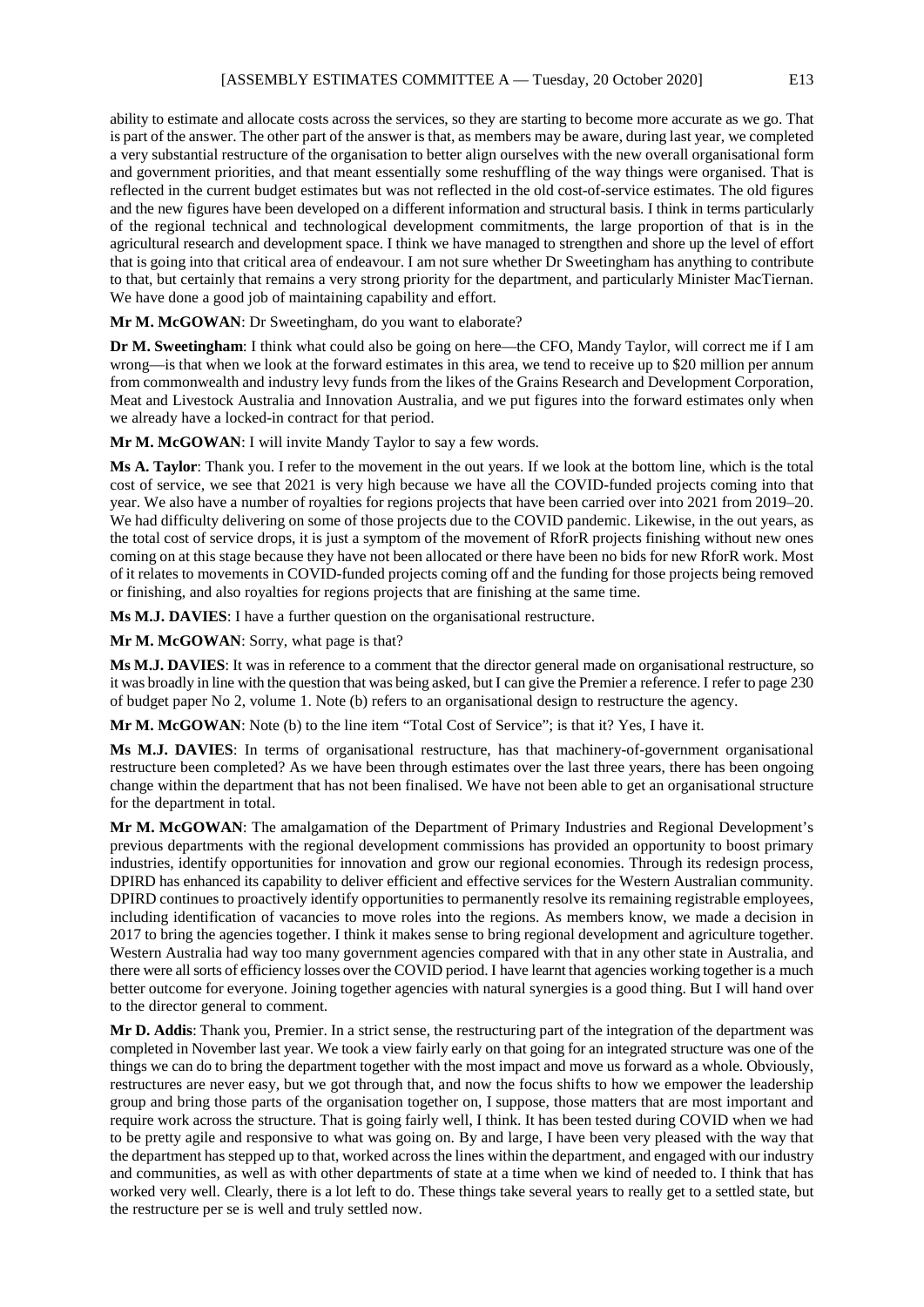ability to estimate and allocate costs across the services, so they are starting to become more accurate as we go. That is part of the answer. The other part of the answer is that, as members may be aware, during last year, we completed a very substantial restructure of the organisation to better align ourselves with the new overall organisational form and government priorities, and that meant essentially some reshuffling of the way things were organised. That is reflected in the current budget estimates but was not reflected in the old cost-of-service estimates. The old figures and the new figures have been developed on a different information and structural basis. I think in terms particularly of the regional technical and technological development commitments, the large proportion of that is in the agricultural research and development space. I think we have managed to strengthen and shore up the level of effort that is going into that critical area of endeavour. I am not sure whether Dr Sweetingham has anything to contribute to that, but certainly that remains a very strong priority for the department, and particularly Minister MacTiernan. We have done a good job of maintaining capability and effort.

**Mr M. McGOWAN**: Dr Sweetingham, do you want to elaborate?

**Dr M. Sweetingham**: I think what could also be going on here—the CFO, Mandy Taylor, will correct me if I am wrong—is that when we look at the forward estimates in this area, we tend to receive up to \$20 million per annum from commonwealth and industry levy funds from the likes of the Grains Research and Development Corporation, Meat and Livestock Australia and Innovation Australia, and we put figures into the forward estimates only when we already have a locked-in contract for that period.

**Mr M. McGOWAN**: I will invite Mandy Taylor to say a few words.

**Ms A. Taylor**: Thank you. I refer to the movement in the out years. If we look at the bottom line, which is the total cost of service, we see that 2021 is very high because we have all the COVID-funded projects coming into that year. We also have a number of royalties for regions projects that have been carried over into 2021 from 2019–20. We had difficulty delivering on some of those projects due to the COVID pandemic. Likewise, in the out years, as the total cost of service drops, it is just a symptom of the movement of RforR projects finishing without new ones coming on at this stage because they have not been allocated or there have been no bids for new RforR work. Most of it relates to movements in COVID-funded projects coming off and the funding for those projects being removed or finishing, and also royalties for regions projects that are finishing at the same time.

**Ms M.J. DAVIES**: I have a further question on the organisational restructure.

**Mr M. McGOWAN**: Sorry, what page is that?

**Ms M.J. DAVIES**: It was in reference to a comment that the director general made on organisational restructure, so it was broadly in line with the question that was being asked, but I can give the Premier a reference. I refer to page 230 of budget paper No 2, volume 1. Note (b) refers to an organisational design to restructure the agency.

**Mr M. McGOWAN**: Note (b) to the line item "Total Cost of Service"; is that it? Yes, I have it.

**Ms M.J. DAVIES**: In terms of organisational restructure, has that machinery-of-government organisational restructure been completed? As we have been through estimates over the last three years, there has been ongoing change within the department that has not been finalised. We have not been able to get an organisational structure for the department in total.

**Mr M. McGOWAN**: The amalgamation of the Department of Primary Industries and Regional Development's previous departments with the regional development commissions has provided an opportunity to boost primary industries, identify opportunities for innovation and grow our regional economies. Through its redesign process, DPIRD has enhanced its capability to deliver efficient and effective services for the Western Australian community. DPIRD continues to proactively identify opportunities to permanently resolve its remaining registrable employees, including identification of vacancies to move roles into the regions. As members know, we made a decision in 2017 to bring the agencies together. I think it makes sense to bring regional development and agriculture together. Western Australia had way too many government agencies compared with that in any other state in Australia, and there were all sorts of efficiency losses over the COVID period. I have learnt that agencies working together is a much better outcome for everyone. Joining together agencies with natural synergies is a good thing. But I will hand over to the director general to comment.

**Mr D. Addis**: Thank you, Premier. In a strict sense, the restructuring part of the integration of the department was completed in November last year. We took a view fairly early on that going for an integrated structure was one of the things we can do to bring the department together with the most impact and move us forward as a whole. Obviously, restructures are never easy, but we got through that, and now the focus shifts to how we empower the leadership group and bring those parts of the organisation together on, I suppose, those matters that are most important and require work across the structure. That is going fairly well, I think. It has been tested during COVID when we had to be pretty agile and responsive to what was going on. By and large, I have been very pleased with the way that the department has stepped up to that, worked across the lines within the department, and engaged with our industry and communities, as well as with other departments of state at a time when we kind of needed to. I think that has worked very well. Clearly, there is a lot left to do. These things take several years to really get to a settled state, but the restructure per se is well and truly settled now.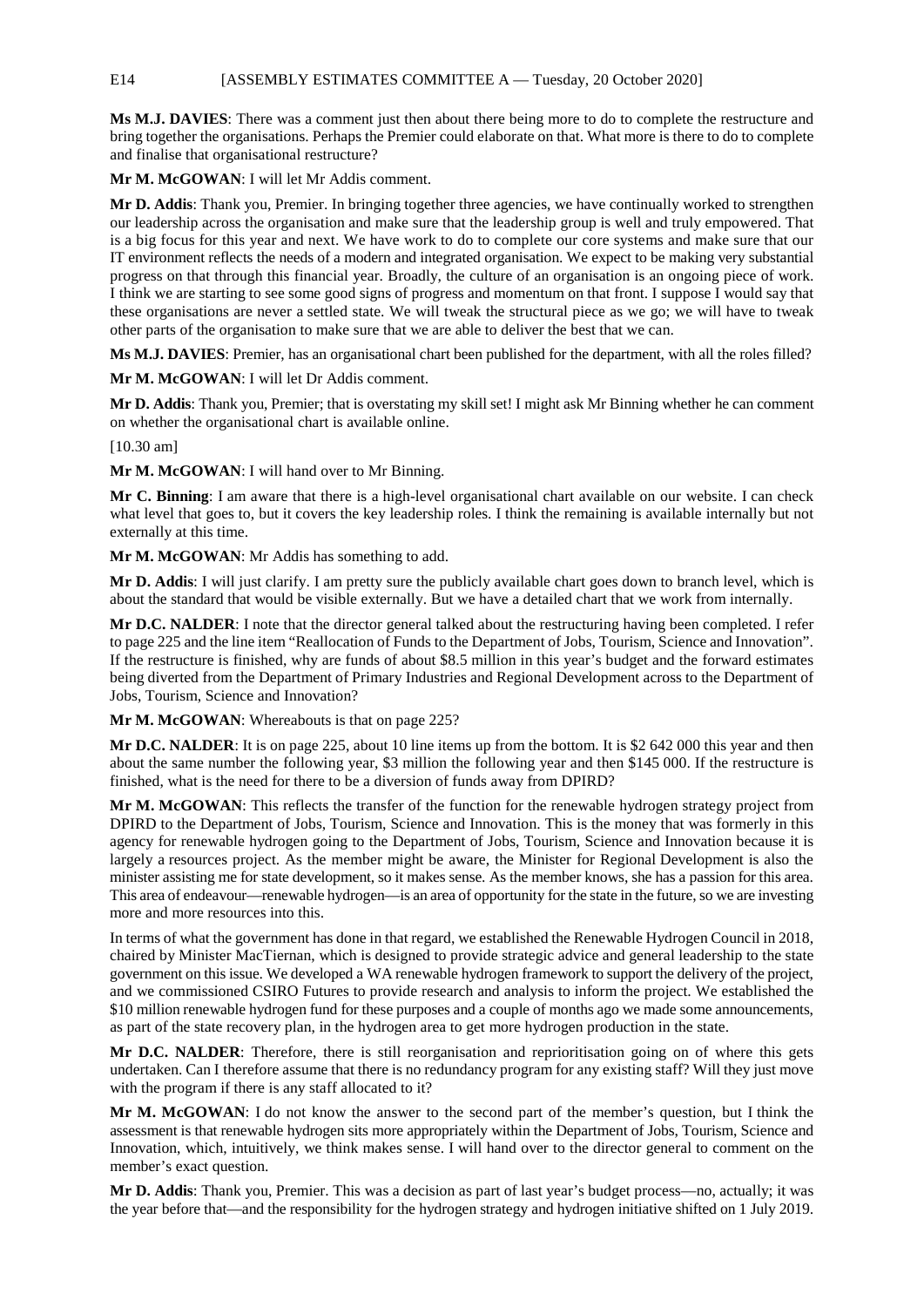E14 [ASSEMBLY ESTIMATES COMMITTEE A — Tuesday, 20 October 2020]

**Ms M.J. DAVIES**: There was a comment just then about there being more to do to complete the restructure and bring together the organisations. Perhaps the Premier could elaborate on that. What more is there to do to complete and finalise that organisational restructure?

**Mr M. McGOWAN**: I will let Mr Addis comment.

**Mr D. Addis**: Thank you, Premier. In bringing together three agencies, we have continually worked to strengthen our leadership across the organisation and make sure that the leadership group is well and truly empowered. That is a big focus for this year and next. We have work to do to complete our core systems and make sure that our IT environment reflects the needs of a modern and integrated organisation. We expect to be making very substantial progress on that through this financial year. Broadly, the culture of an organisation is an ongoing piece of work. I think we are starting to see some good signs of progress and momentum on that front. I suppose I would say that these organisations are never a settled state. We will tweak the structural piece as we go; we will have to tweak other parts of the organisation to make sure that we are able to deliver the best that we can.

**Ms M.J. DAVIES**: Premier, has an organisational chart been published for the department, with all the roles filled?

**Mr M. McGOWAN**: I will let Dr Addis comment.

**Mr D. Addis**: Thank you, Premier; that is overstating my skill set! I might ask Mr Binning whether he can comment on whether the organisational chart is available online.

[10.30 am]

**Mr M. McGOWAN**: I will hand over to Mr Binning.

**Mr C. Binning**: I am aware that there is a high-level organisational chart available on our website. I can check what level that goes to, but it covers the key leadership roles. I think the remaining is available internally but not externally at this time.

**Mr M. McGOWAN**: Mr Addis has something to add.

**Mr D. Addis**: I will just clarify. I am pretty sure the publicly available chart goes down to branch level, which is about the standard that would be visible externally. But we have a detailed chart that we work from internally.

**Mr D.C. NALDER**: I note that the director general talked about the restructuring having been completed. I refer to page 225 and the line item "Reallocation of Funds to the Department of Jobs, Tourism, Science and Innovation". If the restructure is finished, why are funds of about \$8.5 million in this year's budget and the forward estimates being diverted from the Department of Primary Industries and Regional Development across to the Department of Jobs, Tourism, Science and Innovation?

**Mr M. McGOWAN**: Whereabouts is that on page 225?

**Mr D.C. NALDER**: It is on page 225, about 10 line items up from the bottom. It is \$2 642 000 this year and then about the same number the following year, \$3 million the following year and then \$145 000. If the restructure is finished, what is the need for there to be a diversion of funds away from DPIRD?

**Mr M. McGOWAN**: This reflects the transfer of the function for the renewable hydrogen strategy project from DPIRD to the Department of Jobs, Tourism, Science and Innovation. This is the money that was formerly in this agency for renewable hydrogen going to the Department of Jobs, Tourism, Science and Innovation because it is largely a resources project. As the member might be aware, the Minister for Regional Development is also the minister assisting me for state development, so it makes sense. As the member knows, she has a passion for this area. This area of endeavour—renewable hydrogen—is an area of opportunity for the state in the future, so we are investing more and more resources into this.

In terms of what the government has done in that regard, we established the Renewable Hydrogen Council in 2018, chaired by Minister MacTiernan, which is designed to provide strategic advice and general leadership to the state government on this issue. We developed a WA renewable hydrogen framework to support the delivery of the project, and we commissioned CSIRO Futures to provide research and analysis to inform the project. We established the \$10 million renewable hydrogen fund for these purposes and a couple of months ago we made some announcements, as part of the state recovery plan, in the hydrogen area to get more hydrogen production in the state.

**Mr D.C. NALDER**: Therefore, there is still reorganisation and reprioritisation going on of where this gets undertaken. Can I therefore assume that there is no redundancy program for any existing staff? Will they just move with the program if there is any staff allocated to it?

**Mr M. McGOWAN**: I do not know the answer to the second part of the member's question, but I think the assessment is that renewable hydrogen sits more appropriately within the Department of Jobs, Tourism, Science and Innovation, which, intuitively, we think makes sense. I will hand over to the director general to comment on the member's exact question.

**Mr D. Addis**: Thank you, Premier. This was a decision as part of last year's budget process—no, actually; it was the year before that—and the responsibility for the hydrogen strategy and hydrogen initiative shifted on 1 July 2019.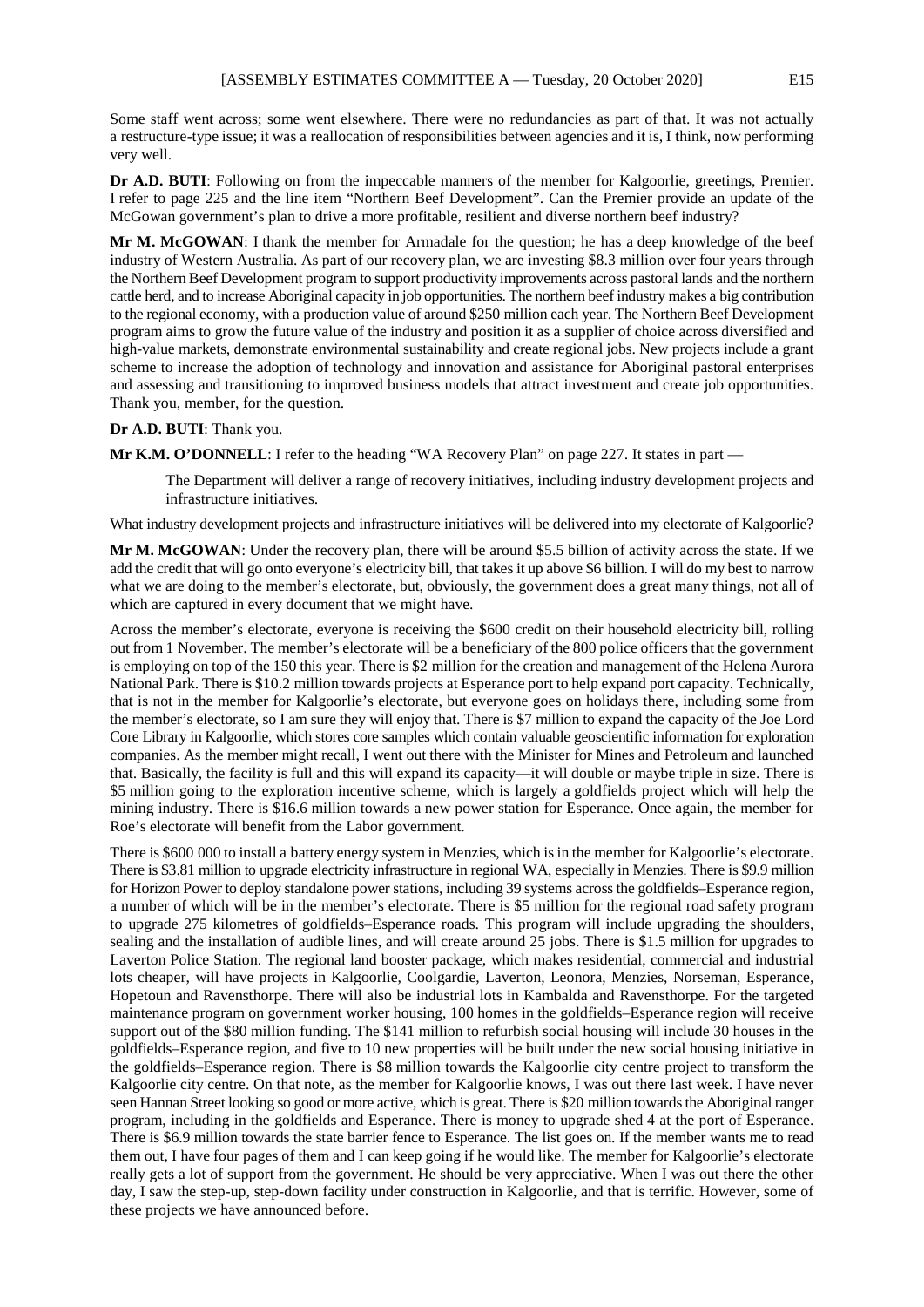Some staff went across; some went elsewhere. There were no redundancies as part of that. It was not actually a restructure-type issue; it was a reallocation of responsibilities between agencies and it is, I think, now performing very well.

**Dr A.D. BUTI**: Following on from the impeccable manners of the member for Kalgoorlie, greetings, Premier. I refer to page 225 and the line item "Northern Beef Development". Can the Premier provide an update of the McGowan government's plan to drive a more profitable, resilient and diverse northern beef industry?

**Mr M. McGOWAN**: I thank the member for Armadale for the question; he has a deep knowledge of the beef industry of Western Australia. As part of our recovery plan, we are investing \$8.3 million over four years through the Northern Beef Development program to support productivity improvements across pastoral lands and the northern cattle herd, and to increase Aboriginal capacity in job opportunities. The northern beef industry makes a big contribution to the regional economy, with a production value of around \$250 million each year. The Northern Beef Development program aims to grow the future value of the industry and position it as a supplier of choice across diversified and high-value markets, demonstrate environmental sustainability and create regional jobs. New projects include a grant scheme to increase the adoption of technology and innovation and assistance for Aboriginal pastoral enterprises and assessing and transitioning to improved business models that attract investment and create job opportunities. Thank you, member, for the question.

#### **Dr A.D. BUTI**: Thank you.

**Mr K.M. O'DONNELL:** I refer to the heading "WA Recovery Plan" on page 227. It states in part —

The Department will deliver a range of recovery initiatives, including industry development projects and infrastructure initiatives.

What industry development projects and infrastructure initiatives will be delivered into my electorate of Kalgoorlie?

**Mr M. McGOWAN**: Under the recovery plan, there will be around \$5.5 billion of activity across the state. If we add the credit that will go onto everyone's electricity bill, that takes it up above \$6 billion. I will do my best to narrow what we are doing to the member's electorate, but, obviously, the government does a great many things, not all of which are captured in every document that we might have.

Across the member's electorate, everyone is receiving the \$600 credit on their household electricity bill, rolling out from 1 November. The member's electorate will be a beneficiary of the 800 police officers that the government is employing on top of the 150 this year. There is \$2 million for the creation and management of the Helena Aurora National Park. There is \$10.2 million towards projects at Esperance port to help expand port capacity. Technically, that is not in the member for Kalgoorlie's electorate, but everyone goes on holidays there, including some from the member's electorate, so I am sure they will enjoy that. There is \$7 million to expand the capacity of the Joe Lord Core Library in Kalgoorlie, which stores core samples which contain valuable geoscientific information for exploration companies. As the member might recall, I went out there with the Minister for Mines and Petroleum and launched that. Basically, the facility is full and this will expand its capacity—it will double or maybe triple in size. There is \$5 million going to the exploration incentive scheme, which is largely a goldfields project which will help the mining industry. There is \$16.6 million towards a new power station for Esperance. Once again, the member for Roe's electorate will benefit from the Labor government.

There is \$600 000 to install a battery energy system in Menzies, which is in the member for Kalgoorlie's electorate. There is \$3.81 million to upgrade electricity infrastructure in regional WA, especially in Menzies. There is \$9.9 million for Horizon Power to deploy standalone power stations, including 39 systems across the goldfields–Esperance region, a number of which will be in the member's electorate. There is \$5 million for the regional road safety program to upgrade 275 kilometres of goldfields–Esperance roads. This program will include upgrading the shoulders, sealing and the installation of audible lines, and will create around 25 jobs. There is \$1.5 million for upgrades to Laverton Police Station. The regional land booster package, which makes residential, commercial and industrial lots cheaper, will have projects in Kalgoorlie, Coolgardie, Laverton, Leonora, Menzies, Norseman, Esperance, Hopetoun and Ravensthorpe. There will also be industrial lots in Kambalda and Ravensthorpe. For the targeted maintenance program on government worker housing, 100 homes in the goldfields–Esperance region will receive support out of the \$80 million funding. The \$141 million to refurbish social housing will include 30 houses in the goldfields–Esperance region, and five to 10 new properties will be built under the new social housing initiative in the goldfields–Esperance region. There is \$8 million towards the Kalgoorlie city centre project to transform the Kalgoorlie city centre. On that note, as the member for Kalgoorlie knows, I was out there last week. I have never seen Hannan Street looking so good or more active, which is great. There is \$20 million towards the Aboriginal ranger program, including in the goldfields and Esperance. There is money to upgrade shed 4 at the port of Esperance. There is \$6.9 million towards the state barrier fence to Esperance. The list goes on. If the member wants me to read them out, I have four pages of them and I can keep going if he would like. The member for Kalgoorlie's electorate really gets a lot of support from the government. He should be very appreciative. When I was out there the other day, I saw the step-up, step-down facility under construction in Kalgoorlie, and that is terrific. However, some of these projects we have announced before.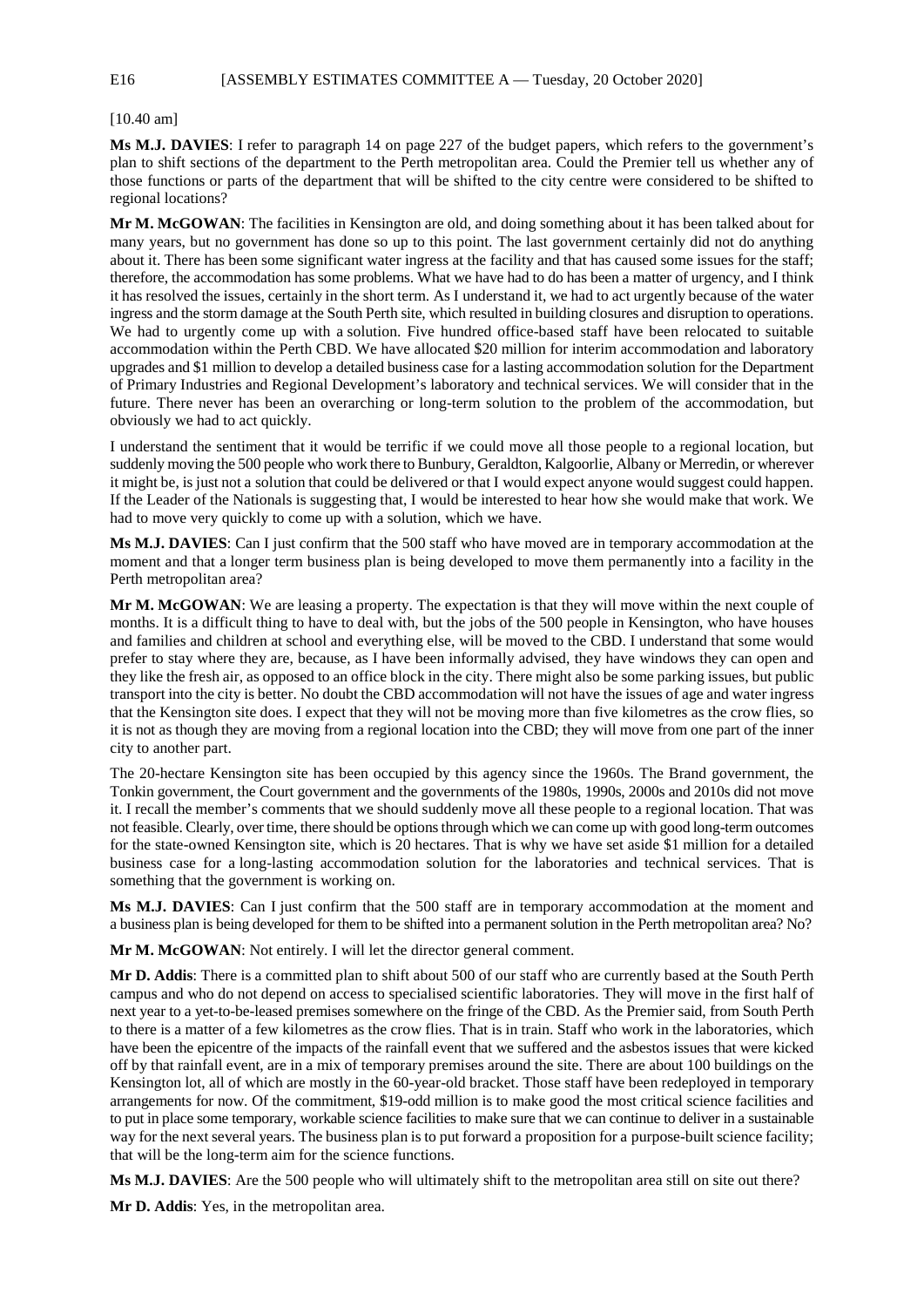E16 [ASSEMBLY ESTIMATES COMMITTEE A — Tuesday, 20 October 2020]

[10.40 am]

**Ms M.J. DAVIES**: I refer to paragraph 14 on page 227 of the budget papers, which refers to the government's plan to shift sections of the department to the Perth metropolitan area. Could the Premier tell us whether any of those functions or parts of the department that will be shifted to the city centre were considered to be shifted to regional locations?

**Mr M. McGOWAN**: The facilities in Kensington are old, and doing something about it has been talked about for many years, but no government has done so up to this point. The last government certainly did not do anything about it. There has been some significant water ingress at the facility and that has caused some issues for the staff; therefore, the accommodation has some problems. What we have had to do has been a matter of urgency, and I think it has resolved the issues, certainly in the short term. As I understand it, we had to act urgently because of the water ingress and the storm damage at the South Perth site, which resulted in building closures and disruption to operations. We had to urgently come up with a solution. Five hundred office-based staff have been relocated to suitable accommodation within the Perth CBD. We have allocated \$20 million for interim accommodation and laboratory upgrades and \$1 million to develop a detailed business case for a lasting accommodation solution for the Department of Primary Industries and Regional Development's laboratory and technical services. We will consider that in the future. There never has been an overarching or long-term solution to the problem of the accommodation, but obviously we had to act quickly.

I understand the sentiment that it would be terrific if we could move all those people to a regional location, but suddenly moving the 500 people who work there to Bunbury, Geraldton, Kalgoorlie, Albany or Merredin, or wherever it might be, is just not a solution that could be delivered or that I would expect anyone would suggest could happen. If the Leader of the Nationals is suggesting that, I would be interested to hear how she would make that work. We had to move very quickly to come up with a solution, which we have.

**Ms M.J. DAVIES**: Can I just confirm that the 500 staff who have moved are in temporary accommodation at the moment and that a longer term business plan is being developed to move them permanently into a facility in the Perth metropolitan area?

**Mr M. McGOWAN**: We are leasing a property. The expectation is that they will move within the next couple of months. It is a difficult thing to have to deal with, but the jobs of the 500 people in Kensington, who have houses and families and children at school and everything else, will be moved to the CBD. I understand that some would prefer to stay where they are, because, as I have been informally advised, they have windows they can open and they like the fresh air, as opposed to an office block in the city. There might also be some parking issues, but public transport into the city is better. No doubt the CBD accommodation will not have the issues of age and water ingress that the Kensington site does. I expect that they will not be moving more than five kilometres as the crow flies, so it is not as though they are moving from a regional location into the CBD; they will move from one part of the inner city to another part.

The 20-hectare Kensington site has been occupied by this agency since the 1960s. The Brand government, the Tonkin government, the Court government and the governments of the 1980s, 1990s, 2000s and 2010s did not move it. I recall the member's comments that we should suddenly move all these people to a regional location. That was not feasible. Clearly, over time, there should be options through which we can come up with good long-term outcomes for the state-owned Kensington site, which is 20 hectares. That is why we have set aside \$1 million for a detailed business case for a long-lasting accommodation solution for the laboratories and technical services. That is something that the government is working on.

**Ms M.J. DAVIES**: Can I just confirm that the 500 staff are in temporary accommodation at the moment and a business plan is being developed for them to be shifted into a permanent solution in the Perth metropolitan area? No?

**Mr M. McGOWAN**: Not entirely. I will let the director general comment.

**Mr D. Addis**: There is a committed plan to shift about 500 of our staff who are currently based at the South Perth campus and who do not depend on access to specialised scientific laboratories. They will move in the first half of next year to a yet-to-be-leased premises somewhere on the fringe of the CBD. As the Premier said, from South Perth to there is a matter of a few kilometres as the crow flies. That is in train. Staff who work in the laboratories, which have been the epicentre of the impacts of the rainfall event that we suffered and the asbestos issues that were kicked off by that rainfall event, are in a mix of temporary premises around the site. There are about 100 buildings on the Kensington lot, all of which are mostly in the 60-year-old bracket. Those staff have been redeployed in temporary arrangements for now. Of the commitment, \$19-odd million is to make good the most critical science facilities and to put in place some temporary, workable science facilities to make sure that we can continue to deliver in a sustainable way for the next several years. The business plan is to put forward a proposition for a purpose-built science facility; that will be the long-term aim for the science functions.

**Ms M.J. DAVIES**: Are the 500 people who will ultimately shift to the metropolitan area still on site out there?

**Mr D. Addis**: Yes, in the metropolitan area.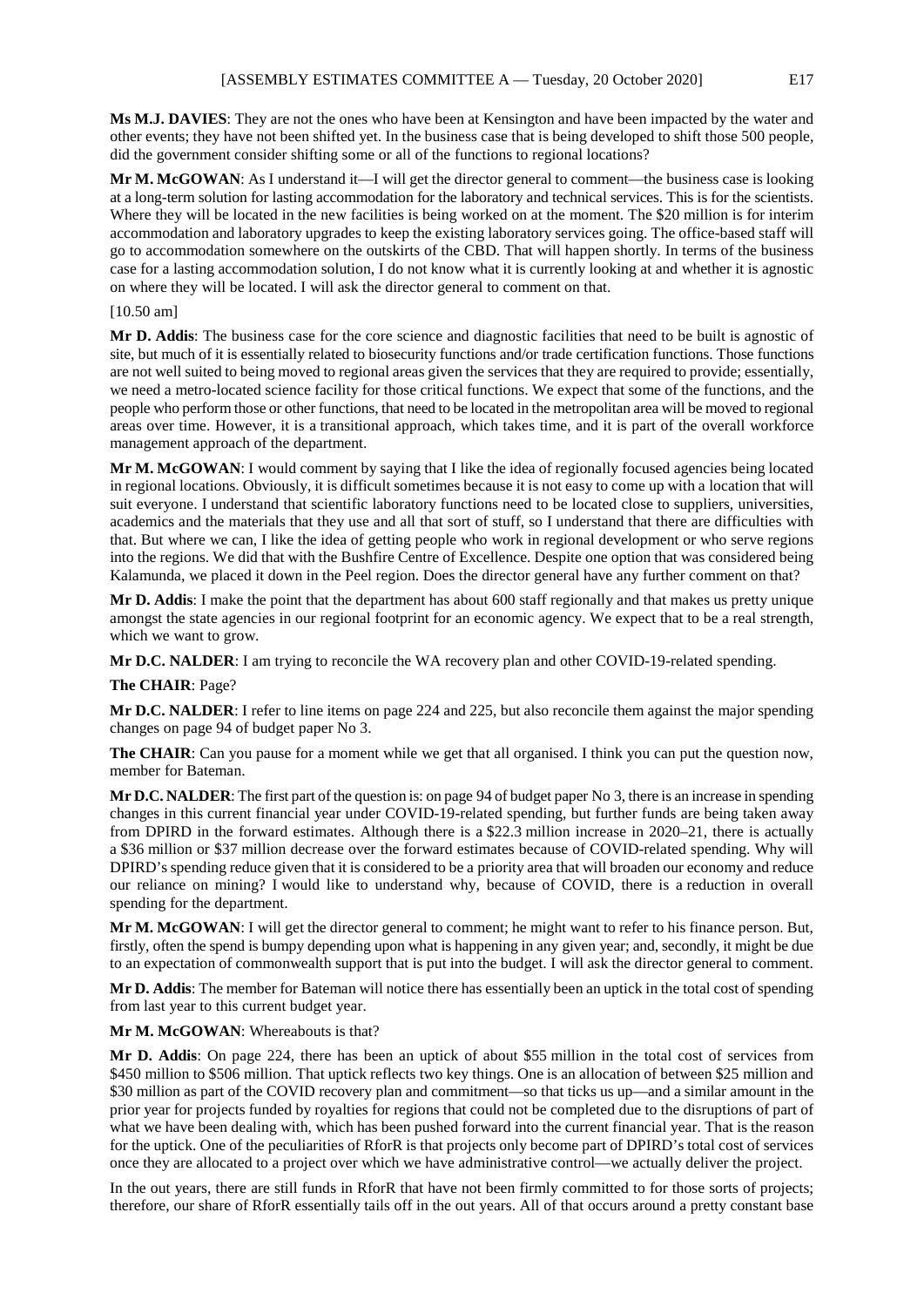**Ms M.J. DAVIES**: They are not the ones who have been at Kensington and have been impacted by the water and other events; they have not been shifted yet. In the business case that is being developed to shift those 500 people, did the government consider shifting some or all of the functions to regional locations?

**Mr M. McGOWAN**: As I understand it—I will get the director general to comment—the business case is looking at a long-term solution for lasting accommodation for the laboratory and technical services. This is for the scientists. Where they will be located in the new facilities is being worked on at the moment. The \$20 million is for interim accommodation and laboratory upgrades to keep the existing laboratory services going. The office-based staff will go to accommodation somewhere on the outskirts of the CBD. That will happen shortly. In terms of the business case for a lasting accommodation solution, I do not know what it is currently looking at and whether it is agnostic on where they will be located. I will ask the director general to comment on that.

#### [10.50 am]

**Mr D. Addis**: The business case for the core science and diagnostic facilities that need to be built is agnostic of site, but much of it is essentially related to biosecurity functions and/or trade certification functions. Those functions are not well suited to being moved to regional areas given the services that they are required to provide; essentially, we need a metro-located science facility for those critical functions. We expect that some of the functions, and the people who perform those or other functions, that need to be located in the metropolitan area will be moved to regional areas over time. However, it is a transitional approach, which takes time, and it is part of the overall workforce management approach of the department.

**Mr M. McGOWAN**: I would comment by saying that I like the idea of regionally focused agencies being located in regional locations. Obviously, it is difficult sometimes because it is not easy to come up with a location that will suit everyone. I understand that scientific laboratory functions need to be located close to suppliers, universities, academics and the materials that they use and all that sort of stuff, so I understand that there are difficulties with that. But where we can, I like the idea of getting people who work in regional development or who serve regions into the regions. We did that with the Bushfire Centre of Excellence. Despite one option that was considered being Kalamunda, we placed it down in the Peel region. Does the director general have any further comment on that?

**Mr D. Addis**: I make the point that the department has about 600 staff regionally and that makes us pretty unique amongst the state agencies in our regional footprint for an economic agency. We expect that to be a real strength, which we want to grow.

**Mr D.C. NALDER**: I am trying to reconcile the WA recovery plan and other COVID-19-related spending.

#### **The CHAIR**: Page?

**Mr D.C. NALDER**: I refer to line items on page 224 and 225, but also reconcile them against the major spending changes on page 94 of budget paper No 3.

**The CHAIR**: Can you pause for a moment while we get that all organised. I think you can put the question now, member for Bateman.

**Mr D.C. NALDER**: The first part of the question is: on page 94 of budget paper No 3, there is an increase in spending changes in this current financial year under COVID-19-related spending, but further funds are being taken away from DPIRD in the forward estimates. Although there is a \$22.3 million increase in 2020–21, there is actually a \$36 million or \$37 million decrease over the forward estimates because of COVID-related spending. Why will DPIRD's spending reduce given that it is considered to be a priority area that will broaden our economy and reduce our reliance on mining? I would like to understand why, because of COVID, there is a reduction in overall spending for the department.

**Mr M. McGOWAN**: I will get the director general to comment; he might want to refer to his finance person. But, firstly, often the spend is bumpy depending upon what is happening in any given year; and, secondly, it might be due to an expectation of commonwealth support that is put into the budget. I will ask the director general to comment.

**Mr D. Addis**: The member for Bateman will notice there has essentially been an uptick in the total cost of spending from last year to this current budget year.

**Mr M. McGOWAN**: Whereabouts is that?

**Mr D. Addis**: On page 224, there has been an uptick of about \$55 million in the total cost of services from \$450 million to \$506 million. That uptick reflects two key things. One is an allocation of between \$25 million and \$30 million as part of the COVID recovery plan and commitment—so that ticks us up—and a similar amount in the prior year for projects funded by royalties for regions that could not be completed due to the disruptions of part of what we have been dealing with, which has been pushed forward into the current financial year. That is the reason for the uptick. One of the peculiarities of RforR is that projects only become part of DPIRD's total cost of services once they are allocated to a project over which we have administrative control—we actually deliver the project.

In the out years, there are still funds in RforR that have not been firmly committed to for those sorts of projects; therefore, our share of RforR essentially tails off in the out years. All of that occurs around a pretty constant base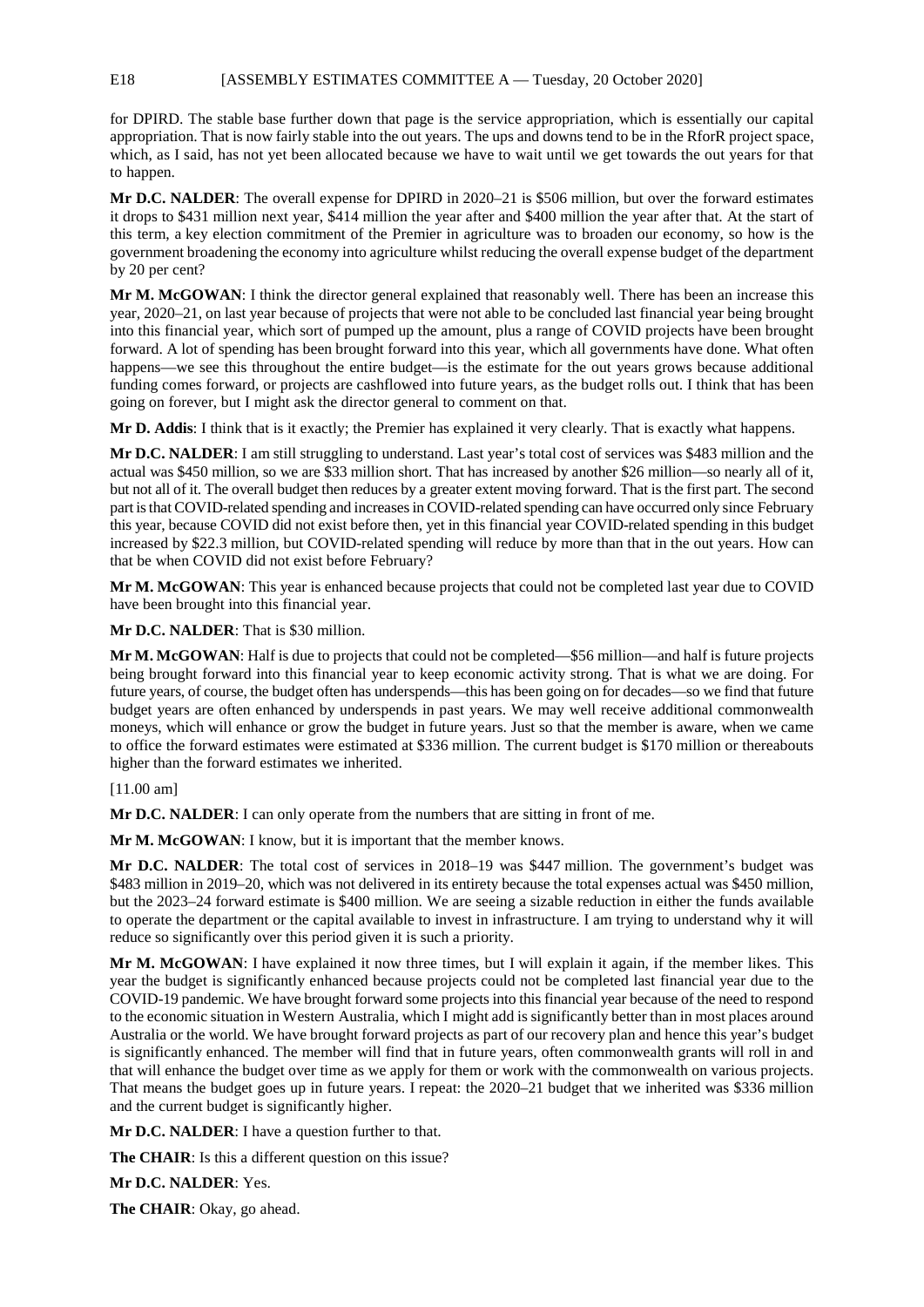for DPIRD. The stable base further down that page is the service appropriation, which is essentially our capital appropriation. That is now fairly stable into the out years. The ups and downs tend to be in the RforR project space, which, as I said, has not yet been allocated because we have to wait until we get towards the out years for that to happen.

**Mr D.C. NALDER**: The overall expense for DPIRD in 2020–21 is \$506 million, but over the forward estimates it drops to \$431 million next year, \$414 million the year after and \$400 million the year after that. At the start of this term, a key election commitment of the Premier in agriculture was to broaden our economy, so how is the government broadening the economy into agriculture whilst reducing the overall expense budget of the department by 20 per cent?

**Mr M. McGOWAN**: I think the director general explained that reasonably well. There has been an increase this year, 2020–21, on last year because of projects that were not able to be concluded last financial year being brought into this financial year, which sort of pumped up the amount, plus a range of COVID projects have been brought forward. A lot of spending has been brought forward into this year, which all governments have done. What often happens—we see this throughout the entire budget—is the estimate for the out years grows because additional funding comes forward, or projects are cashflowed into future years, as the budget rolls out. I think that has been going on forever, but I might ask the director general to comment on that.

**Mr D. Addis**: I think that is it exactly; the Premier has explained it very clearly. That is exactly what happens.

**Mr D.C. NALDER**: I am still struggling to understand. Last year's total cost of services was \$483 million and the actual was \$450 million, so we are \$33 million short. That has increased by another \$26 million—so nearly all of it, but not all of it. The overall budget then reduces by a greater extent moving forward. That is the first part. The second part is that COVID-related spending and increases in COVID-related spending can have occurred only since February this year, because COVID did not exist before then, yet in this financial year COVID-related spending in this budget increased by \$22.3 million, but COVID-related spending will reduce by more than that in the out years. How can that be when COVID did not exist before February?

**Mr M. McGOWAN**: This year is enhanced because projects that could not be completed last year due to COVID have been brought into this financial year.

**Mr D.C. NALDER**: That is \$30 million.

**Mr M. McGOWAN**: Half is due to projects that could not be completed—\$56 million—and half is future projects being brought forward into this financial year to keep economic activity strong. That is what we are doing. For future years, of course, the budget often has underspends—this has been going on for decades—so we find that future budget years are often enhanced by underspends in past years. We may well receive additional commonwealth moneys, which will enhance or grow the budget in future years. Just so that the member is aware, when we came to office the forward estimates were estimated at \$336 million. The current budget is \$170 million or thereabouts higher than the forward estimates we inherited.

[11.00 am]

**Mr D.C. NALDER**: I can only operate from the numbers that are sitting in front of me.

**Mr M. McGOWAN**: I know, but it is important that the member knows.

**Mr D.C. NALDER**: The total cost of services in 2018–19 was \$447 million. The government's budget was \$483 million in 2019–20, which was not delivered in its entirety because the total expenses actual was \$450 million, but the 2023–24 forward estimate is \$400 million. We are seeing a sizable reduction in either the funds available to operate the department or the capital available to invest in infrastructure. I am trying to understand why it will reduce so significantly over this period given it is such a priority.

**Mr M. McGOWAN**: I have explained it now three times, but I will explain it again, if the member likes. This year the budget is significantly enhanced because projects could not be completed last financial year due to the COVID-19 pandemic. We have brought forward some projects into this financial year because of the need to respond to the economic situation in Western Australia, which I might add is significantly better than in most places around Australia or the world. We have brought forward projects as part of our recovery plan and hence this year's budget is significantly enhanced. The member will find that in future years, often commonwealth grants will roll in and that will enhance the budget over time as we apply for them or work with the commonwealth on various projects. That means the budget goes up in future years. I repeat: the 2020–21 budget that we inherited was \$336 million and the current budget is significantly higher.

**Mr D.C. NALDER**: I have a question further to that.

**The CHAIR**: Is this a different question on this issue?

**Mr D.C. NALDER**: Yes.

**The CHAIR**: Okay, go ahead.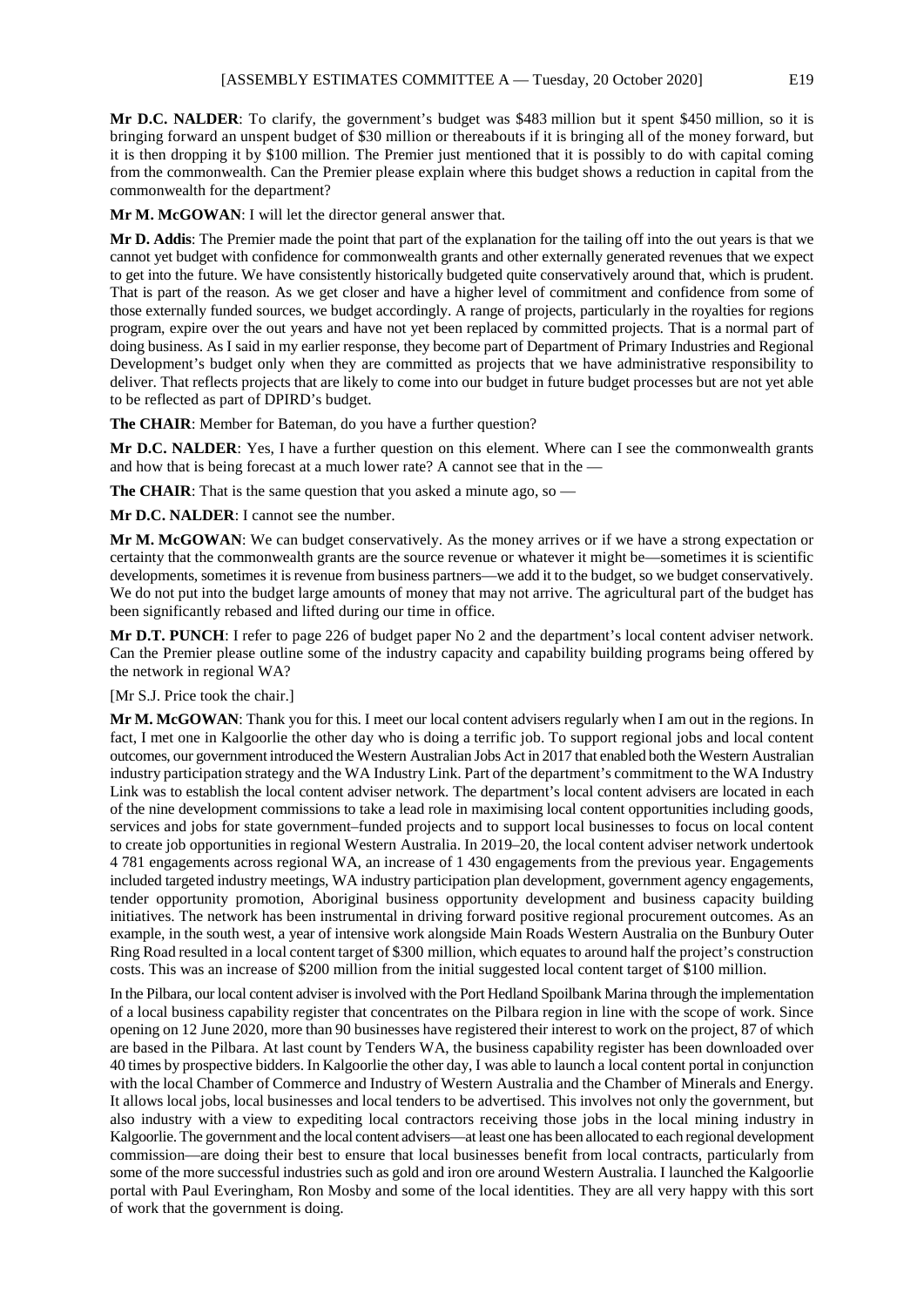**Mr D.C. NALDER**: To clarify, the government's budget was \$483 million but it spent \$450 million, so it is bringing forward an unspent budget of \$30 million or thereabouts if it is bringing all of the money forward, but it is then dropping it by \$100 million. The Premier just mentioned that it is possibly to do with capital coming from the commonwealth. Can the Premier please explain where this budget shows a reduction in capital from the commonwealth for the department?

**Mr M. McGOWAN**: I will let the director general answer that.

**Mr D. Addis**: The Premier made the point that part of the explanation for the tailing off into the out years is that we cannot yet budget with confidence for commonwealth grants and other externally generated revenues that we expect to get into the future. We have consistently historically budgeted quite conservatively around that, which is prudent. That is part of the reason. As we get closer and have a higher level of commitment and confidence from some of those externally funded sources, we budget accordingly. A range of projects, particularly in the royalties for regions program, expire over the out years and have not yet been replaced by committed projects. That is a normal part of doing business. As I said in my earlier response, they become part of Department of Primary Industries and Regional Development's budget only when they are committed as projects that we have administrative responsibility to deliver. That reflects projects that are likely to come into our budget in future budget processes but are not yet able to be reflected as part of DPIRD's budget.

**The CHAIR**: Member for Bateman, do you have a further question?

**Mr D.C. NALDER**: Yes, I have a further question on this element. Where can I see the commonwealth grants and how that is being forecast at a much lower rate? A cannot see that in the

**The CHAIR:** That is the same question that you asked a minute ago, so —

**Mr D.C. NALDER**: I cannot see the number.

**Mr M. McGOWAN**: We can budget conservatively. As the money arrives or if we have a strong expectation or certainty that the commonwealth grants are the source revenue or whatever it might be—sometimes it is scientific developments, sometimes it is revenue from business partners—we add it to the budget, so we budget conservatively. We do not put into the budget large amounts of money that may not arrive. The agricultural part of the budget has been significantly rebased and lifted during our time in office.

**Mr D.T. PUNCH**: I refer to page 226 of budget paper No 2 and the department's local content adviser network. Can the Premier please outline some of the industry capacity and capability building programs being offered by the network in regional WA?

[Mr S.J. Price took the chair.]

**Mr M. McGOWAN**: Thank you for this. I meet our local content advisers regularly when I am out in the regions. In fact, I met one in Kalgoorlie the other day who is doing a terrific job. To support regional jobs and local content outcomes, our government introduced the Western Australian Jobs Act in 2017 that enabled both the Western Australian industry participation strategy and the WA Industry Link. Part of the department's commitment to the WA Industry Link was to establish the local content adviser network. The department's local content advisers are located in each of the nine development commissions to take a lead role in maximising local content opportunities including goods, services and jobs for state government–funded projects and to support local businesses to focus on local content to create job opportunities in regional Western Australia. In 2019–20, the local content adviser network undertook 4 781 engagements across regional WA, an increase of 1 430 engagements from the previous year. Engagements included targeted industry meetings, WA industry participation plan development, government agency engagements, tender opportunity promotion, Aboriginal business opportunity development and business capacity building initiatives. The network has been instrumental in driving forward positive regional procurement outcomes. As an example, in the south west, a year of intensive work alongside Main Roads Western Australia on the Bunbury Outer Ring Road resulted in a local content target of \$300 million, which equates to around half the project's construction costs. This was an increase of \$200 million from the initial suggested local content target of \$100 million.

In the Pilbara, our local content adviser is involved with the Port Hedland Spoilbank Marina through the implementation of a local business capability register that concentrates on the Pilbara region in line with the scope of work. Since opening on 12 June 2020, more than 90 businesses have registered their interest to work on the project, 87 of which are based in the Pilbara. At last count by Tenders WA, the business capability register has been downloaded over 40 times by prospective bidders. In Kalgoorlie the other day, I was able to launch a local content portal in conjunction with the local Chamber of Commerce and Industry of Western Australia and the Chamber of Minerals and Energy. It allows local jobs, local businesses and local tenders to be advertised. This involves not only the government, but also industry with a view to expediting local contractors receiving those jobs in the local mining industry in Kalgoorlie. The government and the local content advisers—at least one has been allocated to each regional development commission—are doing their best to ensure that local businesses benefit from local contracts, particularly from some of the more successful industries such as gold and iron ore around Western Australia. I launched the Kalgoorlie portal with Paul Everingham, Ron Mosby and some of the local identities. They are all very happy with this sort of work that the government is doing.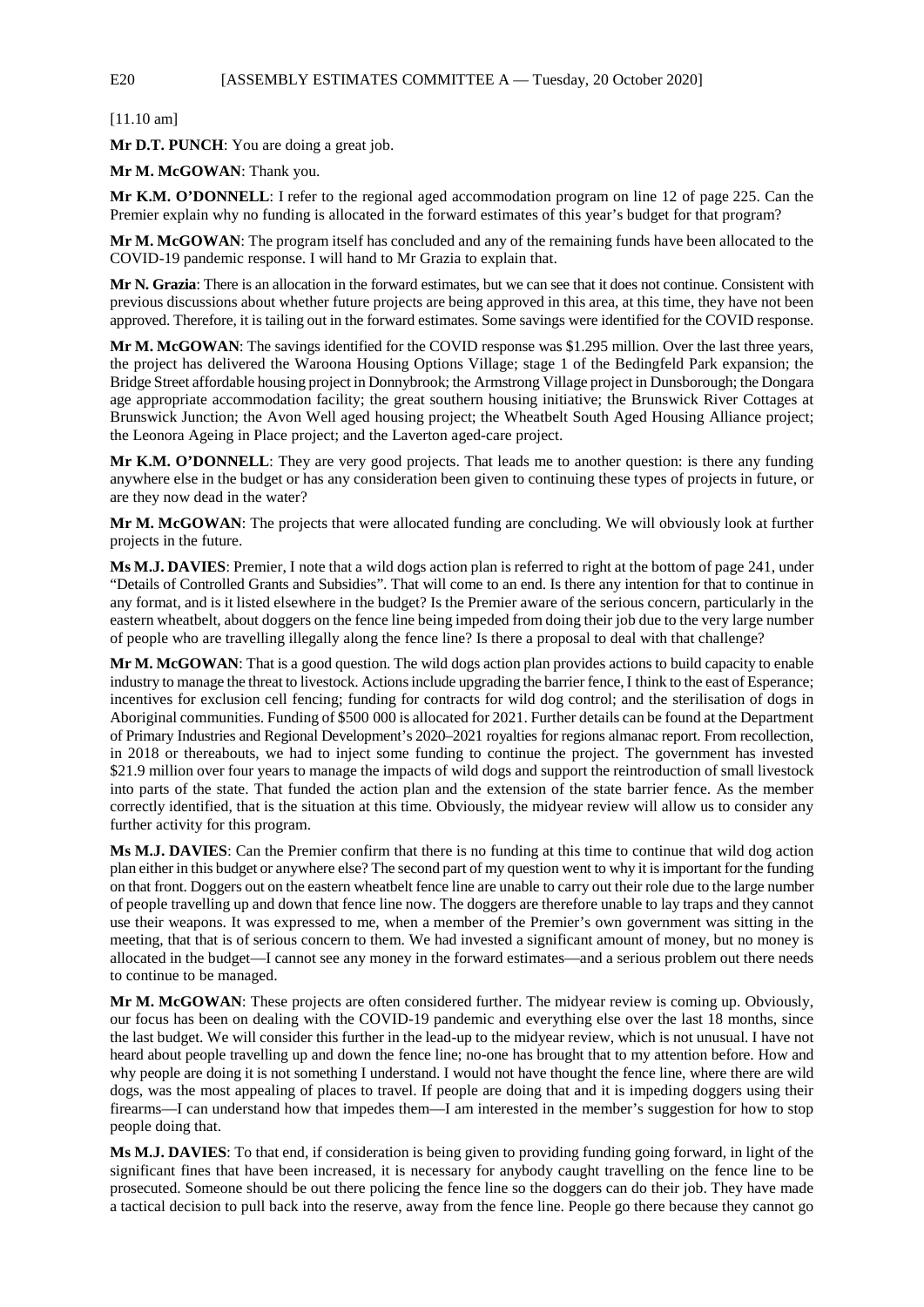## E20 [ASSEMBLY ESTIMATES COMMITTEE A - Tuesday, 20 October 2020]

[11.10 am]

**Mr D.T. PUNCH**: You are doing a great job.

**Mr M. McGOWAN**: Thank you.

**Mr K.M. O'DONNELL**: I refer to the regional aged accommodation program on line 12 of page 225. Can the Premier explain why no funding is allocated in the forward estimates of this year's budget for that program?

**Mr M. McGOWAN**: The program itself has concluded and any of the remaining funds have been allocated to the COVID-19 pandemic response. I will hand to Mr Grazia to explain that.

**Mr N. Grazia**: There is an allocation in the forward estimates, but we can see that it does not continue. Consistent with previous discussions about whether future projects are being approved in this area, at this time, they have not been approved. Therefore, it is tailing out in the forward estimates. Some savings were identified for the COVID response.

**Mr M. McGOWAN**: The savings identified for the COVID response was \$1.295 million. Over the last three years, the project has delivered the Waroona Housing Options Village; stage 1 of the Bedingfeld Park expansion; the Bridge Street affordable housing project in Donnybrook; the Armstrong Village project in Dunsborough; the Dongara age appropriate accommodation facility; the great southern housing initiative; the Brunswick River Cottages at Brunswick Junction; the Avon Well aged housing project; the Wheatbelt South Aged Housing Alliance project; the Leonora Ageing in Place project; and the Laverton aged-care project.

**Mr K.M. O'DONNELL**: They are very good projects. That leads me to another question: is there any funding anywhere else in the budget or has any consideration been given to continuing these types of projects in future, or are they now dead in the water?

**Mr M. McGOWAN**: The projects that were allocated funding are concluding. We will obviously look at further projects in the future.

**Ms M.J. DAVIES**: Premier, I note that a wild dogs action plan is referred to right at the bottom of page 241, under "Details of Controlled Grants and Subsidies". That will come to an end. Is there any intention for that to continue in any format, and is it listed elsewhere in the budget? Is the Premier aware of the serious concern, particularly in the eastern wheatbelt, about doggers on the fence line being impeded from doing their job due to the very large number of people who are travelling illegally along the fence line? Is there a proposal to deal with that challenge?

**Mr M. McGOWAN**: That is a good question. The wild dogs action plan provides actions to build capacity to enable industry to manage the threat to livestock. Actions include upgrading the barrier fence, I think to the east of Esperance; incentives for exclusion cell fencing; funding for contracts for wild dog control; and the sterilisation of dogs in Aboriginal communities. Funding of \$500 000 is allocated for 2021. Further details can be found at the Department of Primary Industries and Regional Development's 2020–2021 royalties for regions almanac report. From recollection, in 2018 or thereabouts, we had to inject some funding to continue the project. The government has invested \$21.9 million over four years to manage the impacts of wild dogs and support the reintroduction of small livestock into parts of the state. That funded the action plan and the extension of the state barrier fence. As the member correctly identified, that is the situation at this time. Obviously, the midyear review will allow us to consider any further activity for this program.

**Ms M.J. DAVIES**: Can the Premier confirm that there is no funding at this time to continue that wild dog action plan either in this budget or anywhere else? The second part of my question went to why it is important for the funding on that front. Doggers out on the eastern wheatbelt fence line are unable to carry out their role due to the large number of people travelling up and down that fence line now. The doggers are therefore unable to lay traps and they cannot use their weapons. It was expressed to me, when a member of the Premier's own government was sitting in the meeting, that that is of serious concern to them. We had invested a significant amount of money, but no money is allocated in the budget—I cannot see any money in the forward estimates—and a serious problem out there needs to continue to be managed.

**Mr M. McGOWAN**: These projects are often considered further. The midyear review is coming up. Obviously, our focus has been on dealing with the COVID-19 pandemic and everything else over the last 18 months, since the last budget. We will consider this further in the lead-up to the midyear review, which is not unusual. I have not heard about people travelling up and down the fence line; no-one has brought that to my attention before. How and why people are doing it is not something I understand. I would not have thought the fence line, where there are wild dogs, was the most appealing of places to travel. If people are doing that and it is impeding doggers using their firearms—I can understand how that impedes them—I am interested in the member's suggestion for how to stop people doing that.

**Ms M.J. DAVIES**: To that end, if consideration is being given to providing funding going forward, in light of the significant fines that have been increased, it is necessary for anybody caught travelling on the fence line to be prosecuted. Someone should be out there policing the fence line so the doggers can do their job. They have made a tactical decision to pull back into the reserve, away from the fence line. People go there because they cannot go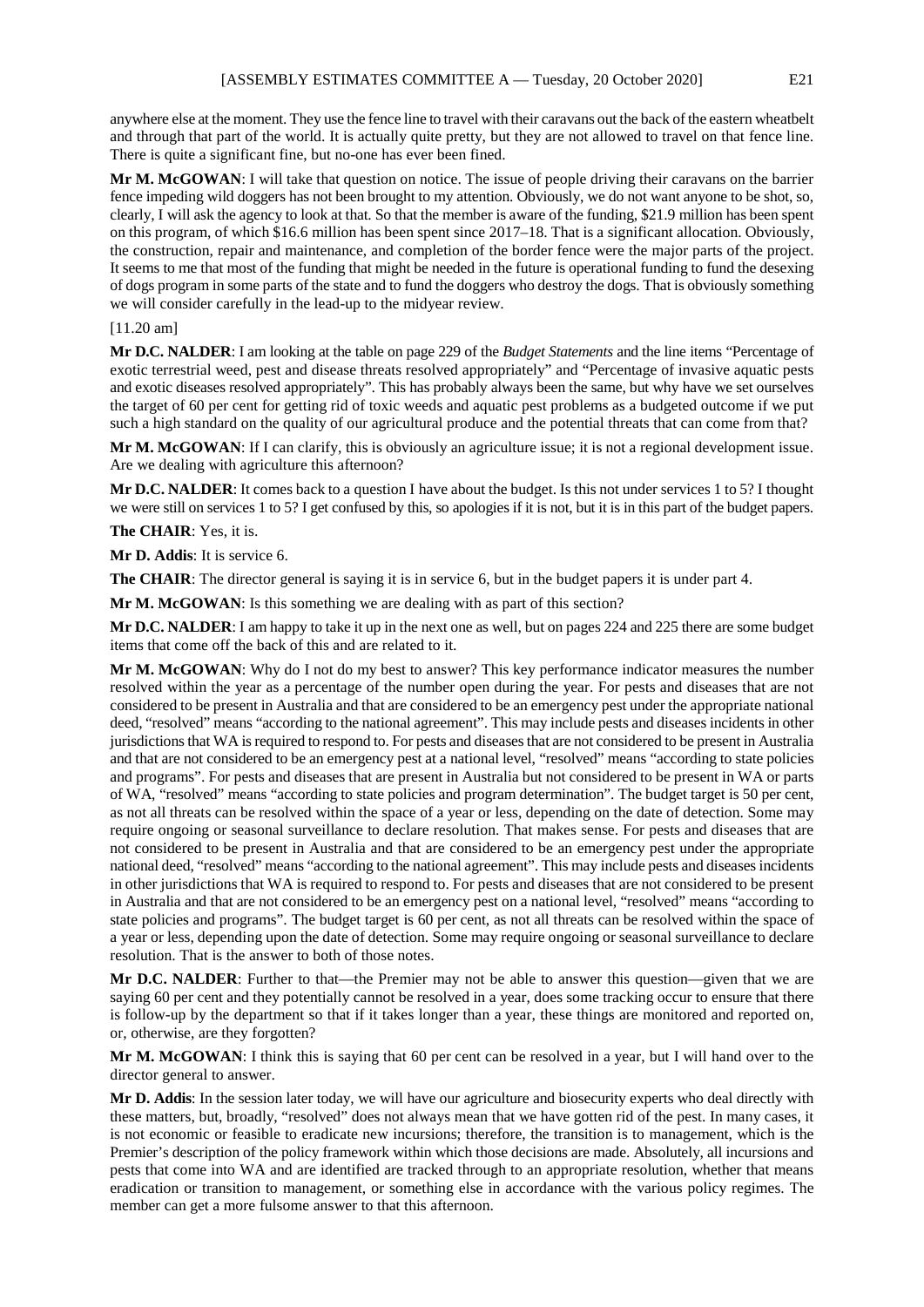anywhere else at the moment. They use the fence line to travel with their caravans out the back of the eastern wheatbelt and through that part of the world. It is actually quite pretty, but they are not allowed to travel on that fence line. There is quite a significant fine, but no-one has ever been fined.

**Mr M. McGOWAN**: I will take that question on notice. The issue of people driving their caravans on the barrier fence impeding wild doggers has not been brought to my attention. Obviously, we do not want anyone to be shot, so, clearly, I will ask the agency to look at that. So that the member is aware of the funding, \$21.9 million has been spent on this program, of which \$16.6 million has been spent since 2017–18. That is a significant allocation. Obviously, the construction, repair and maintenance, and completion of the border fence were the major parts of the project. It seems to me that most of the funding that might be needed in the future is operational funding to fund the desexing of dogs program in some parts of the state and to fund the doggers who destroy the dogs. That is obviously something we will consider carefully in the lead-up to the midyear review.

#### [11.20 am]

**Mr D.C. NALDER**: I am looking at the table on page 229 of the *Budget Statements* and the line items "Percentage of exotic terrestrial weed, pest and disease threats resolved appropriately" and "Percentage of invasive aquatic pests and exotic diseases resolved appropriately". This has probably always been the same, but why have we set ourselves the target of 60 per cent for getting rid of toxic weeds and aquatic pest problems as a budgeted outcome if we put such a high standard on the quality of our agricultural produce and the potential threats that can come from that?

**Mr M. McGOWAN**: If I can clarify, this is obviously an agriculture issue; it is not a regional development issue. Are we dealing with agriculture this afternoon?

**Mr D.C. NALDER**: It comes back to a question I have about the budget. Is this not under services 1 to 5? I thought we were still on services 1 to 5? I get confused by this, so apologies if it is not, but it is in this part of the budget papers.

**The CHAIR**: Yes, it is.

**Mr D. Addis**: It is service 6.

**The CHAIR**: The director general is saying it is in service 6, but in the budget papers it is under part 4.

**Mr M. McGOWAN**: Is this something we are dealing with as part of this section?

**Mr D.C. NALDER**: I am happy to take it up in the next one as well, but on pages 224 and 225 there are some budget items that come off the back of this and are related to it.

**Mr M. McGOWAN**: Why do I not do my best to answer? This key performance indicator measures the number resolved within the year as a percentage of the number open during the year. For pests and diseases that are not considered to be present in Australia and that are considered to be an emergency pest under the appropriate national deed, "resolved" means "according to the national agreement". This may include pests and diseases incidents in other jurisdictions that WA is required to respond to. For pests and diseases that are not considered to be present in Australia and that are not considered to be an emergency pest at a national level, "resolved" means "according to state policies and programs". For pests and diseases that are present in Australia but not considered to be present in WA or parts of WA, "resolved" means "according to state policies and program determination". The budget target is 50 per cent, as not all threats can be resolved within the space of a year or less, depending on the date of detection. Some may require ongoing or seasonal surveillance to declare resolution. That makes sense. For pests and diseases that are not considered to be present in Australia and that are considered to be an emergency pest under the appropriate national deed, "resolved" means "according to the national agreement". This may include pests and diseases incidents in other jurisdictions that WA is required to respond to. For pests and diseases that are not considered to be present in Australia and that are not considered to be an emergency pest on a national level, "resolved" means "according to state policies and programs". The budget target is 60 per cent, as not all threats can be resolved within the space of a year or less, depending upon the date of detection. Some may require ongoing or seasonal surveillance to declare resolution. That is the answer to both of those notes.

**Mr D.C. NALDER**: Further to that—the Premier may not be able to answer this question—given that we are saying 60 per cent and they potentially cannot be resolved in a year, does some tracking occur to ensure that there is follow-up by the department so that if it takes longer than a year, these things are monitored and reported on, or, otherwise, are they forgotten?

**Mr M. McGOWAN**: I think this is saying that 60 per cent can be resolved in a year, but I will hand over to the director general to answer.

**Mr D. Addis**: In the session later today, we will have our agriculture and biosecurity experts who deal directly with these matters, but, broadly, "resolved" does not always mean that we have gotten rid of the pest. In many cases, it is not economic or feasible to eradicate new incursions; therefore, the transition is to management, which is the Premier's description of the policy framework within which those decisions are made. Absolutely, all incursions and pests that come into WA and are identified are tracked through to an appropriate resolution, whether that means eradication or transition to management, or something else in accordance with the various policy regimes. The member can get a more fulsome answer to that this afternoon.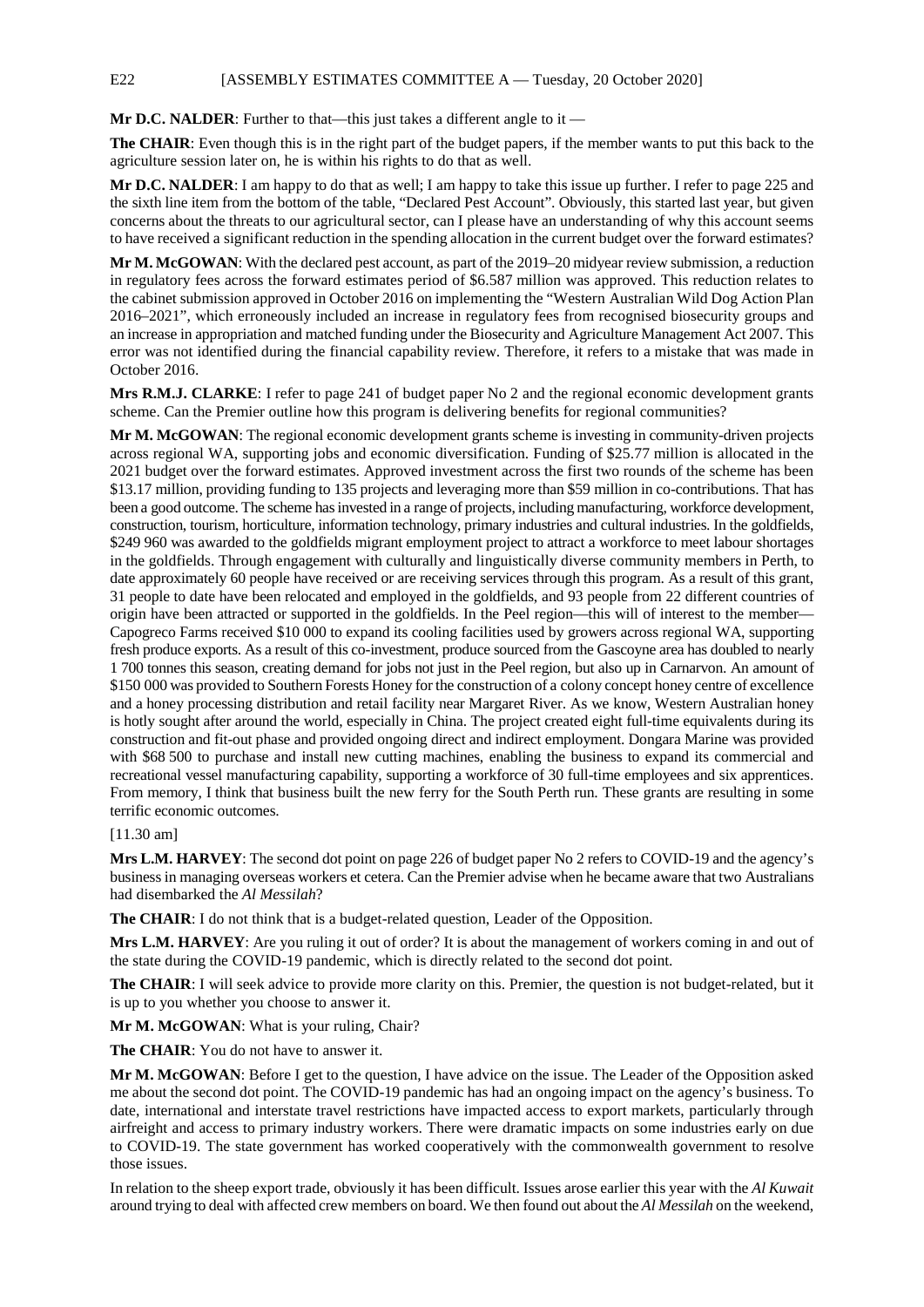**Mr D.C. NALDER**: Further to that—this just takes a different angle to it —

**The CHAIR**: Even though this is in the right part of the budget papers, if the member wants to put this back to the agriculture session later on, he is within his rights to do that as well.

**Mr D.C. NALDER**: I am happy to do that as well; I am happy to take this issue up further. I refer to page 225 and the sixth line item from the bottom of the table, "Declared Pest Account". Obviously, this started last year, but given concerns about the threats to our agricultural sector, can I please have an understanding of why this account seems to have received a significant reduction in the spending allocation in the current budget over the forward estimates?

**Mr M. McGOWAN**: With the declared pest account, as part of the 2019–20 midyear review submission, a reduction in regulatory fees across the forward estimates period of \$6.587 million was approved. This reduction relates to the cabinet submission approved in October 2016 on implementing the "Western Australian Wild Dog Action Plan 2016–2021", which erroneously included an increase in regulatory fees from recognised biosecurity groups and an increase in appropriation and matched funding under the Biosecurity and Agriculture Management Act 2007. This error was not identified during the financial capability review. Therefore, it refers to a mistake that was made in October 2016.

**Mrs R.M.J. CLARKE**: I refer to page 241 of budget paper No 2 and the regional economic development grants scheme. Can the Premier outline how this program is delivering benefits for regional communities?

**Mr M. McGOWAN**: The regional economic development grants scheme is investing in community-driven projects across regional WA, supporting jobs and economic diversification. Funding of \$25.77 million is allocated in the 2021 budget over the forward estimates. Approved investment across the first two rounds of the scheme has been \$13.17 million, providing funding to 135 projects and leveraging more than \$59 million in co-contributions. That has been a good outcome. The scheme has invested in a range of projects, including manufacturing, workforce development, construction, tourism, horticulture, information technology, primary industries and cultural industries. In the goldfields, \$249 960 was awarded to the goldfields migrant employment project to attract a workforce to meet labour shortages in the goldfields. Through engagement with culturally and linguistically diverse community members in Perth, to date approximately 60 people have received or are receiving services through this program. As a result of this grant, 31 people to date have been relocated and employed in the goldfields, and 93 people from 22 different countries of origin have been attracted or supported in the goldfields. In the Peel region—this will of interest to the member— Capogreco Farms received \$10 000 to expand its cooling facilities used by growers across regional WA, supporting fresh produce exports. As a result of this co-investment, produce sourced from the Gascoyne area has doubled to nearly 1 700 tonnes this season, creating demand for jobs not just in the Peel region, but also up in Carnarvon. An amount of \$150 000 was provided to Southern Forests Honey for the construction of a colony concept honey centre of excellence and a honey processing distribution and retail facility near Margaret River. As we know, Western Australian honey is hotly sought after around the world, especially in China. The project created eight full-time equivalents during its construction and fit-out phase and provided ongoing direct and indirect employment. Dongara Marine was provided with \$68 500 to purchase and install new cutting machines, enabling the business to expand its commercial and recreational vessel manufacturing capability, supporting a workforce of 30 full-time employees and six apprentices. From memory, I think that business built the new ferry for the South Perth run. These grants are resulting in some terrific economic outcomes.

#### [11.30 am]

**Mrs L.M. HARVEY**: The second dot point on page 226 of budget paper No 2 refers to COVID-19 and the agency's business in managing overseas workers et cetera. Can the Premier advise when he became aware that two Australians had disembarked the *Al Messilah*?

**The CHAIR**: I do not think that is a budget-related question, Leader of the Opposition.

**Mrs L.M. HARVEY**: Are you ruling it out of order? It is about the management of workers coming in and out of the state during the COVID-19 pandemic, which is directly related to the second dot point.

**The CHAIR:** I will seek advice to provide more clarity on this. Premier, the question is not budget-related, but it is up to you whether you choose to answer it.

Mr M. McGOWAN: What is your ruling, Chair?

**The CHAIR**: You do not have to answer it.

**Mr M. McGOWAN**: Before I get to the question, I have advice on the issue. The Leader of the Opposition asked me about the second dot point. The COVID-19 pandemic has had an ongoing impact on the agency's business. To date, international and interstate travel restrictions have impacted access to export markets, particularly through airfreight and access to primary industry workers. There were dramatic impacts on some industries early on due to COVID-19. The state government has worked cooperatively with the commonwealth government to resolve those issues.

In relation to the sheep export trade, obviously it has been difficult. Issues arose earlier this year with the *Al Kuwait* around trying to deal with affected crew members on board. We then found out about the *Al Messilah* on the weekend,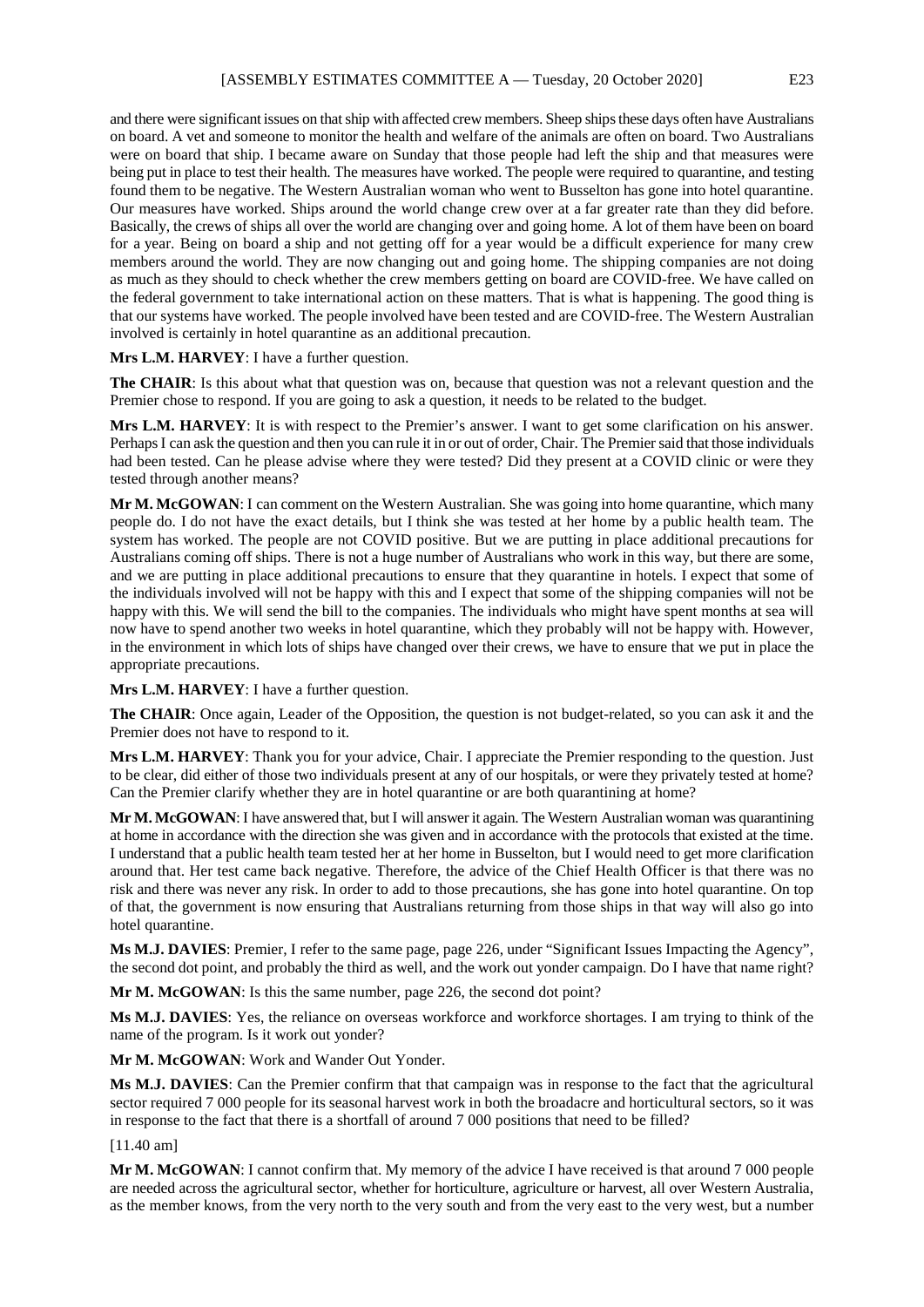and there were significant issues on that ship with affected crew members. Sheep ships these days often have Australians on board. A vet and someone to monitor the health and welfare of the animals are often on board. Two Australians were on board that ship. I became aware on Sunday that those people had left the ship and that measures were being put in place to test their health. The measures have worked. The people were required to quarantine, and testing found them to be negative. The Western Australian woman who went to Busselton has gone into hotel quarantine. Our measures have worked. Ships around the world change crew over at a far greater rate than they did before. Basically, the crews of ships all over the world are changing over and going home. A lot of them have been on board for a year. Being on board a ship and not getting off for a year would be a difficult experience for many crew members around the world. They are now changing out and going home. The shipping companies are not doing as much as they should to check whether the crew members getting on board are COVID-free. We have called on the federal government to take international action on these matters. That is what is happening. The good thing is that our systems have worked. The people involved have been tested and are COVID-free. The Western Australian involved is certainly in hotel quarantine as an additional precaution.

#### **Mrs L.M. HARVEY**: I have a further question.

**The CHAIR**: Is this about what that question was on, because that question was not a relevant question and the Premier chose to respond. If you are going to ask a question, it needs to be related to the budget.

**Mrs L.M. HARVEY**: It is with respect to the Premier's answer. I want to get some clarification on his answer. Perhaps I can ask the question and then you can rule it in or out of order, Chair. The Premier said that those individuals had been tested. Can he please advise where they were tested? Did they present at a COVID clinic or were they tested through another means?

**Mr M. McGOWAN**: I can comment on the Western Australian. She was going into home quarantine, which many people do. I do not have the exact details, but I think she was tested at her home by a public health team. The system has worked. The people are not COVID positive. But we are putting in place additional precautions for Australians coming off ships. There is not a huge number of Australians who work in this way, but there are some, and we are putting in place additional precautions to ensure that they quarantine in hotels. I expect that some of the individuals involved will not be happy with this and I expect that some of the shipping companies will not be happy with this. We will send the bill to the companies. The individuals who might have spent months at sea will now have to spend another two weeks in hotel quarantine, which they probably will not be happy with. However, in the environment in which lots of ships have changed over their crews, we have to ensure that we put in place the appropriate precautions.

**Mrs L.M. HARVEY**: I have a further question.

**The CHAIR**: Once again, Leader of the Opposition, the question is not budget-related, so you can ask it and the Premier does not have to respond to it.

**Mrs L.M. HARVEY**: Thank you for your advice, Chair. I appreciate the Premier responding to the question. Just to be clear, did either of those two individuals present at any of our hospitals, or were they privately tested at home? Can the Premier clarify whether they are in hotel quarantine or are both quarantining at home?

**Mr M. McGOWAN**: I have answered that, but I will answer it again. The Western Australian woman was quarantining at home in accordance with the direction she was given and in accordance with the protocols that existed at the time. I understand that a public health team tested her at her home in Busselton, but I would need to get more clarification around that. Her test came back negative. Therefore, the advice of the Chief Health Officer is that there was no risk and there was never any risk. In order to add to those precautions, she has gone into hotel quarantine. On top of that, the government is now ensuring that Australians returning from those ships in that way will also go into hotel quarantine.

**Ms M.J. DAVIES**: Premier, I refer to the same page, page 226, under "Significant Issues Impacting the Agency", the second dot point, and probably the third as well, and the work out yonder campaign. Do I have that name right?

**Mr M. McGOWAN**: Is this the same number, page 226, the second dot point?

**Ms M.J. DAVIES**: Yes, the reliance on overseas workforce and workforce shortages. I am trying to think of the name of the program. Is it work out yonder?

**Mr M. McGOWAN**: Work and Wander Out Yonder.

**Ms M.J. DAVIES**: Can the Premier confirm that that campaign was in response to the fact that the agricultural sector required 7 000 people for its seasonal harvest work in both the broadacre and horticultural sectors, so it was in response to the fact that there is a shortfall of around 7 000 positions that need to be filled?

[11.40 am]

**Mr M. McGOWAN**: I cannot confirm that. My memory of the advice I have received is that around 7 000 people are needed across the agricultural sector, whether for horticulture, agriculture or harvest, all over Western Australia, as the member knows, from the very north to the very south and from the very east to the very west, but a number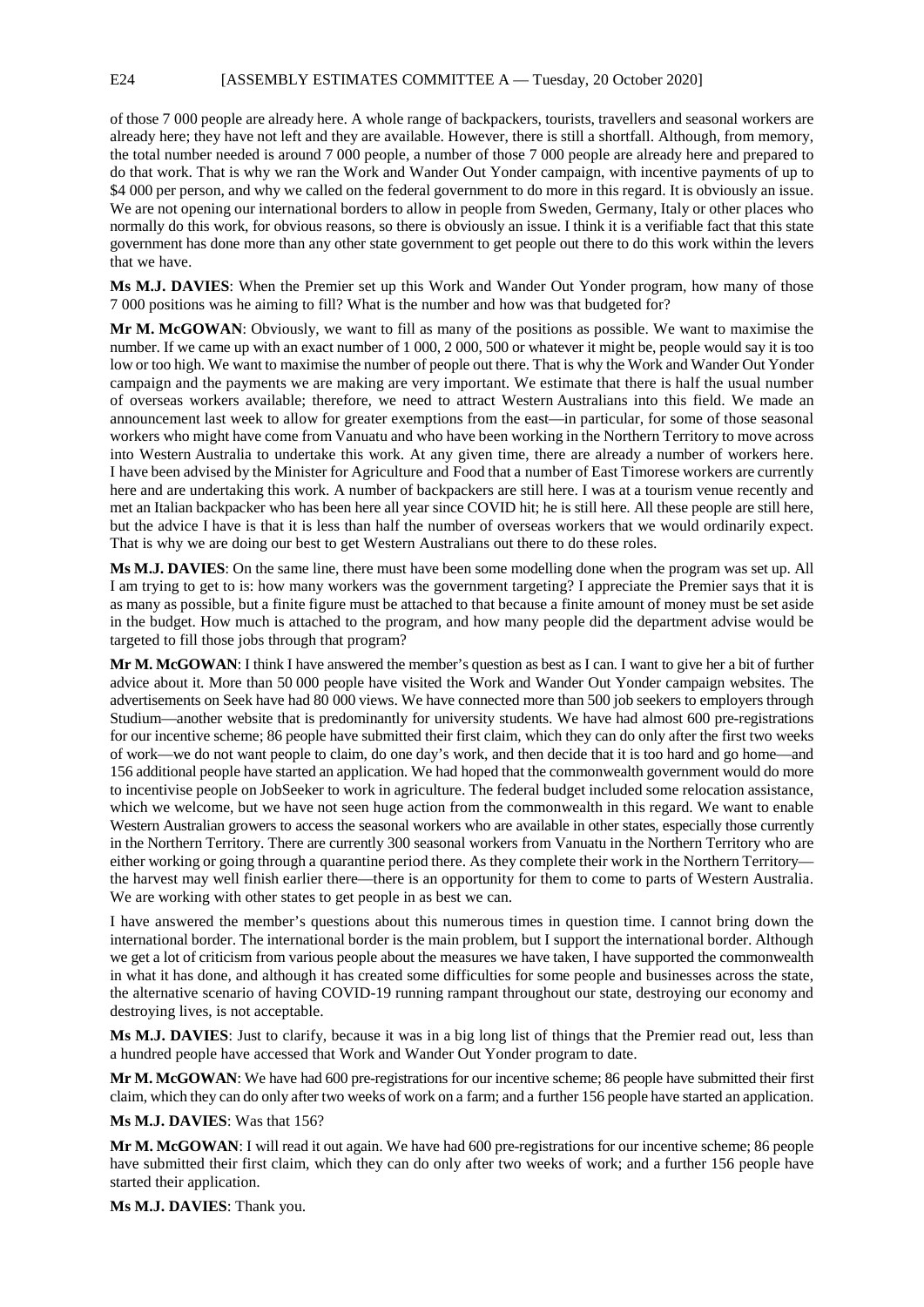of those 7 000 people are already here. A whole range of backpackers, tourists, travellers and seasonal workers are already here; they have not left and they are available. However, there is still a shortfall. Although, from memory, the total number needed is around 7 000 people, a number of those 7 000 people are already here and prepared to do that work. That is why we ran the Work and Wander Out Yonder campaign, with incentive payments of up to \$4 000 per person, and why we called on the federal government to do more in this regard. It is obviously an issue. We are not opening our international borders to allow in people from Sweden, Germany, Italy or other places who normally do this work, for obvious reasons, so there is obviously an issue. I think it is a verifiable fact that this state government has done more than any other state government to get people out there to do this work within the levers that we have.

**Ms M.J. DAVIES**: When the Premier set up this Work and Wander Out Yonder program, how many of those 7 000 positions was he aiming to fill? What is the number and how was that budgeted for?

**Mr M. McGOWAN**: Obviously, we want to fill as many of the positions as possible. We want to maximise the number. If we came up with an exact number of 1 000, 2 000, 500 or whatever it might be, people would say it is too low or too high. We want to maximise the number of people out there. That is why the Work and Wander Out Yonder campaign and the payments we are making are very important. We estimate that there is half the usual number of overseas workers available; therefore, we need to attract Western Australians into this field. We made an announcement last week to allow for greater exemptions from the east—in particular, for some of those seasonal workers who might have come from Vanuatu and who have been working in the Northern Territory to move across into Western Australia to undertake this work. At any given time, there are already a number of workers here. I have been advised by the Minister for Agriculture and Food that a number of East Timorese workers are currently here and are undertaking this work. A number of backpackers are still here. I was at a tourism venue recently and met an Italian backpacker who has been here all year since COVID hit; he is still here. All these people are still here, but the advice I have is that it is less than half the number of overseas workers that we would ordinarily expect. That is why we are doing our best to get Western Australians out there to do these roles.

**Ms M.J. DAVIES**: On the same line, there must have been some modelling done when the program was set up. All I am trying to get to is: how many workers was the government targeting? I appreciate the Premier says that it is as many as possible, but a finite figure must be attached to that because a finite amount of money must be set aside in the budget. How much is attached to the program, and how many people did the department advise would be targeted to fill those jobs through that program?

**Mr M. McGOWAN**: I think I have answered the member's question as best as I can. I want to give her a bit of further advice about it. More than 50 000 people have visited the Work and Wander Out Yonder campaign websites. The advertisements on Seek have had 80 000 views. We have connected more than 500 job seekers to employers through Studium—another website that is predominantly for university students. We have had almost 600 pre-registrations for our incentive scheme; 86 people have submitted their first claim, which they can do only after the first two weeks of work—we do not want people to claim, do one day's work, and then decide that it is too hard and go home—and 156 additional people have started an application. We had hoped that the commonwealth government would do more to incentivise people on JobSeeker to work in agriculture. The federal budget included some relocation assistance, which we welcome, but we have not seen huge action from the commonwealth in this regard. We want to enable Western Australian growers to access the seasonal workers who are available in other states, especially those currently in the Northern Territory. There are currently 300 seasonal workers from Vanuatu in the Northern Territory who are either working or going through a quarantine period there. As they complete their work in the Northern Territory the harvest may well finish earlier there—there is an opportunity for them to come to parts of Western Australia. We are working with other states to get people in as best we can.

I have answered the member's questions about this numerous times in question time. I cannot bring down the international border. The international border is the main problem, but I support the international border. Although we get a lot of criticism from various people about the measures we have taken, I have supported the commonwealth in what it has done, and although it has created some difficulties for some people and businesses across the state, the alternative scenario of having COVID-19 running rampant throughout our state, destroying our economy and destroying lives, is not acceptable.

**Ms M.J. DAVIES**: Just to clarify, because it was in a big long list of things that the Premier read out, less than a hundred people have accessed that Work and Wander Out Yonder program to date.

**Mr M. McGOWAN**: We have had 600 pre-registrations for our incentive scheme; 86 people have submitted their first claim, which they can do only after two weeks of work on a farm; and a further 156 people have started an application.

**Ms M.J. DAVIES**: Was that 156?

**Mr M. McGOWAN**: I will read it out again. We have had 600 pre-registrations for our incentive scheme; 86 people have submitted their first claim, which they can do only after two weeks of work; and a further 156 people have started their application.

**Ms M.J. DAVIES**: Thank you.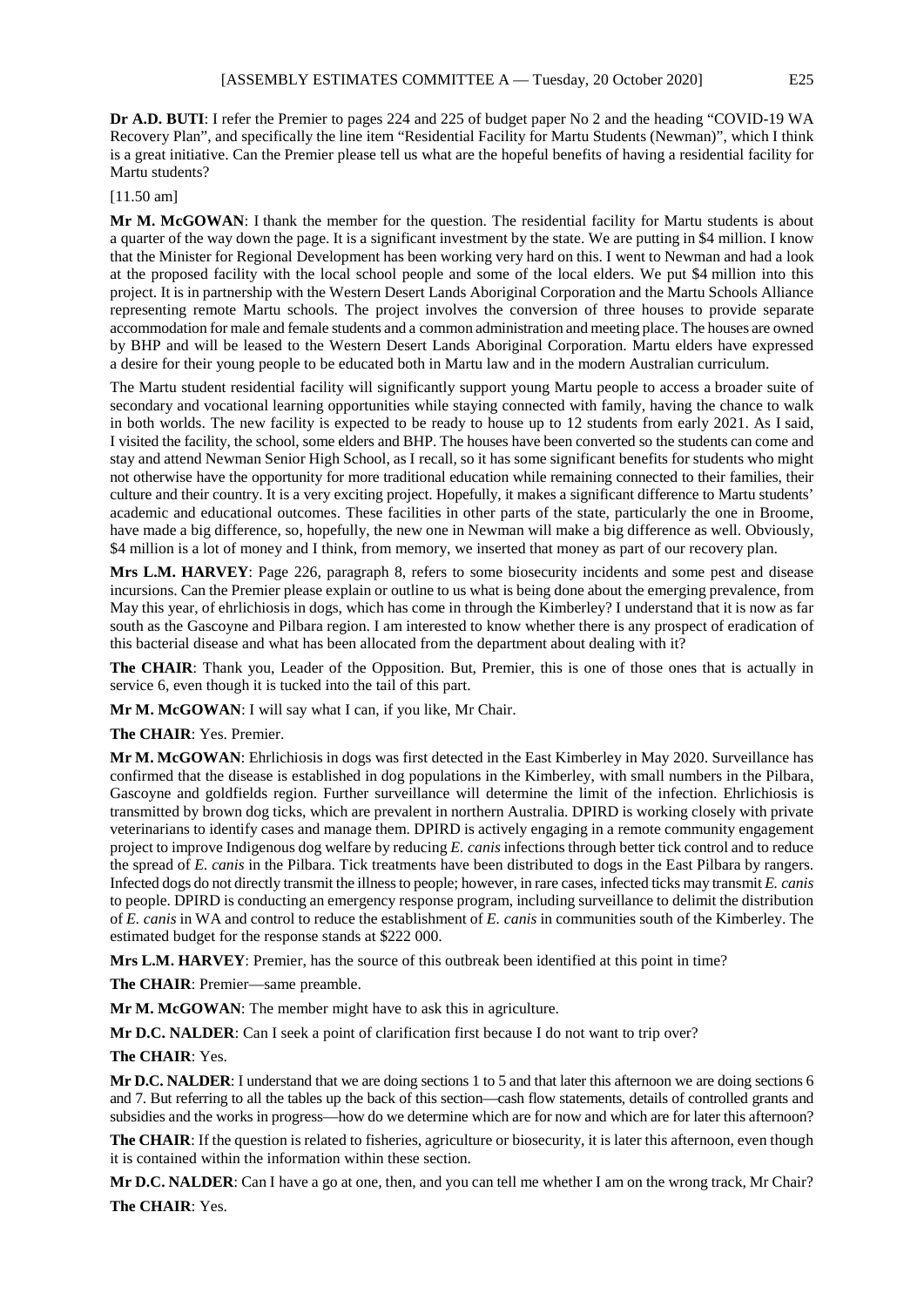**Dr A.D. BUTI**: I refer the Premier to pages 224 and 225 of budget paper No 2 and the heading "COVID-19 WA Recovery Plan", and specifically the line item "Residential Facility for Martu Students (Newman)", which I think is a great initiative. Can the Premier please tell us what are the hopeful benefits of having a residential facility for Martu students?

[11.50 am]

**Mr M. McGOWAN**: I thank the member for the question. The residential facility for Martu students is about a quarter of the way down the page. It is a significant investment by the state. We are putting in \$4 million. I know that the Minister for Regional Development has been working very hard on this. I went to Newman and had a look at the proposed facility with the local school people and some of the local elders. We put \$4 million into this project. It is in partnership with the Western Desert Lands Aboriginal Corporation and the Martu Schools Alliance representing remote Martu schools. The project involves the conversion of three houses to provide separate accommodation for male and female students and a common administration and meeting place. The houses are owned by BHP and will be leased to the Western Desert Lands Aboriginal Corporation. Martu elders have expressed a desire for their young people to be educated both in Martu law and in the modern Australian curriculum.

The Martu student residential facility will significantly support young Martu people to access a broader suite of secondary and vocational learning opportunities while staying connected with family, having the chance to walk in both worlds. The new facility is expected to be ready to house up to 12 students from early 2021. As I said, I visited the facility, the school, some elders and BHP. The houses have been converted so the students can come and stay and attend Newman Senior High School, as I recall, so it has some significant benefits for students who might not otherwise have the opportunity for more traditional education while remaining connected to their families, their culture and their country. It is a very exciting project. Hopefully, it makes a significant difference to Martu students' academic and educational outcomes. These facilities in other parts of the state, particularly the one in Broome, have made a big difference, so, hopefully, the new one in Newman will make a big difference as well. Obviously, \$4 million is a lot of money and I think, from memory, we inserted that money as part of our recovery plan.

**Mrs L.M. HARVEY**: Page 226, paragraph 8, refers to some biosecurity incidents and some pest and disease incursions. Can the Premier please explain or outline to us what is being done about the emerging prevalence, from May this year, of ehrlichiosis in dogs, which has come in through the Kimberley? I understand that it is now as far south as the Gascoyne and Pilbara region. I am interested to know whether there is any prospect of eradication of this bacterial disease and what has been allocated from the department about dealing with it?

**The CHAIR**: Thank you, Leader of the Opposition. But, Premier, this is one of those ones that is actually in service 6, even though it is tucked into the tail of this part.

**Mr M. McGOWAN**: I will say what I can, if you like, Mr Chair.

**The CHAIR**: Yes. Premier.

**Mr M. McGOWAN**: Ehrlichiosis in dogs was first detected in the East Kimberley in May 2020. Surveillance has confirmed that the disease is established in dog populations in the Kimberley, with small numbers in the Pilbara, Gascoyne and goldfields region. Further surveillance will determine the limit of the infection. Ehrlichiosis is transmitted by brown dog ticks, which are prevalent in northern Australia. DPIRD is working closely with private veterinarians to identify cases and manage them. DPIRD is actively engaging in a remote community engagement project to improve Indigenous dog welfare by reducing *E. canis* infections through better tick control and to reduce the spread of *E. canis* in the Pilbara. Tick treatments have been distributed to dogs in the East Pilbara by rangers. Infected dogs do not directly transmit the illness to people; however, in rare cases, infected ticks may transmit *E. canis* to people. DPIRD is conducting an emergency response program, including surveillance to delimit the distribution of *E. canis* in WA and control to reduce the establishment of *E. canis* in communities south of the Kimberley. The estimated budget for the response stands at \$222 000.

**Mrs L.M. HARVEY**: Premier, has the source of this outbreak been identified at this point in time?

**The CHAIR**: Premier—same preamble.

**Mr M. McGOWAN**: The member might have to ask this in agriculture.

**Mr D.C. NALDER**: Can I seek a point of clarification first because I do not want to trip over?

## **The CHAIR**: Yes.

**Mr D.C. NALDER**: I understand that we are doing sections 1 to 5 and that later this afternoon we are doing sections 6 and 7. But referring to all the tables up the back of this section—cash flow statements, details of controlled grants and subsidies and the works in progress—how do we determine which are for now and which are for later this afternoon?

**The CHAIR:** If the question is related to fisheries, agriculture or biosecurity, it is later this afternoon, even though it is contained within the information within these section.

**Mr D.C. NALDER**: Can I have a go at one, then, and you can tell me whether I am on the wrong track, Mr Chair? **The CHAIR**: Yes.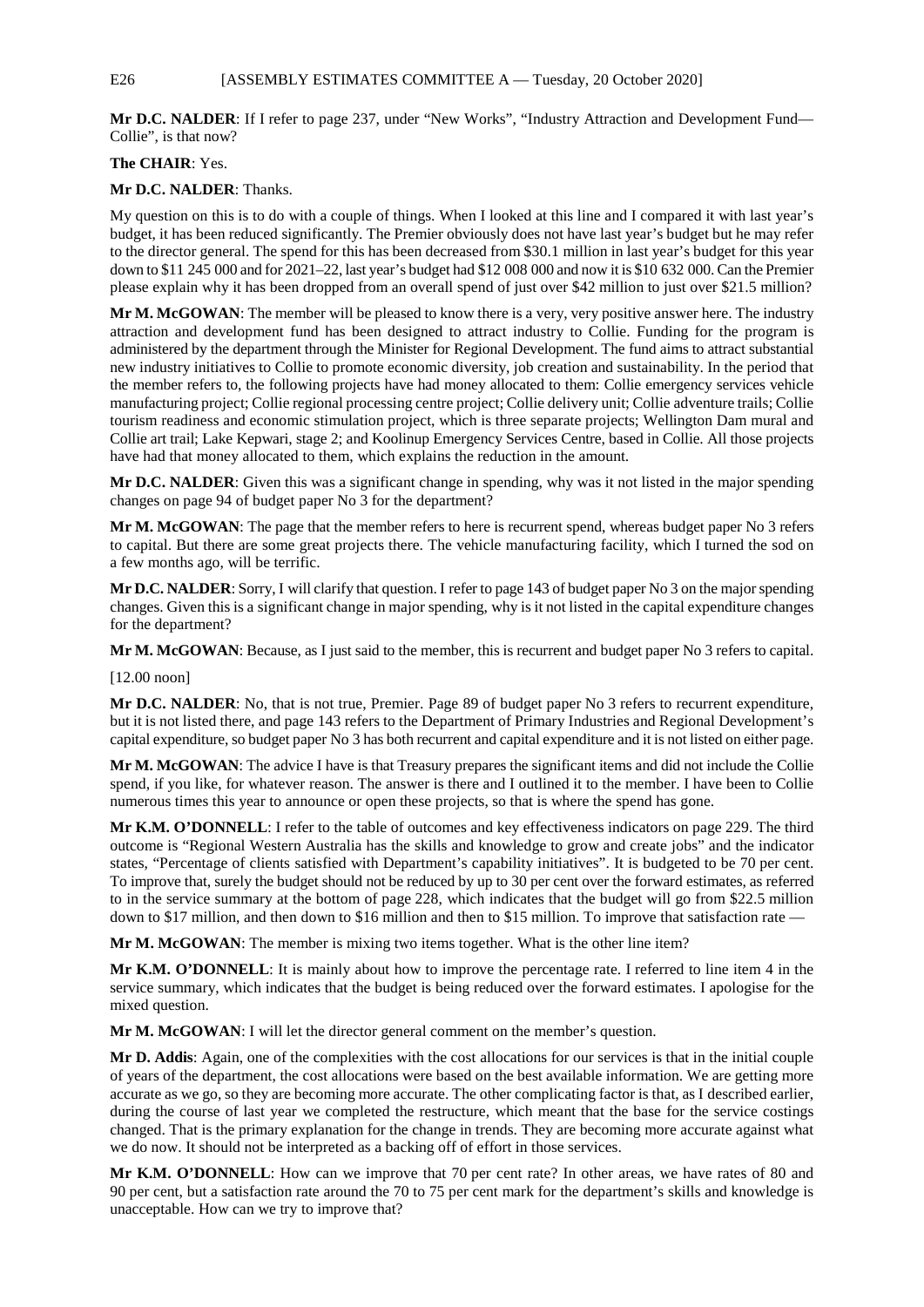## E26 [ASSEMBLY ESTIMATES COMMITTEE A — Tuesday, 20 October 2020]

**Mr D.C. NALDER**: If I refer to page 237, under "New Works", "Industry Attraction and Development Fund— Collie", is that now?

### **The CHAIR**: Yes.

**Mr D.C. NALDER**: Thanks.

My question on this is to do with a couple of things. When I looked at this line and I compared it with last year's budget, it has been reduced significantly. The Premier obviously does not have last year's budget but he may refer to the director general. The spend for this has been decreased from \$30.1 million in last year's budget for this year down to \$11 245 000 and for 2021–22, last year's budget had \$12 008 000 and now it is \$10 632 000. Can the Premier please explain why it has been dropped from an overall spend of just over \$42 million to just over \$21.5 million?

**Mr M. McGOWAN**: The member will be pleased to know there is a very, very positive answer here. The industry attraction and development fund has been designed to attract industry to Collie. Funding for the program is administered by the department through the Minister for Regional Development. The fund aims to attract substantial new industry initiatives to Collie to promote economic diversity, job creation and sustainability. In the period that the member refers to, the following projects have had money allocated to them: Collie emergency services vehicle manufacturing project; Collie regional processing centre project; Collie delivery unit; Collie adventure trails; Collie tourism readiness and economic stimulation project, which is three separate projects; Wellington Dam mural and Collie art trail; Lake Kepwari, stage 2; and Koolinup Emergency Services Centre, based in Collie. All those projects have had that money allocated to them, which explains the reduction in the amount.

**Mr D.C. NALDER:** Given this was a significant change in spending, why was it not listed in the major spending changes on page 94 of budget paper No 3 for the department?

**Mr M. McGOWAN**: The page that the member refers to here is recurrent spend, whereas budget paper No 3 refers to capital. But there are some great projects there. The vehicle manufacturing facility, which I turned the sod on a few months ago, will be terrific.

**Mr D.C. NALDER**: Sorry, I will clarify that question. I refer to page 143 of budget paper No 3 on the major spending changes. Given this is a significant change in major spending, why is it not listed in the capital expenditure changes for the department?

**Mr M. McGOWAN**: Because, as I just said to the member, this is recurrent and budget paper No 3 refers to capital.

[12.00 noon]

**Mr D.C. NALDER**: No, that is not true, Premier. Page 89 of budget paper No 3 refers to recurrent expenditure, but it is not listed there, and page 143 refers to the Department of Primary Industries and Regional Development's capital expenditure, so budget paper No 3 has both recurrent and capital expenditure and it is not listed on either page.

**Mr M. McGOWAN**: The advice I have is that Treasury prepares the significant items and did not include the Collie spend, if you like, for whatever reason. The answer is there and I outlined it to the member. I have been to Collie numerous times this year to announce or open these projects, so that is where the spend has gone.

**Mr K.M. O'DONNELL**: I refer to the table of outcomes and key effectiveness indicators on page 229. The third outcome is "Regional Western Australia has the skills and knowledge to grow and create jobs" and the indicator states, "Percentage of clients satisfied with Department's capability initiatives". It is budgeted to be 70 per cent. To improve that, surely the budget should not be reduced by up to 30 per cent over the forward estimates, as referred to in the service summary at the bottom of page 228, which indicates that the budget will go from \$22.5 million down to \$17 million, and then down to \$16 million and then to \$15 million. To improve that satisfaction rate —

**Mr M. McGOWAN**: The member is mixing two items together. What is the other line item?

**Mr K.M. O'DONNELL**: It is mainly about how to improve the percentage rate. I referred to line item 4 in the service summary, which indicates that the budget is being reduced over the forward estimates. I apologise for the mixed question.

**Mr M. McGOWAN**: I will let the director general comment on the member's question.

**Mr D. Addis**: Again, one of the complexities with the cost allocations for our services is that in the initial couple of years of the department, the cost allocations were based on the best available information. We are getting more accurate as we go, so they are becoming more accurate. The other complicating factor is that, as I described earlier, during the course of last year we completed the restructure, which meant that the base for the service costings changed. That is the primary explanation for the change in trends. They are becoming more accurate against what we do now. It should not be interpreted as a backing off of effort in those services.

**Mr K.M. O'DONNELL**: How can we improve that 70 per cent rate? In other areas, we have rates of 80 and 90 per cent, but a satisfaction rate around the 70 to 75 per cent mark for the department's skills and knowledge is unacceptable. How can we try to improve that?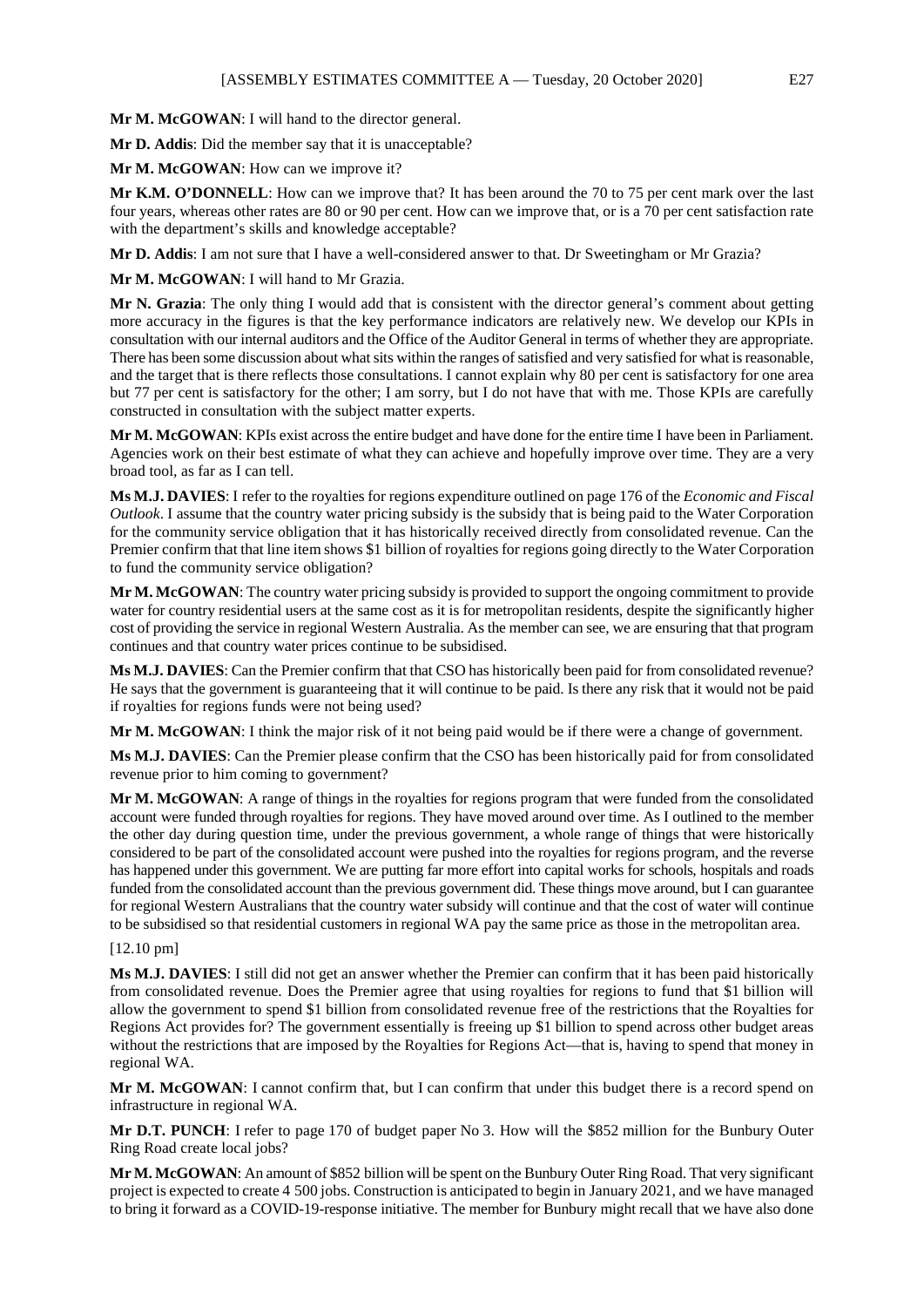**Mr M. McGOWAN**: I will hand to the director general.

**Mr D. Addis**: Did the member say that it is unacceptable?

**Mr M. McGOWAN**: How can we improve it?

**Mr K.M. O'DONNELL**: How can we improve that? It has been around the 70 to 75 per cent mark over the last four years, whereas other rates are 80 or 90 per cent. How can we improve that, or is a 70 per cent satisfaction rate with the department's skills and knowledge acceptable?

**Mr D. Addis**: I am not sure that I have a well-considered answer to that. Dr Sweetingham or Mr Grazia?

**Mr M. McGOWAN**: I will hand to Mr Grazia.

**Mr N. Grazia**: The only thing I would add that is consistent with the director general's comment about getting more accuracy in the figures is that the key performance indicators are relatively new. We develop our KPIs in consultation with our internal auditors and the Office of the Auditor General in terms of whether they are appropriate. There has been some discussion about what sits within the ranges of satisfied and very satisfied for what is reasonable, and the target that is there reflects those consultations. I cannot explain why 80 per cent is satisfactory for one area but 77 per cent is satisfactory for the other; I am sorry, but I do not have that with me. Those KPIs are carefully constructed in consultation with the subject matter experts.

**Mr M. McGOWAN**: KPIs exist across the entire budget and have done for the entire time I have been in Parliament. Agencies work on their best estimate of what they can achieve and hopefully improve over time. They are a very broad tool, as far as I can tell.

**Ms M.J. DAVIES**: I refer to the royalties for regions expenditure outlined on page 176 of the *Economic and Fiscal Outlook*. I assume that the country water pricing subsidy is the subsidy that is being paid to the Water Corporation for the community service obligation that it has historically received directly from consolidated revenue. Can the Premier confirm that that line item shows \$1 billion of royalties for regions going directly to the Water Corporation to fund the community service obligation?

**Mr M. McGOWAN**: The country water pricing subsidy is provided to support the ongoing commitment to provide water for country residential users at the same cost as it is for metropolitan residents, despite the significantly higher cost of providing the service in regional Western Australia. As the member can see, we are ensuring that that program continues and that country water prices continue to be subsidised.

**Ms M.J. DAVIES**: Can the Premier confirm that that CSO has historically been paid for from consolidated revenue? He says that the government is guaranteeing that it will continue to be paid. Is there any risk that it would not be paid if royalties for regions funds were not being used?

**Mr M. McGOWAN**: I think the major risk of it not being paid would be if there were a change of government.

**Ms M.J. DAVIES**: Can the Premier please confirm that the CSO has been historically paid for from consolidated revenue prior to him coming to government?

**Mr M. McGOWAN**: A range of things in the royalties for regions program that were funded from the consolidated account were funded through royalties for regions. They have moved around over time. As I outlined to the member the other day during question time, under the previous government, a whole range of things that were historically considered to be part of the consolidated account were pushed into the royalties for regions program, and the reverse has happened under this government. We are putting far more effort into capital works for schools, hospitals and roads funded from the consolidated account than the previous government did. These things move around, but I can guarantee for regional Western Australians that the country water subsidy will continue and that the cost of water will continue to be subsidised so that residential customers in regional WA pay the same price as those in the metropolitan area.

#### [12.10 pm]

**Ms M.J. DAVIES**: I still did not get an answer whether the Premier can confirm that it has been paid historically from consolidated revenue. Does the Premier agree that using royalties for regions to fund that \$1 billion will allow the government to spend \$1 billion from consolidated revenue free of the restrictions that the Royalties for Regions Act provides for? The government essentially is freeing up \$1 billion to spend across other budget areas without the restrictions that are imposed by the Royalties for Regions Act—that is, having to spend that money in regional WA.

**Mr M. McGOWAN**: I cannot confirm that, but I can confirm that under this budget there is a record spend on infrastructure in regional WA.

**Mr D.T. PUNCH**: I refer to page 170 of budget paper No 3. How will the \$852 million for the Bunbury Outer Ring Road create local jobs?

**Mr M. McGOWAN**: An amount of \$852 billion will be spent on the Bunbury Outer Ring Road. That very significant project is expected to create 4 500 jobs. Construction is anticipated to begin in January 2021, and we have managed to bring it forward as a COVID-19-response initiative. The member for Bunbury might recall that we have also done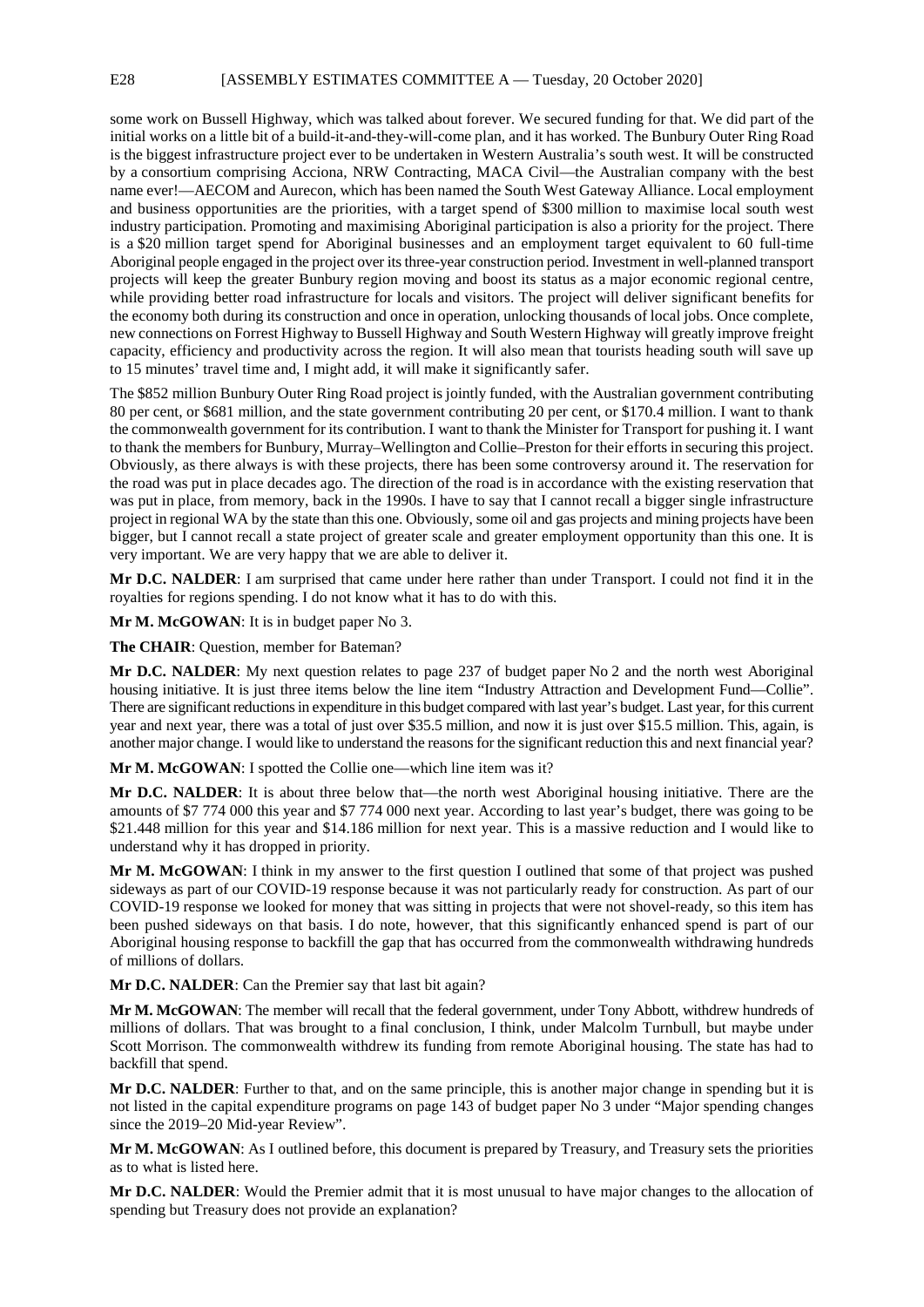some work on Bussell Highway, which was talked about forever. We secured funding for that. We did part of the initial works on a little bit of a build-it-and-they-will-come plan, and it has worked. The Bunbury Outer Ring Road is the biggest infrastructure project ever to be undertaken in Western Australia's south west. It will be constructed by a consortium comprising Acciona, NRW Contracting, MACA Civil—the Australian company with the best name ever!—AECOM and Aurecon, which has been named the South West Gateway Alliance. Local employment and business opportunities are the priorities, with a target spend of \$300 million to maximise local south west industry participation. Promoting and maximising Aboriginal participation is also a priority for the project. There is a \$20 million target spend for Aboriginal businesses and an employment target equivalent to 60 full-time Aboriginal people engaged in the project over its three-year construction period. Investment in well-planned transport projects will keep the greater Bunbury region moving and boost its status as a major economic regional centre, while providing better road infrastructure for locals and visitors. The project will deliver significant benefits for the economy both during its construction and once in operation, unlocking thousands of local jobs. Once complete, new connections on Forrest Highway to Bussell Highway and South Western Highway will greatly improve freight capacity, efficiency and productivity across the region. It will also mean that tourists heading south will save up to 15 minutes' travel time and, I might add, it will make it significantly safer.

The \$852 million Bunbury Outer Ring Road project is jointly funded, with the Australian government contributing 80 per cent, or \$681 million, and the state government contributing 20 per cent, or \$170.4 million. I want to thank the commonwealth government for its contribution. I want to thank the Minister for Transport for pushing it. I want to thank the members for Bunbury, Murray–Wellington and Collie–Preston for their efforts in securing this project. Obviously, as there always is with these projects, there has been some controversy around it. The reservation for the road was put in place decades ago. The direction of the road is in accordance with the existing reservation that was put in place, from memory, back in the 1990s. I have to say that I cannot recall a bigger single infrastructure project in regional WA by the state than this one. Obviously, some oil and gas projects and mining projects have been bigger, but I cannot recall a state project of greater scale and greater employment opportunity than this one. It is very important. We are very happy that we are able to deliver it.

**Mr D.C. NALDER**: I am surprised that came under here rather than under Transport. I could not find it in the royalties for regions spending. I do not know what it has to do with this.

**Mr M. McGOWAN**: It is in budget paper No 3.

**The CHAIR**: Question, member for Bateman?

**Mr D.C. NALDER**: My next question relates to page 237 of budget paper No 2 and the north west Aboriginal housing initiative. It is just three items below the line item "Industry Attraction and Development Fund—Collie". There are significant reductions in expenditure in this budget compared with last year's budget. Last year, for this current year and next year, there was a total of just over \$35.5 million, and now it is just over \$15.5 million. This, again, is another major change. I would like to understand the reasons for the significant reduction this and next financial year?

**Mr M. McGOWAN**: I spotted the Collie one—which line item was it?

**Mr D.C. NALDER**: It is about three below that—the north west Aboriginal housing initiative. There are the amounts of \$7 774 000 this year and \$7 774 000 next year. According to last year's budget, there was going to be \$21.448 million for this year and \$14.186 million for next year. This is a massive reduction and I would like to understand why it has dropped in priority.

**Mr M. McGOWAN**: I think in my answer to the first question I outlined that some of that project was pushed sideways as part of our COVID-19 response because it was not particularly ready for construction. As part of our COVID-19 response we looked for money that was sitting in projects that were not shovel-ready, so this item has been pushed sideways on that basis. I do note, however, that this significantly enhanced spend is part of our Aboriginal housing response to backfill the gap that has occurred from the commonwealth withdrawing hundreds of millions of dollars.

**Mr D.C. NALDER**: Can the Premier say that last bit again?

**Mr M. McGOWAN**: The member will recall that the federal government, under Tony Abbott, withdrew hundreds of millions of dollars. That was brought to a final conclusion, I think, under Malcolm Turnbull, but maybe under Scott Morrison. The commonwealth withdrew its funding from remote Aboriginal housing. The state has had to backfill that spend.

**Mr D.C. NALDER**: Further to that, and on the same principle, this is another major change in spending but it is not listed in the capital expenditure programs on page 143 of budget paper No 3 under "Major spending changes since the 2019–20 Mid-year Review".

**Mr M. McGOWAN**: As I outlined before, this document is prepared by Treasury, and Treasury sets the priorities as to what is listed here.

**Mr D.C. NALDER**: Would the Premier admit that it is most unusual to have major changes to the allocation of spending but Treasury does not provide an explanation?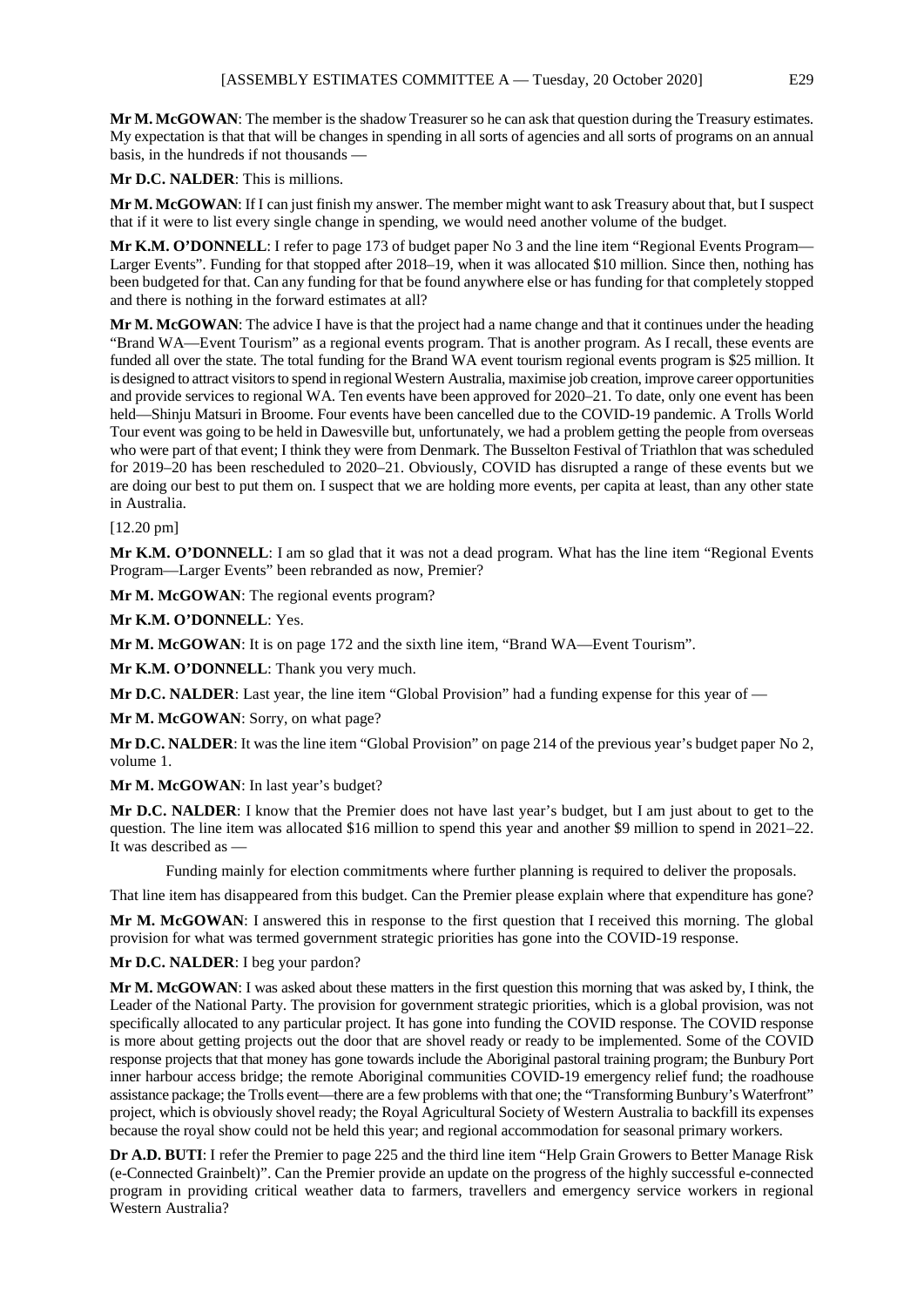**Mr M. McGOWAN**: The member is the shadow Treasurer so he can ask that question during the Treasury estimates. My expectation is that that will be changes in spending in all sorts of agencies and all sorts of programs on an annual basis, in the hundreds if not thousands —

**Mr D.C. NALDER**: This is millions.

**Mr M. McGOWAN**: If I can just finish my answer. The member might want to ask Treasury about that, but I suspect that if it were to list every single change in spending, we would need another volume of the budget.

Mr K.M. O'DONNELL: I refer to page 173 of budget paper No 3 and the line item "Regional Events Program— Larger Events". Funding for that stopped after 2018–19, when it was allocated \$10 million. Since then, nothing has been budgeted for that. Can any funding for that be found anywhere else or has funding for that completely stopped and there is nothing in the forward estimates at all?

**Mr M. McGOWAN**: The advice I have is that the project had a name change and that it continues under the heading "Brand WA—Event Tourism" as a regional events program. That is another program. As I recall, these events are funded all over the state. The total funding for the Brand WA event tourism regional events program is \$25 million. It is designed to attract visitors to spend in regional Western Australia, maximise job creation, improve career opportunities and provide services to regional WA. Ten events have been approved for 2020–21. To date, only one event has been held—Shinju Matsuri in Broome. Four events have been cancelled due to the COVID-19 pandemic. A Trolls World Tour event was going to be held in Dawesville but, unfortunately, we had a problem getting the people from overseas who were part of that event; I think they were from Denmark. The Busselton Festival of Triathlon that was scheduled for 2019–20 has been rescheduled to 2020–21. Obviously, COVID has disrupted a range of these events but we are doing our best to put them on. I suspect that we are holding more events, per capita at least, than any other state in Australia.

[12.20 pm]

**Mr K.M. O'DONNELL**: I am so glad that it was not a dead program. What has the line item "Regional Events Program—Larger Events" been rebranded as now, Premier?

**Mr M. McGOWAN**: The regional events program?

**Mr K.M. O'DONNELL**: Yes.

**Mr M. McGOWAN**: It is on page 172 and the sixth line item, "Brand WA—Event Tourism".

**Mr K.M. O'DONNELL**: Thank you very much.

**Mr D.C. NALDER**: Last year, the line item "Global Provision" had a funding expense for this year of —

**Mr M. McGOWAN**: Sorry, on what page?

**Mr D.C. NALDER**: It was the line item "Global Provision" on page 214 of the previous year's budget paper No 2, volume 1.

**Mr M. McGOWAN**: In last year's budget?

**Mr D.C. NALDER**: I know that the Premier does not have last year's budget, but I am just about to get to the question. The line item was allocated \$16 million to spend this year and another \$9 million to spend in 2021–22. It was described as —

Funding mainly for election commitments where further planning is required to deliver the proposals.

That line item has disappeared from this budget. Can the Premier please explain where that expenditure has gone?

**Mr M. McGOWAN**: I answered this in response to the first question that I received this morning. The global provision for what was termed government strategic priorities has gone into the COVID-19 response.

**Mr D.C. NALDER**: I beg your pardon?

**Mr M. McGOWAN**: I was asked about these matters in the first question this morning that was asked by, I think, the Leader of the National Party. The provision for government strategic priorities, which is a global provision, was not specifically allocated to any particular project. It has gone into funding the COVID response. The COVID response is more about getting projects out the door that are shovel ready or ready to be implemented. Some of the COVID response projects that that money has gone towards include the Aboriginal pastoral training program; the Bunbury Port inner harbour access bridge; the remote Aboriginal communities COVID-19 emergency relief fund; the roadhouse assistance package; the Trolls event—there are a few problems with that one; the "Transforming Bunbury's Waterfront" project, which is obviously shovel ready; the Royal Agricultural Society of Western Australia to backfill its expenses because the royal show could not be held this year; and regional accommodation for seasonal primary workers.

**Dr A.D. BUTI**: I refer the Premier to page 225 and the third line item "Help Grain Growers to Better Manage Risk (e-Connected Grainbelt)". Can the Premier provide an update on the progress of the highly successful e-connected program in providing critical weather data to farmers, travellers and emergency service workers in regional Western Australia?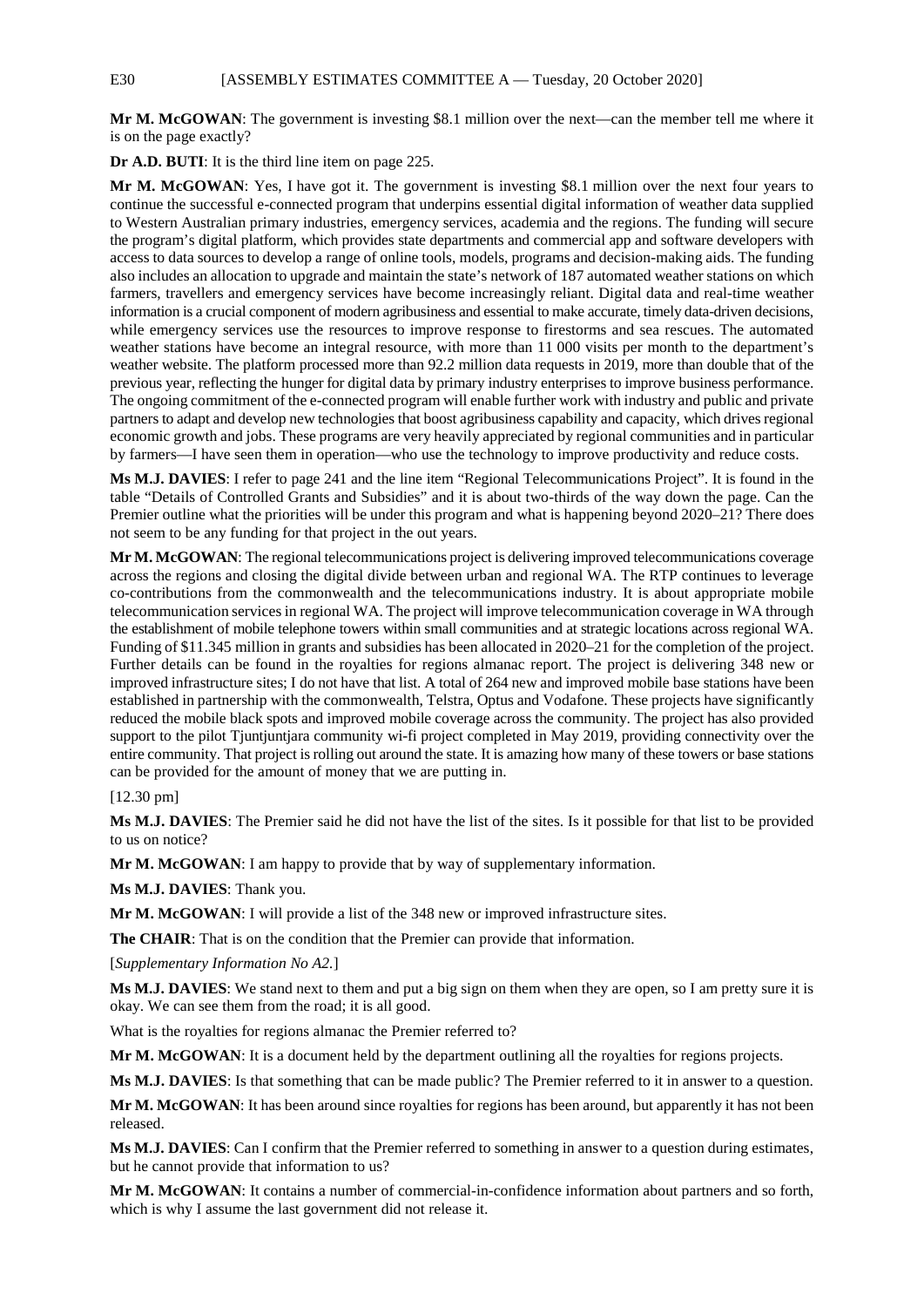E30 [ASSEMBLY ESTIMATES COMMITTEE A — Tuesday, 20 October 2020]

**Mr M. McGOWAN**: The government is investing \$8.1 million over the next—can the member tell me where it is on the page exactly?

**Dr A.D. BUTI**: It is the third line item on page 225.

**Mr M. McGOWAN**: Yes, I have got it. The government is investing \$8.1 million over the next four years to continue the successful e-connected program that underpins essential digital information of weather data supplied to Western Australian primary industries, emergency services, academia and the regions. The funding will secure the program's digital platform, which provides state departments and commercial app and software developers with access to data sources to develop a range of online tools, models, programs and decision-making aids. The funding also includes an allocation to upgrade and maintain the state's network of 187 automated weather stations on which farmers, travellers and emergency services have become increasingly reliant. Digital data and real-time weather information is a crucial component of modern agribusiness and essential to make accurate, timely data-driven decisions, while emergency services use the resources to improve response to firestorms and sea rescues. The automated weather stations have become an integral resource, with more than 11 000 visits per month to the department's weather website. The platform processed more than 92.2 million data requests in 2019, more than double that of the previous year, reflecting the hunger for digital data by primary industry enterprises to improve business performance. The ongoing commitment of the e-connected program will enable further work with industry and public and private partners to adapt and develop new technologies that boost agribusiness capability and capacity, which drives regional economic growth and jobs. These programs are very heavily appreciated by regional communities and in particular by farmers—I have seen them in operation—who use the technology to improve productivity and reduce costs.

**Ms M.J. DAVIES**: I refer to page 241 and the line item "Regional Telecommunications Project". It is found in the table "Details of Controlled Grants and Subsidies" and it is about two-thirds of the way down the page. Can the Premier outline what the priorities will be under this program and what is happening beyond 2020–21? There does not seem to be any funding for that project in the out years.

**Mr M. McGOWAN**: The regional telecommunications project is delivering improved telecommunications coverage across the regions and closing the digital divide between urban and regional WA. The RTP continues to leverage co-contributions from the commonwealth and the telecommunications industry. It is about appropriate mobile telecommunication services in regional WA. The project will improve telecommunication coverage in WA through the establishment of mobile telephone towers within small communities and at strategic locations across regional WA. Funding of \$11.345 million in grants and subsidies has been allocated in 2020–21 for the completion of the project. Further details can be found in the royalties for regions almanac report. The project is delivering 348 new or improved infrastructure sites; I do not have that list. A total of 264 new and improved mobile base stations have been established in partnership with the commonwealth, Telstra, Optus and Vodafone. These projects have significantly reduced the mobile black spots and improved mobile coverage across the community. The project has also provided support to the pilot Tjuntjuntjara community wi-fi project completed in May 2019, providing connectivity over the entire community. That project is rolling out around the state. It is amazing how many of these towers or base stations can be provided for the amount of money that we are putting in.

#### [12.30 pm]

**Ms M.J. DAVIES**: The Premier said he did not have the list of the sites. Is it possible for that list to be provided to us on notice?

**Mr M. McGOWAN**: I am happy to provide that by way of supplementary information.

**Ms M.J. DAVIES**: Thank you.

**Mr M. McGOWAN**: I will provide a list of the 348 new or improved infrastructure sites.

**The CHAIR**: That is on the condition that the Premier can provide that information.

[*Supplementary Information No A2.*]

**Ms M.J. DAVIES**: We stand next to them and put a big sign on them when they are open, so I am pretty sure it is okay. We can see them from the road; it is all good.

What is the royalties for regions almanac the Premier referred to?

**Mr M. McGOWAN**: It is a document held by the department outlining all the royalties for regions projects.

**Ms M.J. DAVIES**: Is that something that can be made public? The Premier referred to it in answer to a question.

**Mr M. McGOWAN**: It has been around since royalties for regions has been around, but apparently it has not been released.

**Ms M.J. DAVIES**: Can I confirm that the Premier referred to something in answer to a question during estimates, but he cannot provide that information to us?

**Mr M. McGOWAN**: It contains a number of commercial-in-confidence information about partners and so forth, which is why I assume the last government did not release it.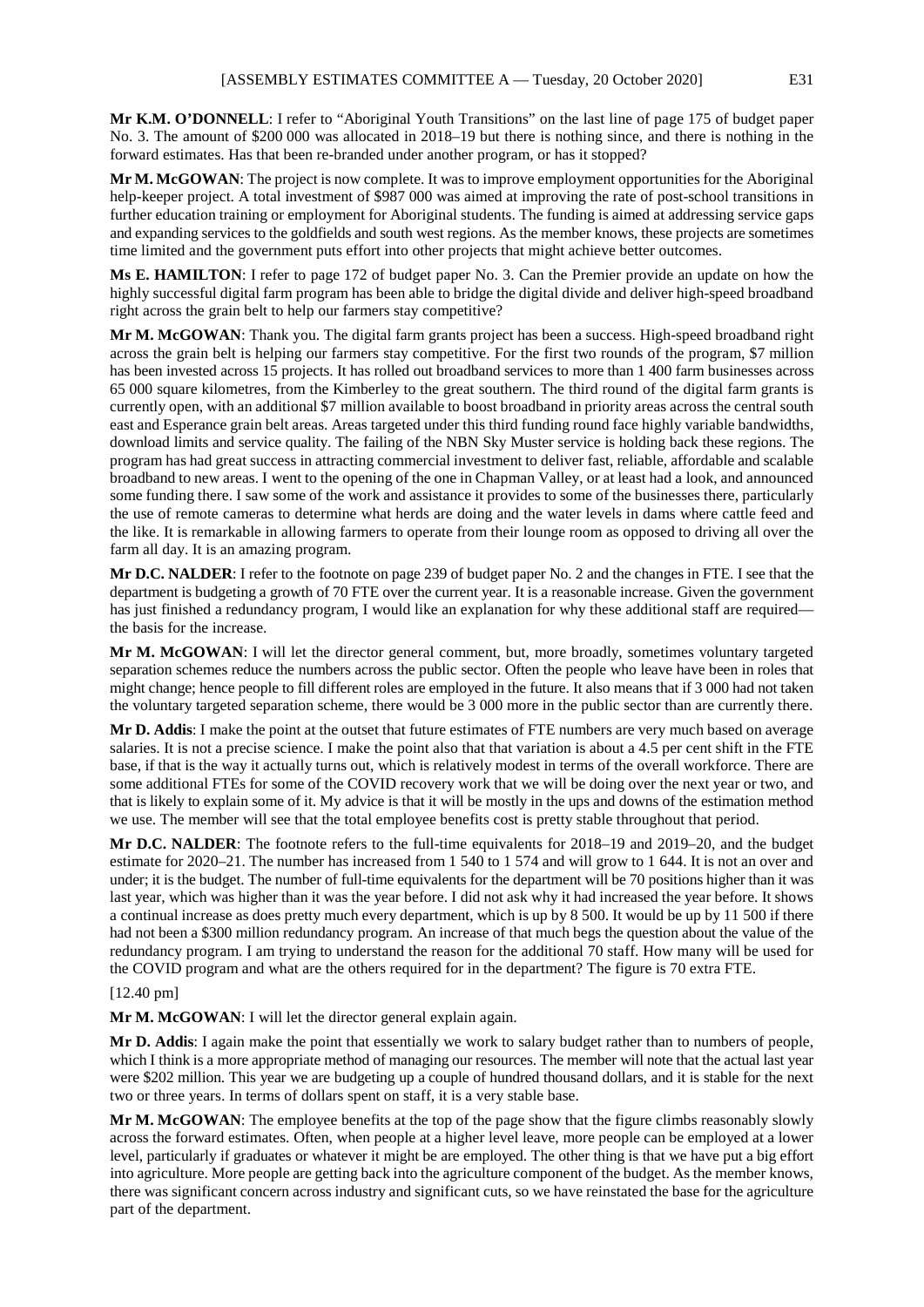**Mr K.M. O'DONNELL**: I refer to "Aboriginal Youth Transitions" on the last line of page 175 of budget paper No. 3. The amount of \$200 000 was allocated in 2018–19 but there is nothing since, and there is nothing in the forward estimates. Has that been re-branded under another program, or has it stopped?

**Mr M. McGOWAN**: The project is now complete. It was to improve employment opportunities for the Aboriginal help-keeper project. A total investment of \$987 000 was aimed at improving the rate of post-school transitions in further education training or employment for Aboriginal students. The funding is aimed at addressing service gaps and expanding services to the goldfields and south west regions. As the member knows, these projects are sometimes time limited and the government puts effort into other projects that might achieve better outcomes.

**Ms E. HAMILTON**: I refer to page 172 of budget paper No. 3. Can the Premier provide an update on how the highly successful digital farm program has been able to bridge the digital divide and deliver high-speed broadband right across the grain belt to help our farmers stay competitive?

**Mr M. McGOWAN**: Thank you. The digital farm grants project has been a success. High-speed broadband right across the grain belt is helping our farmers stay competitive. For the first two rounds of the program, \$7 million has been invested across 15 projects. It has rolled out broadband services to more than 1 400 farm businesses across 65 000 square kilometres, from the Kimberley to the great southern. The third round of the digital farm grants is currently open, with an additional \$7 million available to boost broadband in priority areas across the central south east and Esperance grain belt areas. Areas targeted under this third funding round face highly variable bandwidths, download limits and service quality. The failing of the NBN Sky Muster service is holding back these regions. The program has had great success in attracting commercial investment to deliver fast, reliable, affordable and scalable broadband to new areas. I went to the opening of the one in Chapman Valley, or at least had a look, and announced some funding there. I saw some of the work and assistance it provides to some of the businesses there, particularly the use of remote cameras to determine what herds are doing and the water levels in dams where cattle feed and the like. It is remarkable in allowing farmers to operate from their lounge room as opposed to driving all over the farm all day. It is an amazing program.

**Mr D.C. NALDER**: I refer to the footnote on page 239 of budget paper No. 2 and the changes in FTE. I see that the department is budgeting a growth of 70 FTE over the current year. It is a reasonable increase. Given the government has just finished a redundancy program, I would like an explanation for why these additional staff are required the basis for the increase.

**Mr M. McGOWAN**: I will let the director general comment, but, more broadly, sometimes voluntary targeted separation schemes reduce the numbers across the public sector. Often the people who leave have been in roles that might change; hence people to fill different roles are employed in the future. It also means that if 3 000 had not taken the voluntary targeted separation scheme, there would be 3 000 more in the public sector than are currently there.

**Mr D. Addis**: I make the point at the outset that future estimates of FTE numbers are very much based on average salaries. It is not a precise science. I make the point also that that variation is about a 4.5 per cent shift in the FTE base, if that is the way it actually turns out, which is relatively modest in terms of the overall workforce. There are some additional FTEs for some of the COVID recovery work that we will be doing over the next year or two, and that is likely to explain some of it. My advice is that it will be mostly in the ups and downs of the estimation method we use. The member will see that the total employee benefits cost is pretty stable throughout that period.

**Mr D.C. NALDER**: The footnote refers to the full-time equivalents for 2018–19 and 2019–20, and the budget estimate for 2020–21. The number has increased from 1 540 to 1 574 and will grow to 1 644. It is not an over and under; it is the budget. The number of full-time equivalents for the department will be 70 positions higher than it was last year, which was higher than it was the year before. I did not ask why it had increased the year before. It shows a continual increase as does pretty much every department, which is up by 8 500. It would be up by 11 500 if there had not been a \$300 million redundancy program. An increase of that much begs the question about the value of the redundancy program. I am trying to understand the reason for the additional 70 staff. How many will be used for the COVID program and what are the others required for in the department? The figure is 70 extra FTE.

#### [12.40 pm]

**Mr M. McGOWAN**: I will let the director general explain again.

**Mr D. Addis**: I again make the point that essentially we work to salary budget rather than to numbers of people, which I think is a more appropriate method of managing our resources. The member will note that the actual last year were \$202 million. This year we are budgeting up a couple of hundred thousand dollars, and it is stable for the next two or three years. In terms of dollars spent on staff, it is a very stable base.

**Mr M. McGOWAN**: The employee benefits at the top of the page show that the figure climbs reasonably slowly across the forward estimates. Often, when people at a higher level leave, more people can be employed at a lower level, particularly if graduates or whatever it might be are employed. The other thing is that we have put a big effort into agriculture. More people are getting back into the agriculture component of the budget. As the member knows, there was significant concern across industry and significant cuts, so we have reinstated the base for the agriculture part of the department.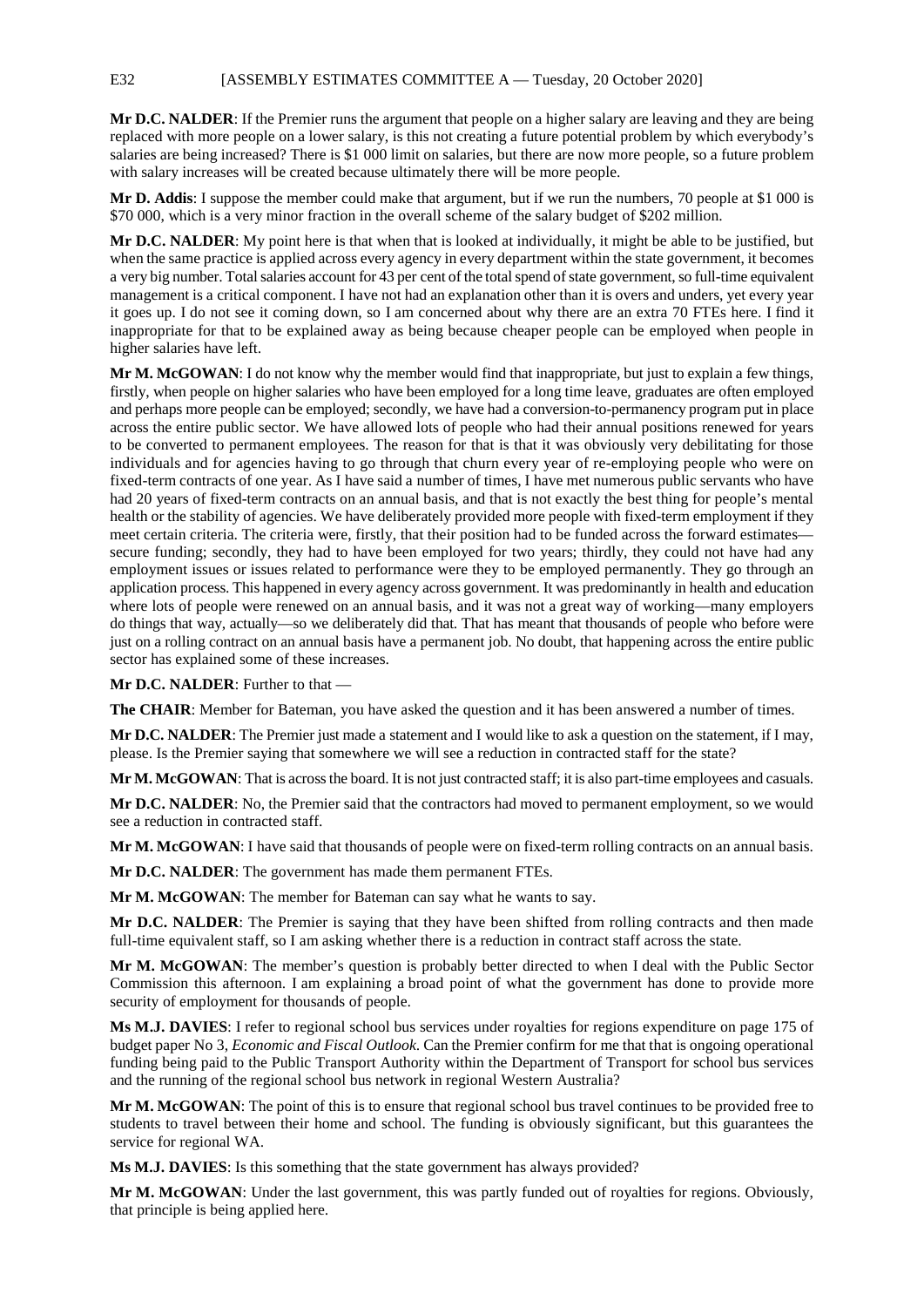**Mr D.C. NALDER**: If the Premier runs the argument that people on a higher salary are leaving and they are being replaced with more people on a lower salary, is this not creating a future potential problem by which everybody's salaries are being increased? There is \$1 000 limit on salaries, but there are now more people, so a future problem with salary increases will be created because ultimately there will be more people.

**Mr D. Addis**: I suppose the member could make that argument, but if we run the numbers, 70 people at \$1 000 is \$70 000, which is a very minor fraction in the overall scheme of the salary budget of \$202 million.

**Mr D.C. NALDER**: My point here is that when that is looked at individually, it might be able to be justified, but when the same practice is applied across every agency in every department within the state government, it becomes a very big number. Total salaries account for 43 per cent of the total spend of state government, so full-time equivalent management is a critical component. I have not had an explanation other than it is overs and unders, yet every year it goes up. I do not see it coming down, so I am concerned about why there are an extra 70 FTEs here. I find it inappropriate for that to be explained away as being because cheaper people can be employed when people in higher salaries have left.

**Mr M. McGOWAN**: I do not know why the member would find that inappropriate, but just to explain a few things, firstly, when people on higher salaries who have been employed for a long time leave, graduates are often employed and perhaps more people can be employed; secondly, we have had a conversion-to-permanency program put in place across the entire public sector. We have allowed lots of people who had their annual positions renewed for years to be converted to permanent employees. The reason for that is that it was obviously very debilitating for those individuals and for agencies having to go through that churn every year of re-employing people who were on fixed-term contracts of one year. As I have said a number of times, I have met numerous public servants who have had 20 years of fixed-term contracts on an annual basis, and that is not exactly the best thing for people's mental health or the stability of agencies. We have deliberately provided more people with fixed-term employment if they meet certain criteria. The criteria were, firstly, that their position had to be funded across the forward estimates secure funding; secondly, they had to have been employed for two years; thirdly, they could not have had any employment issues or issues related to performance were they to be employed permanently. They go through an application process. This happened in every agency across government. It was predominantly in health and education where lots of people were renewed on an annual basis, and it was not a great way of working—many employers do things that way, actually—so we deliberately did that. That has meant that thousands of people who before were just on a rolling contract on an annual basis have a permanent job. No doubt, that happening across the entire public sector has explained some of these increases.

**Mr D.C. NALDER**: Further to that —

**The CHAIR**: Member for Bateman, you have asked the question and it has been answered a number of times.

**Mr D.C. NALDER**: The Premier just made a statement and I would like to ask a question on the statement, if I may, please. Is the Premier saying that somewhere we will see a reduction in contracted staff for the state?

**Mr M. McGOWAN**: That is across the board. It is not just contracted staff; it is also part-time employees and casuals.

**Mr D.C. NALDER**: No, the Premier said that the contractors had moved to permanent employment, so we would see a reduction in contracted staff.

**Mr M. McGOWAN**: I have said that thousands of people were on fixed-term rolling contracts on an annual basis.

**Mr D.C. NALDER**: The government has made them permanent FTEs.

**Mr M. McGOWAN**: The member for Bateman can say what he wants to say.

**Mr D.C. NALDER**: The Premier is saying that they have been shifted from rolling contracts and then made full-time equivalent staff, so I am asking whether there is a reduction in contract staff across the state.

**Mr M. McGOWAN**: The member's question is probably better directed to when I deal with the Public Sector Commission this afternoon. I am explaining a broad point of what the government has done to provide more security of employment for thousands of people.

**Ms M.J. DAVIES**: I refer to regional school bus services under royalties for regions expenditure on page 175 of budget paper No 3, *Economic and Fiscal Outlook*. Can the Premier confirm for me that that is ongoing operational funding being paid to the Public Transport Authority within the Department of Transport for school bus services and the running of the regional school bus network in regional Western Australia?

**Mr M. McGOWAN**: The point of this is to ensure that regional school bus travel continues to be provided free to students to travel between their home and school. The funding is obviously significant, but this guarantees the service for regional WA.

**Ms M.J. DAVIES**: Is this something that the state government has always provided?

**Mr M. McGOWAN**: Under the last government, this was partly funded out of royalties for regions. Obviously, that principle is being applied here.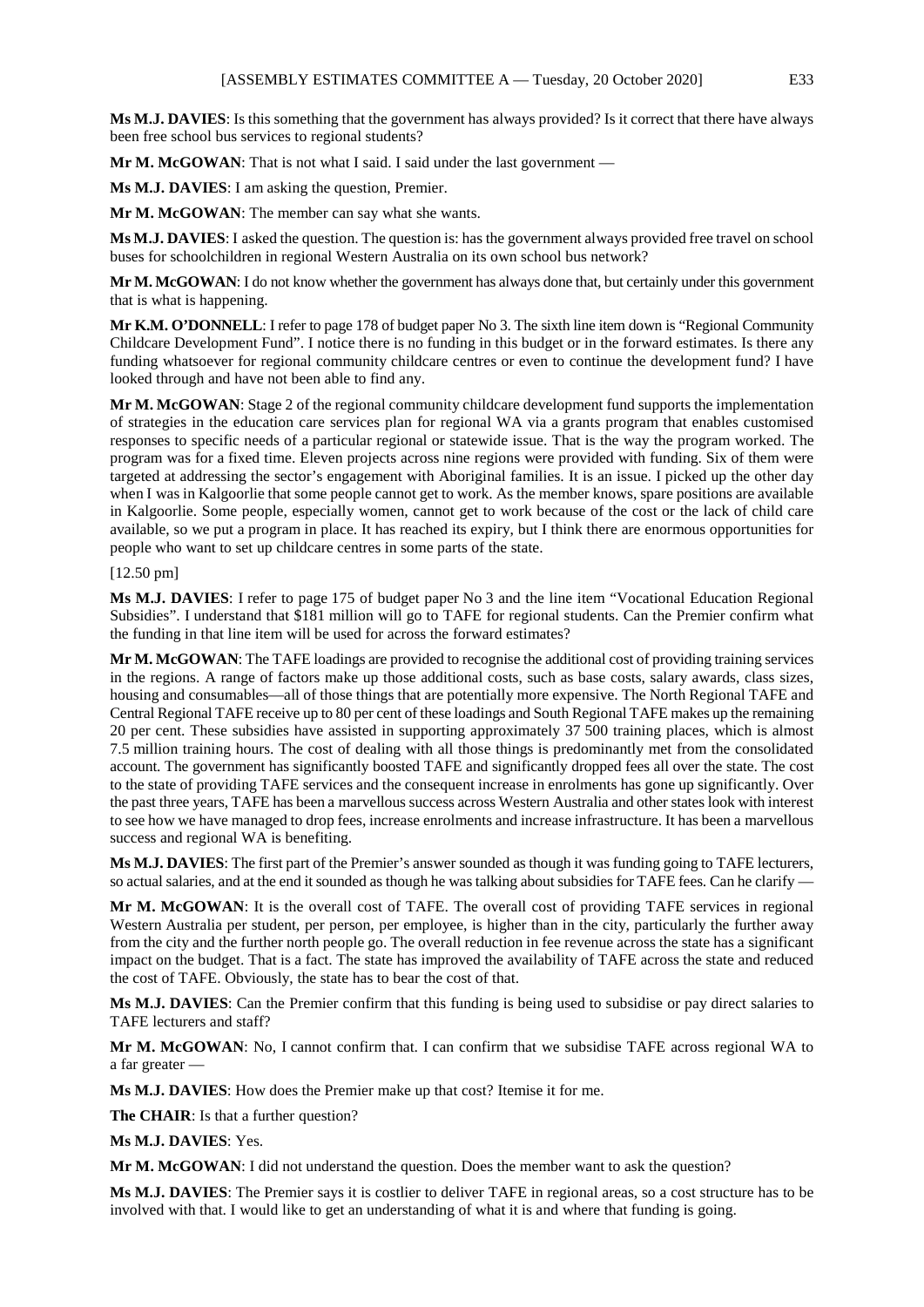**Ms M.J. DAVIES**: Is this something that the government has always provided? Is it correct that there have always been free school bus services to regional students?

**Mr M. McGOWAN**: That is not what I said. I said under the last government —

**Ms M.J. DAVIES**: I am asking the question, Premier.

**Mr M. McGOWAN**: The member can say what she wants.

**Ms M.J. DAVIES**: I asked the question. The question is: has the government always provided free travel on school buses for schoolchildren in regional Western Australia on its own school bus network?

**Mr M. McGOWAN**: I do not know whether the government has always done that, but certainly under this government that is what is happening.

**Mr K.M. O'DONNELL**: I refer to page 178 of budget paper No 3. The sixth line item down is "Regional Community Childcare Development Fund". I notice there is no funding in this budget or in the forward estimates. Is there any funding whatsoever for regional community childcare centres or even to continue the development fund? I have looked through and have not been able to find any.

**Mr M. McGOWAN**: Stage 2 of the regional community childcare development fund supports the implementation of strategies in the education care services plan for regional WA via a grants program that enables customised responses to specific needs of a particular regional or statewide issue. That is the way the program worked. The program was for a fixed time. Eleven projects across nine regions were provided with funding. Six of them were targeted at addressing the sector's engagement with Aboriginal families. It is an issue. I picked up the other day when I was in Kalgoorlie that some people cannot get to work. As the member knows, spare positions are available in Kalgoorlie. Some people, especially women, cannot get to work because of the cost or the lack of child care available, so we put a program in place. It has reached its expiry, but I think there are enormous opportunities for people who want to set up childcare centres in some parts of the state.

#### [12.50 pm]

**Ms M.J. DAVIES**: I refer to page 175 of budget paper No 3 and the line item "Vocational Education Regional Subsidies". I understand that \$181 million will go to TAFE for regional students. Can the Premier confirm what the funding in that line item will be used for across the forward estimates?

**Mr M. McGOWAN**: The TAFE loadings are provided to recognise the additional cost of providing training services in the regions. A range of factors make up those additional costs, such as base costs, salary awards, class sizes, housing and consumables—all of those things that are potentially more expensive. The North Regional TAFE and Central Regional TAFE receive up to 80 per cent of these loadings and South Regional TAFE makes up the remaining 20 per cent. These subsidies have assisted in supporting approximately 37 500 training places, which is almost 7.5 million training hours. The cost of dealing with all those things is predominantly met from the consolidated account. The government has significantly boosted TAFE and significantly dropped fees all over the state. The cost to the state of providing TAFE services and the consequent increase in enrolments has gone up significantly. Over the past three years, TAFE has been a marvellous success across Western Australia and other states look with interest to see how we have managed to drop fees, increase enrolments and increase infrastructure. It has been a marvellous success and regional WA is benefiting.

**Ms M.J. DAVIES**: The first part of the Premier's answer sounded as though it was funding going to TAFE lecturers, so actual salaries, and at the end it sounded as though he was talking about subsidies for TAFE fees. Can he clarify —

**Mr M. McGOWAN**: It is the overall cost of TAFE. The overall cost of providing TAFE services in regional Western Australia per student, per person, per employee, is higher than in the city, particularly the further away from the city and the further north people go. The overall reduction in fee revenue across the state has a significant impact on the budget. That is a fact. The state has improved the availability of TAFE across the state and reduced the cost of TAFE. Obviously, the state has to bear the cost of that.

**Ms M.J. DAVIES**: Can the Premier confirm that this funding is being used to subsidise or pay direct salaries to TAFE lecturers and staff?

**Mr M. McGOWAN**: No, I cannot confirm that. I can confirm that we subsidise TAFE across regional WA to a far greater —

**Ms M.J. DAVIES**: How does the Premier make up that cost? Itemise it for me.

**The CHAIR**: Is that a further question?

**Ms M.J. DAVIES**: Yes.

**Mr M. McGOWAN**: I did not understand the question. Does the member want to ask the question?

**Ms M.J. DAVIES**: The Premier says it is costlier to deliver TAFE in regional areas, so a cost structure has to be involved with that. I would like to get an understanding of what it is and where that funding is going.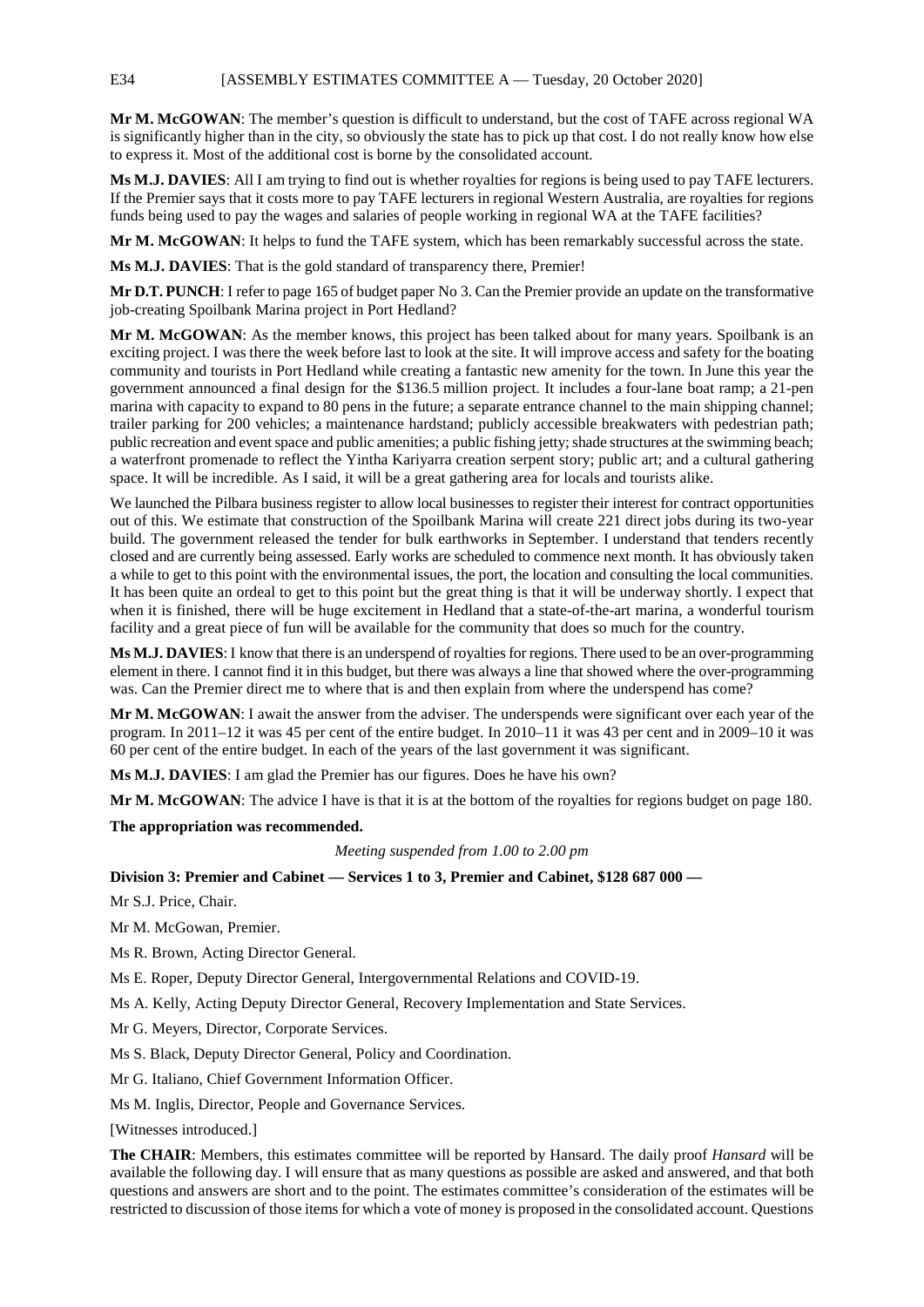**Mr M. McGOWAN**: The member's question is difficult to understand, but the cost of TAFE across regional WA is significantly higher than in the city, so obviously the state has to pick up that cost. I do not really know how else to express it. Most of the additional cost is borne by the consolidated account.

**Ms M.J. DAVIES**: All I am trying to find out is whether royalties for regions is being used to pay TAFE lecturers. If the Premier says that it costs more to pay TAFE lecturers in regional Western Australia, are royalties for regions funds being used to pay the wages and salaries of people working in regional WA at the TAFE facilities?

**Mr M. McGOWAN**: It helps to fund the TAFE system, which has been remarkably successful across the state.

**Ms M.J. DAVIES**: That is the gold standard of transparency there, Premier!

**Mr D.T. PUNCH**: I refer to page 165 of budget paper No 3. Can the Premier provide an update on the transformative job-creating Spoilbank Marina project in Port Hedland?

**Mr M. McGOWAN**: As the member knows, this project has been talked about for many years. Spoilbank is an exciting project. I was there the week before last to look at the site. It will improve access and safety for the boating community and tourists in Port Hedland while creating a fantastic new amenity for the town. In June this year the government announced a final design for the \$136.5 million project. It includes a four-lane boat ramp; a 21-pen marina with capacity to expand to 80 pens in the future; a separate entrance channel to the main shipping channel; trailer parking for 200 vehicles; a maintenance hardstand; publicly accessible breakwaters with pedestrian path; public recreation and event space and public amenities; a public fishing jetty; shade structures at the swimming beach; a waterfront promenade to reflect the Yintha Kariyarra creation serpent story; public art; and a cultural gathering space. It will be incredible. As I said, it will be a great gathering area for locals and tourists alike.

We launched the Pilbara business register to allow local businesses to register their interest for contract opportunities out of this. We estimate that construction of the Spoilbank Marina will create 221 direct jobs during its two-year build. The government released the tender for bulk earthworks in September. I understand that tenders recently closed and are currently being assessed. Early works are scheduled to commence next month. It has obviously taken a while to get to this point with the environmental issues, the port, the location and consulting the local communities. It has been quite an ordeal to get to this point but the great thing is that it will be underway shortly. I expect that when it is finished, there will be huge excitement in Hedland that a state-of-the-art marina, a wonderful tourism facility and a great piece of fun will be available for the community that does so much for the country.

**Ms M.J. DAVIES**: I know that there is an underspend of royalties for regions. There used to be an over-programming element in there. I cannot find it in this budget, but there was always a line that showed where the over-programming was. Can the Premier direct me to where that is and then explain from where the underspend has come?

**Mr M. McGOWAN**: I await the answer from the adviser. The underspends were significant over each year of the program. In 2011–12 it was 45 per cent of the entire budget. In 2010–11 it was 43 per cent and in 2009–10 it was 60 per cent of the entire budget. In each of the years of the last government it was significant.

**Ms M.J. DAVIES**: I am glad the Premier has our figures. Does he have his own?

**Mr M. McGOWAN**: The advice I have is that it is at the bottom of the royalties for regions budget on page 180.

**The appropriation was recommended.**

*Meeting suspended from 1.00 to 2.00 pm*

#### **Division 3: Premier and Cabinet — Services 1 to 3, Premier and Cabinet, \$128 687 000 —**

Mr S.J. Price, Chair.

Mr M. McGowan, Premier.

Ms R. Brown, Acting Director General.

Ms E. Roper, Deputy Director General, Intergovernmental Relations and COVID-19.

Ms A. Kelly, Acting Deputy Director General, Recovery Implementation and State Services.

Mr G. Meyers, Director, Corporate Services.

Ms S. Black, Deputy Director General, Policy and Coordination.

Mr G. Italiano, Chief Government Information Officer.

Ms M. Inglis, Director, People and Governance Services.

[Witnesses introduced.]

**The CHAIR**: Members, this estimates committee will be reported by Hansard. The daily proof *Hansard* will be available the following day. I will ensure that as many questions as possible are asked and answered, and that both questions and answers are short and to the point. The estimates committee's consideration of the estimates will be restricted to discussion of those items for which a vote of money is proposed in the consolidated account. Questions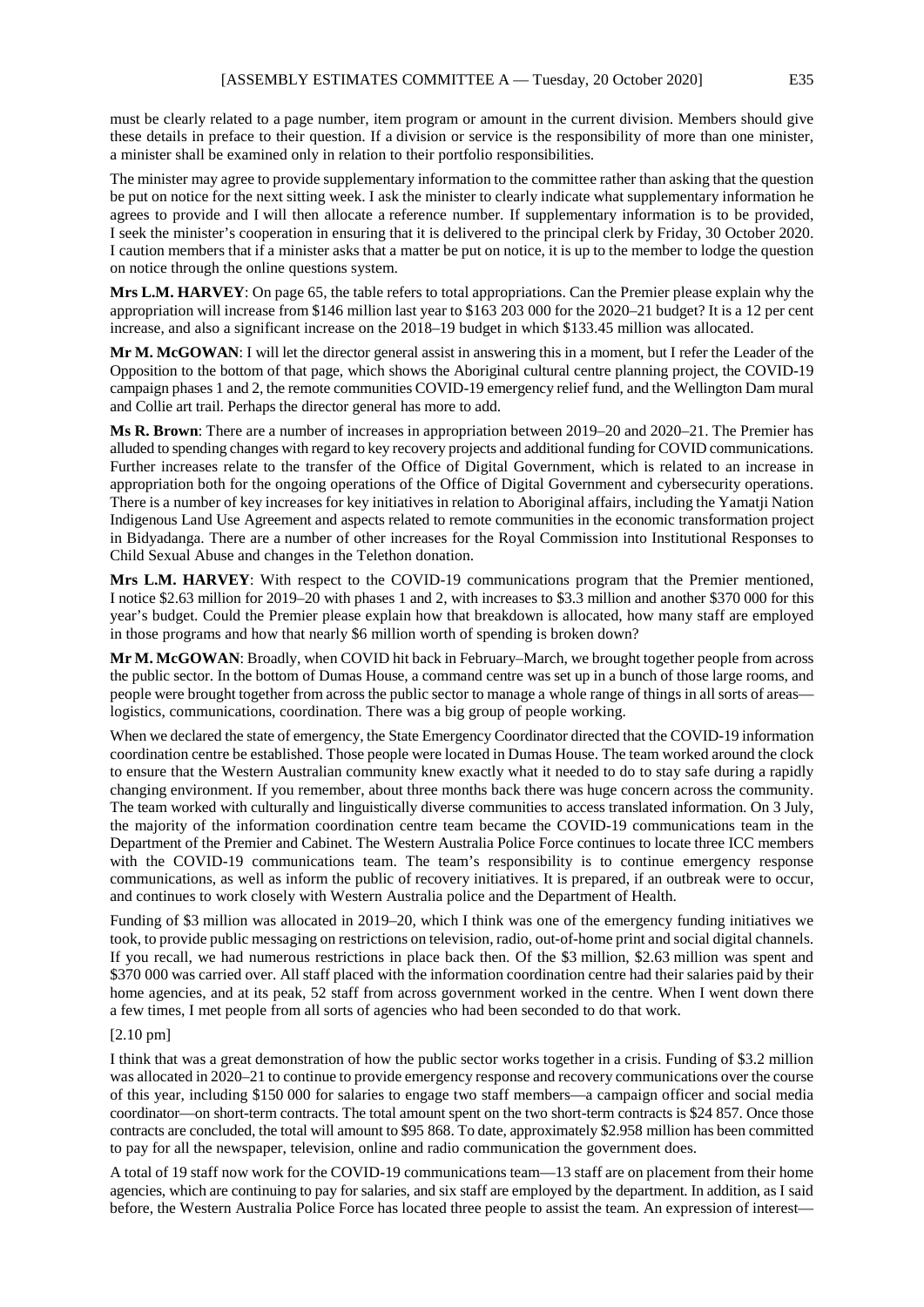must be clearly related to a page number, item program or amount in the current division. Members should give these details in preface to their question. If a division or service is the responsibility of more than one minister, a minister shall be examined only in relation to their portfolio responsibilities.

The minister may agree to provide supplementary information to the committee rather than asking that the question be put on notice for the next sitting week. I ask the minister to clearly indicate what supplementary information he agrees to provide and I will then allocate a reference number. If supplementary information is to be provided, I seek the minister's cooperation in ensuring that it is delivered to the principal clerk by Friday, 30 October 2020. I caution members that if a minister asks that a matter be put on notice, it is up to the member to lodge the question on notice through the online questions system.

**Mrs L.M. HARVEY**: On page 65, the table refers to total appropriations. Can the Premier please explain why the appropriation will increase from \$146 million last year to \$163 203 000 for the 2020–21 budget? It is a 12 per cent increase, and also a significant increase on the 2018–19 budget in which \$133.45 million was allocated.

**Mr M. McGOWAN**: I will let the director general assist in answering this in a moment, but I refer the Leader of the Opposition to the bottom of that page, which shows the Aboriginal cultural centre planning project, the COVID-19 campaign phases 1 and 2, the remote communities COVID-19 emergency relief fund, and the Wellington Dam mural and Collie art trail. Perhaps the director general has more to add.

**Ms R. Brown**: There are a number of increases in appropriation between 2019–20 and 2020–21. The Premier has alluded to spending changes with regard to key recovery projects and additional funding for COVID communications. Further increases relate to the transfer of the Office of Digital Government, which is related to an increase in appropriation both for the ongoing operations of the Office of Digital Government and cybersecurity operations. There is a number of key increases for key initiatives in relation to Aboriginal affairs, including the Yamatji Nation Indigenous Land Use Agreement and aspects related to remote communities in the economic transformation project in Bidyadanga. There are a number of other increases for the Royal Commission into Institutional Responses to Child Sexual Abuse and changes in the Telethon donation.

**Mrs L.M. HARVEY**: With respect to the COVID-19 communications program that the Premier mentioned, I notice \$2.63 million for 2019–20 with phases 1 and 2, with increases to \$3.3 million and another \$370 000 for this year's budget. Could the Premier please explain how that breakdown is allocated, how many staff are employed in those programs and how that nearly \$6 million worth of spending is broken down?

**Mr M. McGOWAN**: Broadly, when COVID hit back in February–March, we brought together people from across the public sector. In the bottom of Dumas House, a command centre was set up in a bunch of those large rooms, and people were brought together from across the public sector to manage a whole range of things in all sorts of areas logistics, communications, coordination. There was a big group of people working.

When we declared the state of emergency, the State Emergency Coordinator directed that the COVID-19 information coordination centre be established. Those people were located in Dumas House. The team worked around the clock to ensure that the Western Australian community knew exactly what it needed to do to stay safe during a rapidly changing environment. If you remember, about three months back there was huge concern across the community. The team worked with culturally and linguistically diverse communities to access translated information. On 3 July, the majority of the information coordination centre team became the COVID-19 communications team in the Department of the Premier and Cabinet. The Western Australia Police Force continues to locate three ICC members with the COVID-19 communications team. The team's responsibility is to continue emergency response communications, as well as inform the public of recovery initiatives. It is prepared, if an outbreak were to occur, and continues to work closely with Western Australia police and the Department of Health.

Funding of \$3 million was allocated in 2019–20, which I think was one of the emergency funding initiatives we took, to provide public messaging on restrictions on television, radio, out-of-home print and social digital channels. If you recall, we had numerous restrictions in place back then. Of the \$3 million, \$2.63 million was spent and \$370 000 was carried over. All staff placed with the information coordination centre had their salaries paid by their home agencies, and at its peak, 52 staff from across government worked in the centre. When I went down there a few times, I met people from all sorts of agencies who had been seconded to do that work.

### [2.10 pm]

I think that was a great demonstration of how the public sector works together in a crisis. Funding of \$3.2 million was allocated in 2020–21 to continue to provide emergency response and recovery communications over the course of this year, including \$150 000 for salaries to engage two staff members—a campaign officer and social media coordinator—on short-term contracts. The total amount spent on the two short-term contracts is \$24 857. Once those contracts are concluded, the total will amount to \$95 868. To date, approximately \$2.958 million has been committed to pay for all the newspaper, television, online and radio communication the government does.

A total of 19 staff now work for the COVID-19 communications team—13 staff are on placement from their home agencies, which are continuing to pay for salaries, and six staff are employed by the department. In addition, as I said before, the Western Australia Police Force has located three people to assist the team. An expression of interest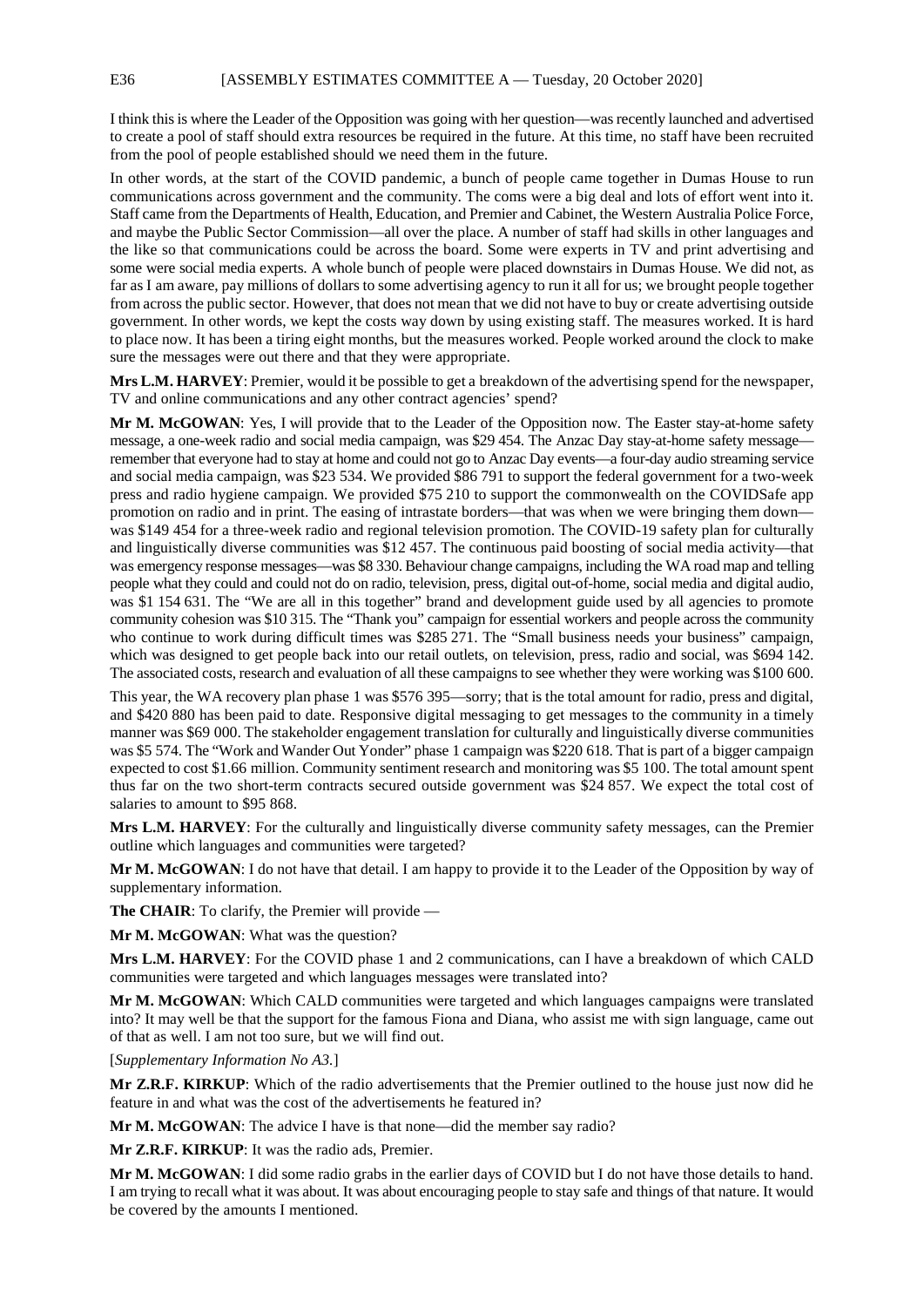I think this is where the Leader of the Opposition was going with her question—was recently launched and advertised to create a pool of staff should extra resources be required in the future. At this time, no staff have been recruited from the pool of people established should we need them in the future.

In other words, at the start of the COVID pandemic, a bunch of people came together in Dumas House to run communications across government and the community. The coms were a big deal and lots of effort went into it. Staff came from the Departments of Health, Education, and Premier and Cabinet, the Western Australia Police Force, and maybe the Public Sector Commission—all over the place. A number of staff had skills in other languages and the like so that communications could be across the board. Some were experts in TV and print advertising and some were social media experts. A whole bunch of people were placed downstairs in Dumas House. We did not, as far as I am aware, pay millions of dollars to some advertising agency to run it all for us; we brought people together from across the public sector. However, that does not mean that we did not have to buy or create advertising outside government. In other words, we kept the costs way down by using existing staff. The measures worked. It is hard to place now. It has been a tiring eight months, but the measures worked. People worked around the clock to make sure the messages were out there and that they were appropriate.

**Mrs L.M. HARVEY**: Premier, would it be possible to get a breakdown of the advertising spend for the newspaper, TV and online communications and any other contract agencies' spend?

**Mr M. McGOWAN**: Yes, I will provide that to the Leader of the Opposition now. The Easter stay-at-home safety message, a one-week radio and social media campaign, was \$29 454. The Anzac Day stay-at-home safety message remember that everyone had to stay at home and could not go to Anzac Day events—a four-day audio streaming service and social media campaign, was \$23 534. We provided \$86 791 to support the federal government for a two-week press and radio hygiene campaign. We provided \$75 210 to support the commonwealth on the COVIDSafe app promotion on radio and in print. The easing of intrastate borders—that was when we were bringing them down was \$149 454 for a three-week radio and regional television promotion. The COVID-19 safety plan for culturally and linguistically diverse communities was \$12 457. The continuous paid boosting of social media activity—that was emergency response messages—was \$8 330. Behaviour change campaigns, including the WA road map and telling people what they could and could not do on radio, television, press, digital out-of-home, social media and digital audio, was \$1 154 631. The "We are all in this together" brand and development guide used by all agencies to promote community cohesion was \$10 315. The "Thank you" campaign for essential workers and people across the community who continue to work during difficult times was \$285 271. The "Small business needs your business" campaign, which was designed to get people back into our retail outlets, on television, press, radio and social, was \$694 142. The associated costs, research and evaluation of all these campaigns to see whether they were working was \$100 600.

This year, the WA recovery plan phase 1 was \$576 395—sorry; that is the total amount for radio, press and digital, and \$420 880 has been paid to date. Responsive digital messaging to get messages to the community in a timely manner was \$69 000. The stakeholder engagement translation for culturally and linguistically diverse communities was \$5 574. The "Work and Wander Out Yonder" phase 1 campaign was \$220 618. That is part of a bigger campaign expected to cost \$1.66 million. Community sentiment research and monitoring was \$5 100. The total amount spent thus far on the two short-term contracts secured outside government was \$24 857. We expect the total cost of salaries to amount to \$95 868.

**Mrs L.M. HARVEY**: For the culturally and linguistically diverse community safety messages, can the Premier outline which languages and communities were targeted?

**Mr M. McGOWAN**: I do not have that detail. I am happy to provide it to the Leader of the Opposition by way of supplementary information.

**The CHAIR**: To clarify, the Premier will provide —

**Mr M. McGOWAN**: What was the question?

**Mrs L.M. HARVEY**: For the COVID phase 1 and 2 communications, can I have a breakdown of which CALD communities were targeted and which languages messages were translated into?

**Mr M. McGOWAN**: Which CALD communities were targeted and which languages campaigns were translated into? It may well be that the support for the famous Fiona and Diana, who assist me with sign language, came out of that as well. I am not too sure, but we will find out.

[*Supplementary Information No A3.*]

**Mr Z.R.F. KIRKUP**: Which of the radio advertisements that the Premier outlined to the house just now did he feature in and what was the cost of the advertisements he featured in?

**Mr M. McGOWAN**: The advice I have is that none—did the member say radio?

**Mr Z.R.F. KIRKUP**: It was the radio ads, Premier.

**Mr M. McGOWAN**: I did some radio grabs in the earlier days of COVID but I do not have those details to hand. I am trying to recall what it was about. It was about encouraging people to stay safe and things of that nature. It would be covered by the amounts I mentioned.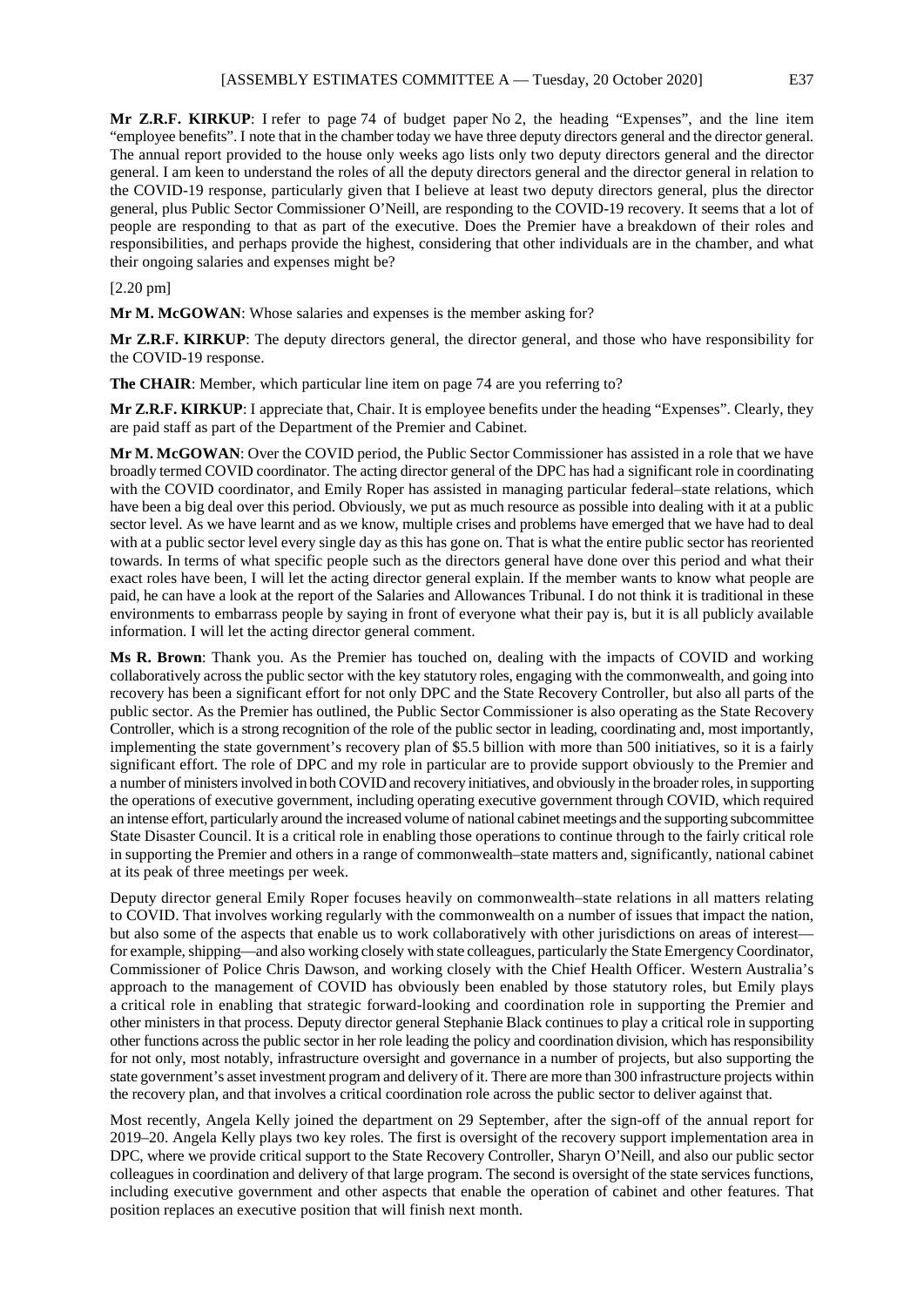**Mr Z.R.F. KIRKUP**: I refer to page 74 of budget paper No 2, the heading "Expenses", and the line item "employee benefits". I note that in the chamber today we have three deputy directors general and the director general. The annual report provided to the house only weeks ago lists only two deputy directors general and the director general. I am keen to understand the roles of all the deputy directors general and the director general in relation to the COVID-19 response, particularly given that I believe at least two deputy directors general, plus the director general, plus Public Sector Commissioner O'Neill, are responding to the COVID-19 recovery. It seems that a lot of people are responding to that as part of the executive. Does the Premier have a breakdown of their roles and responsibilities, and perhaps provide the highest, considering that other individuals are in the chamber, and what their ongoing salaries and expenses might be?

## [2.20 pm]

**Mr M. McGOWAN**: Whose salaries and expenses is the member asking for?

**Mr Z.R.F. KIRKUP**: The deputy directors general, the director general, and those who have responsibility for the COVID-19 response.

**The CHAIR**: Member, which particular line item on page 74 are you referring to?

**Mr Z.R.F. KIRKUP**: I appreciate that, Chair. It is employee benefits under the heading "Expenses". Clearly, they are paid staff as part of the Department of the Premier and Cabinet.

**Mr M. McGOWAN**: Over the COVID period, the Public Sector Commissioner has assisted in a role that we have broadly termed COVID coordinator. The acting director general of the DPC has had a significant role in coordinating with the COVID coordinator, and Emily Roper has assisted in managing particular federal–state relations, which have been a big deal over this period. Obviously, we put as much resource as possible into dealing with it at a public sector level. As we have learnt and as we know, multiple crises and problems have emerged that we have had to deal with at a public sector level every single day as this has gone on. That is what the entire public sector has reoriented towards. In terms of what specific people such as the directors general have done over this period and what their exact roles have been, I will let the acting director general explain. If the member wants to know what people are paid, he can have a look at the report of the Salaries and Allowances Tribunal. I do not think it is traditional in these environments to embarrass people by saying in front of everyone what their pay is, but it is all publicly available information. I will let the acting director general comment.

**Ms R. Brown**: Thank you. As the Premier has touched on, dealing with the impacts of COVID and working collaboratively across the public sector with the key statutory roles, engaging with the commonwealth, and going into recovery has been a significant effort for not only DPC and the State Recovery Controller, but also all parts of the public sector. As the Premier has outlined, the Public Sector Commissioner is also operating as the State Recovery Controller, which is a strong recognition of the role of the public sector in leading, coordinating and, most importantly, implementing the state government's recovery plan of \$5.5 billion with more than 500 initiatives, so it is a fairly significant effort. The role of DPC and my role in particular are to provide support obviously to the Premier and a number of ministers involved in both COVID and recovery initiatives, and obviously in the broader roles, in supporting the operations of executive government, including operating executive government through COVID, which required an intense effort, particularly around the increased volume of national cabinet meetings and the supporting subcommittee State Disaster Council. It is a critical role in enabling those operations to continue through to the fairly critical role in supporting the Premier and others in a range of commonwealth–state matters and, significantly, national cabinet at its peak of three meetings per week.

Deputy director general Emily Roper focuses heavily on commonwealth–state relations in all matters relating to COVID. That involves working regularly with the commonwealth on a number of issues that impact the nation, but also some of the aspects that enable us to work collaboratively with other jurisdictions on areas of interest for example, shipping—and also working closely with state colleagues, particularly the State Emergency Coordinator, Commissioner of Police Chris Dawson, and working closely with the Chief Health Officer. Western Australia's approach to the management of COVID has obviously been enabled by those statutory roles, but Emily plays a critical role in enabling that strategic forward-looking and coordination role in supporting the Premier and other ministers in that process. Deputy director general Stephanie Black continues to play a critical role in supporting other functions across the public sector in her role leading the policy and coordination division, which has responsibility for not only, most notably, infrastructure oversight and governance in a number of projects, but also supporting the state government's asset investment program and delivery of it. There are more than 300 infrastructure projects within the recovery plan, and that involves a critical coordination role across the public sector to deliver against that.

Most recently, Angela Kelly joined the department on 29 September, after the sign-off of the annual report for 2019–20. Angela Kelly plays two key roles. The first is oversight of the recovery support implementation area in DPC, where we provide critical support to the State Recovery Controller, Sharyn O'Neill, and also our public sector colleagues in coordination and delivery of that large program. The second is oversight of the state services functions, including executive government and other aspects that enable the operation of cabinet and other features. That position replaces an executive position that will finish next month.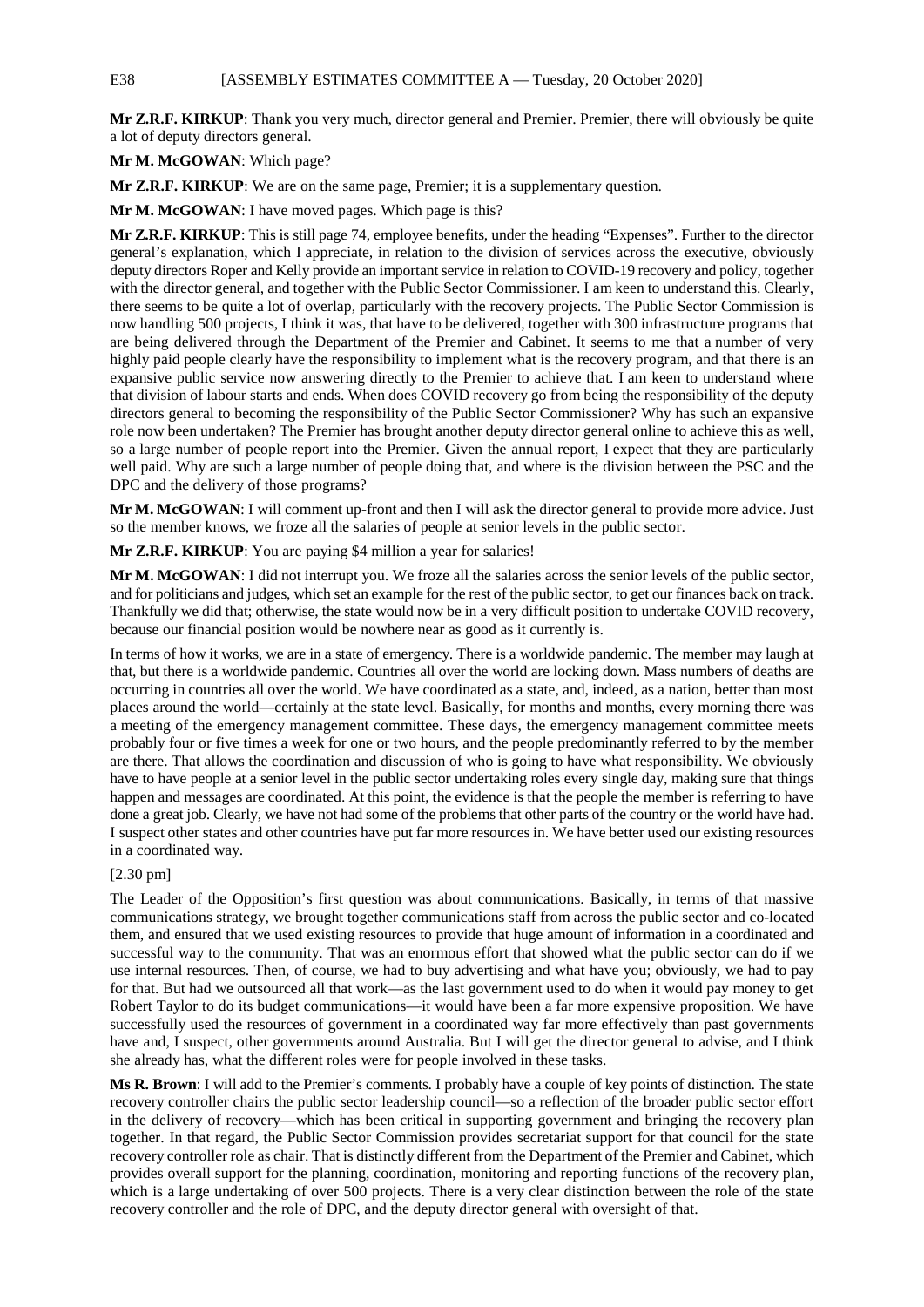**Mr Z.R.F. KIRKUP**: Thank you very much, director general and Premier. Premier, there will obviously be quite a lot of deputy directors general.

**Mr M. McGOWAN**: Which page?

**Mr Z.R.F. KIRKUP**: We are on the same page, Premier; it is a supplementary question.

**Mr M. McGOWAN**: I have moved pages. Which page is this?

**Mr Z.R.F. KIRKUP**: This is still page 74, employee benefits, under the heading "Expenses". Further to the director general's explanation, which I appreciate, in relation to the division of services across the executive, obviously deputy directors Roper and Kelly provide an important service in relation to COVID-19 recovery and policy, together with the director general, and together with the Public Sector Commissioner. I am keen to understand this. Clearly, there seems to be quite a lot of overlap, particularly with the recovery projects. The Public Sector Commission is now handling 500 projects, I think it was, that have to be delivered, together with 300 infrastructure programs that are being delivered through the Department of the Premier and Cabinet. It seems to me that a number of very highly paid people clearly have the responsibility to implement what is the recovery program, and that there is an expansive public service now answering directly to the Premier to achieve that. I am keen to understand where that division of labour starts and ends. When does COVID recovery go from being the responsibility of the deputy directors general to becoming the responsibility of the Public Sector Commissioner? Why has such an expansive role now been undertaken? The Premier has brought another deputy director general online to achieve this as well, so a large number of people report into the Premier. Given the annual report, I expect that they are particularly well paid. Why are such a large number of people doing that, and where is the division between the PSC and the DPC and the delivery of those programs?

**Mr M. McGOWAN**: I will comment up-front and then I will ask the director general to provide more advice. Just so the member knows, we froze all the salaries of people at senior levels in the public sector.

**Mr Z.R.F. KIRKUP**: You are paying \$4 million a year for salaries!

**Mr M. McGOWAN**: I did not interrupt you. We froze all the salaries across the senior levels of the public sector, and for politicians and judges, which set an example for the rest of the public sector, to get our finances back on track. Thankfully we did that; otherwise, the state would now be in a very difficult position to undertake COVID recovery, because our financial position would be nowhere near as good as it currently is.

In terms of how it works, we are in a state of emergency. There is a worldwide pandemic. The member may laugh at that, but there is a worldwide pandemic. Countries all over the world are locking down. Mass numbers of deaths are occurring in countries all over the world. We have coordinated as a state, and, indeed, as a nation, better than most places around the world—certainly at the state level. Basically, for months and months, every morning there was a meeting of the emergency management committee. These days, the emergency management committee meets probably four or five times a week for one or two hours, and the people predominantly referred to by the member are there. That allows the coordination and discussion of who is going to have what responsibility. We obviously have to have people at a senior level in the public sector undertaking roles every single day, making sure that things happen and messages are coordinated. At this point, the evidence is that the people the member is referring to have done a great job. Clearly, we have not had some of the problems that other parts of the country or the world have had. I suspect other states and other countries have put far more resources in. We have better used our existing resources in a coordinated way.

# [2.30 pm]

The Leader of the Opposition's first question was about communications. Basically, in terms of that massive communications strategy, we brought together communications staff from across the public sector and co-located them, and ensured that we used existing resources to provide that huge amount of information in a coordinated and successful way to the community. That was an enormous effort that showed what the public sector can do if we use internal resources. Then, of course, we had to buy advertising and what have you; obviously, we had to pay for that. But had we outsourced all that work—as the last government used to do when it would pay money to get Robert Taylor to do its budget communications—it would have been a far more expensive proposition. We have successfully used the resources of government in a coordinated way far more effectively than past governments have and, I suspect, other governments around Australia. But I will get the director general to advise, and I think she already has, what the different roles were for people involved in these tasks.

**Ms R. Brown**: I will add to the Premier's comments. I probably have a couple of key points of distinction. The state recovery controller chairs the public sector leadership council—so a reflection of the broader public sector effort in the delivery of recovery—which has been critical in supporting government and bringing the recovery plan together. In that regard, the Public Sector Commission provides secretariat support for that council for the state recovery controller role as chair. That is distinctly different from the Department of the Premier and Cabinet, which provides overall support for the planning, coordination, monitoring and reporting functions of the recovery plan, which is a large undertaking of over 500 projects. There is a very clear distinction between the role of the state recovery controller and the role of DPC, and the deputy director general with oversight of that.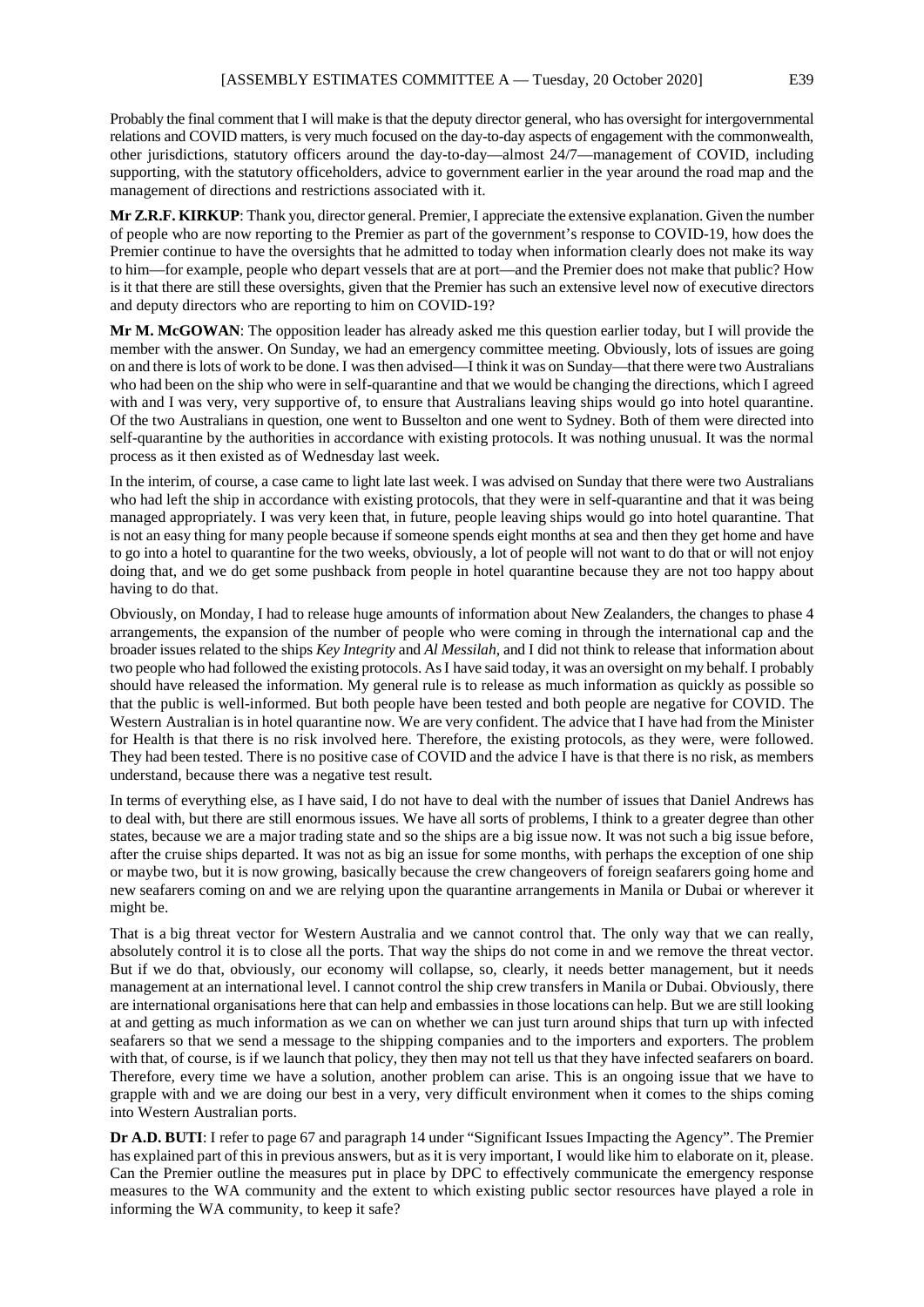Probably the final comment that I will make is that the deputy director general, who has oversight for intergovernmental relations and COVID matters, is very much focused on the day-to-day aspects of engagement with the commonwealth, other jurisdictions, statutory officers around the day-to-day—almost 24/7—management of COVID, including supporting, with the statutory officeholders, advice to government earlier in the year around the road map and the management of directions and restrictions associated with it.

**Mr Z.R.F. KIRKUP**: Thank you, director general. Premier, I appreciate the extensive explanation. Given the number of people who are now reporting to the Premier as part of the government's response to COVID-19, how does the Premier continue to have the oversights that he admitted to today when information clearly does not make its way to him—for example, people who depart vessels that are at port—and the Premier does not make that public? How is it that there are still these oversights, given that the Premier has such an extensive level now of executive directors and deputy directors who are reporting to him on COVID-19?

**Mr M. McGOWAN**: The opposition leader has already asked me this question earlier today, but I will provide the member with the answer. On Sunday, we had an emergency committee meeting. Obviously, lots of issues are going on and there is lots of work to be done. I was then advised—I think it was on Sunday—that there were two Australians who had been on the ship who were in self-quarantine and that we would be changing the directions, which I agreed with and I was very, very supportive of, to ensure that Australians leaving ships would go into hotel quarantine. Of the two Australians in question, one went to Busselton and one went to Sydney. Both of them were directed into self-quarantine by the authorities in accordance with existing protocols. It was nothing unusual. It was the normal process as it then existed as of Wednesday last week.

In the interim, of course, a case came to light late last week. I was advised on Sunday that there were two Australians who had left the ship in accordance with existing protocols, that they were in self-quarantine and that it was being managed appropriately. I was very keen that, in future, people leaving ships would go into hotel quarantine. That is not an easy thing for many people because if someone spends eight months at sea and then they get home and have to go into a hotel to quarantine for the two weeks, obviously, a lot of people will not want to do that or will not enjoy doing that, and we do get some pushback from people in hotel quarantine because they are not too happy about having to do that.

Obviously, on Monday, I had to release huge amounts of information about New Zealanders, the changes to phase 4 arrangements, the expansion of the number of people who were coming in through the international cap and the broader issues related to the ships *Key Integrity* and *Al Messilah*, and I did not think to release that information about two people who had followed the existing protocols. AsI have said today, it was an oversight on my behalf. I probably should have released the information. My general rule is to release as much information as quickly as possible so that the public is well-informed. But both people have been tested and both people are negative for COVID. The Western Australian is in hotel quarantine now. We are very confident. The advice that I have had from the Minister for Health is that there is no risk involved here. Therefore, the existing protocols, as they were, were followed. They had been tested. There is no positive case of COVID and the advice I have is that there is no risk, as members understand, because there was a negative test result.

In terms of everything else, as I have said, I do not have to deal with the number of issues that Daniel Andrews has to deal with, but there are still enormous issues. We have all sorts of problems, I think to a greater degree than other states, because we are a major trading state and so the ships are a big issue now. It was not such a big issue before, after the cruise ships departed. It was not as big an issue for some months, with perhaps the exception of one ship or maybe two, but it is now growing, basically because the crew changeovers of foreign seafarers going home and new seafarers coming on and we are relying upon the quarantine arrangements in Manila or Dubai or wherever it might be.

That is a big threat vector for Western Australia and we cannot control that. The only way that we can really, absolutely control it is to close all the ports. That way the ships do not come in and we remove the threat vector. But if we do that, obviously, our economy will collapse, so, clearly, it needs better management, but it needs management at an international level. I cannot control the ship crew transfers in Manila or Dubai. Obviously, there are international organisations here that can help and embassies in those locations can help. But we are still looking at and getting as much information as we can on whether we can just turn around ships that turn up with infected seafarers so that we send a message to the shipping companies and to the importers and exporters. The problem with that, of course, is if we launch that policy, they then may not tell us that they have infected seafarers on board. Therefore, every time we have a solution, another problem can arise. This is an ongoing issue that we have to grapple with and we are doing our best in a very, very difficult environment when it comes to the ships coming into Western Australian ports.

**Dr A.D. BUTI**: I refer to page 67 and paragraph 14 under "Significant Issues Impacting the Agency". The Premier has explained part of this in previous answers, but as it is very important, I would like him to elaborate on it, please. Can the Premier outline the measures put in place by DPC to effectively communicate the emergency response measures to the WA community and the extent to which existing public sector resources have played a role in informing the WA community, to keep it safe?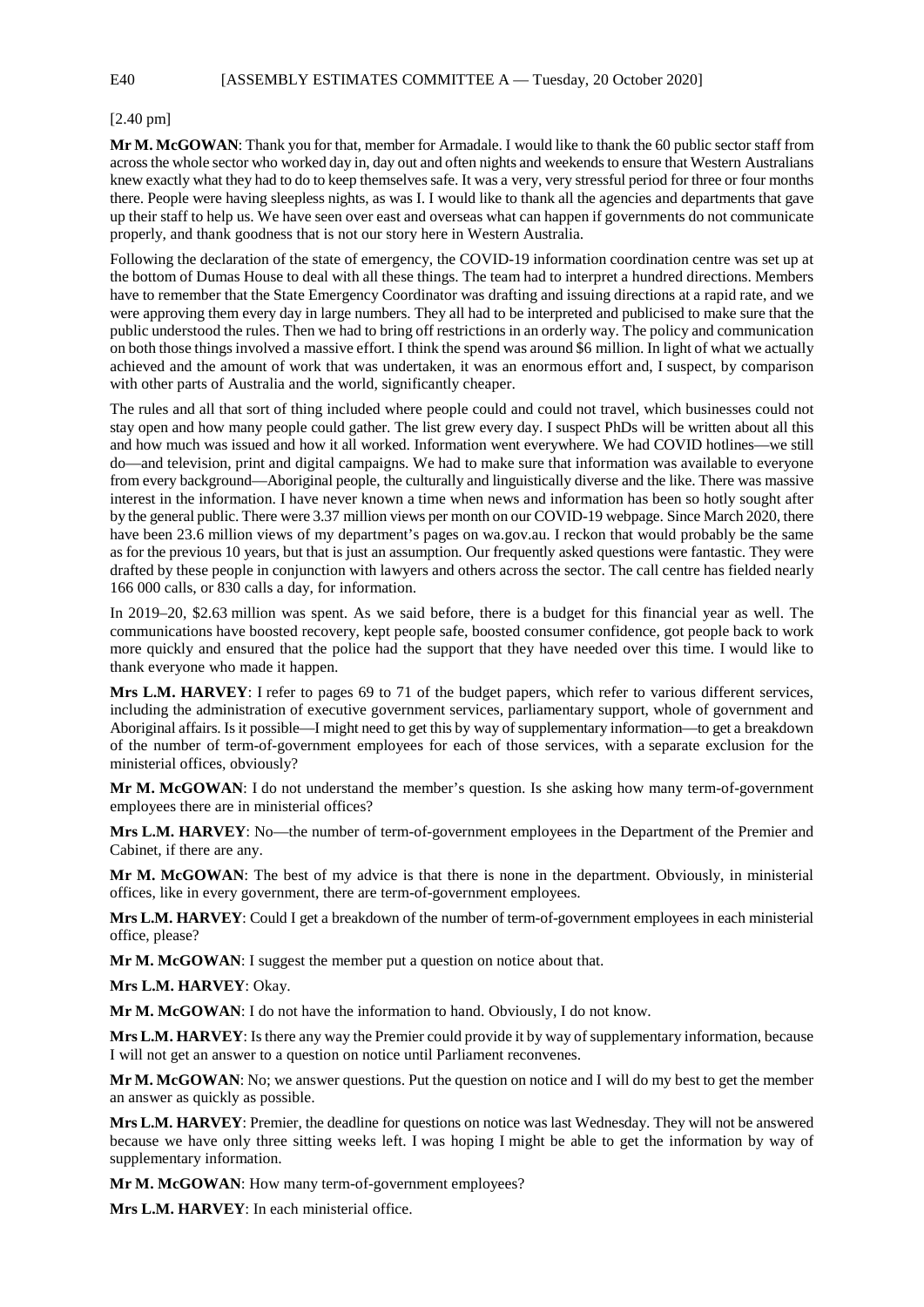## [2.40 pm]

**Mr M. McGOWAN**: Thank you for that, member for Armadale. I would like to thank the 60 public sector staff from across the whole sector who worked day in, day out and often nights and weekends to ensure that Western Australians knew exactly what they had to do to keep themselves safe. It was a very, very stressful period for three or four months there. People were having sleepless nights, as was I. I would like to thank all the agencies and departments that gave up their staff to help us. We have seen over east and overseas what can happen if governments do not communicate properly, and thank goodness that is not our story here in Western Australia.

Following the declaration of the state of emergency, the COVID-19 information coordination centre was set up at the bottom of Dumas House to deal with all these things. The team had to interpret a hundred directions. Members have to remember that the State Emergency Coordinator was drafting and issuing directions at a rapid rate, and we were approving them every day in large numbers. They all had to be interpreted and publicised to make sure that the public understood the rules. Then we had to bring off restrictions in an orderly way. The policy and communication on both those things involved a massive effort. I think the spend was around \$6 million. In light of what we actually achieved and the amount of work that was undertaken, it was an enormous effort and, I suspect, by comparison with other parts of Australia and the world, significantly cheaper.

The rules and all that sort of thing included where people could and could not travel, which businesses could not stay open and how many people could gather. The list grew every day. I suspect PhDs will be written about all this and how much was issued and how it all worked. Information went everywhere. We had COVID hotlines—we still do—and television, print and digital campaigns. We had to make sure that information was available to everyone from every background—Aboriginal people, the culturally and linguistically diverse and the like. There was massive interest in the information. I have never known a time when news and information has been so hotly sought after by the general public. There were 3.37 million views per month on our COVID-19 webpage. Since March 2020, there have been 23.6 million views of my department's pages on wa.gov.au. I reckon that would probably be the same as for the previous 10 years, but that is just an assumption. Our frequently asked questions were fantastic. They were drafted by these people in conjunction with lawyers and others across the sector. The call centre has fielded nearly 166 000 calls, or 830 calls a day, for information.

In 2019–20, \$2.63 million was spent. As we said before, there is a budget for this financial year as well. The communications have boosted recovery, kept people safe, boosted consumer confidence, got people back to work more quickly and ensured that the police had the support that they have needed over this time. I would like to thank everyone who made it happen.

**Mrs L.M. HARVEY**: I refer to pages 69 to 71 of the budget papers, which refer to various different services, including the administration of executive government services, parliamentary support, whole of government and Aboriginal affairs. Is it possible—I might need to get this by way of supplementary information—to get a breakdown of the number of term-of-government employees for each of those services, with a separate exclusion for the ministerial offices, obviously?

**Mr M. McGOWAN**: I do not understand the member's question. Is she asking how many term-of-government employees there are in ministerial offices?

**Mrs L.M. HARVEY**: No—the number of term-of-government employees in the Department of the Premier and Cabinet, if there are any.

**Mr M. McGOWAN**: The best of my advice is that there is none in the department. Obviously, in ministerial offices, like in every government, there are term-of-government employees.

**Mrs L.M. HARVEY**: Could I get a breakdown of the number of term-of-government employees in each ministerial office, please?

**Mr M. McGOWAN**: I suggest the member put a question on notice about that.

**Mrs L.M. HARVEY**: Okay.

**Mr M. McGOWAN**: I do not have the information to hand. Obviously, I do not know.

**Mrs L.M. HARVEY**: Is there any way the Premier could provide it by way of supplementary information, because I will not get an answer to a question on notice until Parliament reconvenes.

**Mr M. McGOWAN**: No; we answer questions. Put the question on notice and I will do my best to get the member an answer as quickly as possible.

**Mrs L.M. HARVEY**: Premier, the deadline for questions on notice was last Wednesday. They will not be answered because we have only three sitting weeks left. I was hoping I might be able to get the information by way of supplementary information.

**Mr M. McGOWAN**: How many term-of-government employees?

**Mrs L.M. HARVEY**: In each ministerial office.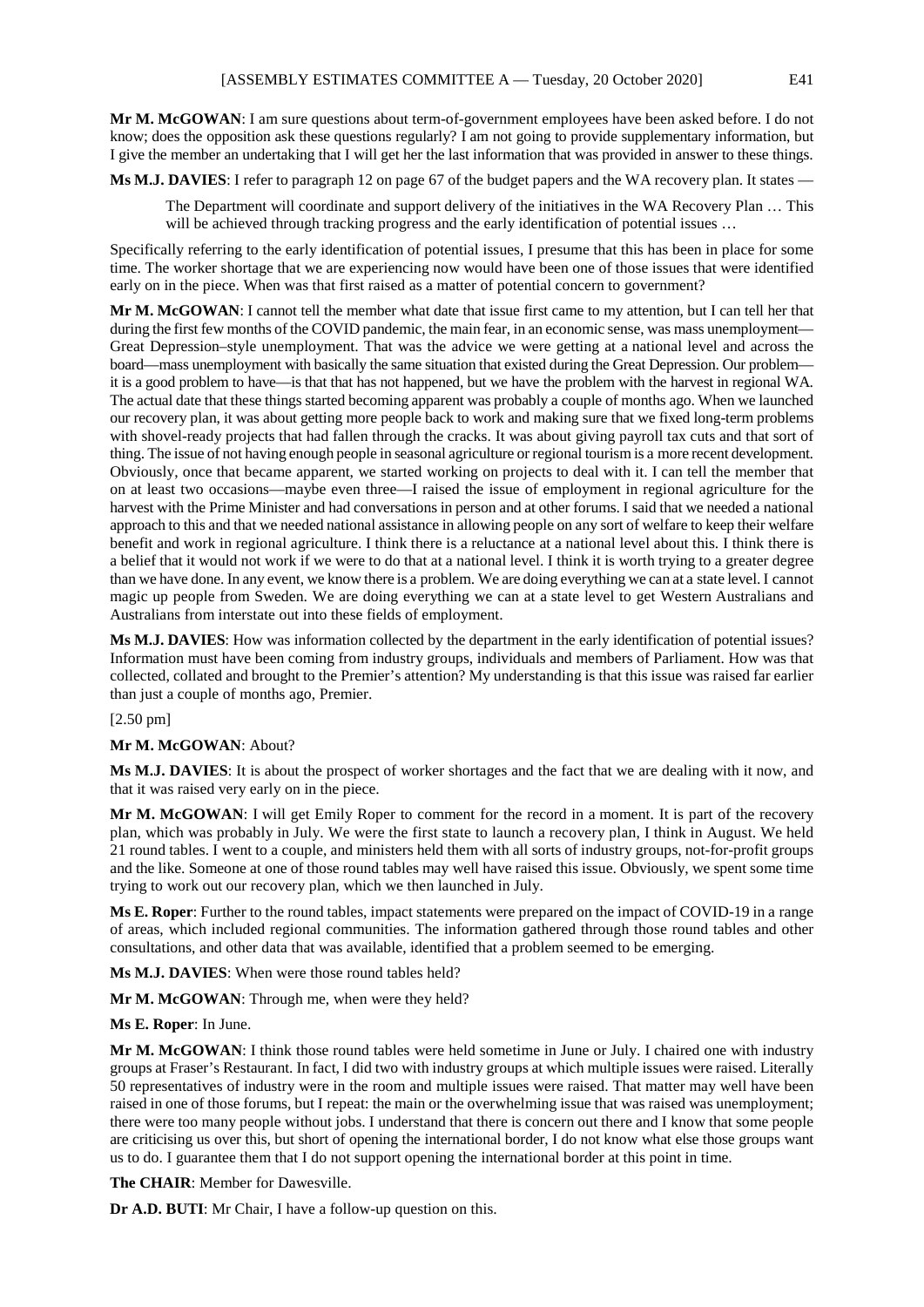**Mr M. McGOWAN**: I am sure questions about term-of-government employees have been asked before. I do not know; does the opposition ask these questions regularly? I am not going to provide supplementary information, but I give the member an undertaking that I will get her the last information that was provided in answer to these things.

**Ms M.J. DAVIES**: I refer to paragraph 12 on page 67 of the budget papers and the WA recovery plan. It states —

The Department will coordinate and support delivery of the initiatives in the WA Recovery Plan … This will be achieved through tracking progress and the early identification of potential issues ...

Specifically referring to the early identification of potential issues, I presume that this has been in place for some time. The worker shortage that we are experiencing now would have been one of those issues that were identified early on in the piece. When was that first raised as a matter of potential concern to government?

**Mr M. McGOWAN**: I cannot tell the member what date that issue first came to my attention, but I can tell her that during the first few months of the COVID pandemic, the main fear, in an economic sense, was mass unemployment-Great Depression–style unemployment. That was the advice we were getting at a national level and across the board—mass unemployment with basically the same situation that existed during the Great Depression. Our problem it is a good problem to have—is that that has not happened, but we have the problem with the harvest in regional WA. The actual date that these things started becoming apparent was probably a couple of months ago. When we launched our recovery plan, it was about getting more people back to work and making sure that we fixed long-term problems with shovel-ready projects that had fallen through the cracks. It was about giving payroll tax cuts and that sort of thing. The issue of not having enough people in seasonal agriculture or regional tourism is a more recent development. Obviously, once that became apparent, we started working on projects to deal with it. I can tell the member that on at least two occasions—maybe even three—I raised the issue of employment in regional agriculture for the harvest with the Prime Minister and had conversations in person and at other forums. I said that we needed a national approach to this and that we needed national assistance in allowing people on any sort of welfare to keep their welfare benefit and work in regional agriculture. I think there is a reluctance at a national level about this. I think there is a belief that it would not work if we were to do that at a national level. I think it is worth trying to a greater degree than we have done. In any event, we know there is a problem. We are doing everything we can at a state level. I cannot magic up people from Sweden. We are doing everything we can at a state level to get Western Australians and Australians from interstate out into these fields of employment.

**Ms M.J. DAVIES**: How was information collected by the department in the early identification of potential issues? Information must have been coming from industry groups, individuals and members of Parliament. How was that collected, collated and brought to the Premier's attention? My understanding is that this issue was raised far earlier than just a couple of months ago, Premier.

[2.50 pm]

## **Mr M. McGOWAN**: About?

**Ms M.J. DAVIES**: It is about the prospect of worker shortages and the fact that we are dealing with it now, and that it was raised very early on in the piece.

**Mr M. McGOWAN**: I will get Emily Roper to comment for the record in a moment. It is part of the recovery plan, which was probably in July. We were the first state to launch a recovery plan, I think in August. We held 21 round tables. I went to a couple, and ministers held them with all sorts of industry groups, not-for-profit groups and the like. Someone at one of those round tables may well have raised this issue. Obviously, we spent some time trying to work out our recovery plan, which we then launched in July.

**Ms E. Roper**: Further to the round tables, impact statements were prepared on the impact of COVID-19 in a range of areas, which included regional communities. The information gathered through those round tables and other consultations, and other data that was available, identified that a problem seemed to be emerging.

**Ms M.J. DAVIES**: When were those round tables held?

**Mr M. McGOWAN**: Through me, when were they held?

## **Ms E. Roper**: In June.

**Mr M. McGOWAN**: I think those round tables were held sometime in June or July. I chaired one with industry groups at Fraser's Restaurant. In fact, I did two with industry groups at which multiple issues were raised. Literally 50 representatives of industry were in the room and multiple issues were raised. That matter may well have been raised in one of those forums, but I repeat: the main or the overwhelming issue that was raised was unemployment; there were too many people without jobs. I understand that there is concern out there and I know that some people are criticising us over this, but short of opening the international border, I do not know what else those groups want us to do. I guarantee them that I do not support opening the international border at this point in time.

**The CHAIR**: Member for Dawesville.

**Dr A.D. BUTI**: Mr Chair, I have a follow-up question on this.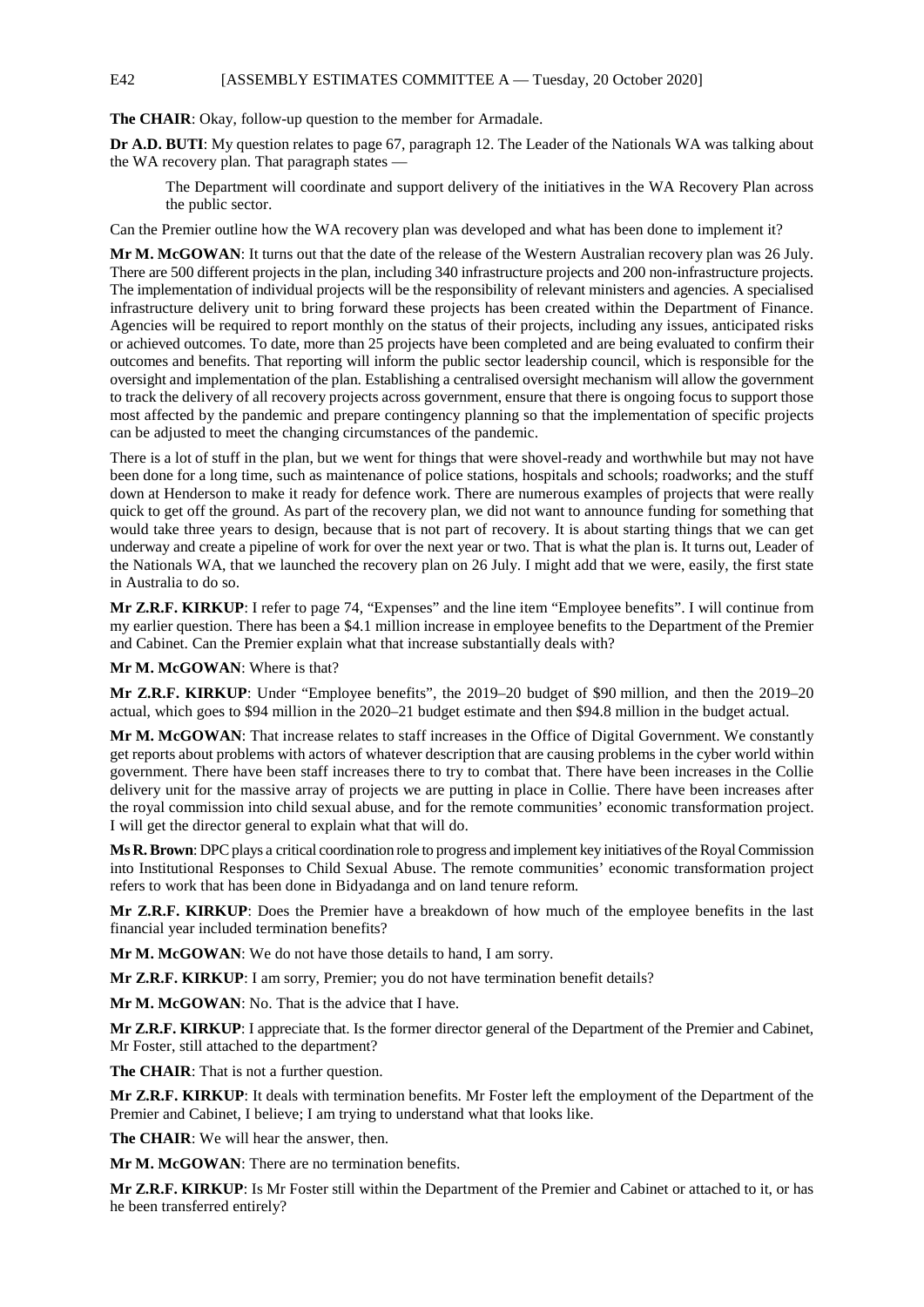# E42 [ASSEMBLY ESTIMATES COMMITTEE A — Tuesday, 20 October 2020]

**The CHAIR**: Okay, follow-up question to the member for Armadale.

**Dr A.D. BUTI**: My question relates to page 67, paragraph 12. The Leader of the Nationals WA was talking about the WA recovery plan. That paragraph states —

The Department will coordinate and support delivery of the initiatives in the WA Recovery Plan across the public sector.

Can the Premier outline how the WA recovery plan was developed and what has been done to implement it?

**Mr M. McGOWAN**: It turns out that the date of the release of the Western Australian recovery plan was 26 July. There are 500 different projects in the plan, including 340 infrastructure projects and 200 non-infrastructure projects. The implementation of individual projects will be the responsibility of relevant ministers and agencies. A specialised infrastructure delivery unit to bring forward these projects has been created within the Department of Finance. Agencies will be required to report monthly on the status of their projects, including any issues, anticipated risks or achieved outcomes. To date, more than 25 projects have been completed and are being evaluated to confirm their outcomes and benefits. That reporting will inform the public sector leadership council, which is responsible for the oversight and implementation of the plan. Establishing a centralised oversight mechanism will allow the government to track the delivery of all recovery projects across government, ensure that there is ongoing focus to support those most affected by the pandemic and prepare contingency planning so that the implementation of specific projects can be adjusted to meet the changing circumstances of the pandemic.

There is a lot of stuff in the plan, but we went for things that were shovel-ready and worthwhile but may not have been done for a long time, such as maintenance of police stations, hospitals and schools; roadworks; and the stuff down at Henderson to make it ready for defence work. There are numerous examples of projects that were really quick to get off the ground. As part of the recovery plan, we did not want to announce funding for something that would take three years to design, because that is not part of recovery. It is about starting things that we can get underway and create a pipeline of work for over the next year or two. That is what the plan is. It turns out, Leader of the Nationals WA, that we launched the recovery plan on 26 July. I might add that we were, easily, the first state in Australia to do so.

**Mr Z.R.F. KIRKUP**: I refer to page 74, "Expenses" and the line item "Employee benefits". I will continue from my earlier question. There has been a \$4.1 million increase in employee benefits to the Department of the Premier and Cabinet. Can the Premier explain what that increase substantially deals with?

**Mr M. McGOWAN**: Where is that?

**Mr Z.R.F. KIRKUP**: Under "Employee benefits", the 2019–20 budget of \$90 million, and then the 2019–20 actual, which goes to \$94 million in the 2020–21 budget estimate and then \$94.8 million in the budget actual.

**Mr M. McGOWAN**: That increase relates to staff increases in the Office of Digital Government. We constantly get reports about problems with actors of whatever description that are causing problems in the cyber world within government. There have been staff increases there to try to combat that. There have been increases in the Collie delivery unit for the massive array of projects we are putting in place in Collie. There have been increases after the royal commission into child sexual abuse, and for the remote communities' economic transformation project. I will get the director general to explain what that will do.

**Ms R. Brown**: DPC plays a critical coordination role to progress and implement key initiatives of the Royal Commission into Institutional Responses to Child Sexual Abuse. The remote communities' economic transformation project refers to work that has been done in Bidyadanga and on land tenure reform.

**Mr Z.R.F. KIRKUP**: Does the Premier have a breakdown of how much of the employee benefits in the last financial year included termination benefits?

**Mr M. McGOWAN**: We do not have those details to hand, I am sorry.

**Mr Z.R.F. KIRKUP**: I am sorry, Premier; you do not have termination benefit details?

**Mr M. McGOWAN**: No. That is the advice that I have.

**Mr Z.R.F. KIRKUP**: I appreciate that. Is the former director general of the Department of the Premier and Cabinet, Mr Foster, still attached to the department?

**The CHAIR**: That is not a further question.

**Mr Z.R.F. KIRKUP**: It deals with termination benefits. Mr Foster left the employment of the Department of the Premier and Cabinet, I believe; I am trying to understand what that looks like.

**The CHAIR**: We will hear the answer, then.

**Mr M. McGOWAN**: There are no termination benefits.

**Mr Z.R.F. KIRKUP**: Is Mr Foster still within the Department of the Premier and Cabinet or attached to it, or has he been transferred entirely?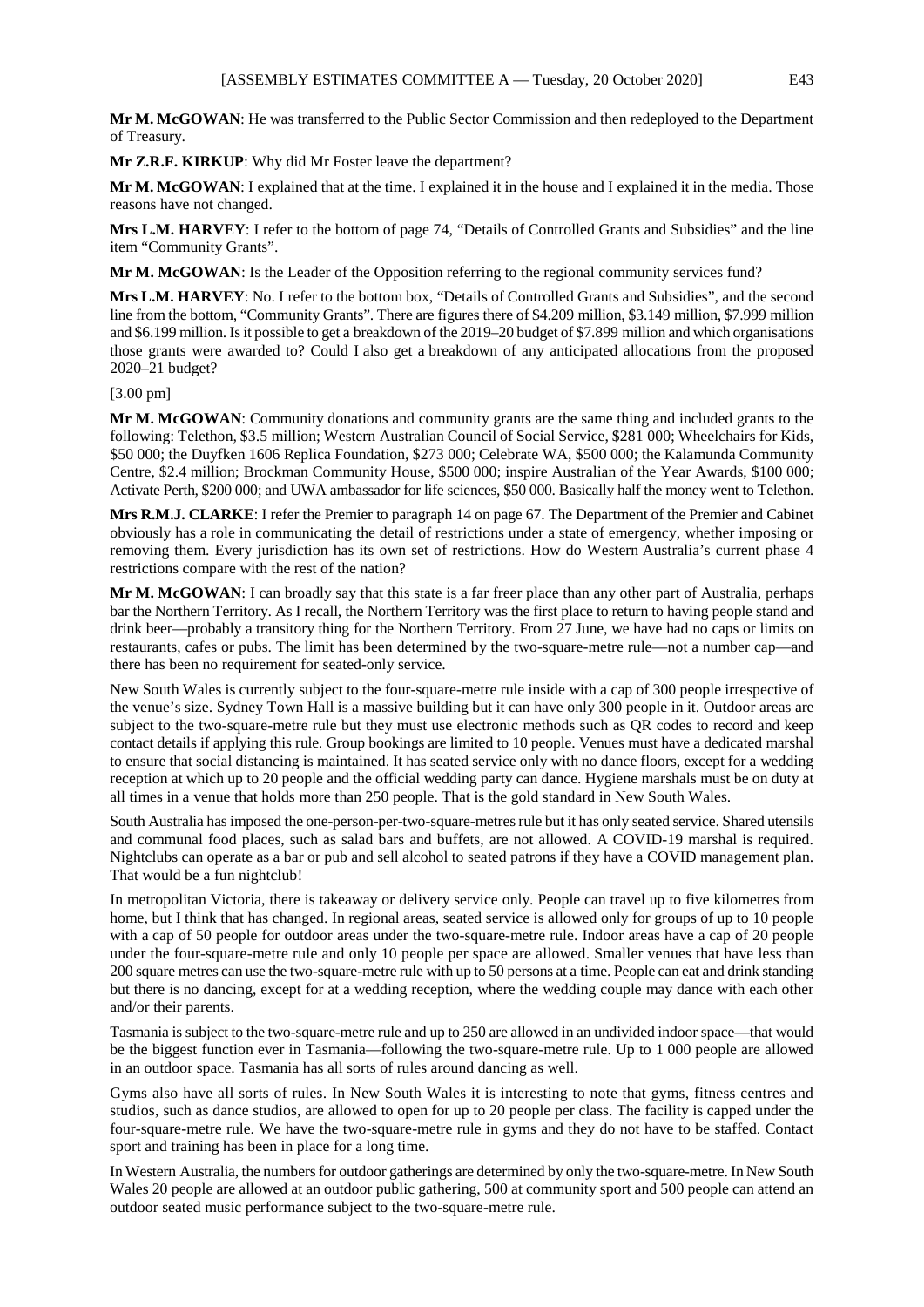**Mr M. McGOWAN**: He was transferred to the Public Sector Commission and then redeployed to the Department of Treasury.

**Mr Z.R.F. KIRKUP**: Why did Mr Foster leave the department?

**Mr M. McGOWAN**: I explained that at the time. I explained it in the house and I explained it in the media. Those reasons have not changed.

**Mrs L.M. HARVEY**: I refer to the bottom of page 74, "Details of Controlled Grants and Subsidies" and the line item "Community Grants".

**Mr M. McGOWAN**: Is the Leader of the Opposition referring to the regional community services fund?

**Mrs L.M. HARVEY**: No. I refer to the bottom box, "Details of Controlled Grants and Subsidies", and the second line from the bottom, "Community Grants". There are figures there of \$4.209 million, \$3.149 million, \$7.999 million and \$6.199 million. Is it possible to get a breakdown of the 2019–20 budget of \$7.899 million and which organisations those grants were awarded to? Could I also get a breakdown of any anticipated allocations from the proposed 2020–21 budget?

### [3.00 pm]

**Mr M. McGOWAN**: Community donations and community grants are the same thing and included grants to the following: Telethon, \$3.5 million; Western Australian Council of Social Service, \$281 000; Wheelchairs for Kids, \$50 000; the Duyfken 1606 Replica Foundation, \$273 000; Celebrate WA, \$500 000; the Kalamunda Community Centre, \$2.4 million; Brockman Community House, \$500 000; inspire Australian of the Year Awards, \$100 000; Activate Perth, \$200 000; and UWA ambassador for life sciences, \$50 000. Basically half the money went to Telethon.

**Mrs R.M.J. CLARKE**: I refer the Premier to paragraph 14 on page 67. The Department of the Premier and Cabinet obviously has a role in communicating the detail of restrictions under a state of emergency, whether imposing or removing them. Every jurisdiction has its own set of restrictions. How do Western Australia's current phase 4 restrictions compare with the rest of the nation?

**Mr M. McGOWAN**: I can broadly say that this state is a far freer place than any other part of Australia, perhaps bar the Northern Territory. As I recall, the Northern Territory was the first place to return to having people stand and drink beer—probably a transitory thing for the Northern Territory. From 27 June, we have had no caps or limits on restaurants, cafes or pubs. The limit has been determined by the two-square-metre rule—not a number cap—and there has been no requirement for seated-only service.

New South Wales is currently subject to the four-square-metre rule inside with a cap of 300 people irrespective of the venue's size. Sydney Town Hall is a massive building but it can have only 300 people in it. Outdoor areas are subject to the two-square-metre rule but they must use electronic methods such as QR codes to record and keep contact details if applying this rule. Group bookings are limited to 10 people. Venues must have a dedicated marshal to ensure that social distancing is maintained. It has seated service only with no dance floors, except for a wedding reception at which up to 20 people and the official wedding party can dance. Hygiene marshals must be on duty at all times in a venue that holds more than 250 people. That is the gold standard in New South Wales.

South Australia has imposed the one-person-per-two-square-metres rule but it has only seated service. Shared utensils and communal food places, such as salad bars and buffets, are not allowed. A COVID-19 marshal is required. Nightclubs can operate as a bar or pub and sell alcohol to seated patrons if they have a COVID management plan. That would be a fun nightclub!

In metropolitan Victoria, there is takeaway or delivery service only. People can travel up to five kilometres from home, but I think that has changed. In regional areas, seated service is allowed only for groups of up to 10 people with a cap of 50 people for outdoor areas under the two-square-metre rule. Indoor areas have a cap of 20 people under the four-square-metre rule and only 10 people per space are allowed. Smaller venues that have less than 200 square metres can use the two-square-metre rule with up to 50 persons at a time. People can eat and drink standing but there is no dancing, except for at a wedding reception, where the wedding couple may dance with each other and/or their parents.

Tasmania is subject to the two-square-metre rule and up to 250 are allowed in an undivided indoor space—that would be the biggest function ever in Tasmania—following the two-square-metre rule. Up to 1 000 people are allowed in an outdoor space. Tasmania has all sorts of rules around dancing as well.

Gyms also have all sorts of rules. In New South Wales it is interesting to note that gyms, fitness centres and studios, such as dance studios, are allowed to open for up to 20 people per class. The facility is capped under the four-square-metre rule. We have the two-square-metre rule in gyms and they do not have to be staffed. Contact sport and training has been in place for a long time.

In Western Australia, the numbers for outdoor gatherings are determined by only the two-square-metre. In New South Wales 20 people are allowed at an outdoor public gathering, 500 at community sport and 500 people can attend an outdoor seated music performance subject to the two-square-metre rule.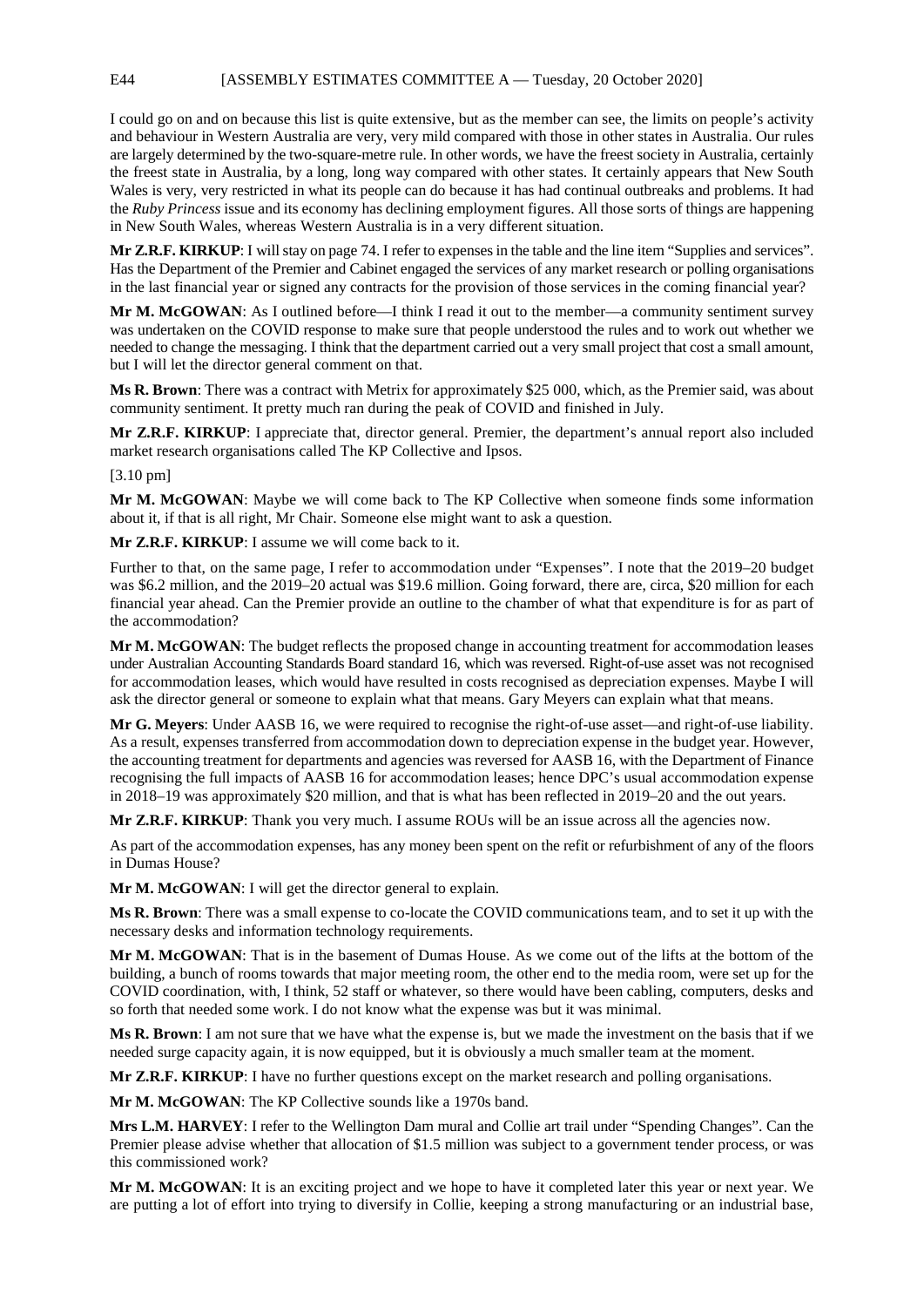I could go on and on because this list is quite extensive, but as the member can see, the limits on people's activity and behaviour in Western Australia are very, very mild compared with those in other states in Australia. Our rules are largely determined by the two-square-metre rule. In other words, we have the freest society in Australia, certainly the freest state in Australia, by a long, long way compared with other states. It certainly appears that New South Wales is very, very restricted in what its people can do because it has had continual outbreaks and problems. It had the *Ruby Princess* issue and its economy has declining employment figures. All those sorts of things are happening in New South Wales, whereas Western Australia is in a very different situation.

**Mr Z.R.F. KIRKUP**: I will stay on page 74. I refer to expenses in the table and the line item "Supplies and services". Has the Department of the Premier and Cabinet engaged the services of any market research or polling organisations in the last financial year or signed any contracts for the provision of those services in the coming financial year?

**Mr M. McGOWAN**: As I outlined before—I think I read it out to the member—a community sentiment survey was undertaken on the COVID response to make sure that people understood the rules and to work out whether we needed to change the messaging. I think that the department carried out a very small project that cost a small amount, but I will let the director general comment on that.

**Ms R. Brown**: There was a contract with Metrix for approximately \$25 000, which, as the Premier said, was about community sentiment. It pretty much ran during the peak of COVID and finished in July.

**Mr Z.R.F. KIRKUP**: I appreciate that, director general. Premier, the department's annual report also included market research organisations called The KP Collective and Ipsos.

[3.10 pm]

**Mr M. McGOWAN**: Maybe we will come back to The KP Collective when someone finds some information about it, if that is all right, Mr Chair. Someone else might want to ask a question.

**Mr Z.R.F. KIRKUP**: I assume we will come back to it.

Further to that, on the same page, I refer to accommodation under "Expenses". I note that the 2019–20 budget was \$6.2 million, and the 2019–20 actual was \$19.6 million. Going forward, there are, circa, \$20 million for each financial year ahead. Can the Premier provide an outline to the chamber of what that expenditure is for as part of the accommodation?

**Mr M. McGOWAN**: The budget reflects the proposed change in accounting treatment for accommodation leases under Australian Accounting Standards Board standard 16, which was reversed. Right-of-use asset was not recognised for accommodation leases, which would have resulted in costs recognised as depreciation expenses. Maybe I will ask the director general or someone to explain what that means. Gary Meyers can explain what that means.

**Mr G. Meyers**: Under AASB 16, we were required to recognise the right-of-use asset—and right-of-use liability. As a result, expenses transferred from accommodation down to depreciation expense in the budget year. However, the accounting treatment for departments and agencies was reversed for AASB 16, with the Department of Finance recognising the full impacts of AASB 16 for accommodation leases; hence DPC's usual accommodation expense in 2018–19 was approximately \$20 million, and that is what has been reflected in 2019–20 and the out years.

**Mr Z.R.F. KIRKUP**: Thank you very much. I assume ROUs will be an issue across all the agencies now.

As part of the accommodation expenses, has any money been spent on the refit or refurbishment of any of the floors in Dumas House?

**Mr M. McGOWAN**: I will get the director general to explain.

**Ms R. Brown**: There was a small expense to co-locate the COVID communications team, and to set it up with the necessary desks and information technology requirements.

**Mr M. McGOWAN**: That is in the basement of Dumas House. As we come out of the lifts at the bottom of the building, a bunch of rooms towards that major meeting room, the other end to the media room, were set up for the COVID coordination, with, I think, 52 staff or whatever, so there would have been cabling, computers, desks and so forth that needed some work. I do not know what the expense was but it was minimal.

**Ms R. Brown**: I am not sure that we have what the expense is, but we made the investment on the basis that if we needed surge capacity again, it is now equipped, but it is obviously a much smaller team at the moment.

**Mr Z.R.F. KIRKUP**: I have no further questions except on the market research and polling organisations.

**Mr M. McGOWAN**: The KP Collective sounds like a 1970s band.

**Mrs L.M. HARVEY**: I refer to the Wellington Dam mural and Collie art trail under "Spending Changes". Can the Premier please advise whether that allocation of \$1.5 million was subject to a government tender process, or was this commissioned work?

**Mr M. McGOWAN**: It is an exciting project and we hope to have it completed later this year or next year. We are putting a lot of effort into trying to diversify in Collie, keeping a strong manufacturing or an industrial base,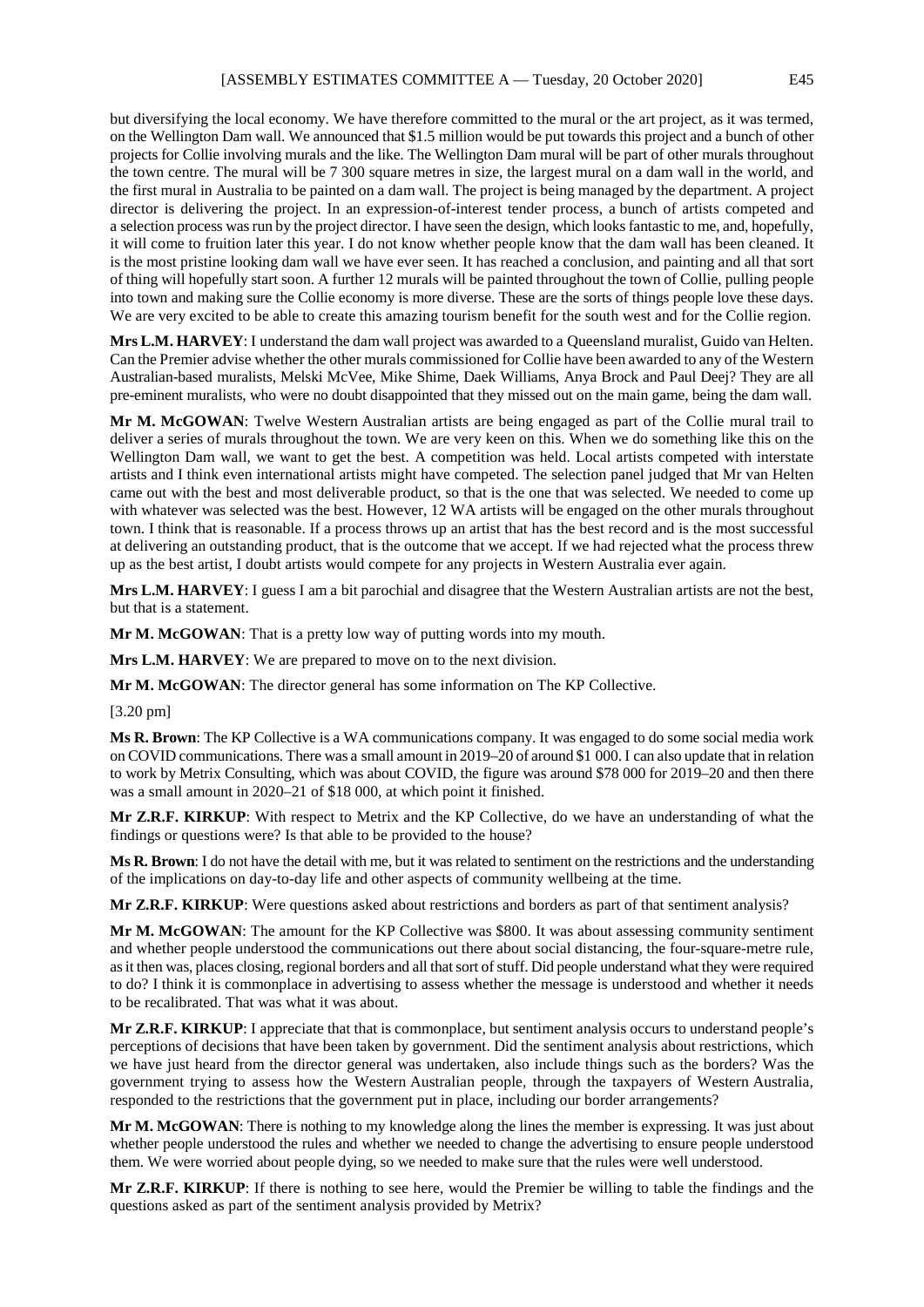but diversifying the local economy. We have therefore committed to the mural or the art project, as it was termed, on the Wellington Dam wall. We announced that \$1.5 million would be put towards this project and a bunch of other projects for Collie involving murals and the like. The Wellington Dam mural will be part of other murals throughout the town centre. The mural will be 7 300 square metres in size, the largest mural on a dam wall in the world, and the first mural in Australia to be painted on a dam wall. The project is being managed by the department. A project director is delivering the project. In an expression-of-interest tender process, a bunch of artists competed and a selection process was run by the project director. I have seen the design, which looks fantastic to me, and, hopefully, it will come to fruition later this year. I do not know whether people know that the dam wall has been cleaned. It is the most pristine looking dam wall we have ever seen. It has reached a conclusion, and painting and all that sort of thing will hopefully start soon. A further 12 murals will be painted throughout the town of Collie, pulling people into town and making sure the Collie economy is more diverse. These are the sorts of things people love these days. We are very excited to be able to create this amazing tourism benefit for the south west and for the Collie region.

**Mrs L.M. HARVEY**: I understand the dam wall project was awarded to a Queensland muralist, Guido van Helten. Can the Premier advise whether the other murals commissioned for Collie have been awarded to any of the Western Australian-based muralists, Melski McVee, Mike Shime, Daek Williams, Anya Brock and Paul Deej? They are all pre-eminent muralists, who were no doubt disappointed that they missed out on the main game, being the dam wall.

**Mr M. McGOWAN**: Twelve Western Australian artists are being engaged as part of the Collie mural trail to deliver a series of murals throughout the town. We are very keen on this. When we do something like this on the Wellington Dam wall, we want to get the best. A competition was held. Local artists competed with interstate artists and I think even international artists might have competed. The selection panel judged that Mr van Helten came out with the best and most deliverable product, so that is the one that was selected. We needed to come up with whatever was selected was the best. However, 12 WA artists will be engaged on the other murals throughout town. I think that is reasonable. If a process throws up an artist that has the best record and is the most successful at delivering an outstanding product, that is the outcome that we accept. If we had rejected what the process threw up as the best artist, I doubt artists would compete for any projects in Western Australia ever again.

**Mrs L.M. HARVEY**: I guess I am a bit parochial and disagree that the Western Australian artists are not the best, but that is a statement.

**Mr M. McGOWAN**: That is a pretty low way of putting words into my mouth.

**Mrs L.M. HARVEY**: We are prepared to move on to the next division.

**Mr M. McGOWAN**: The director general has some information on The KP Collective.

[3.20 pm]

**Ms R. Brown**: The KP Collective is a WA communications company. It was engaged to do some social media work on COVID communications. There was a small amount in 2019–20 of around \$1 000. I can also update that in relation to work by Metrix Consulting, which was about COVID, the figure was around \$78 000 for 2019–20 and then there was a small amount in 2020–21 of \$18 000, at which point it finished.

**Mr Z.R.F. KIRKUP**: With respect to Metrix and the KP Collective, do we have an understanding of what the findings or questions were? Is that able to be provided to the house?

**Ms R. Brown**: I do not have the detail with me, but it was related to sentiment on the restrictions and the understanding of the implications on day-to-day life and other aspects of community wellbeing at the time.

**Mr Z.R.F. KIRKUP**: Were questions asked about restrictions and borders as part of that sentiment analysis?

**Mr M. McGOWAN**: The amount for the KP Collective was \$800. It was about assessing community sentiment and whether people understood the communications out there about social distancing, the four-square-metre rule, as it then was, places closing, regional borders and all that sort of stuff. Did people understand what they were required to do? I think it is commonplace in advertising to assess whether the message is understood and whether it needs to be recalibrated. That was what it was about.

**Mr Z.R.F. KIRKUP**: I appreciate that that is commonplace, but sentiment analysis occurs to understand people's perceptions of decisions that have been taken by government. Did the sentiment analysis about restrictions, which we have just heard from the director general was undertaken, also include things such as the borders? Was the government trying to assess how the Western Australian people, through the taxpayers of Western Australia, responded to the restrictions that the government put in place, including our border arrangements?

**Mr M. McGOWAN**: There is nothing to my knowledge along the lines the member is expressing. It was just about whether people understood the rules and whether we needed to change the advertising to ensure people understood them. We were worried about people dying, so we needed to make sure that the rules were well understood.

**Mr Z.R.F. KIRKUP**: If there is nothing to see here, would the Premier be willing to table the findings and the questions asked as part of the sentiment analysis provided by Metrix?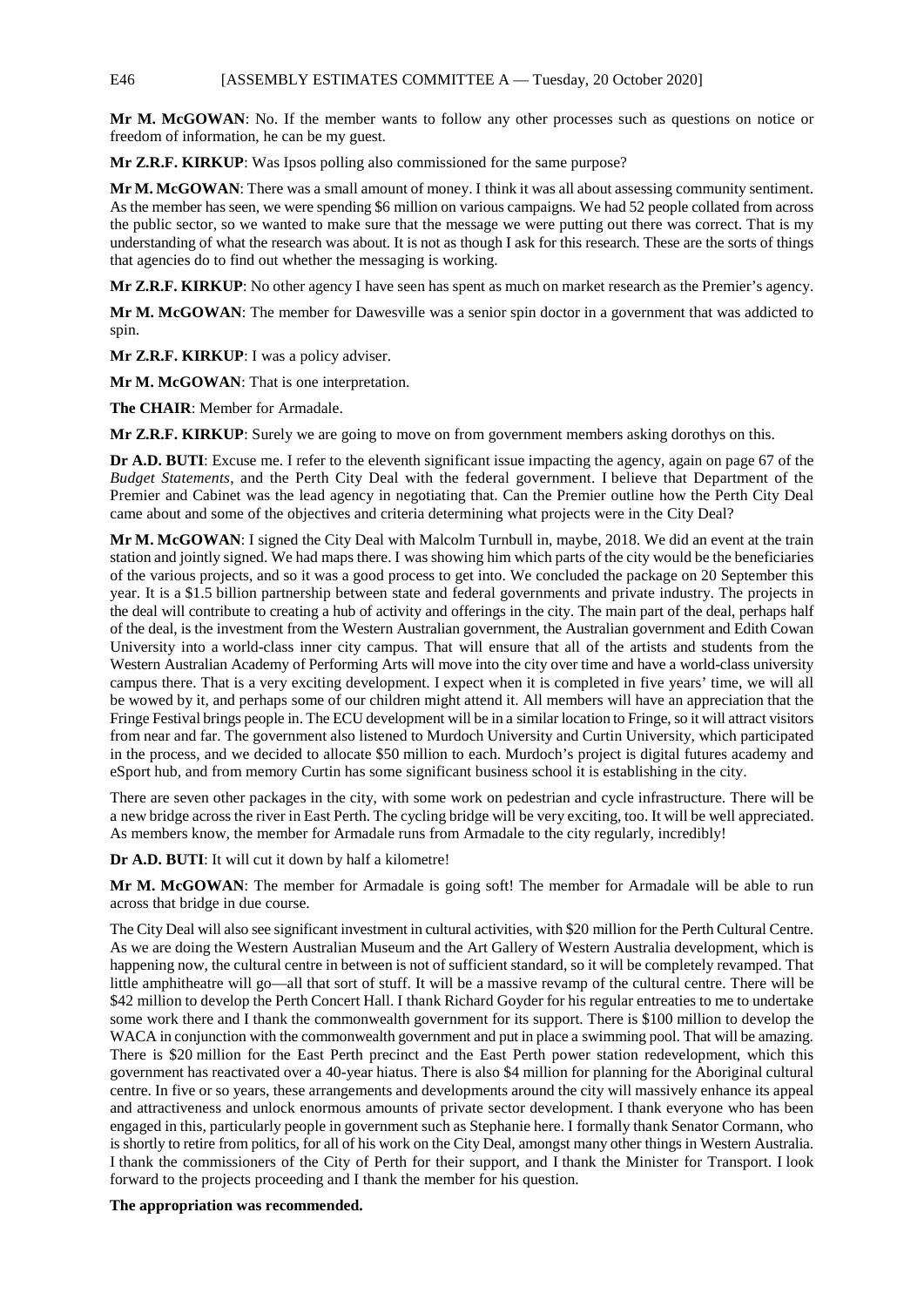E46 [ASSEMBLY ESTIMATES COMMITTEE A — Tuesday, 20 October 2020]

**Mr M. McGOWAN**: No. If the member wants to follow any other processes such as questions on notice or freedom of information, he can be my guest.

**Mr Z.R.F. KIRKUP**: Was Ipsos polling also commissioned for the same purpose?

**Mr M. McGOWAN**: There was a small amount of money. I think it was all about assessing community sentiment. As the member has seen, we were spending \$6 million on various campaigns. We had 52 people collated from across the public sector, so we wanted to make sure that the message we were putting out there was correct. That is my understanding of what the research was about. It is not as though I ask for this research. These are the sorts of things that agencies do to find out whether the messaging is working.

**Mr Z.R.F. KIRKUP**: No other agency I have seen has spent as much on market research as the Premier's agency.

**Mr M. McGOWAN**: The member for Dawesville was a senior spin doctor in a government that was addicted to spin.

**Mr Z.R.F. KIRKUP**: I was a policy adviser.

**Mr M. McGOWAN**: That is one interpretation.

**The CHAIR**: Member for Armadale.

**Mr Z.R.F. KIRKUP**: Surely we are going to move on from government members asking dorothys on this.

**Dr A.D. BUTI:** Excuse me. I refer to the eleventh significant issue impacting the agency, again on page 67 of the *Budget Statements*, and the Perth City Deal with the federal government. I believe that Department of the Premier and Cabinet was the lead agency in negotiating that. Can the Premier outline how the Perth City Deal came about and some of the objectives and criteria determining what projects were in the City Deal?

**Mr M. McGOWAN**: I signed the City Deal with Malcolm Turnbull in, maybe, 2018. We did an event at the train station and jointly signed. We had maps there. I was showing him which parts of the city would be the beneficiaries of the various projects, and so it was a good process to get into. We concluded the package on 20 September this year. It is a \$1.5 billion partnership between state and federal governments and private industry. The projects in the deal will contribute to creating a hub of activity and offerings in the city. The main part of the deal, perhaps half of the deal, is the investment from the Western Australian government, the Australian government and Edith Cowan University into a world-class inner city campus. That will ensure that all of the artists and students from the Western Australian Academy of Performing Arts will move into the city over time and have a world-class university campus there. That is a very exciting development. I expect when it is completed in five years' time, we will all be wowed by it, and perhaps some of our children might attend it. All members will have an appreciation that the Fringe Festival brings people in. The ECU development will be in a similar location to Fringe, so it will attract visitors from near and far. The government also listened to Murdoch University and Curtin University, which participated in the process, and we decided to allocate \$50 million to each. Murdoch's project is digital futures academy and eSport hub, and from memory Curtin has some significant business school it is establishing in the city.

There are seven other packages in the city, with some work on pedestrian and cycle infrastructure. There will be a new bridge across the river in East Perth. The cycling bridge will be very exciting, too. It will be well appreciated. As members know, the member for Armadale runs from Armadale to the city regularly, incredibly!

**Dr A.D. BUTI**: It will cut it down by half a kilometre!

**Mr M. McGOWAN**: The member for Armadale is going soft! The member for Armadale will be able to run across that bridge in due course.

The City Deal will also see significant investment in cultural activities, with \$20 million for the Perth Cultural Centre. As we are doing the Western Australian Museum and the Art Gallery of Western Australia development, which is happening now, the cultural centre in between is not of sufficient standard, so it will be completely revamped. That little amphitheatre will go—all that sort of stuff. It will be a massive revamp of the cultural centre. There will be \$42 million to develop the Perth Concert Hall. I thank Richard Goyder for his regular entreaties to me to undertake some work there and I thank the commonwealth government for its support. There is \$100 million to develop the WACA in conjunction with the commonwealth government and put in place a swimming pool. That will be amazing. There is \$20 million for the East Perth precinct and the East Perth power station redevelopment, which this government has reactivated over a 40-year hiatus. There is also \$4 million for planning for the Aboriginal cultural centre. In five or so years, these arrangements and developments around the city will massively enhance its appeal and attractiveness and unlock enormous amounts of private sector development. I thank everyone who has been engaged in this, particularly people in government such as Stephanie here. I formally thank Senator Cormann, who is shortly to retire from politics, for all of his work on the City Deal, amongst many other things in Western Australia. I thank the commissioners of the City of Perth for their support, and I thank the Minister for Transport. I look forward to the projects proceeding and I thank the member for his question.

**The appropriation was recommended.**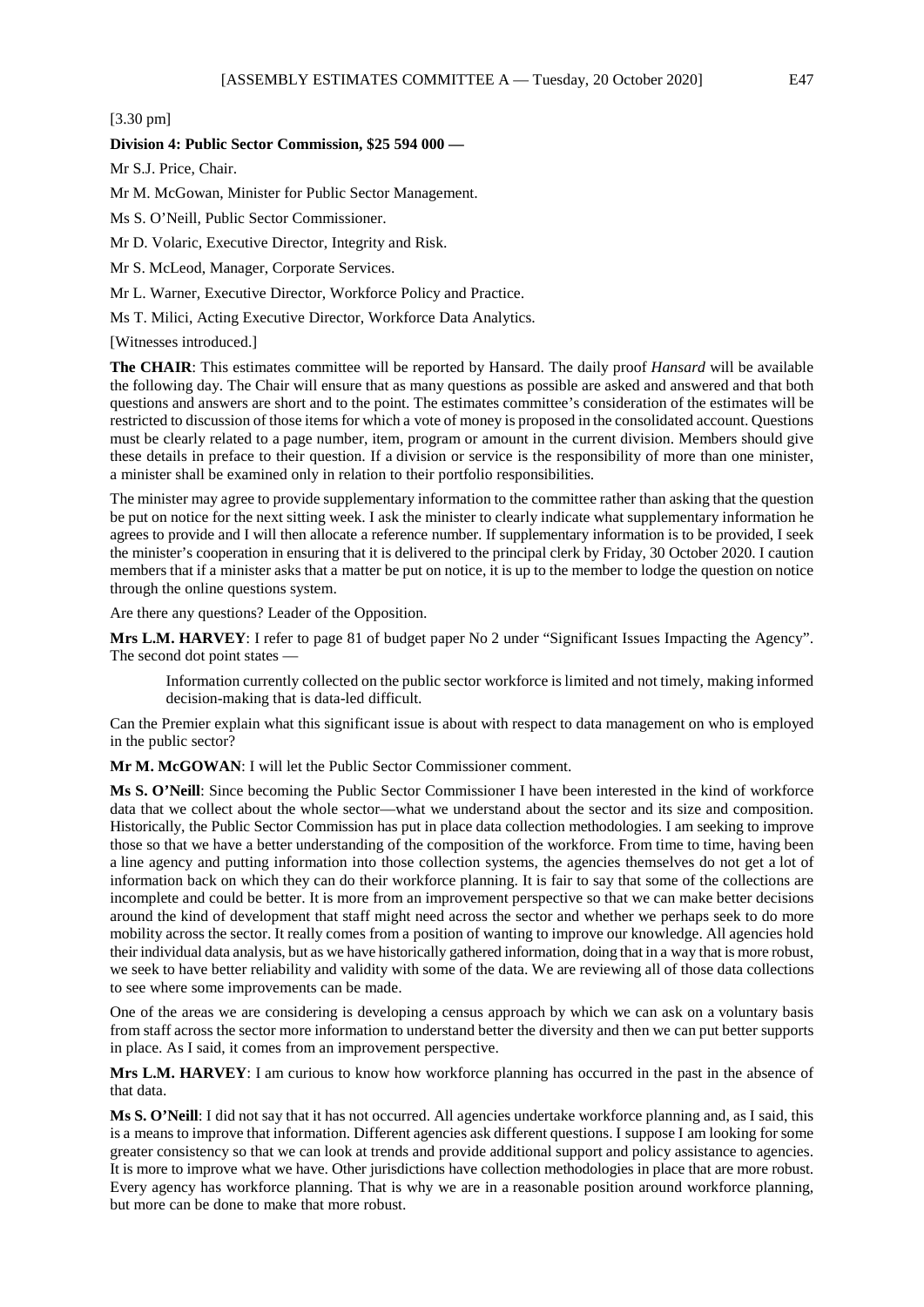[3.30 pm]

## **Division 4: Public Sector Commission, \$25 594 000 —**

Mr S.J. Price, Chair.

Mr M. McGowan, Minister for Public Sector Management.

Ms S. O'Neill, Public Sector Commissioner.

Mr D. Volaric, Executive Director, Integrity and Risk.

Mr S. McLeod, Manager, Corporate Services.

Mr L. Warner, Executive Director, Workforce Policy and Practice.

Ms T. Milici, Acting Executive Director, Workforce Data Analytics.

[Witnesses introduced.]

**The CHAIR**: This estimates committee will be reported by Hansard. The daily proof *Hansard* will be available the following day. The Chair will ensure that as many questions as possible are asked and answered and that both questions and answers are short and to the point. The estimates committee's consideration of the estimates will be restricted to discussion of those items for which a vote of money is proposed in the consolidated account. Questions must be clearly related to a page number, item, program or amount in the current division. Members should give these details in preface to their question. If a division or service is the responsibility of more than one minister, a minister shall be examined only in relation to their portfolio responsibilities.

The minister may agree to provide supplementary information to the committee rather than asking that the question be put on notice for the next sitting week. I ask the minister to clearly indicate what supplementary information he agrees to provide and I will then allocate a reference number. If supplementary information is to be provided, I seek the minister's cooperation in ensuring that it is delivered to the principal clerk by Friday, 30 October 2020. I caution members that if a minister asks that a matter be put on notice, it is up to the member to lodge the question on notice through the online questions system.

Are there any questions? Leader of the Opposition.

**Mrs L.M. HARVEY**: I refer to page 81 of budget paper No 2 under "Significant Issues Impacting the Agency". The second dot point states —

Information currently collected on the public sector workforce is limited and not timely, making informed decision-making that is data-led difficult.

Can the Premier explain what this significant issue is about with respect to data management on who is employed in the public sector?

**Mr M. McGOWAN**: I will let the Public Sector Commissioner comment.

**Ms S. O'Neill**: Since becoming the Public Sector Commissioner I have been interested in the kind of workforce data that we collect about the whole sector—what we understand about the sector and its size and composition. Historically, the Public Sector Commission has put in place data collection methodologies. I am seeking to improve those so that we have a better understanding of the composition of the workforce. From time to time, having been a line agency and putting information into those collection systems, the agencies themselves do not get a lot of information back on which they can do their workforce planning. It is fair to say that some of the collections are incomplete and could be better. It is more from an improvement perspective so that we can make better decisions around the kind of development that staff might need across the sector and whether we perhaps seek to do more mobility across the sector. It really comes from a position of wanting to improve our knowledge. All agencies hold their individual data analysis, but as we have historically gathered information, doing that in a way that is more robust, we seek to have better reliability and validity with some of the data. We are reviewing all of those data collections to see where some improvements can be made.

One of the areas we are considering is developing a census approach by which we can ask on a voluntary basis from staff across the sector more information to understand better the diversity and then we can put better supports in place. As I said, it comes from an improvement perspective.

**Mrs L.M. HARVEY**: I am curious to know how workforce planning has occurred in the past in the absence of that data.

**Ms S. O'Neill**: I did not say that it has not occurred. All agencies undertake workforce planning and, as I said, this is a means to improve that information. Different agencies ask different questions. I suppose I am looking for some greater consistency so that we can look at trends and provide additional support and policy assistance to agencies. It is more to improve what we have. Other jurisdictions have collection methodologies in place that are more robust. Every agency has workforce planning. That is why we are in a reasonable position around workforce planning, but more can be done to make that more robust.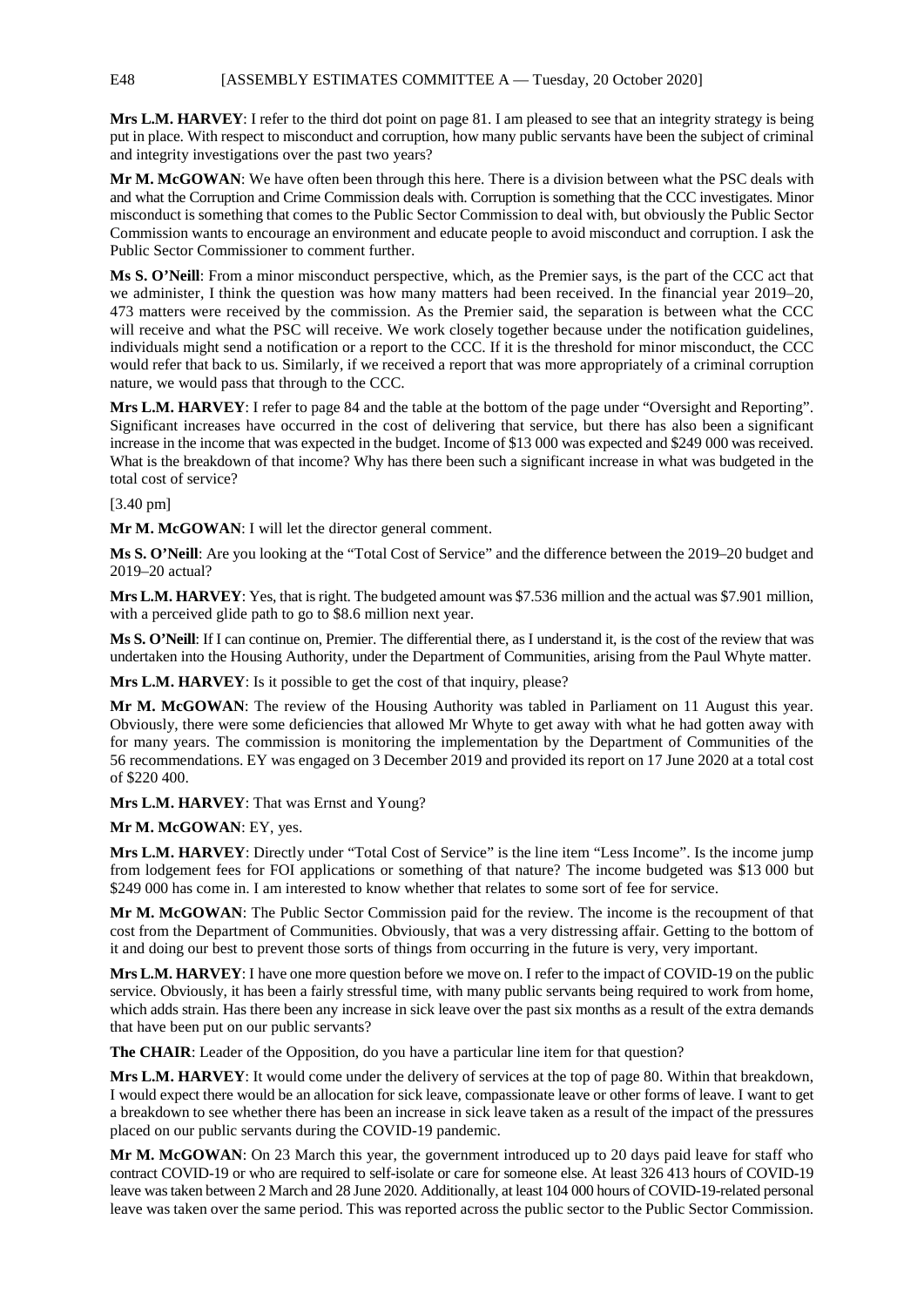**Mrs L.M. HARVEY**: I refer to the third dot point on page 81. I am pleased to see that an integrity strategy is being put in place. With respect to misconduct and corruption, how many public servants have been the subject of criminal and integrity investigations over the past two years?

**Mr M. McGOWAN**: We have often been through this here. There is a division between what the PSC deals with and what the Corruption and Crime Commission deals with. Corruption is something that the CCC investigates. Minor misconduct is something that comes to the Public Sector Commission to deal with, but obviously the Public Sector Commission wants to encourage an environment and educate people to avoid misconduct and corruption. I ask the Public Sector Commissioner to comment further.

**Ms S. O'Neill**: From a minor misconduct perspective, which, as the Premier says, is the part of the CCC act that we administer, I think the question was how many matters had been received. In the financial year 2019–20, 473 matters were received by the commission. As the Premier said, the separation is between what the CCC will receive and what the PSC will receive. We work closely together because under the notification guidelines, individuals might send a notification or a report to the CCC. If it is the threshold for minor misconduct, the CCC would refer that back to us. Similarly, if we received a report that was more appropriately of a criminal corruption nature, we would pass that through to the CCC.

**Mrs L.M. HARVEY**: I refer to page 84 and the table at the bottom of the page under "Oversight and Reporting". Significant increases have occurred in the cost of delivering that service, but there has also been a significant increase in the income that was expected in the budget. Income of \$13 000 was expected and \$249 000 was received. What is the breakdown of that income? Why has there been such a significant increase in what was budgeted in the total cost of service?

# [3.40 pm]

**Mr M. McGOWAN**: I will let the director general comment.

**Ms S. O'Neill**: Are you looking at the "Total Cost of Service" and the difference between the 2019–20 budget and 2019–20 actual?

**Mrs L.M. HARVEY**: Yes, that is right. The budgeted amount was \$7.536 million and the actual was \$7.901 million, with a perceived glide path to go to \$8.6 million next year.

**Ms S. O'Neill**: If I can continue on, Premier. The differential there, as I understand it, is the cost of the review that was undertaken into the Housing Authority, under the Department of Communities, arising from the Paul Whyte matter.

**Mrs L.M. HARVEY**: Is it possible to get the cost of that inquiry, please?

**Mr M. McGOWAN**: The review of the Housing Authority was tabled in Parliament on 11 August this year. Obviously, there were some deficiencies that allowed Mr Whyte to get away with what he had gotten away with for many years. The commission is monitoring the implementation by the Department of Communities of the 56 recommendations. EY was engaged on 3 December 2019 and provided its report on 17 June 2020 at a total cost of \$220 400.

**Mrs L.M. HARVEY**: That was Ernst and Young?

**Mr M. McGOWAN**: EY, yes.

**Mrs L.M. HARVEY**: Directly under "Total Cost of Service" is the line item "Less Income". Is the income jump from lodgement fees for FOI applications or something of that nature? The income budgeted was \$13 000 but \$249 000 has come in. I am interested to know whether that relates to some sort of fee for service.

**Mr M. McGOWAN**: The Public Sector Commission paid for the review. The income is the recoupment of that cost from the Department of Communities. Obviously, that was a very distressing affair. Getting to the bottom of it and doing our best to prevent those sorts of things from occurring in the future is very, very important.

**Mrs L.M. HARVEY**: I have one more question before we move on. I refer to the impact of COVID-19 on the public service. Obviously, it has been a fairly stressful time, with many public servants being required to work from home, which adds strain. Has there been any increase in sick leave over the past six months as a result of the extra demands that have been put on our public servants?

**The CHAIR**: Leader of the Opposition, do you have a particular line item for that question?

**Mrs L.M. HARVEY**: It would come under the delivery of services at the top of page 80. Within that breakdown, I would expect there would be an allocation for sick leave, compassionate leave or other forms of leave. I want to get a breakdown to see whether there has been an increase in sick leave taken as a result of the impact of the pressures placed on our public servants during the COVID-19 pandemic.

**Mr M. McGOWAN**: On 23 March this year, the government introduced up to 20 days paid leave for staff who contract COVID-19 or who are required to self-isolate or care for someone else. At least 326 413 hours of COVID-19 leave was taken between 2 March and 28 June 2020. Additionally, at least 104 000 hours of COVID-19-related personal leave was taken over the same period. This was reported across the public sector to the Public Sector Commission.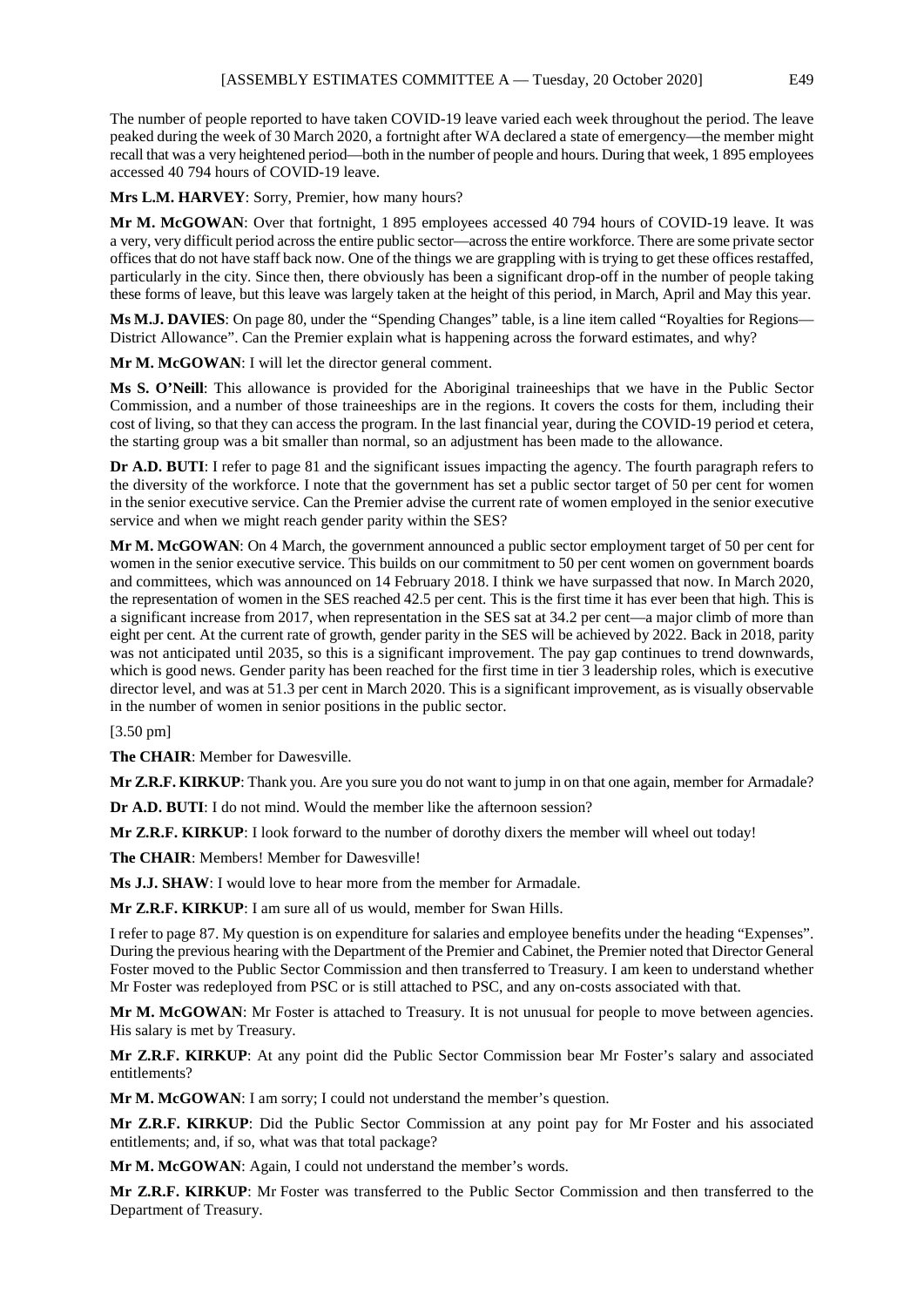The number of people reported to have taken COVID-19 leave varied each week throughout the period. The leave peaked during the week of 30 March 2020, a fortnight after WA declared a state of emergency—the member might recall that was a very heightened period—both in the number of people and hours. During that week, 1 895 employees accessed 40 794 hours of COVID-19 leave.

**Mrs L.M. HARVEY**: Sorry, Premier, how many hours?

**Mr M. McGOWAN**: Over that fortnight, 1 895 employees accessed 40 794 hours of COVID-19 leave. It was a very, very difficult period across the entire public sector—across the entire workforce. There are some private sector offices that do not have staff back now. One of the things we are grappling with is trying to get these offices restaffed, particularly in the city. Since then, there obviously has been a significant drop-off in the number of people taking these forms of leave, but this leave was largely taken at the height of this period, in March, April and May this year.

**Ms M.J. DAVIES**: On page 80, under the "Spending Changes" table, is a line item called "Royalties for Regions— District Allowance". Can the Premier explain what is happening across the forward estimates, and why?

**Mr M. McGOWAN**: I will let the director general comment.

**Ms S. O'Neill**: This allowance is provided for the Aboriginal traineeships that we have in the Public Sector Commission, and a number of those traineeships are in the regions. It covers the costs for them, including their cost of living, so that they can access the program. In the last financial year, during the COVID-19 period et cetera, the starting group was a bit smaller than normal, so an adjustment has been made to the allowance.

**Dr A.D. BUTI**: I refer to page 81 and the significant issues impacting the agency. The fourth paragraph refers to the diversity of the workforce. I note that the government has set a public sector target of 50 per cent for women in the senior executive service. Can the Premier advise the current rate of women employed in the senior executive service and when we might reach gender parity within the SES?

**Mr M. McGOWAN**: On 4 March, the government announced a public sector employment target of 50 per cent for women in the senior executive service. This builds on our commitment to 50 per cent women on government boards and committees, which was announced on 14 February 2018. I think we have surpassed that now. In March 2020, the representation of women in the SES reached 42.5 per cent. This is the first time it has ever been that high. This is a significant increase from 2017, when representation in the SES sat at 34.2 per cent—a major climb of more than eight per cent. At the current rate of growth, gender parity in the SES will be achieved by 2022. Back in 2018, parity was not anticipated until 2035, so this is a significant improvement. The pay gap continues to trend downwards, which is good news. Gender parity has been reached for the first time in tier 3 leadership roles, which is executive director level, and was at 51.3 per cent in March 2020. This is a significant improvement, as is visually observable in the number of women in senior positions in the public sector.

[3.50 pm]

**The CHAIR**: Member for Dawesville.

**Mr Z.R.F. KIRKUP**: Thank you. Are you sure you do not want to jump in on that one again, member for Armadale?

**Dr A.D. BUTI**: I do not mind. Would the member like the afternoon session?

**Mr Z.R.F. KIRKUP**: I look forward to the number of dorothy dixers the member will wheel out today!

**The CHAIR**: Members! Member for Dawesville!

**Ms J.J. SHAW**: I would love to hear more from the member for Armadale.

**Mr Z.R.F. KIRKUP**: I am sure all of us would, member for Swan Hills.

I refer to page 87. My question is on expenditure for salaries and employee benefits under the heading "Expenses". During the previous hearing with the Department of the Premier and Cabinet, the Premier noted that Director General Foster moved to the Public Sector Commission and then transferred to Treasury. I am keen to understand whether Mr Foster was redeployed from PSC or is still attached to PSC, and any on-costs associated with that.

Mr M. McGOWAN: Mr Foster is attached to Treasury. It is not unusual for people to move between agencies. His salary is met by Treasury.

**Mr Z.R.F. KIRKUP**: At any point did the Public Sector Commission bear Mr Foster's salary and associated entitlements?

**Mr M. McGOWAN**: I am sorry; I could not understand the member's question.

**Mr Z.R.F. KIRKUP**: Did the Public Sector Commission at any point pay for Mr Foster and his associated entitlements; and, if so, what was that total package?

**Mr M. McGOWAN**: Again, I could not understand the member's words.

**Mr Z.R.F. KIRKUP**: Mr Foster was transferred to the Public Sector Commission and then transferred to the Department of Treasury.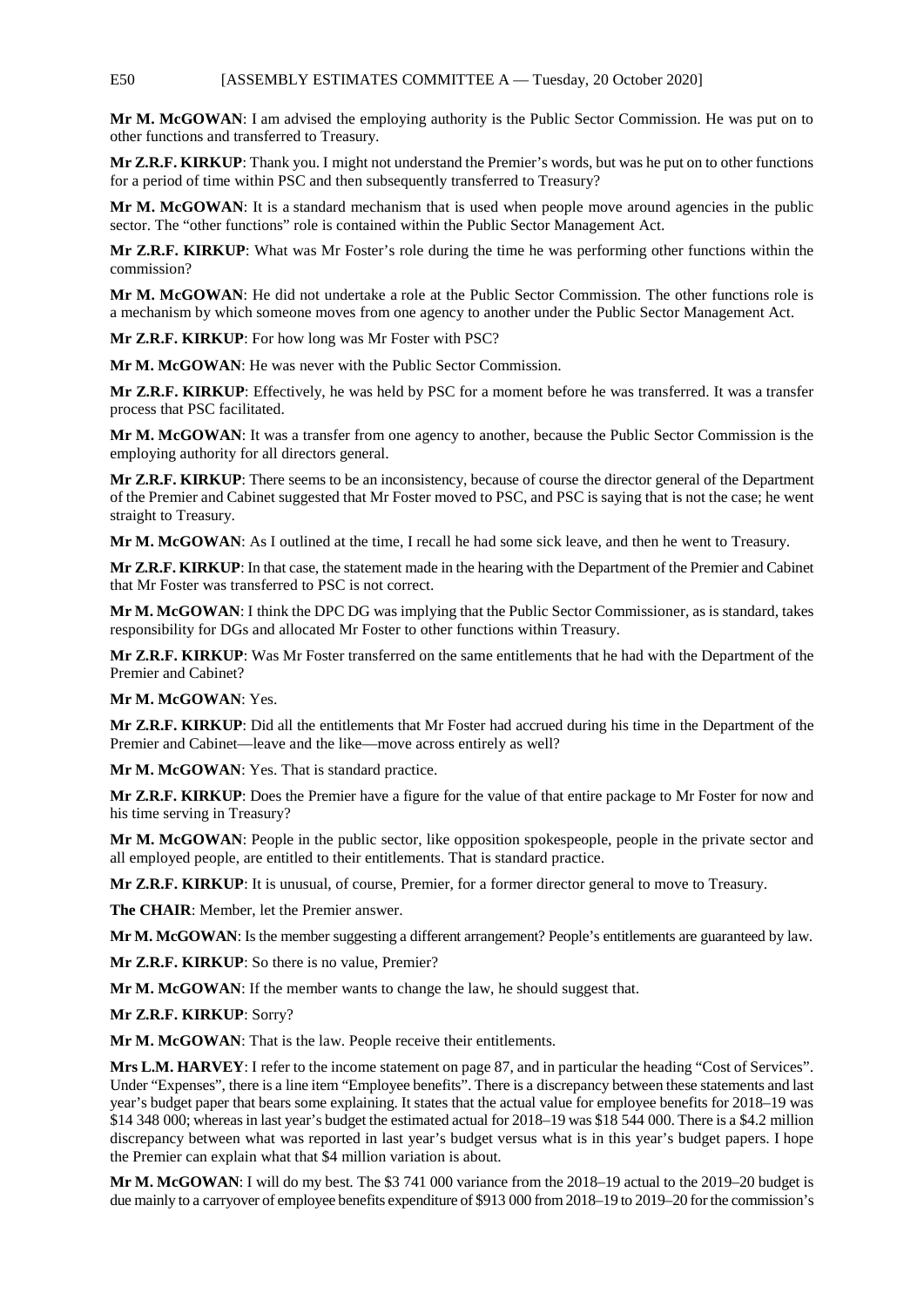# E50 [ASSEMBLY ESTIMATES COMMITTEE A — Tuesday, 20 October 2020]

**Mr M. McGOWAN**: I am advised the employing authority is the Public Sector Commission. He was put on to other functions and transferred to Treasury.

**Mr Z.R.F. KIRKUP**: Thank you. I might not understand the Premier's words, but was he put on to other functions for a period of time within PSC and then subsequently transferred to Treasury?

**Mr M. McGOWAN**: It is a standard mechanism that is used when people move around agencies in the public sector. The "other functions" role is contained within the Public Sector Management Act.

**Mr Z.R.F. KIRKUP**: What was Mr Foster's role during the time he was performing other functions within the commission?

**Mr M. McGOWAN**: He did not undertake a role at the Public Sector Commission. The other functions role is a mechanism by which someone moves from one agency to another under the Public Sector Management Act.

**Mr Z.R.F. KIRKUP**: For how long was Mr Foster with PSC?

**Mr M. McGOWAN**: He was never with the Public Sector Commission.

**Mr Z.R.F. KIRKUP**: Effectively, he was held by PSC for a moment before he was transferred. It was a transfer process that PSC facilitated.

**Mr M. McGOWAN**: It was a transfer from one agency to another, because the Public Sector Commission is the employing authority for all directors general.

**Mr Z.R.F. KIRKUP**: There seems to be an inconsistency, because of course the director general of the Department of the Premier and Cabinet suggested that Mr Foster moved to PSC, and PSC is saying that is not the case; he went straight to Treasury.

**Mr M. McGOWAN**: As I outlined at the time, I recall he had some sick leave, and then he went to Treasury.

**Mr Z.R.F. KIRKUP**: In that case, the statement made in the hearing with the Department of the Premier and Cabinet that Mr Foster was transferred to PSC is not correct.

**Mr M. McGOWAN**: I think the DPC DG was implying that the Public Sector Commissioner, as is standard, takes responsibility for DGs and allocated Mr Foster to other functions within Treasury.

**Mr Z.R.F. KIRKUP**: Was Mr Foster transferred on the same entitlements that he had with the Department of the Premier and Cabinet?

**Mr M. McGOWAN**: Yes.

**Mr Z.R.F. KIRKUP**: Did all the entitlements that Mr Foster had accrued during his time in the Department of the Premier and Cabinet—leave and the like—move across entirely as well?

**Mr M. McGOWAN**: Yes. That is standard practice.

**Mr Z.R.F. KIRKUP**: Does the Premier have a figure for the value of that entire package to Mr Foster for now and his time serving in Treasury?

**Mr M. McGOWAN**: People in the public sector, like opposition spokespeople, people in the private sector and all employed people, are entitled to their entitlements. That is standard practice.

**Mr Z.R.F. KIRKUP**: It is unusual, of course, Premier, for a former director general to move to Treasury.

**The CHAIR**: Member, let the Premier answer.

**Mr M. McGOWAN**: Is the member suggesting a different arrangement? People's entitlements are guaranteed by law.

**Mr Z.R.F. KIRKUP**: So there is no value, Premier?

**Mr M. McGOWAN**: If the member wants to change the law, he should suggest that.

**Mr Z.R.F. KIRKUP**: Sorry?

**Mr M. McGOWAN**: That is the law. People receive their entitlements.

**Mrs L.M. HARVEY**: I refer to the income statement on page 87, and in particular the heading "Cost of Services". Under "Expenses", there is a line item "Employee benefits". There is a discrepancy between these statements and last year's budget paper that bears some explaining. It states that the actual value for employee benefits for 2018–19 was \$14 348 000; whereas in last year's budget the estimated actual for 2018–19 was \$18 544 000. There is a \$4.2 million discrepancy between what was reported in last year's budget versus what is in this year's budget papers. I hope the Premier can explain what that \$4 million variation is about.

**Mr M. McGOWAN**: I will do my best. The \$3 741 000 variance from the 2018–19 actual to the 2019–20 budget is due mainly to a carryover of employee benefits expenditure of \$913 000 from 2018–19 to 2019–20 for the commission's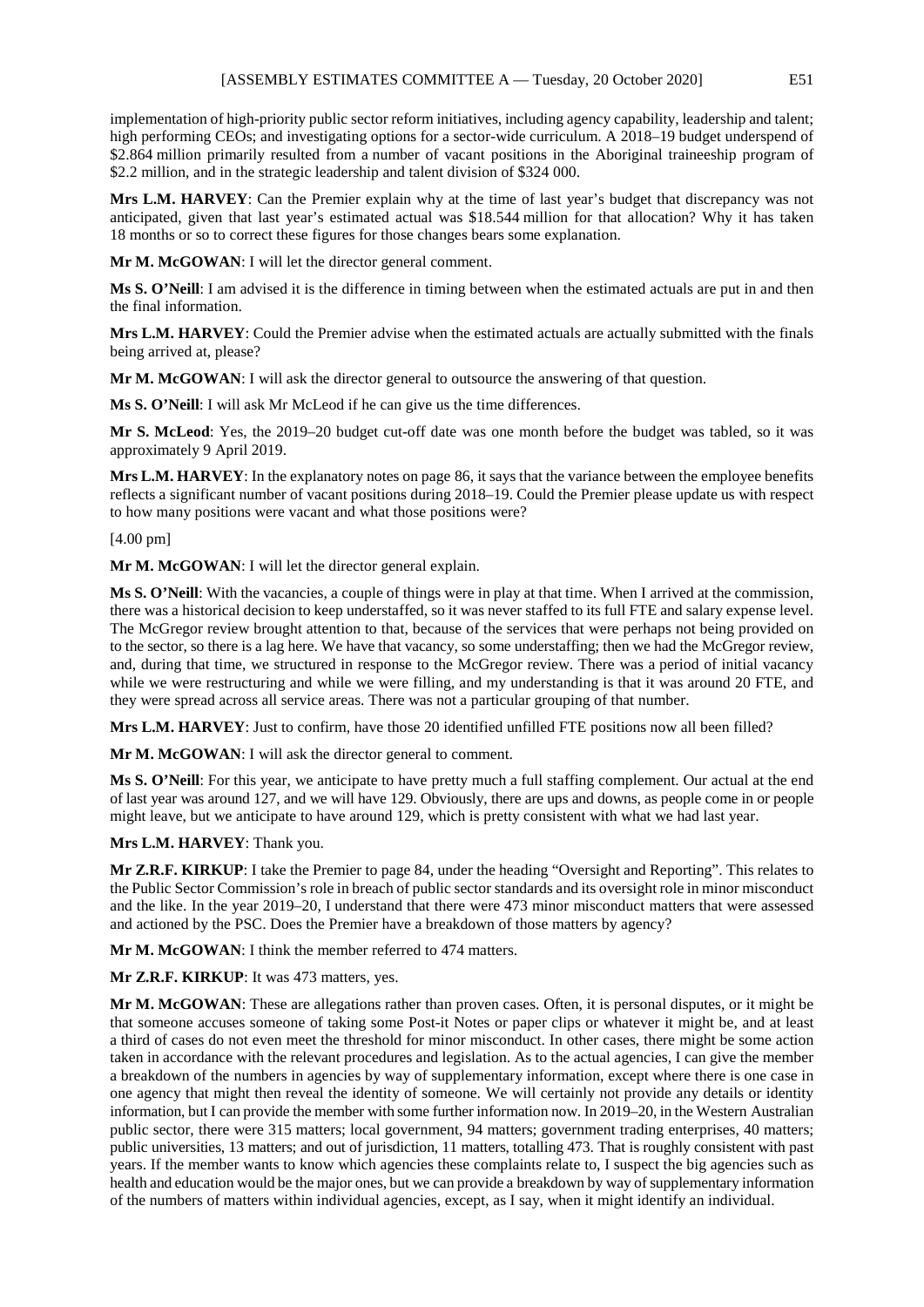implementation of high-priority public sector reform initiatives, including agency capability, leadership and talent; high performing CEOs; and investigating options for a sector-wide curriculum. A 2018–19 budget underspend of \$2.864 million primarily resulted from a number of vacant positions in the Aboriginal traineeship program of \$2.2 million, and in the strategic leadership and talent division of \$324 000.

**Mrs L.M. HARVEY**: Can the Premier explain why at the time of last year's budget that discrepancy was not anticipated, given that last year's estimated actual was \$18.544 million for that allocation? Why it has taken 18 months or so to correct these figures for those changes bears some explanation.

**Mr M. McGOWAN**: I will let the director general comment.

**Ms S. O'Neill**: I am advised it is the difference in timing between when the estimated actuals are put in and then the final information.

**Mrs L.M. HARVEY**: Could the Premier advise when the estimated actuals are actually submitted with the finals being arrived at, please?

**Mr M. McGOWAN**: I will ask the director general to outsource the answering of that question.

**Ms S. O'Neill**: I will ask Mr McLeod if he can give us the time differences.

**Mr S. McLeod**: Yes, the 2019–20 budget cut-off date was one month before the budget was tabled, so it was approximately 9 April 2019.

**Mrs L.M. HARVEY**: In the explanatory notes on page 86, it says that the variance between the employee benefits reflects a significant number of vacant positions during 2018–19. Could the Premier please update us with respect to how many positions were vacant and what those positions were?

# [4.00 pm]

**Mr M. McGOWAN**: I will let the director general explain.

**Ms S. O'Neill**: With the vacancies, a couple of things were in play at that time. When I arrived at the commission, there was a historical decision to keep understaffed, so it was never staffed to its full FTE and salary expense level. The McGregor review brought attention to that, because of the services that were perhaps not being provided on to the sector, so there is a lag here. We have that vacancy, so some understaffing; then we had the McGregor review, and, during that time, we structured in response to the McGregor review. There was a period of initial vacancy while we were restructuring and while we were filling, and my understanding is that it was around 20 FTE, and they were spread across all service areas. There was not a particular grouping of that number.

**Mrs L.M. HARVEY**: Just to confirm, have those 20 identified unfilled FTE positions now all been filled?

**Mr M. McGOWAN**: I will ask the director general to comment.

**Ms S. O'Neill**: For this year, we anticipate to have pretty much a full staffing complement. Our actual at the end of last year was around 127, and we will have 129. Obviously, there are ups and downs, as people come in or people might leave, but we anticipate to have around 129, which is pretty consistent with what we had last year.

**Mrs L.M. HARVEY**: Thank you.

**Mr Z.R.F. KIRKUP**: I take the Premier to page 84, under the heading "Oversight and Reporting". This relates to the Public Sector Commission's role in breach of public sector standards and its oversight role in minor misconduct and the like. In the year 2019–20, I understand that there were 473 minor misconduct matters that were assessed and actioned by the PSC. Does the Premier have a breakdown of those matters by agency?

**Mr M. McGOWAN**: I think the member referred to 474 matters.

**Mr Z.R.F. KIRKUP**: It was 473 matters, yes.

**Mr M. McGOWAN**: These are allegations rather than proven cases. Often, it is personal disputes, or it might be that someone accuses someone of taking some Post-it Notes or paper clips or whatever it might be, and at least a third of cases do not even meet the threshold for minor misconduct. In other cases, there might be some action taken in accordance with the relevant procedures and legislation. As to the actual agencies, I can give the member a breakdown of the numbers in agencies by way of supplementary information, except where there is one case in one agency that might then reveal the identity of someone. We will certainly not provide any details or identity information, but I can provide the member with some further information now. In 2019–20, in the Western Australian public sector, there were 315 matters; local government, 94 matters; government trading enterprises, 40 matters; public universities, 13 matters; and out of jurisdiction, 11 matters, totalling 473. That is roughly consistent with past years. If the member wants to know which agencies these complaints relate to, I suspect the big agencies such as health and education would be the major ones, but we can provide a breakdown by way of supplementary information of the numbers of matters within individual agencies, except, as I say, when it might identify an individual.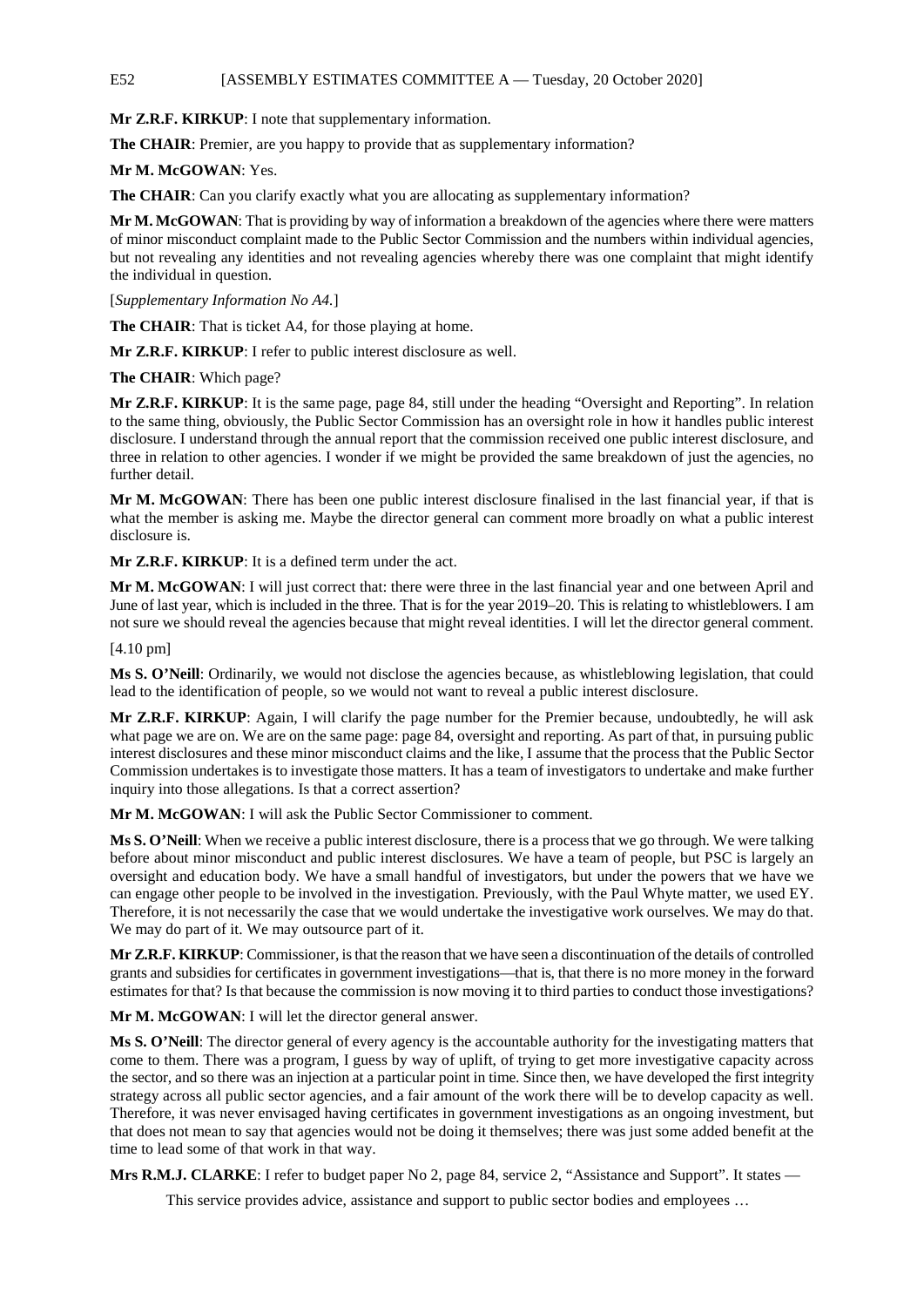# E52 [ASSEMBLY ESTIMATES COMMITTEE A — Tuesday, 20 October 2020]

**Mr Z.R.F. KIRKUP**: I note that supplementary information.

The CHAIR: Premier, are you happy to provide that as supplementary information?

**Mr M. McGOWAN**: Yes.

The CHAIR: Can you clarify exactly what you are allocating as supplementary information?

**Mr M. McGOWAN**: That is providing by way of information a breakdown of the agencies where there were matters of minor misconduct complaint made to the Public Sector Commission and the numbers within individual agencies, but not revealing any identities and not revealing agencies whereby there was one complaint that might identify the individual in question.

[*Supplementary Information No A4.*]

**The CHAIR**: That is ticket A4, for those playing at home.

**Mr Z.R.F. KIRKUP**: I refer to public interest disclosure as well.

**The CHAIR**: Which page?

**Mr Z.R.F. KIRKUP**: It is the same page, page 84, still under the heading "Oversight and Reporting". In relation to the same thing, obviously, the Public Sector Commission has an oversight role in how it handles public interest disclosure. I understand through the annual report that the commission received one public interest disclosure, and three in relation to other agencies. I wonder if we might be provided the same breakdown of just the agencies, no further detail.

**Mr M. McGOWAN**: There has been one public interest disclosure finalised in the last financial year, if that is what the member is asking me. Maybe the director general can comment more broadly on what a public interest disclosure is.

**Mr Z.R.F. KIRKUP**: It is a defined term under the act.

**Mr M. McGOWAN**: I will just correct that: there were three in the last financial year and one between April and June of last year, which is included in the three. That is for the year 2019–20. This is relating to whistleblowers. I am not sure we should reveal the agencies because that might reveal identities. I will let the director general comment.

[4.10 pm]

**Ms S. O'Neill**: Ordinarily, we would not disclose the agencies because, as whistleblowing legislation, that could lead to the identification of people, so we would not want to reveal a public interest disclosure.

**Mr Z.R.F. KIRKUP**: Again, I will clarify the page number for the Premier because, undoubtedly, he will ask what page we are on. We are on the same page: page 84, oversight and reporting. As part of that, in pursuing public interest disclosures and these minor misconduct claims and the like, I assume that the process that the Public Sector Commission undertakes is to investigate those matters. It has a team of investigators to undertake and make further inquiry into those allegations. Is that a correct assertion?

**Mr M. McGOWAN**: I will ask the Public Sector Commissioner to comment.

**Ms S. O'Neill**: When we receive a public interest disclosure, there is a process that we go through. We were talking before about minor misconduct and public interest disclosures. We have a team of people, but PSC is largely an oversight and education body. We have a small handful of investigators, but under the powers that we have we can engage other people to be involved in the investigation. Previously, with the Paul Whyte matter, we used EY. Therefore, it is not necessarily the case that we would undertake the investigative work ourselves. We may do that. We may do part of it. We may outsource part of it.

**Mr Z.R.F. KIRKUP**: Commissioner, is that the reason that we have seen a discontinuation of the details of controlled grants and subsidies for certificates in government investigations—that is, that there is no more money in the forward estimates for that? Is that because the commission is now moving it to third parties to conduct those investigations?

**Mr M. McGOWAN**: I will let the director general answer.

**Ms S. O'Neill**: The director general of every agency is the accountable authority for the investigating matters that come to them. There was a program, I guess by way of uplift, of trying to get more investigative capacity across the sector, and so there was an injection at a particular point in time. Since then, we have developed the first integrity strategy across all public sector agencies, and a fair amount of the work there will be to develop capacity as well. Therefore, it was never envisaged having certificates in government investigations as an ongoing investment, but that does not mean to say that agencies would not be doing it themselves; there was just some added benefit at the time to lead some of that work in that way.

**Mrs R.M.J. CLARKE:** I refer to budget paper No 2, page 84, service 2, "Assistance and Support". It states —

This service provides advice, assistance and support to public sector bodies and employees ...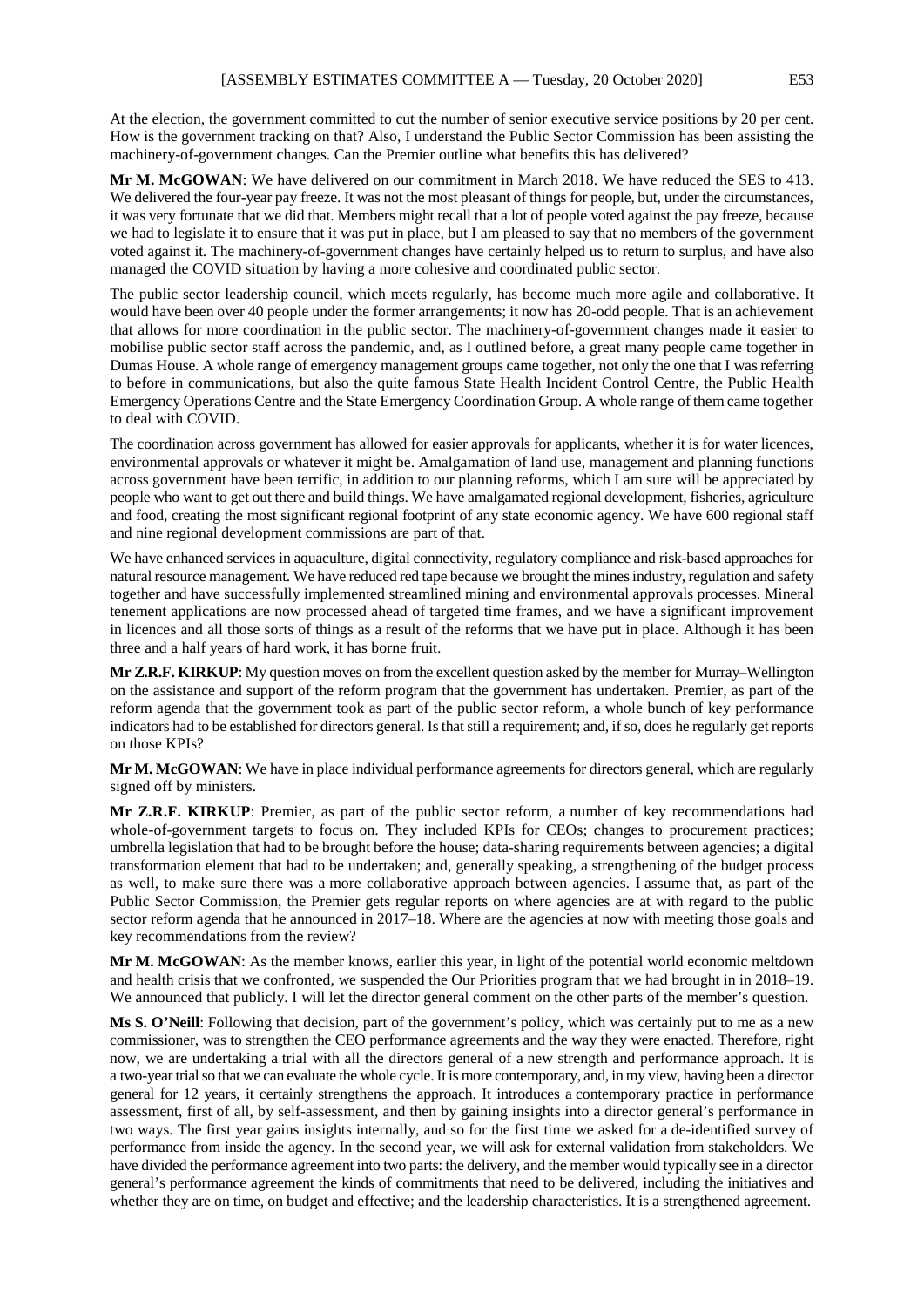At the election, the government committed to cut the number of senior executive service positions by 20 per cent. How is the government tracking on that? Also, I understand the Public Sector Commission has been assisting the machinery-of-government changes. Can the Premier outline what benefits this has delivered?

**Mr M. McGOWAN**: We have delivered on our commitment in March 2018. We have reduced the SES to 413. We delivered the four-year pay freeze. It was not the most pleasant of things for people, but, under the circumstances, it was very fortunate that we did that. Members might recall that a lot of people voted against the pay freeze, because we had to legislate it to ensure that it was put in place, but I am pleased to say that no members of the government voted against it. The machinery-of-government changes have certainly helped us to return to surplus, and have also managed the COVID situation by having a more cohesive and coordinated public sector.

The public sector leadership council, which meets regularly, has become much more agile and collaborative. It would have been over 40 people under the former arrangements; it now has 20-odd people. That is an achievement that allows for more coordination in the public sector. The machinery-of-government changes made it easier to mobilise public sector staff across the pandemic, and, as I outlined before, a great many people came together in Dumas House. A whole range of emergency management groups came together, not only the one that I was referring to before in communications, but also the quite famous State Health Incident Control Centre, the Public Health Emergency Operations Centre and the State Emergency Coordination Group. A whole range of them came together to deal with COVID.

The coordination across government has allowed for easier approvals for applicants, whether it is for water licences, environmental approvals or whatever it might be. Amalgamation of land use, management and planning functions across government have been terrific, in addition to our planning reforms, which I am sure will be appreciated by people who want to get out there and build things. We have amalgamated regional development, fisheries, agriculture and food, creating the most significant regional footprint of any state economic agency. We have 600 regional staff and nine regional development commissions are part of that.

We have enhanced services in aquaculture, digital connectivity, regulatory compliance and risk-based approaches for natural resource management. We have reduced red tape because we brought the mines industry, regulation and safety together and have successfully implemented streamlined mining and environmental approvals processes. Mineral tenement applications are now processed ahead of targeted time frames, and we have a significant improvement in licences and all those sorts of things as a result of the reforms that we have put in place. Although it has been three and a half years of hard work, it has borne fruit.

**Mr Z.R.F. KIRKUP**: My question moves on from the excellent question asked by the member for Murray–Wellington on the assistance and support of the reform program that the government has undertaken. Premier, as part of the reform agenda that the government took as part of the public sector reform, a whole bunch of key performance indicators had to be established for directors general. Is that still a requirement; and, if so, does he regularly get reports on those KPIs?

**Mr M. McGOWAN**: We have in place individual performance agreements for directors general, which are regularly signed off by ministers.

**Mr Z.R.F. KIRKUP**: Premier, as part of the public sector reform, a number of key recommendations had whole-of-government targets to focus on. They included KPIs for CEOs; changes to procurement practices; umbrella legislation that had to be brought before the house; data-sharing requirements between agencies; a digital transformation element that had to be undertaken; and, generally speaking, a strengthening of the budget process as well, to make sure there was a more collaborative approach between agencies. I assume that, as part of the Public Sector Commission, the Premier gets regular reports on where agencies are at with regard to the public sector reform agenda that he announced in 2017–18. Where are the agencies at now with meeting those goals and key recommendations from the review?

**Mr M. McGOWAN**: As the member knows, earlier this year, in light of the potential world economic meltdown and health crisis that we confronted, we suspended the Our Priorities program that we had brought in in 2018–19. We announced that publicly. I will let the director general comment on the other parts of the member's question.

**Ms S. O'Neill**: Following that decision, part of the government's policy, which was certainly put to me as a new commissioner, was to strengthen the CEO performance agreements and the way they were enacted. Therefore, right now, we are undertaking a trial with all the directors general of a new strength and performance approach. It is a two-year trial so that we can evaluate the whole cycle. It is more contemporary, and, in my view, having been a director general for 12 years, it certainly strengthens the approach. It introduces a contemporary practice in performance assessment, first of all, by self-assessment, and then by gaining insights into a director general's performance in two ways. The first year gains insights internally, and so for the first time we asked for a de-identified survey of performance from inside the agency. In the second year, we will ask for external validation from stakeholders. We have divided the performance agreement into two parts: the delivery, and the member would typically see in a director general's performance agreement the kinds of commitments that need to be delivered, including the initiatives and whether they are on time, on budget and effective; and the leadership characteristics. It is a strengthened agreement.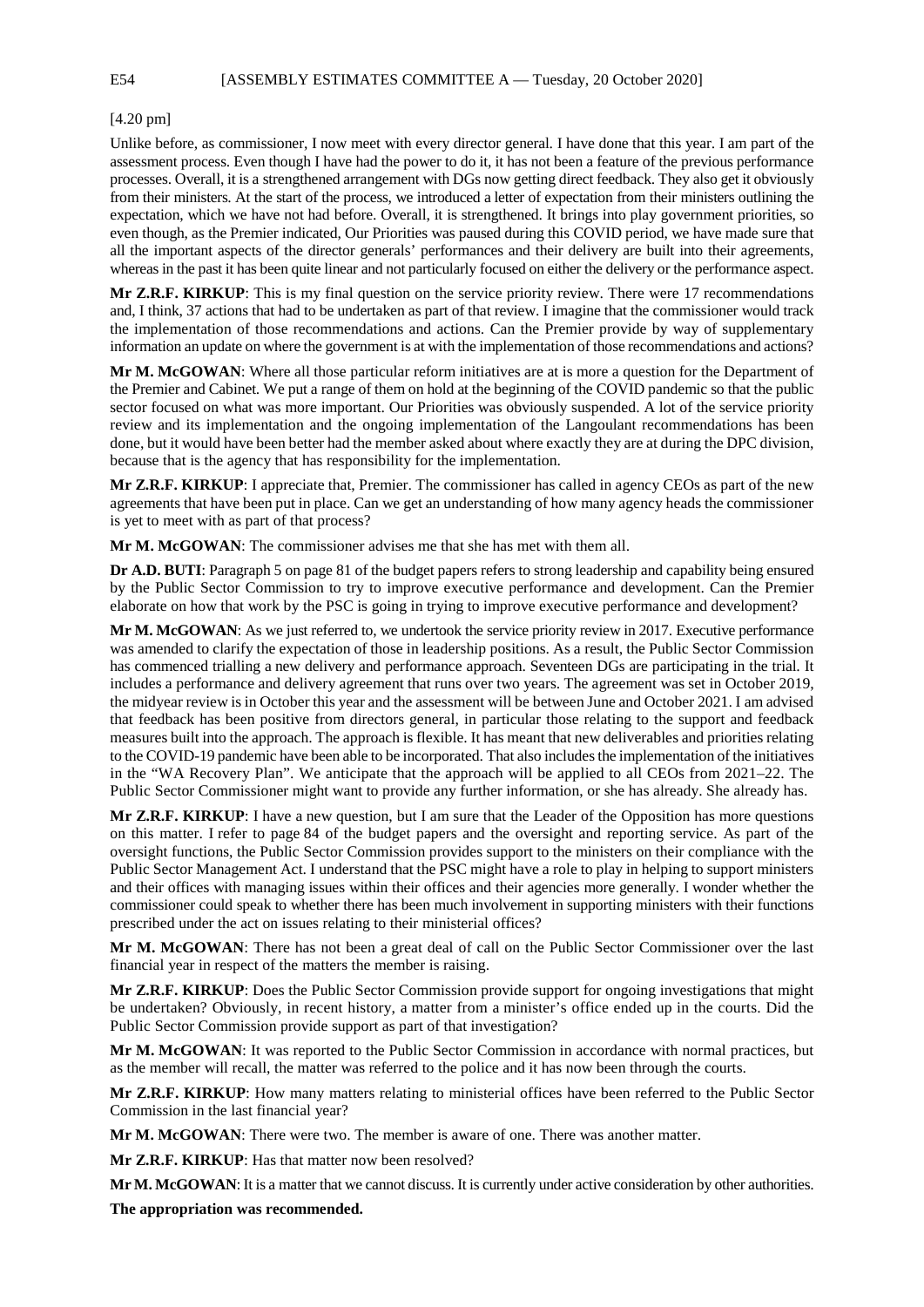E54 [ASSEMBLY ESTIMATES COMMITTEE A — Tuesday, 20 October 2020]

# [4.20 pm]

Unlike before, as commissioner, I now meet with every director general. I have done that this year. I am part of the assessment process. Even though I have had the power to do it, it has not been a feature of the previous performance processes. Overall, it is a strengthened arrangement with DGs now getting direct feedback. They also get it obviously from their ministers. At the start of the process, we introduced a letter of expectation from their ministers outlining the expectation, which we have not had before. Overall, it is strengthened. It brings into play government priorities, so even though, as the Premier indicated, Our Priorities was paused during this COVID period, we have made sure that all the important aspects of the director generals' performances and their delivery are built into their agreements, whereas in the past it has been quite linear and not particularly focused on either the delivery or the performance aspect.

**Mr Z.R.F. KIRKUP**: This is my final question on the service priority review. There were 17 recommendations and, I think, 37 actions that had to be undertaken as part of that review. I imagine that the commissioner would track the implementation of those recommendations and actions. Can the Premier provide by way of supplementary information an update on where the government is at with the implementation of those recommendations and actions?

**Mr M. McGOWAN**: Where all those particular reform initiatives are at is more a question for the Department of the Premier and Cabinet. We put a range of them on hold at the beginning of the COVID pandemic so that the public sector focused on what was more important. Our Priorities was obviously suspended. A lot of the service priority review and its implementation and the ongoing implementation of the Langoulant recommendations has been done, but it would have been better had the member asked about where exactly they are at during the DPC division, because that is the agency that has responsibility for the implementation.

**Mr Z.R.F. KIRKUP**: I appreciate that, Premier. The commissioner has called in agency CEOs as part of the new agreements that have been put in place. Can we get an understanding of how many agency heads the commissioner is yet to meet with as part of that process?

**Mr M. McGOWAN**: The commissioner advises me that she has met with them all.

**Dr A.D. BUTI**: Paragraph 5 on page 81 of the budget papers refers to strong leadership and capability being ensured by the Public Sector Commission to try to improve executive performance and development. Can the Premier elaborate on how that work by the PSC is going in trying to improve executive performance and development?

**Mr M. McGOWAN**: As we just referred to, we undertook the service priority review in 2017. Executive performance was amended to clarify the expectation of those in leadership positions. As a result, the Public Sector Commission has commenced trialling a new delivery and performance approach. Seventeen DGs are participating in the trial. It includes a performance and delivery agreement that runs over two years. The agreement was set in October 2019, the midyear review is in October this year and the assessment will be between June and October 2021. I am advised that feedback has been positive from directors general, in particular those relating to the support and feedback measures built into the approach. The approach is flexible. It has meant that new deliverables and priorities relating to the COVID-19 pandemic have been able to be incorporated. That also includes the implementation of the initiatives in the "WA Recovery Plan". We anticipate that the approach will be applied to all CEOs from 2021–22. The Public Sector Commissioner might want to provide any further information, or she has already. She already has.

**Mr Z.R.F. KIRKUP**: I have a new question, but I am sure that the Leader of the Opposition has more questions on this matter. I refer to page 84 of the budget papers and the oversight and reporting service. As part of the oversight functions, the Public Sector Commission provides support to the ministers on their compliance with the Public Sector Management Act. I understand that the PSC might have a role to play in helping to support ministers and their offices with managing issues within their offices and their agencies more generally. I wonder whether the commissioner could speak to whether there has been much involvement in supporting ministers with their functions prescribed under the act on issues relating to their ministerial offices?

**Mr M. McGOWAN**: There has not been a great deal of call on the Public Sector Commissioner over the last financial year in respect of the matters the member is raising.

**Mr Z.R.F. KIRKUP**: Does the Public Sector Commission provide support for ongoing investigations that might be undertaken? Obviously, in recent history, a matter from a minister's office ended up in the courts. Did the Public Sector Commission provide support as part of that investigation?

**Mr M. McGOWAN**: It was reported to the Public Sector Commission in accordance with normal practices, but as the member will recall, the matter was referred to the police and it has now been through the courts.

**Mr Z.R.F. KIRKUP**: How many matters relating to ministerial offices have been referred to the Public Sector Commission in the last financial year?

**Mr M. McGOWAN**: There were two. The member is aware of one. There was another matter.

**Mr Z.R.F. KIRKUP**: Has that matter now been resolved?

**Mr M. McGOWAN**: It is a matter that we cannot discuss. It is currently under active consideration by other authorities.

**The appropriation was recommended.**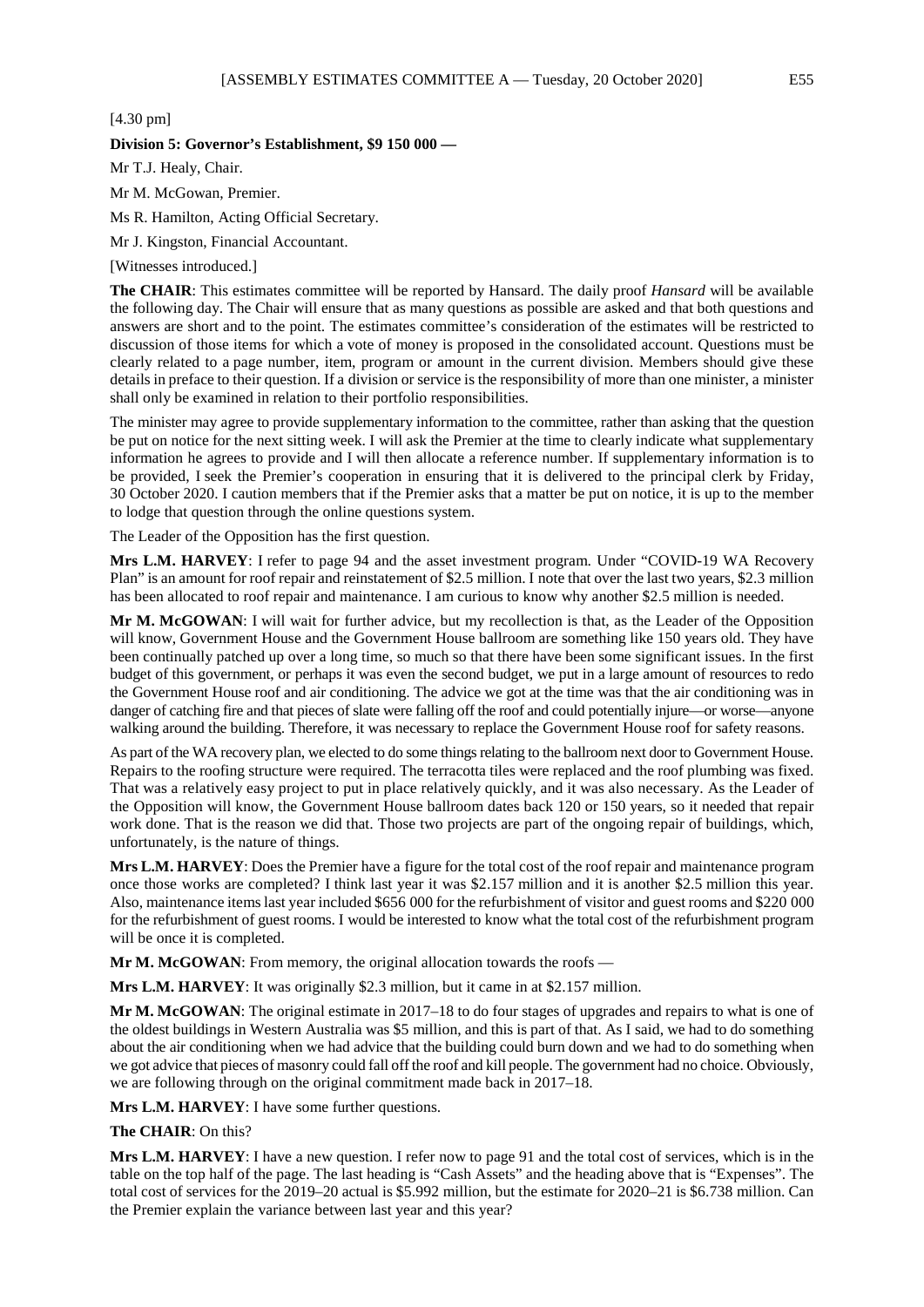[4.30 pm]

## **Division 5: Governor's Establishment, \$9 150 000 —**

Mr T.J. Healy, Chair.

Mr M. McGowan, Premier.

Ms R. Hamilton, Acting Official Secretary.

Mr J. Kingston, Financial Accountant.

[Witnesses introduced.]

**The CHAIR**: This estimates committee will be reported by Hansard. The daily proof *Hansard* will be available the following day. The Chair will ensure that as many questions as possible are asked and that both questions and answers are short and to the point. The estimates committee's consideration of the estimates will be restricted to discussion of those items for which a vote of money is proposed in the consolidated account. Questions must be clearly related to a page number, item, program or amount in the current division. Members should give these details in preface to their question. If a division or service is the responsibility of more than one minister, a minister shall only be examined in relation to their portfolio responsibilities.

The minister may agree to provide supplementary information to the committee, rather than asking that the question be put on notice for the next sitting week. I will ask the Premier at the time to clearly indicate what supplementary information he agrees to provide and I will then allocate a reference number. If supplementary information is to be provided, I seek the Premier's cooperation in ensuring that it is delivered to the principal clerk by Friday, 30 October 2020. I caution members that if the Premier asks that a matter be put on notice, it is up to the member to lodge that question through the online questions system.

The Leader of the Opposition has the first question.

**Mrs L.M. HARVEY**: I refer to page 94 and the asset investment program. Under "COVID-19 WA Recovery Plan" is an amount for roof repair and reinstatement of \$2.5 million. I note that over the last two years, \$2.3 million has been allocated to roof repair and maintenance. I am curious to know why another \$2.5 million is needed.

**Mr M. McGOWAN**: I will wait for further advice, but my recollection is that, as the Leader of the Opposition will know, Government House and the Government House ballroom are something like 150 years old. They have been continually patched up over a long time, so much so that there have been some significant issues. In the first budget of this government, or perhaps it was even the second budget, we put in a large amount of resources to redo the Government House roof and air conditioning. The advice we got at the time was that the air conditioning was in danger of catching fire and that pieces of slate were falling off the roof and could potentially injure—or worse—anyone walking around the building. Therefore, it was necessary to replace the Government House roof for safety reasons.

As part of the WA recovery plan, we elected to do some things relating to the ballroom next door to Government House. Repairs to the roofing structure were required. The terracotta tiles were replaced and the roof plumbing was fixed. That was a relatively easy project to put in place relatively quickly, and it was also necessary. As the Leader of the Opposition will know, the Government House ballroom dates back 120 or 150 years, so it needed that repair work done. That is the reason we did that. Those two projects are part of the ongoing repair of buildings, which, unfortunately, is the nature of things.

**Mrs L.M. HARVEY**: Does the Premier have a figure for the total cost of the roof repair and maintenance program once those works are completed? I think last year it was \$2.157 million and it is another \$2.5 million this year. Also, maintenance items last year included \$656 000 for the refurbishment of visitor and guest rooms and \$220 000 for the refurbishment of guest rooms. I would be interested to know what the total cost of the refurbishment program will be once it is completed.

**Mr M. McGOWAN**: From memory, the original allocation towards the roofs —

**Mrs L.M. HARVEY**: It was originally \$2.3 million, but it came in at \$2.157 million.

**Mr M. McGOWAN**: The original estimate in 2017–18 to do four stages of upgrades and repairs to what is one of the oldest buildings in Western Australia was \$5 million, and this is part of that. As I said, we had to do something about the air conditioning when we had advice that the building could burn down and we had to do something when we got advice that pieces of masonry could fall off the roof and kill people. The government had no choice. Obviously, we are following through on the original commitment made back in 2017–18.

**Mrs L.M. HARVEY**: I have some further questions.

**The CHAIR**: On this?

**Mrs L.M. HARVEY**: I have a new question. I refer now to page 91 and the total cost of services, which is in the table on the top half of the page. The last heading is "Cash Assets" and the heading above that is "Expenses". The total cost of services for the 2019–20 actual is \$5.992 million, but the estimate for 2020–21 is \$6.738 million. Can the Premier explain the variance between last year and this year?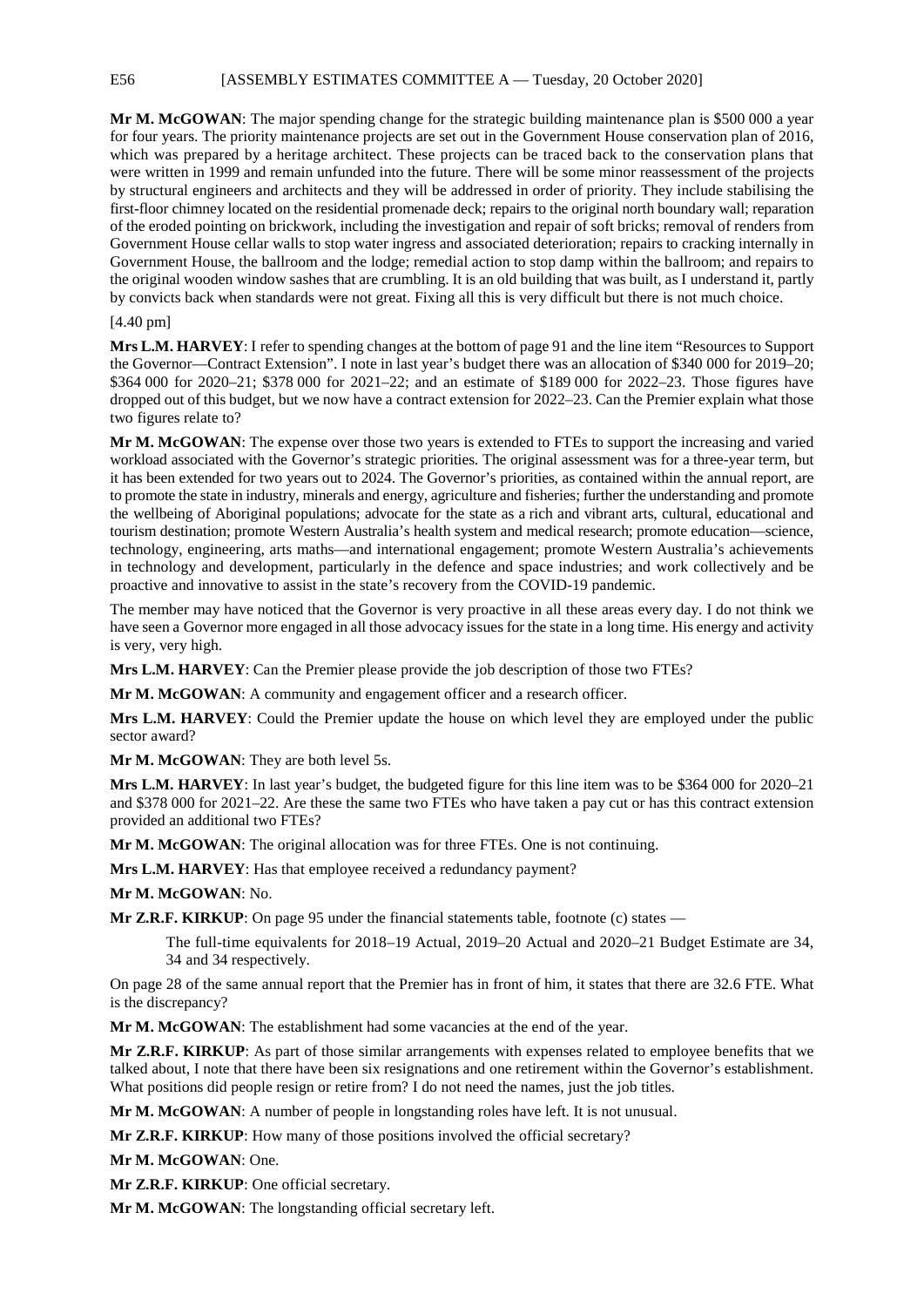E56 [ASSEMBLY ESTIMATES COMMITTEE A — Tuesday, 20 October 2020]

**Mr M. McGOWAN**: The major spending change for the strategic building maintenance plan is \$500 000 a year for four years. The priority maintenance projects are set out in the Government House conservation plan of 2016, which was prepared by a heritage architect. These projects can be traced back to the conservation plans that were written in 1999 and remain unfunded into the future. There will be some minor reassessment of the projects by structural engineers and architects and they will be addressed in order of priority. They include stabilising the first-floor chimney located on the residential promenade deck; repairs to the original north boundary wall; reparation of the eroded pointing on brickwork, including the investigation and repair of soft bricks; removal of renders from Government House cellar walls to stop water ingress and associated deterioration; repairs to cracking internally in Government House, the ballroom and the lodge; remedial action to stop damp within the ballroom; and repairs to the original wooden window sashes that are crumbling. It is an old building that was built, as I understand it, partly by convicts back when standards were not great. Fixing all this is very difficult but there is not much choice.

# [4.40 pm]

**Mrs L.M. HARVEY**: I refer to spending changes at the bottom of page 91 and the line item "Resources to Support the Governor—Contract Extension". I note in last year's budget there was an allocation of \$340 000 for 2019–20; \$364 000 for 2020–21; \$378 000 for 2021–22; and an estimate of \$189 000 for 2022–23. Those figures have dropped out of this budget, but we now have a contract extension for 2022–23. Can the Premier explain what those two figures relate to?

**Mr M. McGOWAN**: The expense over those two years is extended to FTEs to support the increasing and varied workload associated with the Governor's strategic priorities. The original assessment was for a three-year term, but it has been extended for two years out to 2024. The Governor's priorities, as contained within the annual report, are to promote the state in industry, minerals and energy, agriculture and fisheries; further the understanding and promote the wellbeing of Aboriginal populations; advocate for the state as a rich and vibrant arts, cultural, educational and tourism destination; promote Western Australia's health system and medical research; promote education—science, technology, engineering, arts maths—and international engagement; promote Western Australia's achievements in technology and development, particularly in the defence and space industries; and work collectively and be proactive and innovative to assist in the state's recovery from the COVID-19 pandemic.

The member may have noticed that the Governor is very proactive in all these areas every day. I do not think we have seen a Governor more engaged in all those advocacy issues for the state in a long time. His energy and activity is very, very high.

**Mrs L.M. HARVEY**: Can the Premier please provide the job description of those two FTEs?

Mr M. McGOWAN: A community and engagement officer and a research officer.

**Mrs L.M. HARVEY**: Could the Premier update the house on which level they are employed under the public sector award?

**Mr M. McGOWAN**: They are both level 5s.

**Mrs L.M. HARVEY**: In last year's budget, the budgeted figure for this line item was to be \$364 000 for 2020–21 and \$378 000 for 2021–22. Are these the same two FTEs who have taken a pay cut or has this contract extension provided an additional two FTEs?

**Mr M. McGOWAN**: The original allocation was for three FTEs. One is not continuing.

**Mrs L.M. HARVEY**: Has that employee received a redundancy payment?

**Mr M. McGOWAN**: No.

**Mr Z.R.F. KIRKUP**: On page 95 under the financial statements table, footnote (c) states —

The full-time equivalents for 2018–19 Actual, 2019–20 Actual and 2020–21 Budget Estimate are 34, 34 and 34 respectively.

On page 28 of the same annual report that the Premier has in front of him, it states that there are 32.6 FTE. What is the discrepancy?

**Mr M. McGOWAN**: The establishment had some vacancies at the end of the year.

**Mr Z.R.F. KIRKUP**: As part of those similar arrangements with expenses related to employee benefits that we talked about, I note that there have been six resignations and one retirement within the Governor's establishment. What positions did people resign or retire from? I do not need the names, just the job titles.

**Mr M. McGOWAN**: A number of people in longstanding roles have left. It is not unusual.

**Mr Z.R.F. KIRKUP**: How many of those positions involved the official secretary?

**Mr M. McGOWAN**: One.

**Mr Z.R.F. KIRKUP**: One official secretary.

**Mr M. McGOWAN**: The longstanding official secretary left.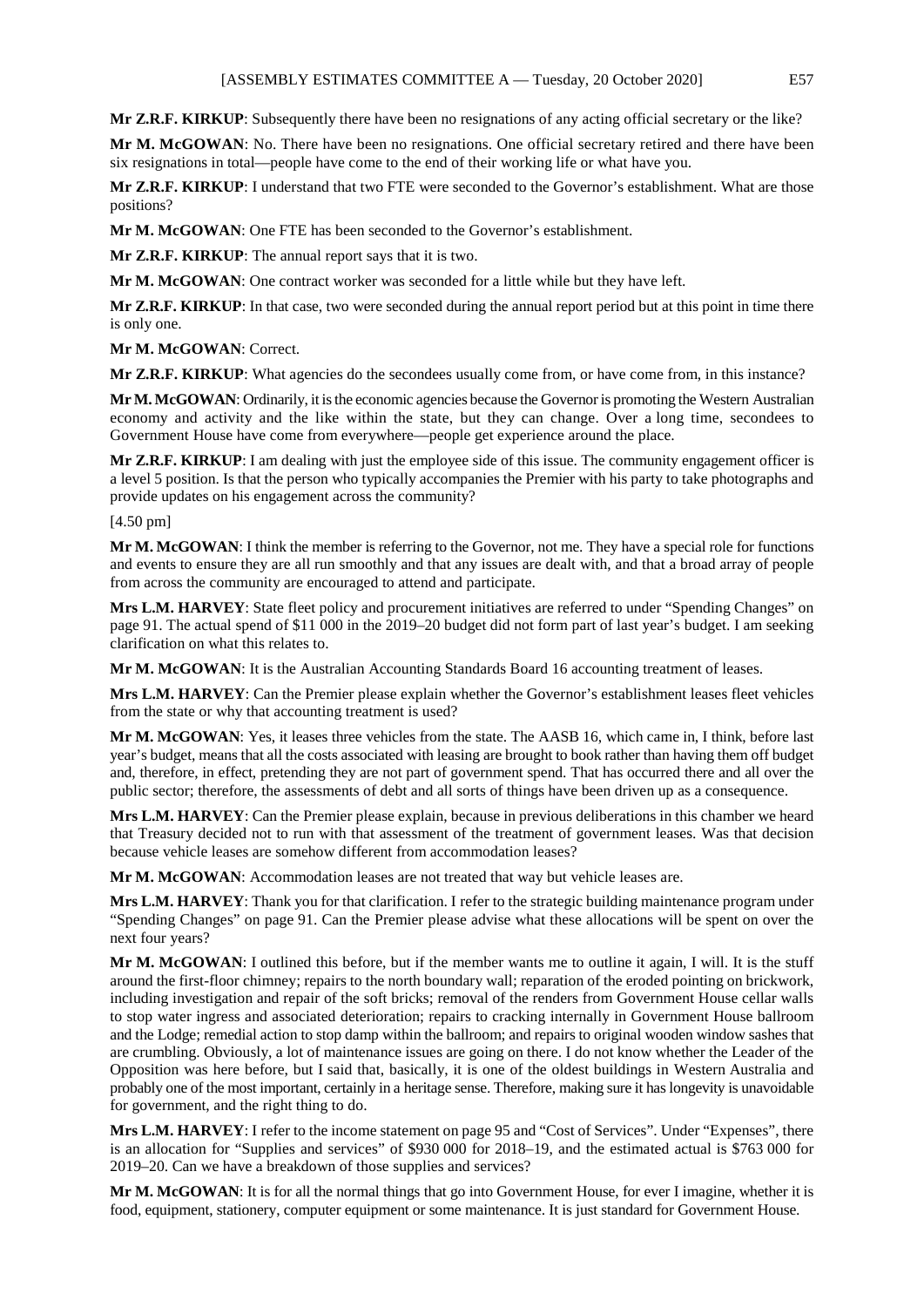**Mr Z.R.F. KIRKUP**: Subsequently there have been no resignations of any acting official secretary or the like?

**Mr M. McGOWAN**: No. There have been no resignations. One official secretary retired and there have been six resignations in total—people have come to the end of their working life or what have you.

**Mr Z.R.F. KIRKUP**: I understand that two FTE were seconded to the Governor's establishment. What are those positions?

**Mr M. McGOWAN**: One FTE has been seconded to the Governor's establishment.

**Mr Z.R.F. KIRKUP**: The annual report says that it is two.

**Mr M. McGOWAN**: One contract worker was seconded for a little while but they have left.

**Mr Z.R.F. KIRKUP**: In that case, two were seconded during the annual report period but at this point in time there is only one.

**Mr M. McGOWAN**: Correct.

**Mr Z.R.F. KIRKUP:** What agencies do the secondees usually come from, or have come from, in this instance?

**Mr M. McGOWAN**: Ordinarily, it is the economic agencies because the Governor is promoting the Western Australian economy and activity and the like within the state, but they can change. Over a long time, secondees to Government House have come from everywhere—people get experience around the place.

**Mr Z.R.F. KIRKUP**: I am dealing with just the employee side of this issue. The community engagement officer is a level 5 position. Is that the person who typically accompanies the Premier with his party to take photographs and provide updates on his engagement across the community?

[4.50 pm]

**Mr M. McGOWAN**: I think the member is referring to the Governor, not me. They have a special role for functions and events to ensure they are all run smoothly and that any issues are dealt with, and that a broad array of people from across the community are encouraged to attend and participate.

**Mrs L.M. HARVEY**: State fleet policy and procurement initiatives are referred to under "Spending Changes" on page 91. The actual spend of \$11 000 in the 2019–20 budget did not form part of last year's budget. I am seeking clarification on what this relates to.

**Mr M. McGOWAN**: It is the Australian Accounting Standards Board 16 accounting treatment of leases.

**Mrs L.M. HARVEY**: Can the Premier please explain whether the Governor's establishment leases fleet vehicles from the state or why that accounting treatment is used?

**Mr M. McGOWAN**: Yes, it leases three vehicles from the state. The AASB 16, which came in, I think, before last year's budget, means that all the costs associated with leasing are brought to book rather than having them off budget and, therefore, in effect, pretending they are not part of government spend. That has occurred there and all over the public sector; therefore, the assessments of debt and all sorts of things have been driven up as a consequence.

**Mrs L.M. HARVEY**: Can the Premier please explain, because in previous deliberations in this chamber we heard that Treasury decided not to run with that assessment of the treatment of government leases. Was that decision because vehicle leases are somehow different from accommodation leases?

**Mr M. McGOWAN**: Accommodation leases are not treated that way but vehicle leases are.

**Mrs L.M. HARVEY**: Thank you for that clarification. I refer to the strategic building maintenance program under "Spending Changes" on page 91. Can the Premier please advise what these allocations will be spent on over the next four years?

**Mr M. McGOWAN**: I outlined this before, but if the member wants me to outline it again, I will. It is the stuff around the first-floor chimney; repairs to the north boundary wall; reparation of the eroded pointing on brickwork, including investigation and repair of the soft bricks; removal of the renders from Government House cellar walls to stop water ingress and associated deterioration; repairs to cracking internally in Government House ballroom and the Lodge; remedial action to stop damp within the ballroom; and repairs to original wooden window sashes that are crumbling. Obviously, a lot of maintenance issues are going on there. I do not know whether the Leader of the Opposition was here before, but I said that, basically, it is one of the oldest buildings in Western Australia and probably one of the most important, certainly in a heritage sense. Therefore, making sure it has longevity is unavoidable for government, and the right thing to do.

**Mrs L.M. HARVEY**: I refer to the income statement on page 95 and "Cost of Services". Under "Expenses", there is an allocation for "Supplies and services" of \$930 000 for 2018–19, and the estimated actual is \$763 000 for 2019–20. Can we have a breakdown of those supplies and services?

**Mr M. McGOWAN**: It is for all the normal things that go into Government House, for ever I imagine, whether it is food, equipment, stationery, computer equipment or some maintenance. It is just standard for Government House.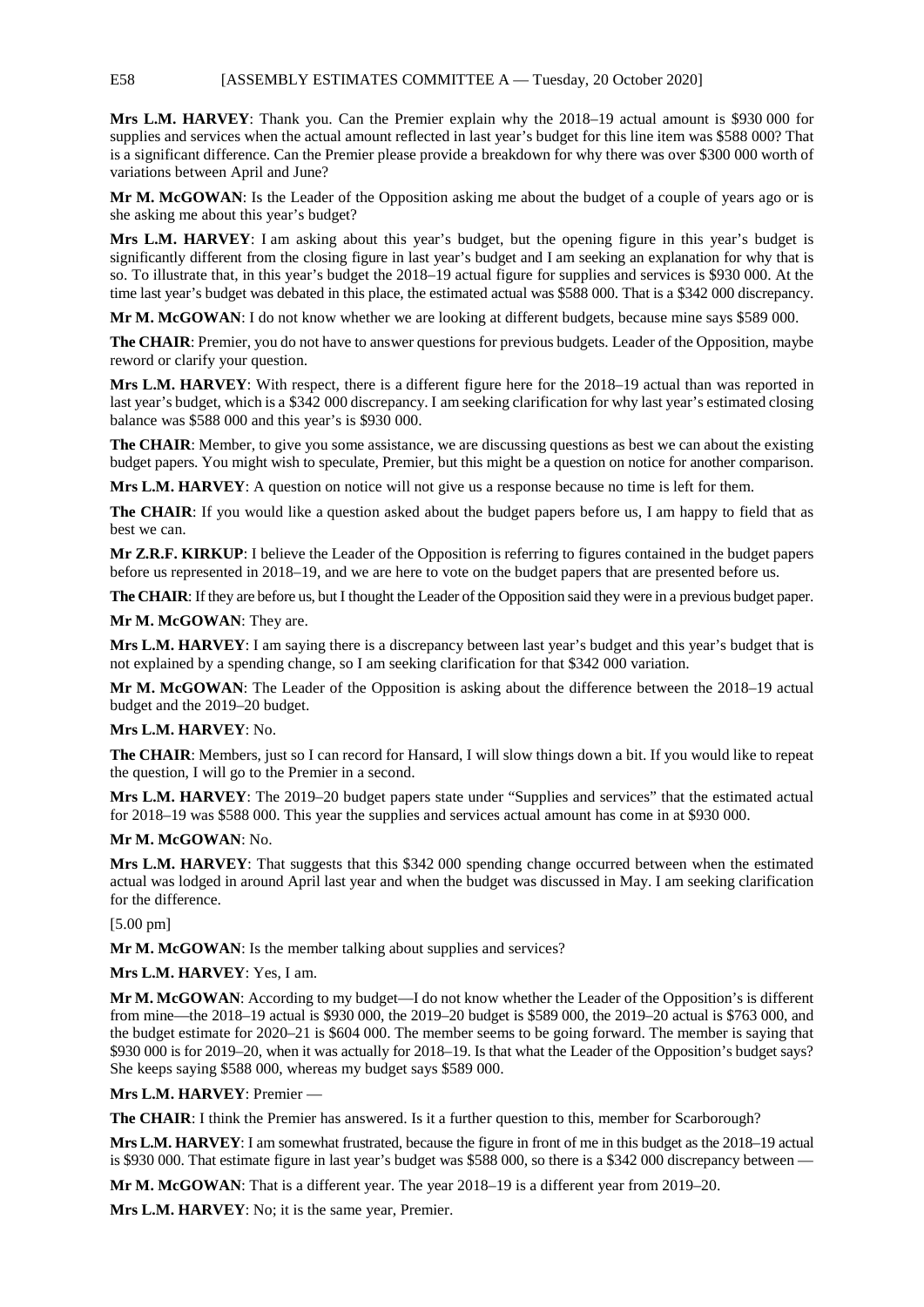# E58 [ASSEMBLY ESTIMATES COMMITTEE A — Tuesday, 20 October 2020]

**Mrs L.M. HARVEY**: Thank you. Can the Premier explain why the 2018–19 actual amount is \$930 000 for supplies and services when the actual amount reflected in last year's budget for this line item was \$588 000? That is a significant difference. Can the Premier please provide a breakdown for why there was over \$300 000 worth of variations between April and June?

**Mr M. McGOWAN**: Is the Leader of the Opposition asking me about the budget of a couple of years ago or is she asking me about this year's budget?

**Mrs L.M. HARVEY**: I am asking about this year's budget, but the opening figure in this year's budget is significantly different from the closing figure in last year's budget and I am seeking an explanation for why that is so. To illustrate that, in this year's budget the 2018–19 actual figure for supplies and services is \$930 000. At the time last year's budget was debated in this place, the estimated actual was \$588 000. That is a \$342 000 discrepancy.

**Mr M. McGOWAN**: I do not know whether we are looking at different budgets, because mine says \$589 000.

**The CHAIR**: Premier, you do not have to answer questions for previous budgets. Leader of the Opposition, maybe reword or clarify your question.

**Mrs L.M. HARVEY**: With respect, there is a different figure here for the 2018–19 actual than was reported in last year's budget, which is a \$342 000 discrepancy. I am seeking clarification for why last year's estimated closing balance was \$588 000 and this year's is \$930 000.

**The CHAIR**: Member, to give you some assistance, we are discussing questions as best we can about the existing budget papers. You might wish to speculate, Premier, but this might be a question on notice for another comparison.

**Mrs L.M. HARVEY**: A question on notice will not give us a response because no time is left for them.

**The CHAIR**: If you would like a question asked about the budget papers before us, I am happy to field that as best we can.

**Mr Z.R.F. KIRKUP**: I believe the Leader of the Opposition is referring to figures contained in the budget papers before us represented in 2018–19, and we are here to vote on the budget papers that are presented before us.

**The CHAIR**: If they are before us, but I thought the Leader of the Opposition said they were in a previous budget paper.

**Mr M. McGOWAN**: They are.

**Mrs L.M. HARVEY**: I am saying there is a discrepancy between last year's budget and this year's budget that is not explained by a spending change, so I am seeking clarification for that \$342 000 variation.

**Mr M. McGOWAN**: The Leader of the Opposition is asking about the difference between the 2018–19 actual budget and the 2019–20 budget.

#### **Mrs L.M. HARVEY**: No.

**The CHAIR**: Members, just so I can record for Hansard, I will slow things down a bit. If you would like to repeat the question, I will go to the Premier in a second.

**Mrs L.M. HARVEY**: The 2019–20 budget papers state under "Supplies and services" that the estimated actual for 2018–19 was \$588 000. This year the supplies and services actual amount has come in at \$930 000.

# **Mr M. McGOWAN**: No.

**Mrs L.M. HARVEY**: That suggests that this \$342 000 spending change occurred between when the estimated actual was lodged in around April last year and when the budget was discussed in May. I am seeking clarification for the difference.

# [5.00 pm]

**Mr M. McGOWAN**: Is the member talking about supplies and services?

# **Mrs L.M. HARVEY**: Yes, I am.

**Mr M. McGOWAN**: According to my budget—I do not know whether the Leader of the Opposition's is different from mine—the 2018–19 actual is \$930 000, the 2019–20 budget is \$589 000, the 2019–20 actual is \$763 000, and the budget estimate for 2020–21 is \$604 000. The member seems to be going forward. The member is saying that \$930 000 is for 2019–20, when it was actually for 2018–19. Is that what the Leader of the Opposition's budget says? She keeps saying \$588 000, whereas my budget says \$589 000.

**Mrs L.M. HARVEY**: Premier —

**The CHAIR**: I think the Premier has answered. Is it a further question to this, member for Scarborough?

**Mrs L.M. HARVEY**: I am somewhat frustrated, because the figure in front of me in this budget as the 2018–19 actual is \$930 000. That estimate figure in last year's budget was \$588 000, so there is a \$342 000 discrepancy between —

**Mr M. McGOWAN**: That is a different year. The year 2018–19 is a different year from 2019–20.

**Mrs L.M. HARVEY**: No; it is the same year, Premier.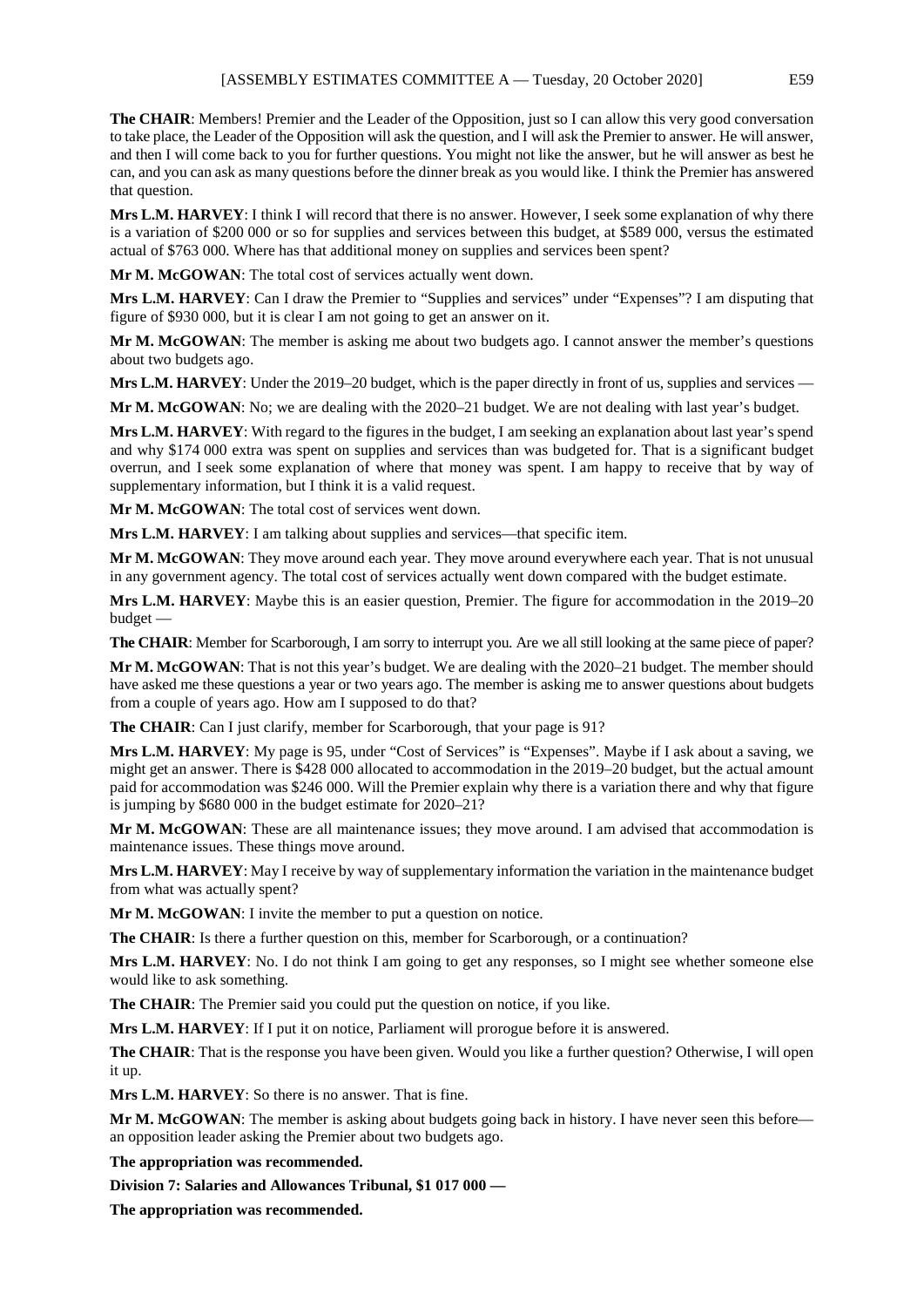**The CHAIR**: Members! Premier and the Leader of the Opposition, just so I can allow this very good conversation to take place, the Leader of the Opposition will ask the question, and I will ask the Premier to answer. He will answer, and then I will come back to you for further questions. You might not like the answer, but he will answer as best he can, and you can ask as many questions before the dinner break as you would like. I think the Premier has answered that question.

**Mrs L.M. HARVEY**: I think I will record that there is no answer. However, I seek some explanation of why there is a variation of \$200 000 or so for supplies and services between this budget, at \$589 000, versus the estimated actual of \$763 000. Where has that additional money on supplies and services been spent?

**Mr M. McGOWAN**: The total cost of services actually went down.

**Mrs L.M. HARVEY**: Can I draw the Premier to "Supplies and services" under "Expenses"? I am disputing that figure of \$930 000, but it is clear I am not going to get an answer on it.

**Mr M. McGOWAN**: The member is asking me about two budgets ago. I cannot answer the member's questions about two budgets ago.

Mrs L.M. HARVEY: Under the 2019–20 budget, which is the paper directly in front of us, supplies and services —

**Mr M. McGOWAN**: No; we are dealing with the 2020–21 budget. We are not dealing with last year's budget.

**Mrs L.M. HARVEY**: With regard to the figures in the budget, I am seeking an explanation about last year's spend and why \$174 000 extra was spent on supplies and services than was budgeted for. That is a significant budget overrun, and I seek some explanation of where that money was spent. I am happy to receive that by way of supplementary information, but I think it is a valid request.

**Mr M. McGOWAN**: The total cost of services went down.

**Mrs L.M. HARVEY**: I am talking about supplies and services—that specific item.

**Mr M. McGOWAN**: They move around each year. They move around everywhere each year. That is not unusual in any government agency. The total cost of services actually went down compared with the budget estimate.

**Mrs L.M. HARVEY**: Maybe this is an easier question, Premier. The figure for accommodation in the 2019–20 budget —

**The CHAIR**: Member for Scarborough, I am sorry to interrupt you. Are we all still looking at the same piece of paper?

**Mr M. McGOWAN**: That is not this year's budget. We are dealing with the 2020–21 budget. The member should have asked me these questions a year or two years ago. The member is asking me to answer questions about budgets from a couple of years ago. How am I supposed to do that?

The CHAIR: Can I just clarify, member for Scarborough, that your page is 91?

**Mrs L.M. HARVEY**: My page is 95, under "Cost of Services" is "Expenses". Maybe if I ask about a saving, we might get an answer. There is \$428 000 allocated to accommodation in the 2019–20 budget, but the actual amount paid for accommodation was \$246 000. Will the Premier explain why there is a variation there and why that figure is jumping by \$680 000 in the budget estimate for 2020–21?

**Mr M. McGOWAN**: These are all maintenance issues; they move around. I am advised that accommodation is maintenance issues. These things move around.

**Mrs L.M. HARVEY**: May I receive by way of supplementary information the variation in the maintenance budget from what was actually spent?

**Mr M. McGOWAN**: I invite the member to put a question on notice.

**The CHAIR**: Is there a further question on this, member for Scarborough, or a continuation?

**Mrs L.M. HARVEY**: No. I do not think I am going to get any responses, so I might see whether someone else would like to ask something.

**The CHAIR**: The Premier said you could put the question on notice, if you like.

**Mrs L.M. HARVEY**: If I put it on notice, Parliament will prorogue before it is answered.

**The CHAIR**: That is the response you have been given. Would you like a further question? Otherwise, I will open it up.

**Mrs L.M. HARVEY**: So there is no answer. That is fine.

**Mr M. McGOWAN**: The member is asking about budgets going back in history. I have never seen this before an opposition leader asking the Premier about two budgets ago.

**The appropriation was recommended.**

**Division 7: Salaries and Allowances Tribunal, \$1 017 000 —**

**The appropriation was recommended.**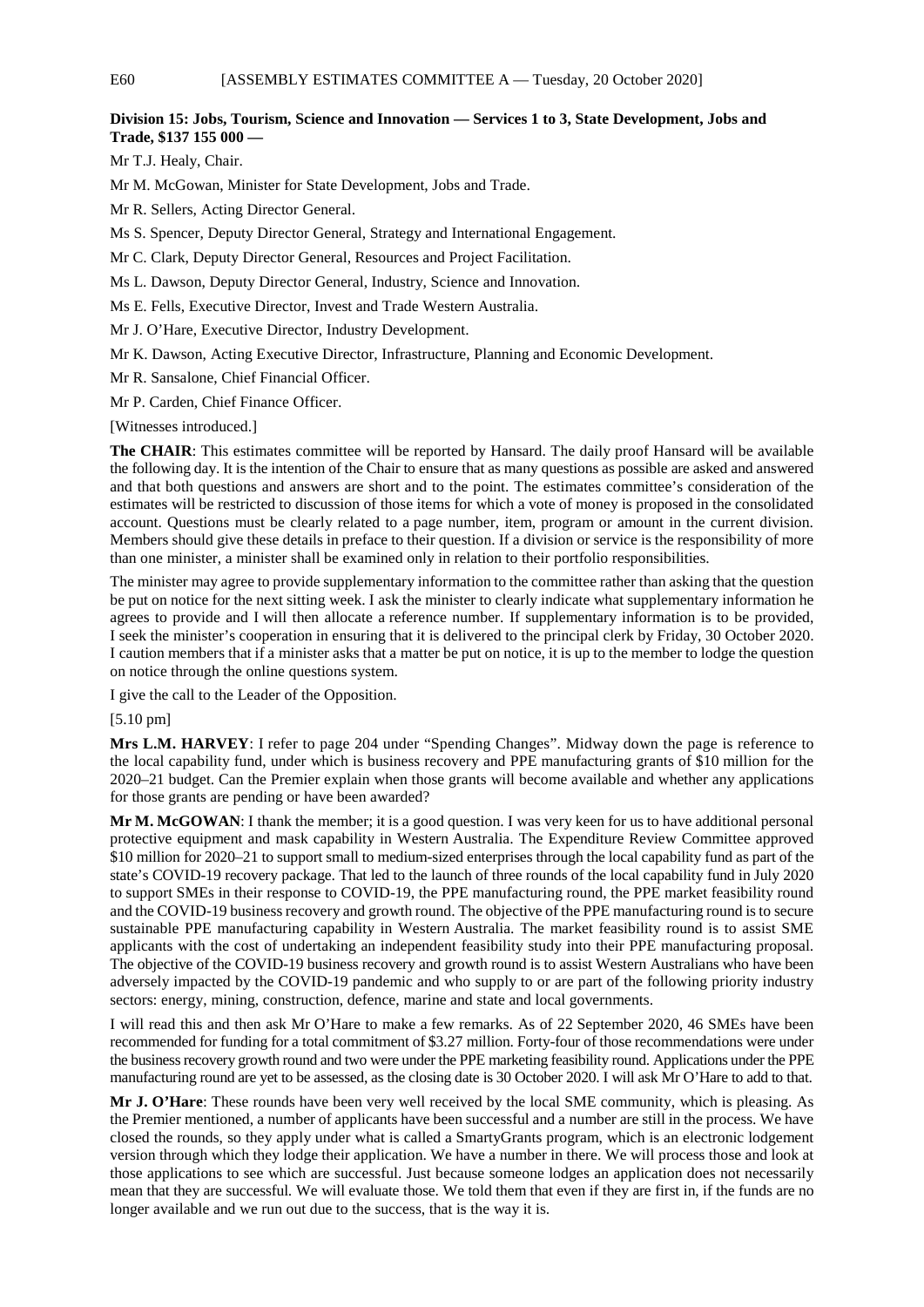# **Division 15: Jobs, Tourism, Science and Innovation — Services 1 to 3, State Development, Jobs and Trade, \$137 155 000 —**

Mr T.J. Healy, Chair.

Mr M. McGowan, Minister for State Development, Jobs and Trade.

Mr R. Sellers, Acting Director General.

- Ms S. Spencer, Deputy Director General, Strategy and International Engagement.
- Mr C. Clark, Deputy Director General, Resources and Project Facilitation.
- Ms L. Dawson, Deputy Director General, Industry, Science and Innovation.
- Ms E. Fells, Executive Director, Invest and Trade Western Australia.
- Mr J. O'Hare, Executive Director, Industry Development.
- Mr K. Dawson, Acting Executive Director, Infrastructure, Planning and Economic Development.

Mr R. Sansalone, Chief Financial Officer.

Mr P. Carden, Chief Finance Officer.

[Witnesses introduced.]

**The CHAIR**: This estimates committee will be reported by Hansard. The daily proof Hansard will be available the following day. It is the intention of the Chair to ensure that as many questions as possible are asked and answered and that both questions and answers are short and to the point. The estimates committee's consideration of the estimates will be restricted to discussion of those items for which a vote of money is proposed in the consolidated account. Questions must be clearly related to a page number, item, program or amount in the current division. Members should give these details in preface to their question. If a division or service is the responsibility of more than one minister, a minister shall be examined only in relation to their portfolio responsibilities.

The minister may agree to provide supplementary information to the committee rather than asking that the question be put on notice for the next sitting week. I ask the minister to clearly indicate what supplementary information he agrees to provide and I will then allocate a reference number. If supplementary information is to be provided, I seek the minister's cooperation in ensuring that it is delivered to the principal clerk by Friday, 30 October 2020. I caution members that if a minister asks that a matter be put on notice, it is up to the member to lodge the question on notice through the online questions system.

I give the call to the Leader of the Opposition.

# [5.10 pm]

**Mrs L.M. HARVEY**: I refer to page 204 under "Spending Changes". Midway down the page is reference to the local capability fund, under which is business recovery and PPE manufacturing grants of \$10 million for the 2020–21 budget. Can the Premier explain when those grants will become available and whether any applications for those grants are pending or have been awarded?

**Mr M. McGOWAN**: I thank the member; it is a good question. I was very keen for us to have additional personal protective equipment and mask capability in Western Australia. The Expenditure Review Committee approved \$10 million for 2020–21 to support small to medium-sized enterprises through the local capability fund as part of the state's COVID-19 recovery package. That led to the launch of three rounds of the local capability fund in July 2020 to support SMEs in their response to COVID-19, the PPE manufacturing round, the PPE market feasibility round and the COVID-19 business recovery and growth round. The objective of the PPE manufacturing round is to secure sustainable PPE manufacturing capability in Western Australia. The market feasibility round is to assist SME applicants with the cost of undertaking an independent feasibility study into their PPE manufacturing proposal. The objective of the COVID-19 business recovery and growth round is to assist Western Australians who have been adversely impacted by the COVID-19 pandemic and who supply to or are part of the following priority industry sectors: energy, mining, construction, defence, marine and state and local governments.

I will read this and then ask Mr O'Hare to make a few remarks. As of 22 September 2020, 46 SMEs have been recommended for funding for a total commitment of \$3.27 million. Forty-four of those recommendations were under the business recovery growth round and two were under the PPE marketing feasibility round. Applications under the PPE manufacturing round are yet to be assessed, as the closing date is 30 October 2020. I will ask Mr O'Hare to add to that.

**Mr J. O'Hare**: These rounds have been very well received by the local SME community, which is pleasing. As the Premier mentioned, a number of applicants have been successful and a number are still in the process. We have closed the rounds, so they apply under what is called a SmartyGrants program, which is an electronic lodgement version through which they lodge their application. We have a number in there. We will process those and look at those applications to see which are successful. Just because someone lodges an application does not necessarily mean that they are successful. We will evaluate those. We told them that even if they are first in, if the funds are no longer available and we run out due to the success, that is the way it is.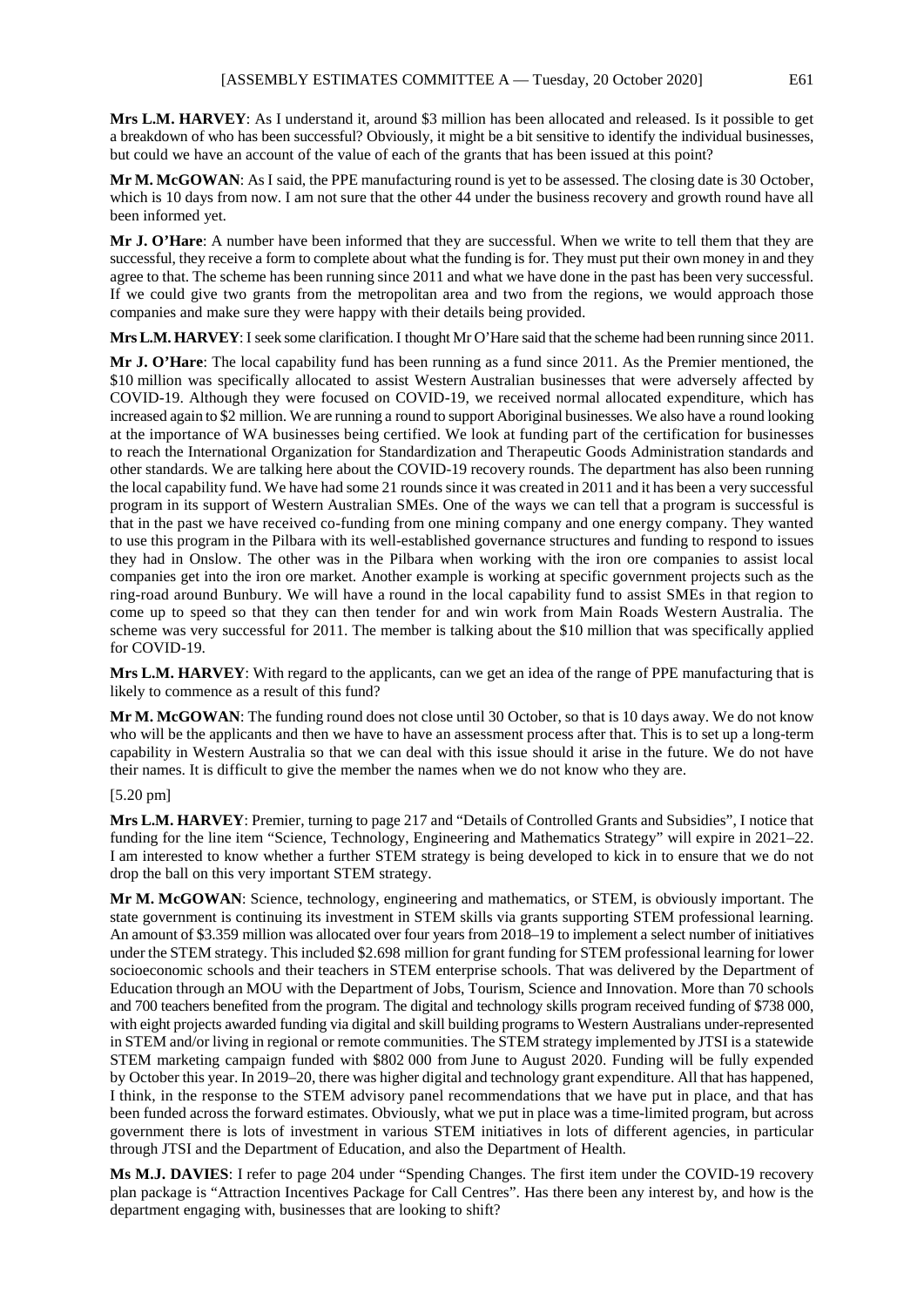**Mrs L.M. HARVEY**: As I understand it, around \$3 million has been allocated and released. Is it possible to get a breakdown of who has been successful? Obviously, it might be a bit sensitive to identify the individual businesses, but could we have an account of the value of each of the grants that has been issued at this point?

**Mr M. McGOWAN**: As I said, the PPE manufacturing round is yet to be assessed. The closing date is 30 October, which is 10 days from now. I am not sure that the other 44 under the business recovery and growth round have all been informed yet.

**Mr J. O'Hare**: A number have been informed that they are successful. When we write to tell them that they are successful, they receive a form to complete about what the funding is for. They must put their own money in and they agree to that. The scheme has been running since 2011 and what we have done in the past has been very successful. If we could give two grants from the metropolitan area and two from the regions, we would approach those companies and make sure they were happy with their details being provided.

**Mrs L.M. HARVEY**: I seek some clarification. I thought Mr O'Hare said that the scheme had been running since 2011.

**Mr J. O'Hare**: The local capability fund has been running as a fund since 2011. As the Premier mentioned, the \$10 million was specifically allocated to assist Western Australian businesses that were adversely affected by COVID-19. Although they were focused on COVID-19, we received normal allocated expenditure, which has increased again to \$2 million. We are running a round to support Aboriginal businesses. We also have a round looking at the importance of WA businesses being certified. We look at funding part of the certification for businesses to reach the International Organization for Standardization and Therapeutic Goods Administration standards and other standards. We are talking here about the COVID-19 recovery rounds. The department has also been running the local capability fund. We have had some 21 rounds since it was created in 2011 and it has been a very successful program in its support of Western Australian SMEs. One of the ways we can tell that a program is successful is that in the past we have received co-funding from one mining company and one energy company. They wanted to use this program in the Pilbara with its well-established governance structures and funding to respond to issues they had in Onslow. The other was in the Pilbara when working with the iron ore companies to assist local companies get into the iron ore market. Another example is working at specific government projects such as the ring-road around Bunbury. We will have a round in the local capability fund to assist SMEs in that region to come up to speed so that they can then tender for and win work from Main Roads Western Australia. The scheme was very successful for 2011. The member is talking about the \$10 million that was specifically applied for COVID-19.

**Mrs L.M. HARVEY**: With regard to the applicants, can we get an idea of the range of PPE manufacturing that is likely to commence as a result of this fund?

**Mr M. McGOWAN**: The funding round does not close until 30 October, so that is 10 days away. We do not know who will be the applicants and then we have to have an assessment process after that. This is to set up a long-term capability in Western Australia so that we can deal with this issue should it arise in the future. We do not have their names. It is difficult to give the member the names when we do not know who they are.

### [5.20 pm]

**Mrs L.M. HARVEY**: Premier, turning to page 217 and "Details of Controlled Grants and Subsidies", I notice that funding for the line item "Science, Technology, Engineering and Mathematics Strategy" will expire in 2021–22. I am interested to know whether a further STEM strategy is being developed to kick in to ensure that we do not drop the ball on this very important STEM strategy.

**Mr M. McGOWAN**: Science, technology, engineering and mathematics, or STEM, is obviously important. The state government is continuing its investment in STEM skills via grants supporting STEM professional learning. An amount of \$3.359 million was allocated over four years from 2018–19 to implement a select number of initiatives under the STEM strategy. This included \$2.698 million for grant funding for STEM professional learning for lower socioeconomic schools and their teachers in STEM enterprise schools. That was delivered by the Department of Education through an MOU with the Department of Jobs, Tourism, Science and Innovation. More than 70 schools and 700 teachers benefited from the program. The digital and technology skills program received funding of \$738 000, with eight projects awarded funding via digital and skill building programs to Western Australians under-represented in STEM and/or living in regional or remote communities. The STEM strategy implemented by JTSI is a statewide STEM marketing campaign funded with \$802 000 from June to August 2020. Funding will be fully expended by October this year. In 2019–20, there was higher digital and technology grant expenditure. All that has happened, I think, in the response to the STEM advisory panel recommendations that we have put in place, and that has been funded across the forward estimates. Obviously, what we put in place was a time-limited program, but across government there is lots of investment in various STEM initiatives in lots of different agencies, in particular through JTSI and the Department of Education, and also the Department of Health.

**Ms M.J. DAVIES**: I refer to page 204 under "Spending Changes. The first item under the COVID-19 recovery plan package is "Attraction Incentives Package for Call Centres". Has there been any interest by, and how is the department engaging with, businesses that are looking to shift?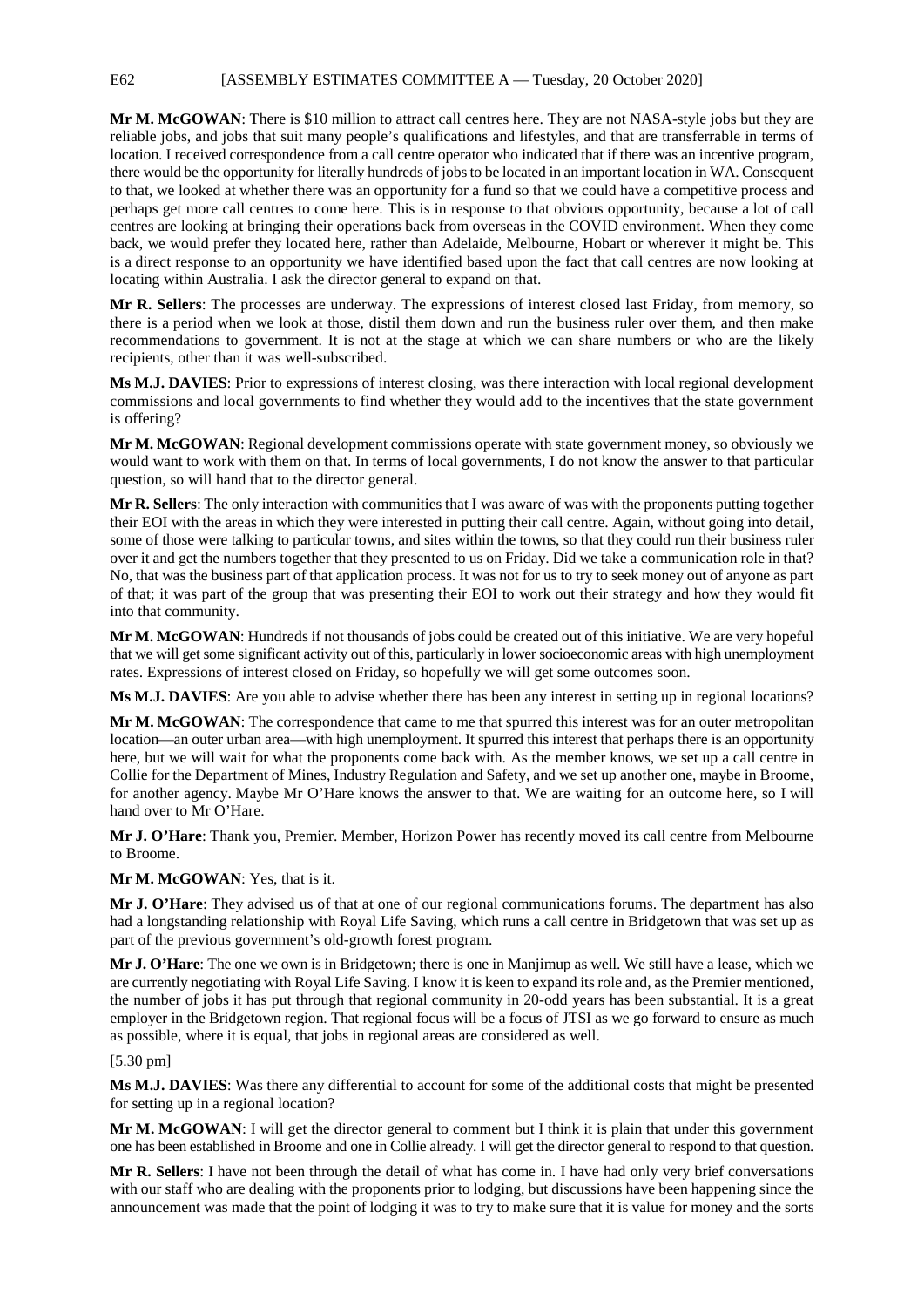**Mr M. McGOWAN**: There is \$10 million to attract call centres here. They are not NASA-style jobs but they are reliable jobs, and jobs that suit many people's qualifications and lifestyles, and that are transferrable in terms of location. I received correspondence from a call centre operator who indicated that if there was an incentive program, there would be the opportunity for literally hundreds of jobs to be located in an important location in WA. Consequent to that, we looked at whether there was an opportunity for a fund so that we could have a competitive process and perhaps get more call centres to come here. This is in response to that obvious opportunity, because a lot of call centres are looking at bringing their operations back from overseas in the COVID environment. When they come back, we would prefer they located here, rather than Adelaide, Melbourne, Hobart or wherever it might be. This is a direct response to an opportunity we have identified based upon the fact that call centres are now looking at locating within Australia. I ask the director general to expand on that.

**Mr R. Sellers**: The processes are underway. The expressions of interest closed last Friday, from memory, so there is a period when we look at those, distil them down and run the business ruler over them, and then make recommendations to government. It is not at the stage at which we can share numbers or who are the likely recipients, other than it was well-subscribed.

**Ms M.J. DAVIES**: Prior to expressions of interest closing, was there interaction with local regional development commissions and local governments to find whether they would add to the incentives that the state government is offering?

**Mr M. McGOWAN**: Regional development commissions operate with state government money, so obviously we would want to work with them on that. In terms of local governments, I do not know the answer to that particular question, so will hand that to the director general.

**Mr R. Sellers**: The only interaction with communities that I was aware of was with the proponents putting together their EOI with the areas in which they were interested in putting their call centre. Again, without going into detail, some of those were talking to particular towns, and sites within the towns, so that they could run their business ruler over it and get the numbers together that they presented to us on Friday. Did we take a communication role in that? No, that was the business part of that application process. It was not for us to try to seek money out of anyone as part of that; it was part of the group that was presenting their EOI to work out their strategy and how they would fit into that community.

**Mr M. McGOWAN**: Hundreds if not thousands of jobs could be created out of this initiative. We are very hopeful that we will get some significant activity out of this, particularly in lower socioeconomic areas with high unemployment rates. Expressions of interest closed on Friday, so hopefully we will get some outcomes soon.

**Ms M.J. DAVIES**: Are you able to advise whether there has been any interest in setting up in regional locations?

**Mr M. McGOWAN**: The correspondence that came to me that spurred this interest was for an outer metropolitan location—an outer urban area—with high unemployment. It spurred this interest that perhaps there is an opportunity here, but we will wait for what the proponents come back with. As the member knows, we set up a call centre in Collie for the Department of Mines, Industry Regulation and Safety, and we set up another one, maybe in Broome, for another agency. Maybe Mr O'Hare knows the answer to that. We are waiting for an outcome here, so I will hand over to Mr O'Hare.

**Mr J. O'Hare**: Thank you, Premier. Member, Horizon Power has recently moved its call centre from Melbourne to Broome.

**Mr M. McGOWAN**: Yes, that is it.

**Mr J. O'Hare**: They advised us of that at one of our regional communications forums. The department has also had a longstanding relationship with Royal Life Saving, which runs a call centre in Bridgetown that was set up as part of the previous government's old-growth forest program.

**Mr J. O'Hare**: The one we own is in Bridgetown; there is one in Manjimup as well. We still have a lease, which we are currently negotiating with Royal Life Saving. I know it is keen to expand its role and, as the Premier mentioned, the number of jobs it has put through that regional community in 20-odd years has been substantial. It is a great employer in the Bridgetown region. That regional focus will be a focus of JTSI as we go forward to ensure as much as possible, where it is equal, that jobs in regional areas are considered as well.

## [5.30 pm]

**Ms M.J. DAVIES**: Was there any differential to account for some of the additional costs that might be presented for setting up in a regional location?

**Mr M. McGOWAN**: I will get the director general to comment but I think it is plain that under this government one has been established in Broome and one in Collie already. I will get the director general to respond to that question.

**Mr R. Sellers**: I have not been through the detail of what has come in. I have had only very brief conversations with our staff who are dealing with the proponents prior to lodging, but discussions have been happening since the announcement was made that the point of lodging it was to try to make sure that it is value for money and the sorts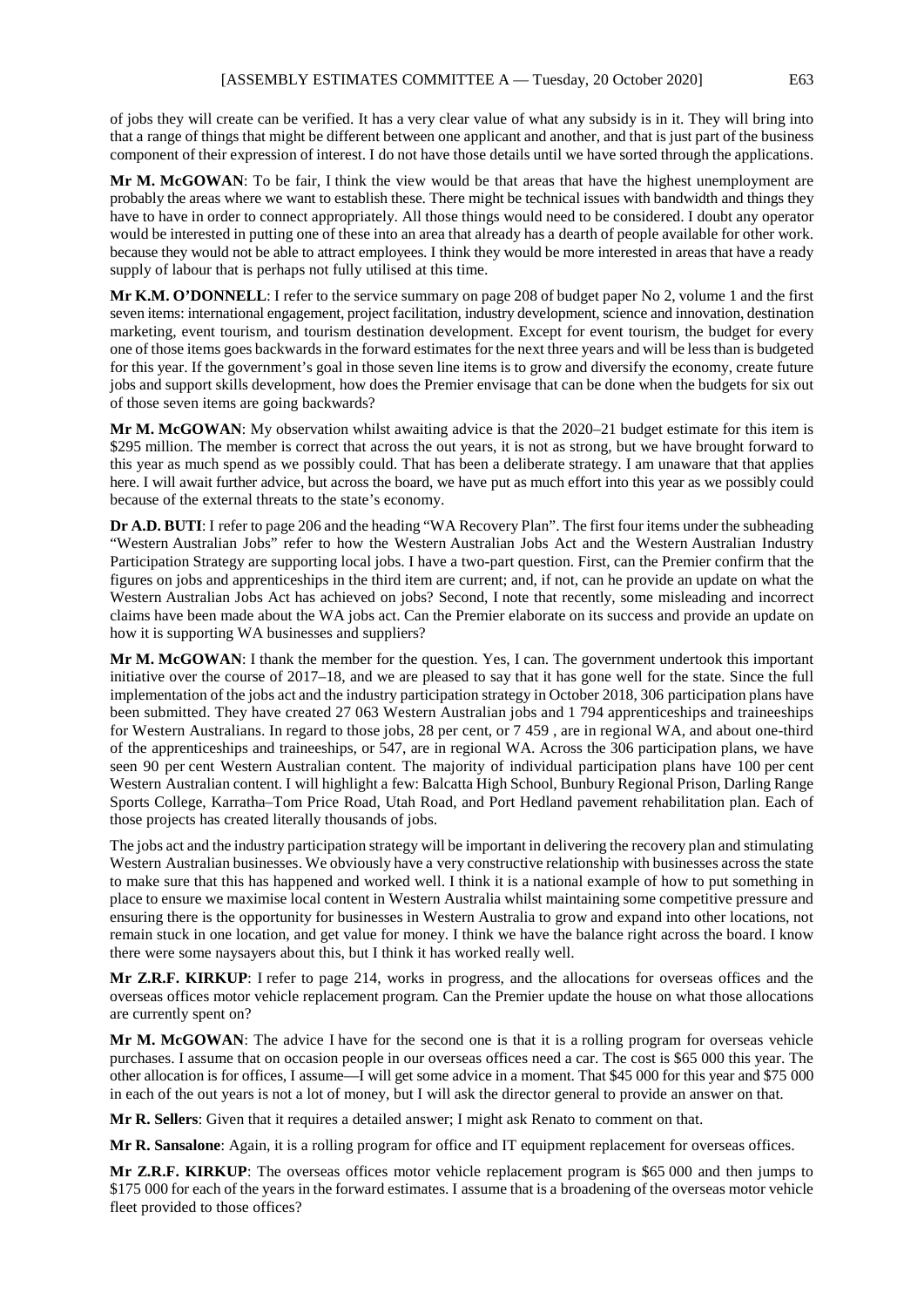of jobs they will create can be verified. It has a very clear value of what any subsidy is in it. They will bring into that a range of things that might be different between one applicant and another, and that is just part of the business component of their expression of interest. I do not have those details until we have sorted through the applications.

Mr M. McGOWAN: To be fair, I think the view would be that areas that have the highest unemployment are probably the areas where we want to establish these. There might be technical issues with bandwidth and things they have to have in order to connect appropriately. All those things would need to be considered. I doubt any operator would be interested in putting one of these into an area that already has a dearth of people available for other work. because they would not be able to attract employees. I think they would be more interested in areas that have a ready supply of labour that is perhaps not fully utilised at this time.

**Mr K.M. O'DONNELL**: I refer to the service summary on page 208 of budget paper No 2, volume 1 and the first seven items: international engagement, project facilitation, industry development, science and innovation, destination marketing, event tourism, and tourism destination development. Except for event tourism, the budget for every one of those items goes backwards in the forward estimates for the next three years and will be less than is budgeted for this year. If the government's goal in those seven line items is to grow and diversify the economy, create future jobs and support skills development, how does the Premier envisage that can be done when the budgets for six out of those seven items are going backwards?

**Mr M. McGOWAN**: My observation whilst awaiting advice is that the 2020–21 budget estimate for this item is \$295 million. The member is correct that across the out years, it is not as strong, but we have brought forward to this year as much spend as we possibly could. That has been a deliberate strategy. I am unaware that that applies here. I will await further advice, but across the board, we have put as much effort into this year as we possibly could because of the external threats to the state's economy.

**Dr A.D. BUTI**: I refer to page 206 and the heading "WA Recovery Plan". The first four items under the subheading "Western Australian Jobs" refer to how the Western Australian Jobs Act and the Western Australian Industry Participation Strategy are supporting local jobs. I have a two-part question. First, can the Premier confirm that the figures on jobs and apprenticeships in the third item are current; and, if not, can he provide an update on what the Western Australian Jobs Act has achieved on jobs? Second, I note that recently, some misleading and incorrect claims have been made about the WA jobs act. Can the Premier elaborate on its success and provide an update on how it is supporting WA businesses and suppliers?

**Mr M. McGOWAN**: I thank the member for the question. Yes, I can. The government undertook this important initiative over the course of 2017–18, and we are pleased to say that it has gone well for the state. Since the full implementation of the jobs act and the industry participation strategy in October 2018, 306 participation plans have been submitted. They have created 27 063 Western Australian jobs and 1 794 apprenticeships and traineeships for Western Australians. In regard to those jobs, 28 per cent, or 7 459 , are in regional WA, and about one-third of the apprenticeships and traineeships, or 547, are in regional WA. Across the 306 participation plans, we have seen 90 per cent Western Australian content. The majority of individual participation plans have 100 per cent Western Australian content. I will highlight a few: Balcatta High School, Bunbury Regional Prison, Darling Range Sports College, Karratha–Tom Price Road, Utah Road, and Port Hedland pavement rehabilitation plan. Each of those projects has created literally thousands of jobs.

The jobs act and the industry participation strategy will be important in delivering the recovery plan and stimulating Western Australian businesses. We obviously have a very constructive relationship with businesses across the state to make sure that this has happened and worked well. I think it is a national example of how to put something in place to ensure we maximise local content in Western Australia whilst maintaining some competitive pressure and ensuring there is the opportunity for businesses in Western Australia to grow and expand into other locations, not remain stuck in one location, and get value for money. I think we have the balance right across the board. I know there were some naysayers about this, but I think it has worked really well.

**Mr Z.R.F. KIRKUP**: I refer to page 214, works in progress, and the allocations for overseas offices and the overseas offices motor vehicle replacement program. Can the Premier update the house on what those allocations are currently spent on?

**Mr M. McGOWAN**: The advice I have for the second one is that it is a rolling program for overseas vehicle purchases. I assume that on occasion people in our overseas offices need a car. The cost is \$65 000 this year. The other allocation is for offices, I assume—I will get some advice in a moment. That \$45 000 for this year and \$75 000 in each of the out years is not a lot of money, but I will ask the director general to provide an answer on that.

**Mr R. Sellers**: Given that it requires a detailed answer; I might ask Renato to comment on that.

**Mr R. Sansalone**: Again, it is a rolling program for office and IT equipment replacement for overseas offices.

**Mr Z.R.F. KIRKUP**: The overseas offices motor vehicle replacement program is \$65 000 and then jumps to \$175 000 for each of the years in the forward estimates. I assume that is a broadening of the overseas motor vehicle fleet provided to those offices?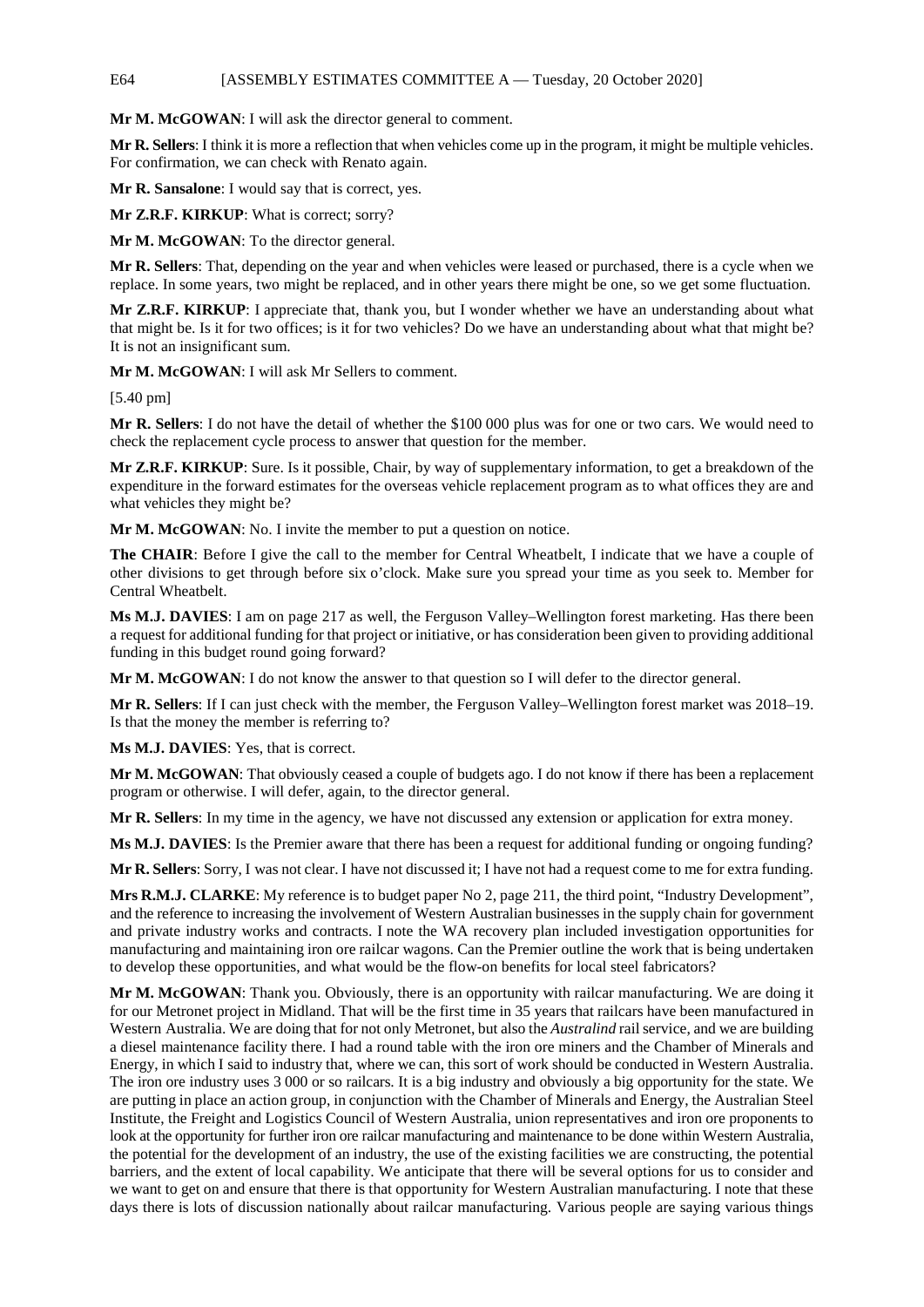# E64 [ASSEMBLY ESTIMATES COMMITTEE A — Tuesday, 20 October 2020]

**Mr M. McGOWAN**: I will ask the director general to comment.

**Mr R. Sellers**: I think it is more a reflection that when vehicles come up in the program, it might be multiple vehicles. For confirmation, we can check with Renato again.

**Mr R. Sansalone**: I would say that is correct, yes.

**Mr Z.R.F. KIRKUP**: What is correct; sorry?

**Mr M. McGOWAN**: To the director general.

**Mr R. Sellers**: That, depending on the year and when vehicles were leased or purchased, there is a cycle when we replace. In some years, two might be replaced, and in other years there might be one, so we get some fluctuation.

**Mr Z.R.F. KIRKUP**: I appreciate that, thank you, but I wonder whether we have an understanding about what that might be. Is it for two offices; is it for two vehicles? Do we have an understanding about what that might be? It is not an insignificant sum.

**Mr M. McGOWAN**: I will ask Mr Sellers to comment.

[5.40 pm]

**Mr R. Sellers**: I do not have the detail of whether the \$100 000 plus was for one or two cars. We would need to check the replacement cycle process to answer that question for the member.

**Mr Z.R.F. KIRKUP**: Sure. Is it possible, Chair, by way of supplementary information, to get a breakdown of the expenditure in the forward estimates for the overseas vehicle replacement program as to what offices they are and what vehicles they might be?

**Mr M. McGOWAN**: No. I invite the member to put a question on notice.

**The CHAIR**: Before I give the call to the member for Central Wheatbelt, I indicate that we have a couple of other divisions to get through before six o'clock. Make sure you spread your time as you seek to. Member for Central Wheatbelt.

**Ms M.J. DAVIES**: I am on page 217 as well, the Ferguson Valley–Wellington forest marketing. Has there been a request for additional funding for that project or initiative, or has consideration been given to providing additional funding in this budget round going forward?

**Mr M. McGOWAN**: I do not know the answer to that question so I will defer to the director general.

**Mr R. Sellers**: If I can just check with the member, the Ferguson Valley–Wellington forest market was 2018–19. Is that the money the member is referring to?

**Ms M.J. DAVIES**: Yes, that is correct.

**Mr M. McGOWAN**: That obviously ceased a couple of budgets ago. I do not know if there has been a replacement program or otherwise. I will defer, again, to the director general.

**Mr R. Sellers**: In my time in the agency, we have not discussed any extension or application for extra money.

**Ms M.J. DAVIES**: Is the Premier aware that there has been a request for additional funding or ongoing funding?

**Mr R. Sellers**: Sorry, I was not clear. I have not discussed it; I have not had a request come to me for extra funding.

**Mrs R.M.J. CLARKE**: My reference is to budget paper No 2, page 211, the third point, "Industry Development", and the reference to increasing the involvement of Western Australian businesses in the supply chain for government and private industry works and contracts. I note the WA recovery plan included investigation opportunities for manufacturing and maintaining iron ore railcar wagons. Can the Premier outline the work that is being undertaken to develop these opportunities, and what would be the flow-on benefits for local steel fabricators?

**Mr M. McGOWAN**: Thank you. Obviously, there is an opportunity with railcar manufacturing. We are doing it for our Metronet project in Midland. That will be the first time in 35 years that railcars have been manufactured in Western Australia. We are doing that for not only Metronet, but also the *Australind* rail service, and we are building a diesel maintenance facility there. I had a round table with the iron ore miners and the Chamber of Minerals and Energy, in which I said to industry that, where we can, this sort of work should be conducted in Western Australia. The iron ore industry uses 3 000 or so railcars. It is a big industry and obviously a big opportunity for the state. We are putting in place an action group, in conjunction with the Chamber of Minerals and Energy, the Australian Steel Institute, the Freight and Logistics Council of Western Australia, union representatives and iron ore proponents to look at the opportunity for further iron ore railcar manufacturing and maintenance to be done within Western Australia, the potential for the development of an industry, the use of the existing facilities we are constructing, the potential barriers, and the extent of local capability. We anticipate that there will be several options for us to consider and we want to get on and ensure that there is that opportunity for Western Australian manufacturing. I note that these days there is lots of discussion nationally about railcar manufacturing. Various people are saying various things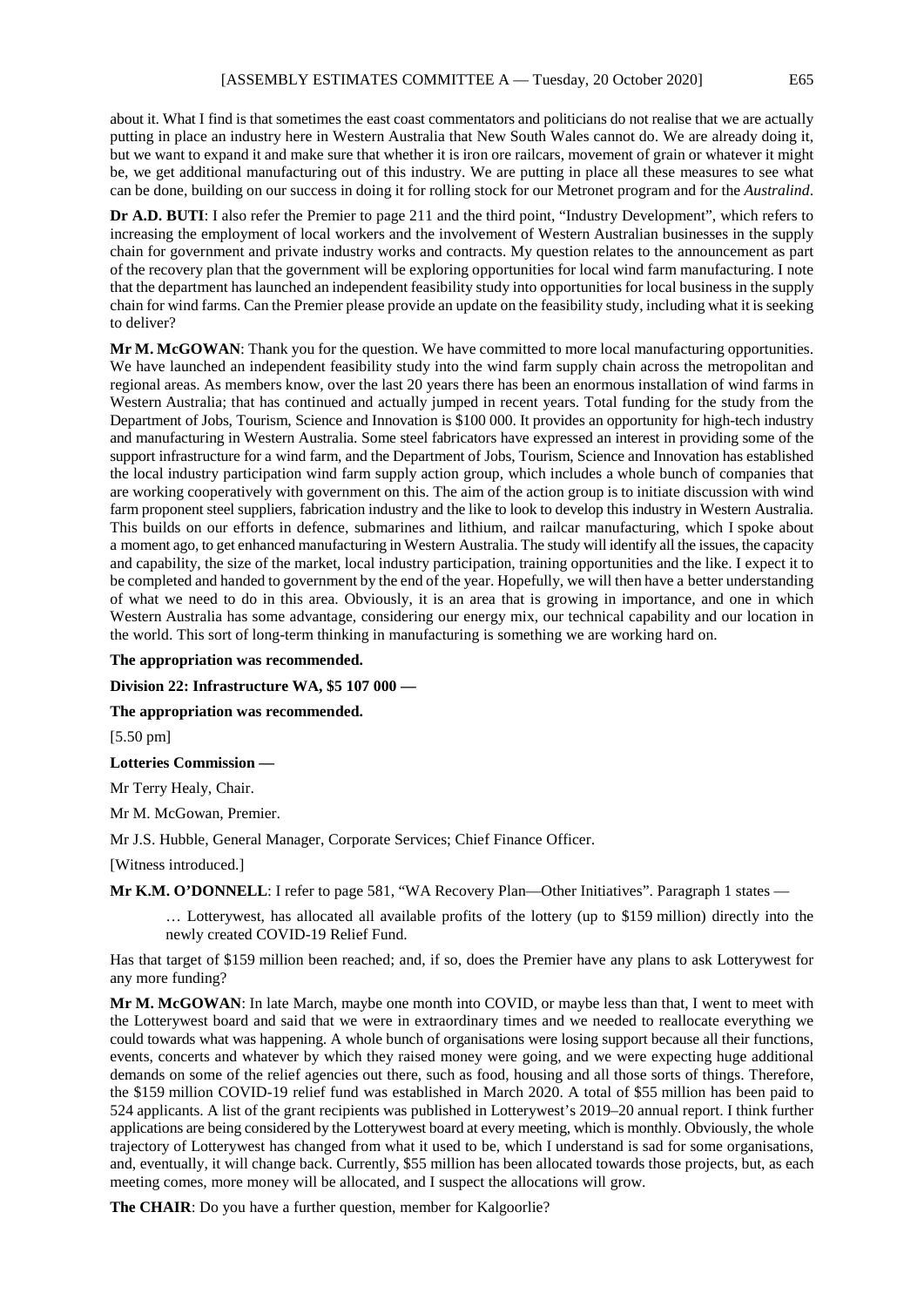about it. What I find is that sometimes the east coast commentators and politicians do not realise that we are actually putting in place an industry here in Western Australia that New South Wales cannot do. We are already doing it, but we want to expand it and make sure that whether it is iron ore railcars, movement of grain or whatever it might be, we get additional manufacturing out of this industry. We are putting in place all these measures to see what can be done, building on our success in doing it for rolling stock for our Metronet program and for the *Australind*.

**Dr A.D. BUTI**: I also refer the Premier to page 211 and the third point, "Industry Development", which refers to increasing the employment of local workers and the involvement of Western Australian businesses in the supply chain for government and private industry works and contracts. My question relates to the announcement as part of the recovery plan that the government will be exploring opportunities for local wind farm manufacturing. I note that the department has launched an independent feasibility study into opportunities for local business in the supply chain for wind farms. Can the Premier please provide an update on the feasibility study, including what it is seeking to deliver?

**Mr M. McGOWAN**: Thank you for the question. We have committed to more local manufacturing opportunities. We have launched an independent feasibility study into the wind farm supply chain across the metropolitan and regional areas. As members know, over the last 20 years there has been an enormous installation of wind farms in Western Australia; that has continued and actually jumped in recent years. Total funding for the study from the Department of Jobs, Tourism, Science and Innovation is \$100 000. It provides an opportunity for high-tech industry and manufacturing in Western Australia. Some steel fabricators have expressed an interest in providing some of the support infrastructure for a wind farm, and the Department of Jobs, Tourism, Science and Innovation has established the local industry participation wind farm supply action group, which includes a whole bunch of companies that are working cooperatively with government on this. The aim of the action group is to initiate discussion with wind farm proponent steel suppliers, fabrication industry and the like to look to develop this industry in Western Australia. This builds on our efforts in defence, submarines and lithium, and railcar manufacturing, which I spoke about a moment ago, to get enhanced manufacturing in Western Australia. The study will identify all the issues, the capacity and capability, the size of the market, local industry participation, training opportunities and the like. I expect it to be completed and handed to government by the end of the year. Hopefully, we will then have a better understanding of what we need to do in this area. Obviously, it is an area that is growing in importance, and one in which Western Australia has some advantage, considering our energy mix, our technical capability and our location in the world. This sort of long-term thinking in manufacturing is something we are working hard on.

#### **The appropriation was recommended.**

**Division 22: Infrastructure WA, \$5 107 000 —**

**The appropriation was recommended.**

[5.50 pm]

**Lotteries Commission —**

Mr Terry Healy, Chair.

Mr M. McGowan, Premier.

Mr J.S. Hubble, General Manager, Corporate Services; Chief Finance Officer.

[Witness introduced.]

Mr K.M. O'DONNELL: I refer to page 581, "WA Recovery Plan—Other Initiatives". Paragraph 1 states —

… Lotterywest, has allocated all available profits of the lottery (up to \$159 million) directly into the newly created COVID-19 Relief Fund.

Has that target of \$159 million been reached; and, if so, does the Premier have any plans to ask Lotterywest for any more funding?

**Mr M. McGOWAN**: In late March, maybe one month into COVID, or maybe less than that, I went to meet with the Lotterywest board and said that we were in extraordinary times and we needed to reallocate everything we could towards what was happening. A whole bunch of organisations were losing support because all their functions, events, concerts and whatever by which they raised money were going, and we were expecting huge additional demands on some of the relief agencies out there, such as food, housing and all those sorts of things. Therefore, the \$159 million COVID-19 relief fund was established in March 2020. A total of \$55 million has been paid to 524 applicants. A list of the grant recipients was published in Lotterywest's 2019–20 annual report. I think further applications are being considered by the Lotterywest board at every meeting, which is monthly. Obviously, the whole trajectory of Lotterywest has changed from what it used to be, which I understand is sad for some organisations, and, eventually, it will change back. Currently, \$55 million has been allocated towards those projects, but, as each meeting comes, more money will be allocated, and I suspect the allocations will grow.

**The CHAIR**: Do you have a further question, member for Kalgoorlie?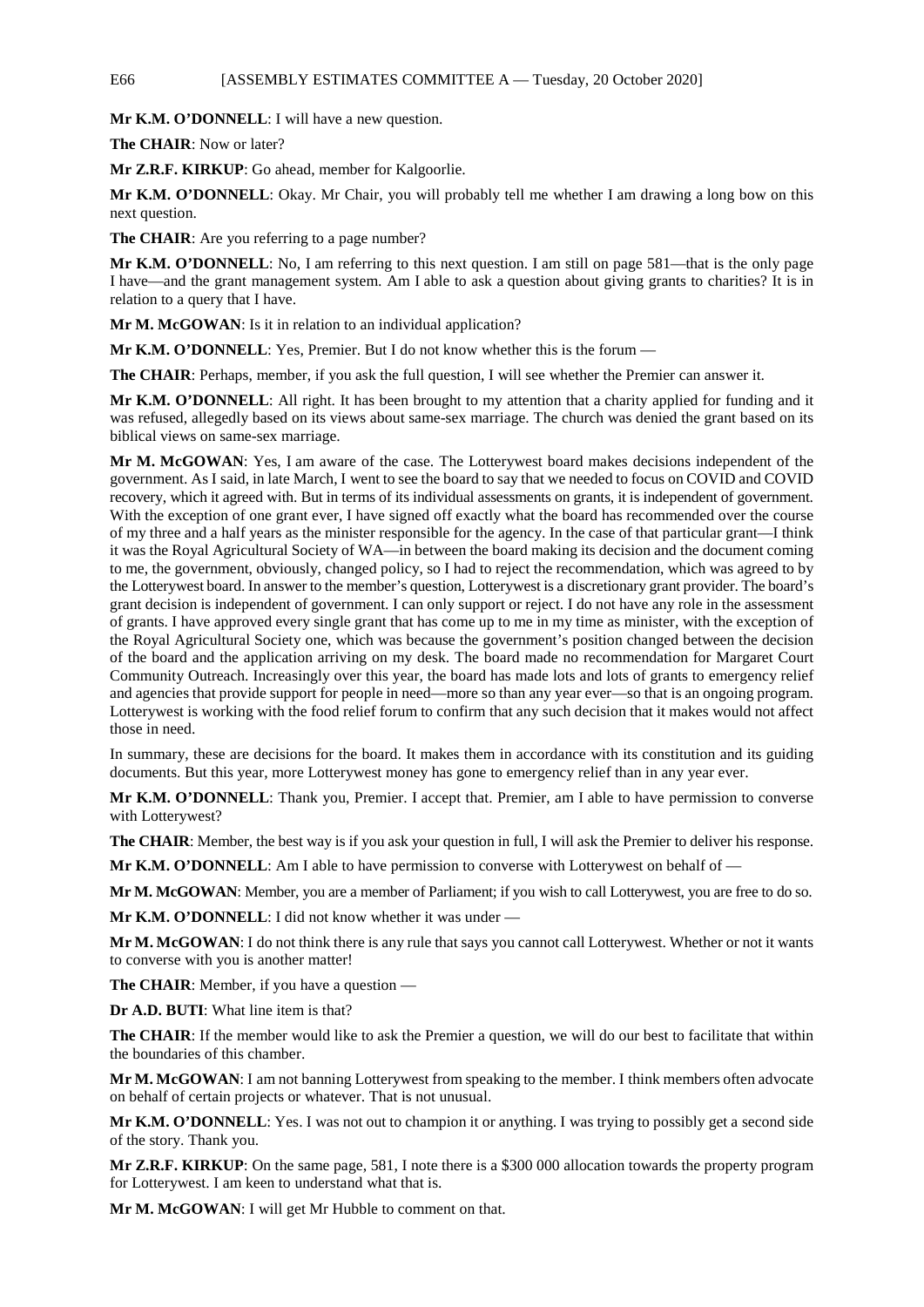# E66 [ASSEMBLY ESTIMATES COMMITTEE A — Tuesday, 20 October 2020]

**Mr K.M. O'DONNELL**: I will have a new question.

**The CHAIR**: Now or later?

**Mr Z.R.F. KIRKUP**: Go ahead, member for Kalgoorlie.

**Mr K.M. O'DONNELL**: Okay. Mr Chair, you will probably tell me whether I am drawing a long bow on this next question.

The CHAIR: Are you referring to a page number?

**Mr K.M. O'DONNELL**: No, I am referring to this next question. I am still on page 581—that is the only page I have—and the grant management system. Am I able to ask a question about giving grants to charities? It is in relation to a query that I have.

**Mr M. McGOWAN**: Is it in relation to an individual application?

**Mr K.M. O'DONNELL**: Yes, Premier. But I do not know whether this is the forum –

**The CHAIR:** Perhaps, member, if you ask the full question, I will see whether the Premier can answer it.

**Mr K.M. O'DONNELL**: All right. It has been brought to my attention that a charity applied for funding and it was refused, allegedly based on its views about same-sex marriage. The church was denied the grant based on its biblical views on same-sex marriage.

**Mr M. McGOWAN**: Yes, I am aware of the case. The Lotterywest board makes decisions independent of the government. As I said, in late March, I went to see the board to say that we needed to focus on COVID and COVID recovery, which it agreed with. But in terms of its individual assessments on grants, it is independent of government. With the exception of one grant ever, I have signed off exactly what the board has recommended over the course of my three and a half years as the minister responsible for the agency. In the case of that particular grant—I think it was the Royal Agricultural Society of WA—in between the board making its decision and the document coming to me, the government, obviously, changed policy, so I had to reject the recommendation, which was agreed to by the Lotterywest board. In answer to the member's question, Lotterywest is a discretionary grant provider. The board's grant decision is independent of government. I can only support or reject. I do not have any role in the assessment of grants. I have approved every single grant that has come up to me in my time as minister, with the exception of the Royal Agricultural Society one, which was because the government's position changed between the decision of the board and the application arriving on my desk. The board made no recommendation for Margaret Court Community Outreach. Increasingly over this year, the board has made lots and lots of grants to emergency relief and agencies that provide support for people in need—more so than any year ever—so that is an ongoing program. Lotterywest is working with the food relief forum to confirm that any such decision that it makes would not affect those in need.

In summary, these are decisions for the board. It makes them in accordance with its constitution and its guiding documents. But this year, more Lotterywest money has gone to emergency relief than in any year ever.

**Mr K.M. O'DONNELL**: Thank you, Premier. I accept that. Premier, am I able to have permission to converse with Lotterywest?

**The CHAIR**: Member, the best way is if you ask your question in full, I will ask the Premier to deliver his response.

**Mr K.M. O'DONNELL**: Am I able to have permission to converse with Lotterywest on behalf of —

**Mr M. McGOWAN**: Member, you are a member of Parliament; if you wish to call Lotterywest, you are free to do so.

**Mr K.M. O'DONNELL**: I did not know whether it was under —

**Mr M. McGOWAN**: I do not think there is any rule that says you cannot call Lotterywest. Whether or not it wants to converse with you is another matter!

**The CHAIR**: Member, if you have a question —

**Dr A.D. BUTI**: What line item is that?

**The CHAIR:** If the member would like to ask the Premier a question, we will do our best to facilitate that within the boundaries of this chamber.

**Mr M. McGOWAN**: I am not banning Lotterywest from speaking to the member. I think members often advocate on behalf of certain projects or whatever. That is not unusual.

**Mr K.M. O'DONNELL**: Yes. I was not out to champion it or anything. I was trying to possibly get a second side of the story. Thank you.

**Mr Z.R.F. KIRKUP**: On the same page, 581, I note there is a \$300 000 allocation towards the property program for Lotterywest. I am keen to understand what that is.

**Mr M. McGOWAN**: I will get Mr Hubble to comment on that.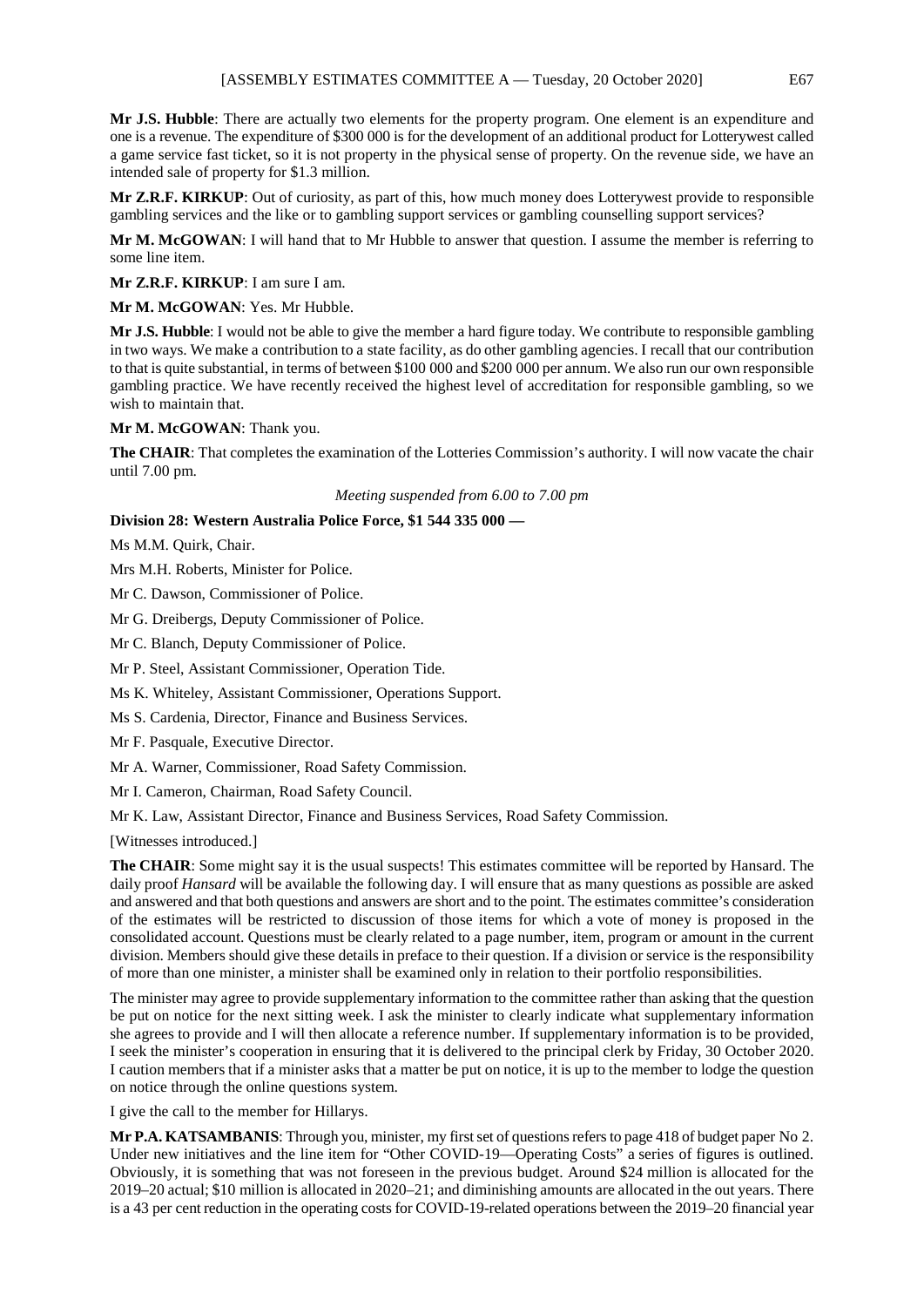**Mr J.S. Hubble**: There are actually two elements for the property program. One element is an expenditure and one is a revenue. The expenditure of \$300 000 is for the development of an additional product for Lotterywest called a game service fast ticket, so it is not property in the physical sense of property. On the revenue side, we have an intended sale of property for \$1.3 million.

**Mr Z.R.F. KIRKUP**: Out of curiosity, as part of this, how much money does Lotterywest provide to responsible gambling services and the like or to gambling support services or gambling counselling support services?

**Mr M. McGOWAN**: I will hand that to Mr Hubble to answer that question. I assume the member is referring to some line item.

**Mr Z.R.F. KIRKUP**: I am sure I am.

**Mr M. McGOWAN**: Yes. Mr Hubble.

**Mr J.S. Hubble**: I would not be able to give the member a hard figure today. We contribute to responsible gambling in two ways. We make a contribution to a state facility, as do other gambling agencies. I recall that our contribution to that is quite substantial, in terms of between \$100 000 and \$200 000 per annum. We also run our own responsible gambling practice. We have recently received the highest level of accreditation for responsible gambling, so we wish to maintain that.

**Mr M. McGOWAN**: Thank you.

**The CHAIR**: That completes the examination of the Lotteries Commission's authority. I will now vacate the chair until 7.00 pm.

*Meeting suspended from 6.00 to 7.00 pm*

# **Division 28: Western Australia Police Force, \$1 544 335 000 —**

Ms M.M. Quirk, Chair.

Mrs M.H. Roberts, Minister for Police.

Mr C. Dawson, Commissioner of Police.

Mr G. Dreibergs, Deputy Commissioner of Police.

Mr C. Blanch, Deputy Commissioner of Police.

Mr P. Steel, Assistant Commissioner, Operation Tide.

Ms K. Whiteley, Assistant Commissioner, Operations Support.

Ms S. Cardenia, Director, Finance and Business Services.

Mr F. Pasquale, Executive Director.

Mr A. Warner, Commissioner, Road Safety Commission.

Mr I. Cameron, Chairman, Road Safety Council.

Mr K. Law, Assistant Director, Finance and Business Services, Road Safety Commission.

[Witnesses introduced.]

**The CHAIR**: Some might say it is the usual suspects! This estimates committee will be reported by Hansard. The daily proof *Hansard* will be available the following day. I will ensure that as many questions as possible are asked and answered and that both questions and answers are short and to the point. The estimates committee's consideration of the estimates will be restricted to discussion of those items for which a vote of money is proposed in the consolidated account. Questions must be clearly related to a page number, item, program or amount in the current division. Members should give these details in preface to their question. If a division or service is the responsibility of more than one minister, a minister shall be examined only in relation to their portfolio responsibilities.

The minister may agree to provide supplementary information to the committee rather than asking that the question be put on notice for the next sitting week. I ask the minister to clearly indicate what supplementary information she agrees to provide and I will then allocate a reference number. If supplementary information is to be provided, I seek the minister's cooperation in ensuring that it is delivered to the principal clerk by Friday, 30 October 2020. I caution members that if a minister asks that a matter be put on notice, it is up to the member to lodge the question on notice through the online questions system.

I give the call to the member for Hillarys.

**Mr P.A. KATSAMBANIS**: Through you, minister, my first set of questions refers to page 418 of budget paper No 2. Under new initiatives and the line item for "Other COVID-19—Operating Costs" a series of figures is outlined. Obviously, it is something that was not foreseen in the previous budget. Around \$24 million is allocated for the 2019–20 actual; \$10 million is allocated in 2020–21; and diminishing amounts are allocated in the out years. There is a 43 per cent reduction in the operating costs for COVID-19-related operations between the 2019–20 financial year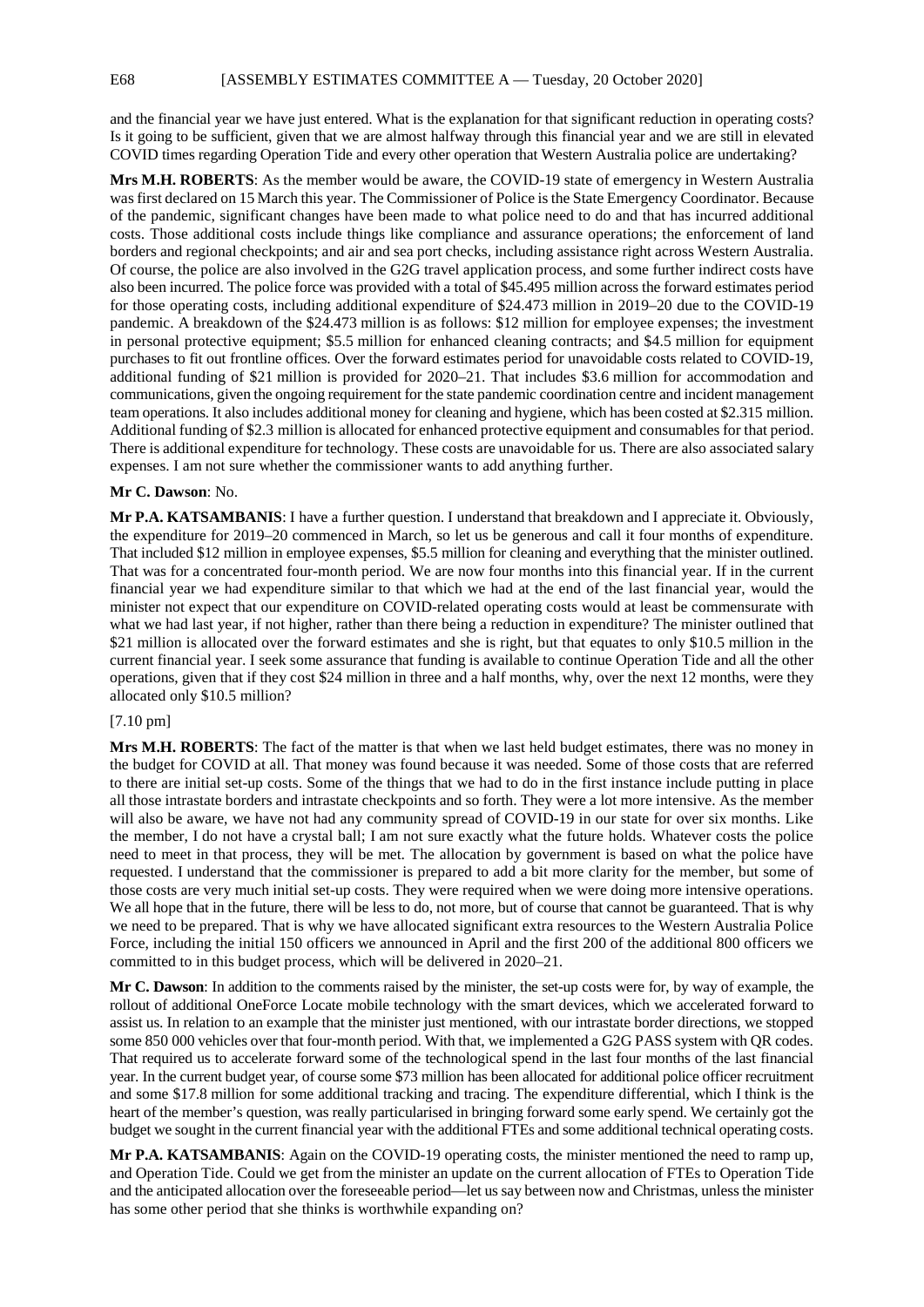and the financial year we have just entered. What is the explanation for that significant reduction in operating costs? Is it going to be sufficient, given that we are almost halfway through this financial year and we are still in elevated COVID times regarding Operation Tide and every other operation that Western Australia police are undertaking?

**Mrs M.H. ROBERTS**: As the member would be aware, the COVID-19 state of emergency in Western Australia was first declared on 15 March this year. The Commissioner of Police is the State Emergency Coordinator. Because of the pandemic, significant changes have been made to what police need to do and that has incurred additional costs. Those additional costs include things like compliance and assurance operations; the enforcement of land borders and regional checkpoints; and air and sea port checks, including assistance right across Western Australia. Of course, the police are also involved in the G2G travel application process, and some further indirect costs have also been incurred. The police force was provided with a total of \$45.495 million across the forward estimates period for those operating costs, including additional expenditure of \$24.473 million in 2019–20 due to the COVID-19 pandemic. A breakdown of the \$24.473 million is as follows: \$12 million for employee expenses; the investment in personal protective equipment; \$5.5 million for enhanced cleaning contracts; and \$4.5 million for equipment purchases to fit out frontline offices. Over the forward estimates period for unavoidable costs related to COVID-19, additional funding of \$21 million is provided for 2020–21. That includes \$3.6 million for accommodation and communications, given the ongoing requirement for the state pandemic coordination centre and incident management team operations. It also includes additional money for cleaning and hygiene, which has been costed at \$2.315 million. Additional funding of \$2.3 million is allocated for enhanced protective equipment and consumables for that period. There is additional expenditure for technology. These costs are unavoidable for us. There are also associated salary expenses. I am not sure whether the commissioner wants to add anything further.

## **Mr C. Dawson**: No.

**Mr P.A. KATSAMBANIS**: I have a further question. I understand that breakdown and I appreciate it. Obviously, the expenditure for 2019–20 commenced in March, so let us be generous and call it four months of expenditure. That included \$12 million in employee expenses, \$5.5 million for cleaning and everything that the minister outlined. That was for a concentrated four-month period. We are now four months into this financial year. If in the current financial year we had expenditure similar to that which we had at the end of the last financial year, would the minister not expect that our expenditure on COVID-related operating costs would at least be commensurate with what we had last year, if not higher, rather than there being a reduction in expenditure? The minister outlined that \$21 million is allocated over the forward estimates and she is right, but that equates to only \$10.5 million in the current financial year. I seek some assurance that funding is available to continue Operation Tide and all the other operations, given that if they cost \$24 million in three and a half months, why, over the next 12 months, were they allocated only \$10.5 million?

# [7.10 pm]

**Mrs M.H. ROBERTS**: The fact of the matter is that when we last held budget estimates, there was no money in the budget for COVID at all. That money was found because it was needed. Some of those costs that are referred to there are initial set-up costs. Some of the things that we had to do in the first instance include putting in place all those intrastate borders and intrastate checkpoints and so forth. They were a lot more intensive. As the member will also be aware, we have not had any community spread of COVID-19 in our state for over six months. Like the member, I do not have a crystal ball; I am not sure exactly what the future holds. Whatever costs the police need to meet in that process, they will be met. The allocation by government is based on what the police have requested. I understand that the commissioner is prepared to add a bit more clarity for the member, but some of those costs are very much initial set-up costs. They were required when we were doing more intensive operations. We all hope that in the future, there will be less to do, not more, but of course that cannot be guaranteed. That is why we need to be prepared. That is why we have allocated significant extra resources to the Western Australia Police Force, including the initial 150 officers we announced in April and the first 200 of the additional 800 officers we committed to in this budget process, which will be delivered in 2020–21.

**Mr C. Dawson**: In addition to the comments raised by the minister, the set-up costs were for, by way of example, the rollout of additional OneForce Locate mobile technology with the smart devices, which we accelerated forward to assist us. In relation to an example that the minister just mentioned, with our intrastate border directions, we stopped some 850 000 vehicles over that four-month period. With that, we implemented a G2G PASS system with QR codes. That required us to accelerate forward some of the technological spend in the last four months of the last financial year. In the current budget year, of course some \$73 million has been allocated for additional police officer recruitment and some \$17.8 million for some additional tracking and tracing. The expenditure differential, which I think is the heart of the member's question, was really particularised in bringing forward some early spend. We certainly got the budget we sought in the current financial year with the additional FTEs and some additional technical operating costs.

**Mr P.A. KATSAMBANIS**: Again on the COVID-19 operating costs, the minister mentioned the need to ramp up, and Operation Tide. Could we get from the minister an update on the current allocation of FTEs to Operation Tide and the anticipated allocation over the foreseeable period—let us say between now and Christmas, unless the minister has some other period that she thinks is worthwhile expanding on?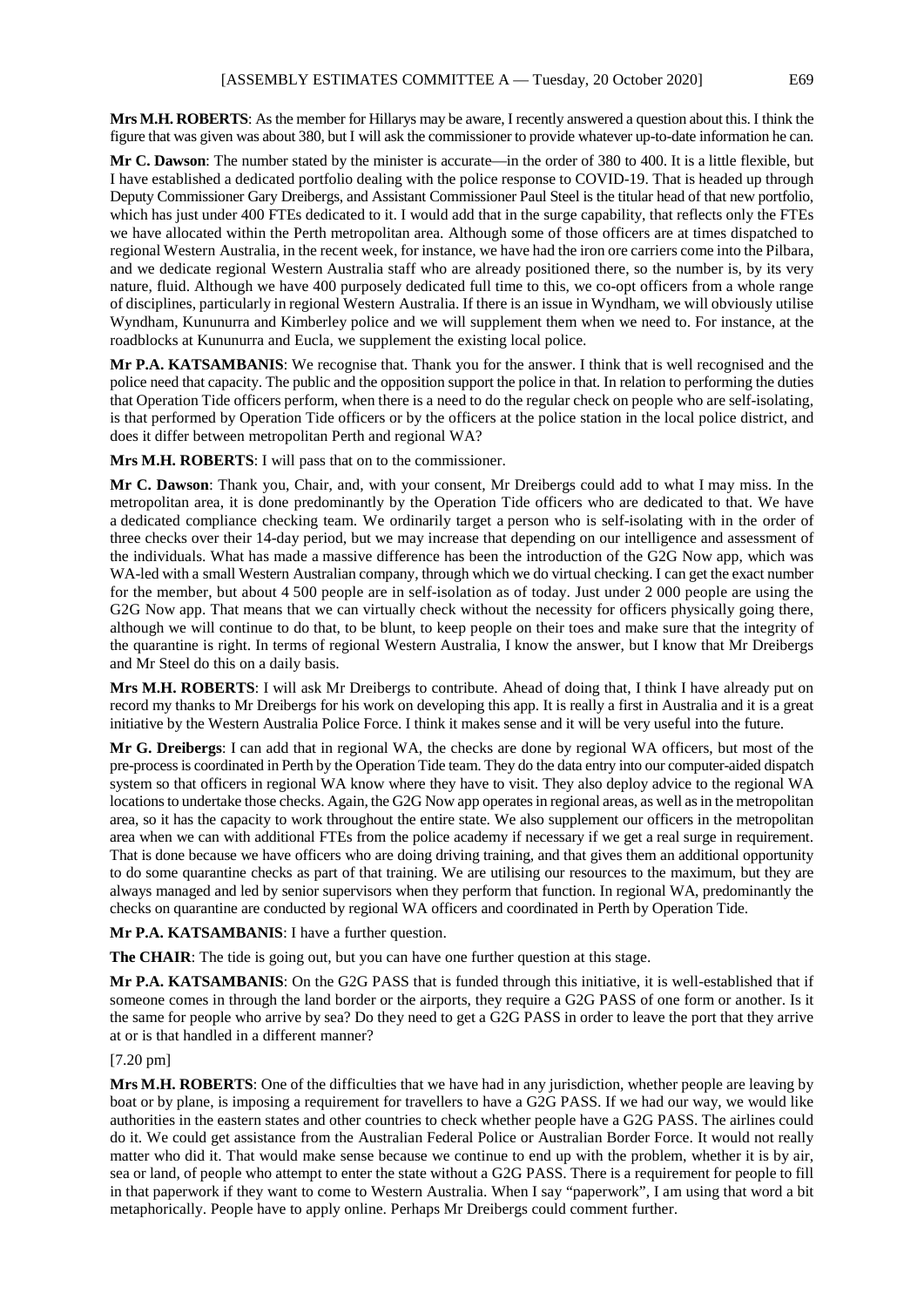**Mrs M.H. ROBERTS**: As the member for Hillarys may be aware, I recently answered a question about this. I think the figure that was given was about 380, but I will ask the commissioner to provide whatever up-to-date information he can.

**Mr C. Dawson**: The number stated by the minister is accurate—in the order of 380 to 400. It is a little flexible, but I have established a dedicated portfolio dealing with the police response to COVID-19. That is headed up through Deputy Commissioner Gary Dreibergs, and Assistant Commissioner Paul Steel is the titular head of that new portfolio, which has just under 400 FTEs dedicated to it. I would add that in the surge capability, that reflects only the FTEs we have allocated within the Perth metropolitan area. Although some of those officers are at times dispatched to regional Western Australia, in the recent week, for instance, we have had the iron ore carriers come into the Pilbara, and we dedicate regional Western Australia staff who are already positioned there, so the number is, by its very nature, fluid. Although we have 400 purposely dedicated full time to this, we co-opt officers from a whole range of disciplines, particularly in regional Western Australia. If there is an issue in Wyndham, we will obviously utilise Wyndham, Kununurra and Kimberley police and we will supplement them when we need to. For instance, at the roadblocks at Kununurra and Eucla, we supplement the existing local police.

**Mr P.A. KATSAMBANIS**: We recognise that. Thank you for the answer. I think that is well recognised and the police need that capacity. The public and the opposition support the police in that. In relation to performing the duties that Operation Tide officers perform, when there is a need to do the regular check on people who are self-isolating, is that performed by Operation Tide officers or by the officers at the police station in the local police district, and does it differ between metropolitan Perth and regional WA?

**Mrs M.H. ROBERTS**: I will pass that on to the commissioner.

**Mr C. Dawson**: Thank you, Chair, and, with your consent, Mr Dreibergs could add to what I may miss. In the metropolitan area, it is done predominantly by the Operation Tide officers who are dedicated to that. We have a dedicated compliance checking team. We ordinarily target a person who is self-isolating with in the order of three checks over their 14-day period, but we may increase that depending on our intelligence and assessment of the individuals. What has made a massive difference has been the introduction of the G2G Now app, which was WA-led with a small Western Australian company, through which we do virtual checking. I can get the exact number for the member, but about 4 500 people are in self-isolation as of today. Just under 2 000 people are using the G2G Now app. That means that we can virtually check without the necessity for officers physically going there, although we will continue to do that, to be blunt, to keep people on their toes and make sure that the integrity of the quarantine is right. In terms of regional Western Australia, I know the answer, but I know that Mr Dreibergs and Mr Steel do this on a daily basis.

**Mrs M.H. ROBERTS**: I will ask Mr Dreibergs to contribute. Ahead of doing that, I think I have already put on record my thanks to Mr Dreibergs for his work on developing this app. It is really a first in Australia and it is a great initiative by the Western Australia Police Force. I think it makes sense and it will be very useful into the future.

**Mr G. Dreibergs**: I can add that in regional WA, the checks are done by regional WA officers, but most of the pre-process is coordinated in Perth by the Operation Tide team. They do the data entry into our computer-aided dispatch system so that officers in regional WA know where they have to visit. They also deploy advice to the regional WA locations to undertake those checks. Again, the G2G Now app operates in regional areas, as well as in the metropolitan area, so it has the capacity to work throughout the entire state. We also supplement our officers in the metropolitan area when we can with additional FTEs from the police academy if necessary if we get a real surge in requirement. That is done because we have officers who are doing driving training, and that gives them an additional opportunity to do some quarantine checks as part of that training. We are utilising our resources to the maximum, but they are always managed and led by senior supervisors when they perform that function. In regional WA, predominantly the checks on quarantine are conducted by regional WA officers and coordinated in Perth by Operation Tide.

**Mr P.A. KATSAMBANIS**: I have a further question.

**The CHAIR**: The tide is going out, but you can have one further question at this stage.

**Mr P.A. KATSAMBANIS**: On the G2G PASS that is funded through this initiative, it is well-established that if someone comes in through the land border or the airports, they require a G2G PASS of one form or another. Is it the same for people who arrive by sea? Do they need to get a G2G PASS in order to leave the port that they arrive at or is that handled in a different manner?

## [7.20 pm]

**Mrs M.H. ROBERTS**: One of the difficulties that we have had in any jurisdiction, whether people are leaving by boat or by plane, is imposing a requirement for travellers to have a G2G PASS. If we had our way, we would like authorities in the eastern states and other countries to check whether people have a G2G PASS. The airlines could do it. We could get assistance from the Australian Federal Police or Australian Border Force. It would not really matter who did it. That would make sense because we continue to end up with the problem, whether it is by air, sea or land, of people who attempt to enter the state without a G2G PASS. There is a requirement for people to fill in that paperwork if they want to come to Western Australia. When I say "paperwork", I am using that word a bit metaphorically. People have to apply online. Perhaps Mr Dreibergs could comment further.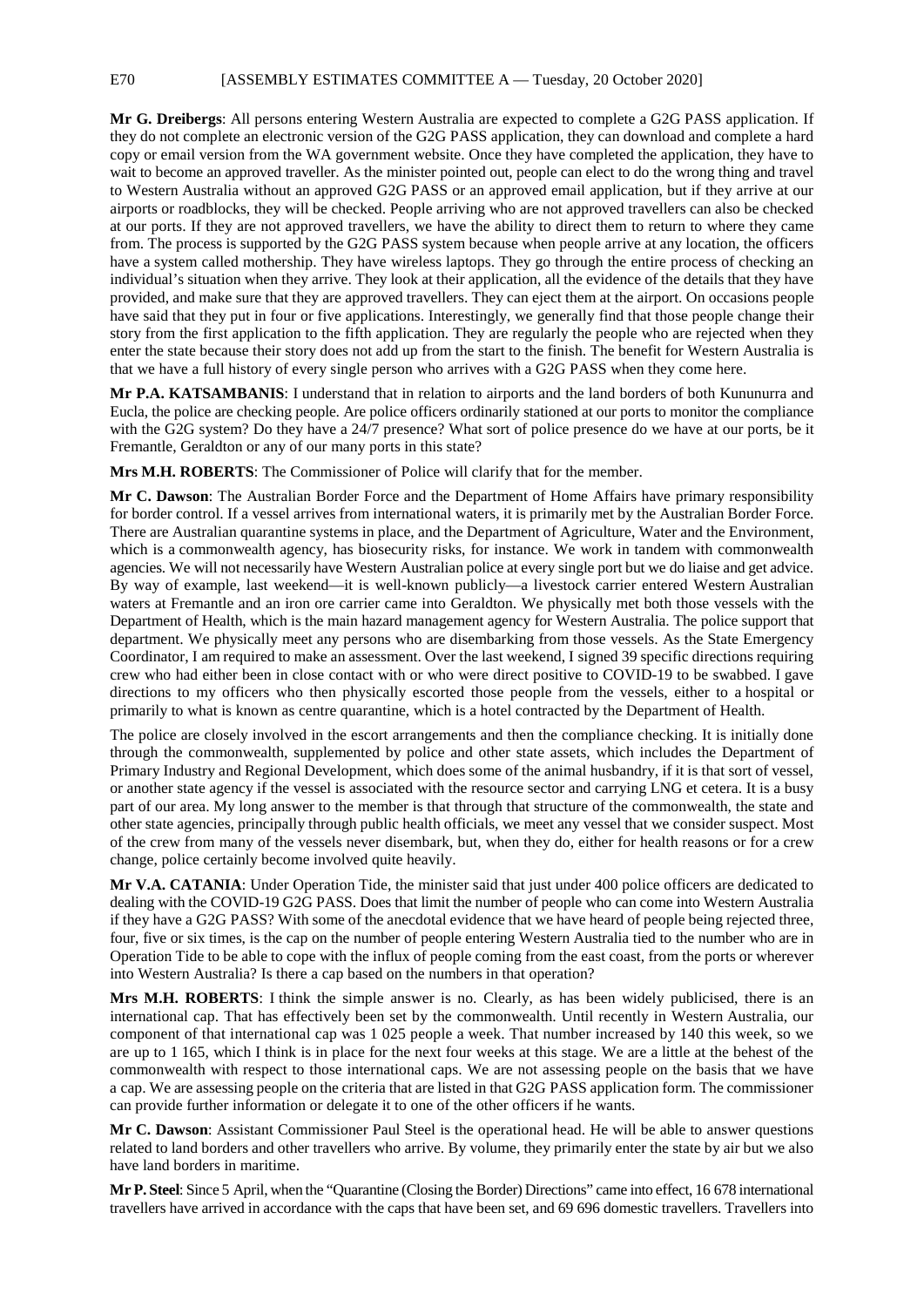**Mr G. Dreibergs**: All persons entering Western Australia are expected to complete a G2G PASS application. If they do not complete an electronic version of the G2G PASS application, they can download and complete a hard copy or email version from the WA government website. Once they have completed the application, they have to wait to become an approved traveller. As the minister pointed out, people can elect to do the wrong thing and travel to Western Australia without an approved G2G PASS or an approved email application, but if they arrive at our airports or roadblocks, they will be checked. People arriving who are not approved travellers can also be checked at our ports. If they are not approved travellers, we have the ability to direct them to return to where they came from. The process is supported by the G2G PASS system because when people arrive at any location, the officers have a system called mothership. They have wireless laptops. They go through the entire process of checking an individual's situation when they arrive. They look at their application, all the evidence of the details that they have provided, and make sure that they are approved travellers. They can eject them at the airport. On occasions people have said that they put in four or five applications. Interestingly, we generally find that those people change their story from the first application to the fifth application. They are regularly the people who are rejected when they enter the state because their story does not add up from the start to the finish. The benefit for Western Australia is that we have a full history of every single person who arrives with a G2G PASS when they come here.

**Mr P.A. KATSAMBANIS**: I understand that in relation to airports and the land borders of both Kununurra and Eucla, the police are checking people. Are police officers ordinarily stationed at our ports to monitor the compliance with the G2G system? Do they have a 24/7 presence? What sort of police presence do we have at our ports, be it Fremantle, Geraldton or any of our many ports in this state?

**Mrs M.H. ROBERTS**: The Commissioner of Police will clarify that for the member.

**Mr C. Dawson**: The Australian Border Force and the Department of Home Affairs have primary responsibility for border control. If a vessel arrives from international waters, it is primarily met by the Australian Border Force. There are Australian quarantine systems in place, and the Department of Agriculture, Water and the Environment, which is a commonwealth agency, has biosecurity risks, for instance. We work in tandem with commonwealth agencies. We will not necessarily have Western Australian police at every single port but we do liaise and get advice. By way of example, last weekend—it is well-known publicly—a livestock carrier entered Western Australian waters at Fremantle and an iron ore carrier came into Geraldton. We physically met both those vessels with the Department of Health, which is the main hazard management agency for Western Australia. The police support that department. We physically meet any persons who are disembarking from those vessels. As the State Emergency Coordinator, I am required to make an assessment. Over the last weekend, I signed 39 specific directions requiring crew who had either been in close contact with or who were direct positive to COVID-19 to be swabbed. I gave directions to my officers who then physically escorted those people from the vessels, either to a hospital or primarily to what is known as centre quarantine, which is a hotel contracted by the Department of Health.

The police are closely involved in the escort arrangements and then the compliance checking. It is initially done through the commonwealth, supplemented by police and other state assets, which includes the Department of Primary Industry and Regional Development, which does some of the animal husbandry, if it is that sort of vessel, or another state agency if the vessel is associated with the resource sector and carrying LNG et cetera. It is a busy part of our area. My long answer to the member is that through that structure of the commonwealth, the state and other state agencies, principally through public health officials, we meet any vessel that we consider suspect. Most of the crew from many of the vessels never disembark, but, when they do, either for health reasons or for a crew change, police certainly become involved quite heavily.

**Mr V.A. CATANIA**: Under Operation Tide, the minister said that just under 400 police officers are dedicated to dealing with the COVID-19 G2G PASS. Does that limit the number of people who can come into Western Australia if they have a G2G PASS? With some of the anecdotal evidence that we have heard of people being rejected three, four, five or six times, is the cap on the number of people entering Western Australia tied to the number who are in Operation Tide to be able to cope with the influx of people coming from the east coast, from the ports or wherever into Western Australia? Is there a cap based on the numbers in that operation?

**Mrs M.H. ROBERTS**: I think the simple answer is no. Clearly, as has been widely publicised, there is an international cap. That has effectively been set by the commonwealth. Until recently in Western Australia, our component of that international cap was 1 025 people a week. That number increased by 140 this week, so we are up to 1 165, which I think is in place for the next four weeks at this stage. We are a little at the behest of the commonwealth with respect to those international caps. We are not assessing people on the basis that we have a cap. We are assessing people on the criteria that are listed in that G2G PASS application form. The commissioner can provide further information or delegate it to one of the other officers if he wants.

**Mr C. Dawson**: Assistant Commissioner Paul Steel is the operational head. He will be able to answer questions related to land borders and other travellers who arrive. By volume, they primarily enter the state by air but we also have land borders in maritime.

**Mr P. Steel**: Since 5 April, when the "Quarantine (Closing the Border) Directions" came into effect, 16 678 international travellers have arrived in accordance with the caps that have been set, and 69 696 domestic travellers. Travellers into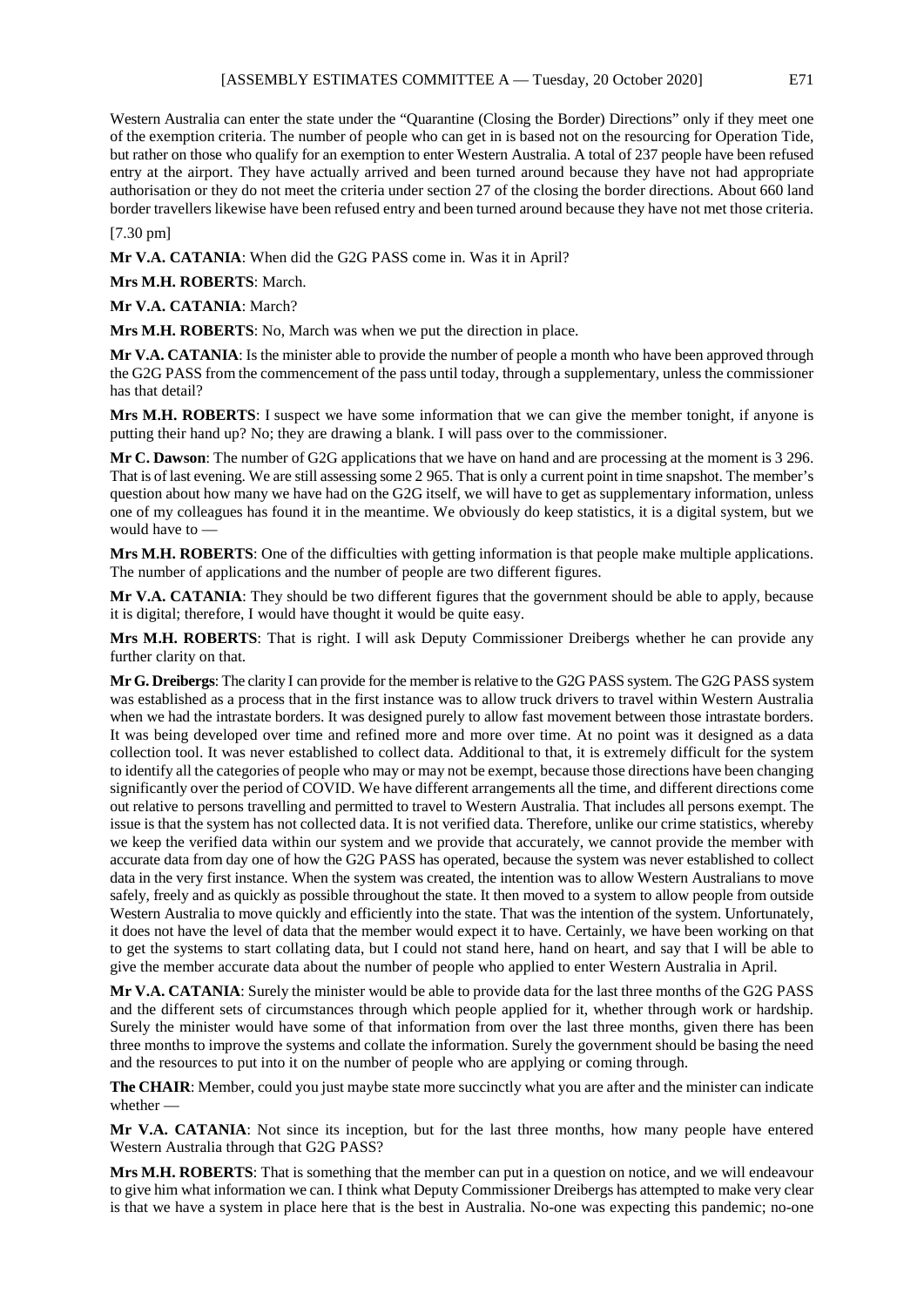Western Australia can enter the state under the "Quarantine (Closing the Border) Directions" only if they meet one of the exemption criteria. The number of people who can get in is based not on the resourcing for Operation Tide, but rather on those who qualify for an exemption to enter Western Australia. A total of 237 people have been refused entry at the airport. They have actually arrived and been turned around because they have not had appropriate authorisation or they do not meet the criteria under section 27 of the closing the border directions. About 660 land border travellers likewise have been refused entry and been turned around because they have not met those criteria.

[7.30 pm]

**Mr V.A. CATANIA**: When did the G2G PASS come in. Was it in April?

**Mrs M.H. ROBERTS**: March.

**Mr V.A. CATANIA**: March?

**Mrs M.H. ROBERTS**: No, March was when we put the direction in place.

**Mr V.A. CATANIA**: Is the minister able to provide the number of people a month who have been approved through the G2G PASS from the commencement of the pass until today, through a supplementary, unless the commissioner has that detail?

**Mrs M.H. ROBERTS**: I suspect we have some information that we can give the member tonight, if anyone is putting their hand up? No; they are drawing a blank. I will pass over to the commissioner.

**Mr C. Dawson**: The number of G2G applications that we have on hand and are processing at the moment is 3 296. That is of last evening. We are still assessing some 2 965. That is only a current point in time snapshot. The member's question about how many we have had on the G2G itself, we will have to get as supplementary information, unless one of my colleagues has found it in the meantime. We obviously do keep statistics, it is a digital system, but we would have to —

**Mrs M.H. ROBERTS:** One of the difficulties with getting information is that people make multiple applications. The number of applications and the number of people are two different figures.

**Mr V.A. CATANIA**: They should be two different figures that the government should be able to apply, because it is digital; therefore, I would have thought it would be quite easy.

**Mrs M.H. ROBERTS**: That is right. I will ask Deputy Commissioner Dreibergs whether he can provide any further clarity on that.

**Mr G. Dreibergs**: The clarity I can provide for the member is relative to the G2G PASS system. The G2G PASS system was established as a process that in the first instance was to allow truck drivers to travel within Western Australia when we had the intrastate borders. It was designed purely to allow fast movement between those intrastate borders. It was being developed over time and refined more and more over time. At no point was it designed as a data collection tool. It was never established to collect data. Additional to that, it is extremely difficult for the system to identify all the categories of people who may or may not be exempt, because those directions have been changing significantly over the period of COVID. We have different arrangements all the time, and different directions come out relative to persons travelling and permitted to travel to Western Australia. That includes all persons exempt. The issue is that the system has not collected data. It is not verified data. Therefore, unlike our crime statistics, whereby we keep the verified data within our system and we provide that accurately, we cannot provide the member with accurate data from day one of how the G2G PASS has operated, because the system was never established to collect data in the very first instance. When the system was created, the intention was to allow Western Australians to move safely, freely and as quickly as possible throughout the state. It then moved to a system to allow people from outside Western Australia to move quickly and efficiently into the state. That was the intention of the system. Unfortunately, it does not have the level of data that the member would expect it to have. Certainly, we have been working on that to get the systems to start collating data, but I could not stand here, hand on heart, and say that I will be able to give the member accurate data about the number of people who applied to enter Western Australia in April.

**Mr V.A. CATANIA**: Surely the minister would be able to provide data for the last three months of the G2G PASS and the different sets of circumstances through which people applied for it, whether through work or hardship. Surely the minister would have some of that information from over the last three months, given there has been three months to improve the systems and collate the information. Surely the government should be basing the need and the resources to put into it on the number of people who are applying or coming through.

**The CHAIR**: Member, could you just maybe state more succinctly what you are after and the minister can indicate whether —

**Mr V.A. CATANIA**: Not since its inception, but for the last three months, how many people have entered Western Australia through that G2G PASS?

**Mrs M.H. ROBERTS**: That is something that the member can put in a question on notice, and we will endeavour to give him what information we can. I think what Deputy Commissioner Dreibergs has attempted to make very clear is that we have a system in place here that is the best in Australia. No-one was expecting this pandemic; no-one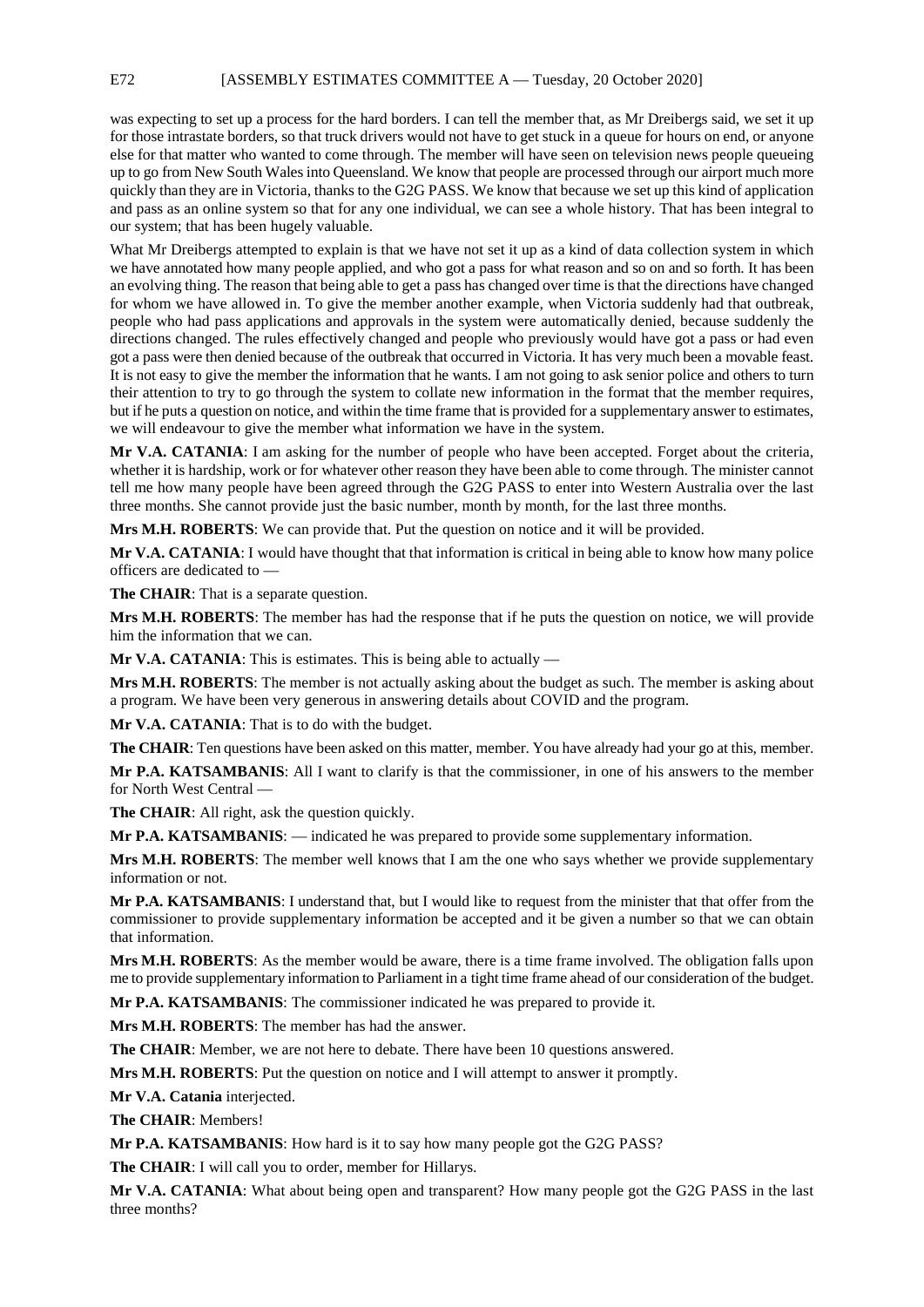was expecting to set up a process for the hard borders. I can tell the member that, as Mr Dreibergs said, we set it up for those intrastate borders, so that truck drivers would not have to get stuck in a queue for hours on end, or anyone else for that matter who wanted to come through. The member will have seen on television news people queueing up to go from New South Wales into Queensland. We know that people are processed through our airport much more quickly than they are in Victoria, thanks to the G2G PASS. We know that because we set up this kind of application and pass as an online system so that for any one individual, we can see a whole history. That has been integral to our system; that has been hugely valuable.

What Mr Dreibergs attempted to explain is that we have not set it up as a kind of data collection system in which we have annotated how many people applied, and who got a pass for what reason and so on and so forth. It has been an evolving thing. The reason that being able to get a pass has changed over time is that the directions have changed for whom we have allowed in. To give the member another example, when Victoria suddenly had that outbreak, people who had pass applications and approvals in the system were automatically denied, because suddenly the directions changed. The rules effectively changed and people who previously would have got a pass or had even got a pass were then denied because of the outbreak that occurred in Victoria. It has very much been a movable feast. It is not easy to give the member the information that he wants. I am not going to ask senior police and others to turn their attention to try to go through the system to collate new information in the format that the member requires, but if he puts a question on notice, and within the time frame that is provided for a supplementary answer to estimates, we will endeavour to give the member what information we have in the system.

**Mr V.A. CATANIA**: I am asking for the number of people who have been accepted. Forget about the criteria, whether it is hardship, work or for whatever other reason they have been able to come through. The minister cannot tell me how many people have been agreed through the G2G PASS to enter into Western Australia over the last three months. She cannot provide just the basic number, month by month, for the last three months.

**Mrs M.H. ROBERTS**: We can provide that. Put the question on notice and it will be provided.

**Mr V.A. CATANIA:** I would have thought that that information is critical in being able to know how many police officers are dedicated to —

**The CHAIR**: That is a separate question.

**Mrs M.H. ROBERTS**: The member has had the response that if he puts the question on notice, we will provide him the information that we can.

**Mr V.A. CATANIA**: This is estimates. This is being able to actually —

**Mrs M.H. ROBERTS**: The member is not actually asking about the budget as such. The member is asking about a program. We have been very generous in answering details about COVID and the program.

**Mr V.A. CATANIA**: That is to do with the budget.

**The CHAIR**: Ten questions have been asked on this matter, member. You have already had your go at this, member.

**Mr P.A. KATSAMBANIS**: All I want to clarify is that the commissioner, in one of his answers to the member for North West Central —

**The CHAIR**: All right, ask the question quickly.

**Mr P.A. KATSAMBANIS**: — indicated he was prepared to provide some supplementary information.

**Mrs M.H. ROBERTS**: The member well knows that I am the one who says whether we provide supplementary information or not.

**Mr P.A. KATSAMBANIS**: I understand that, but I would like to request from the minister that that offer from the commissioner to provide supplementary information be accepted and it be given a number so that we can obtain that information.

**Mrs M.H. ROBERTS**: As the member would be aware, there is a time frame involved. The obligation falls upon me to provide supplementary information to Parliament in a tight time frame ahead of our consideration of the budget.

**Mr P.A. KATSAMBANIS**: The commissioner indicated he was prepared to provide it.

**Mrs M.H. ROBERTS**: The member has had the answer.

**The CHAIR**: Member, we are not here to debate. There have been 10 questions answered.

**Mrs M.H. ROBERTS**: Put the question on notice and I will attempt to answer it promptly.

**Mr V.A. Catania** interjected.

**The CHAIR**: Members!

**Mr P.A. KATSAMBANIS**: How hard is it to say how many people got the G2G PASS?

**The CHAIR**: I will call you to order, member for Hillarys.

**Mr V.A. CATANIA**: What about being open and transparent? How many people got the G2G PASS in the last three months?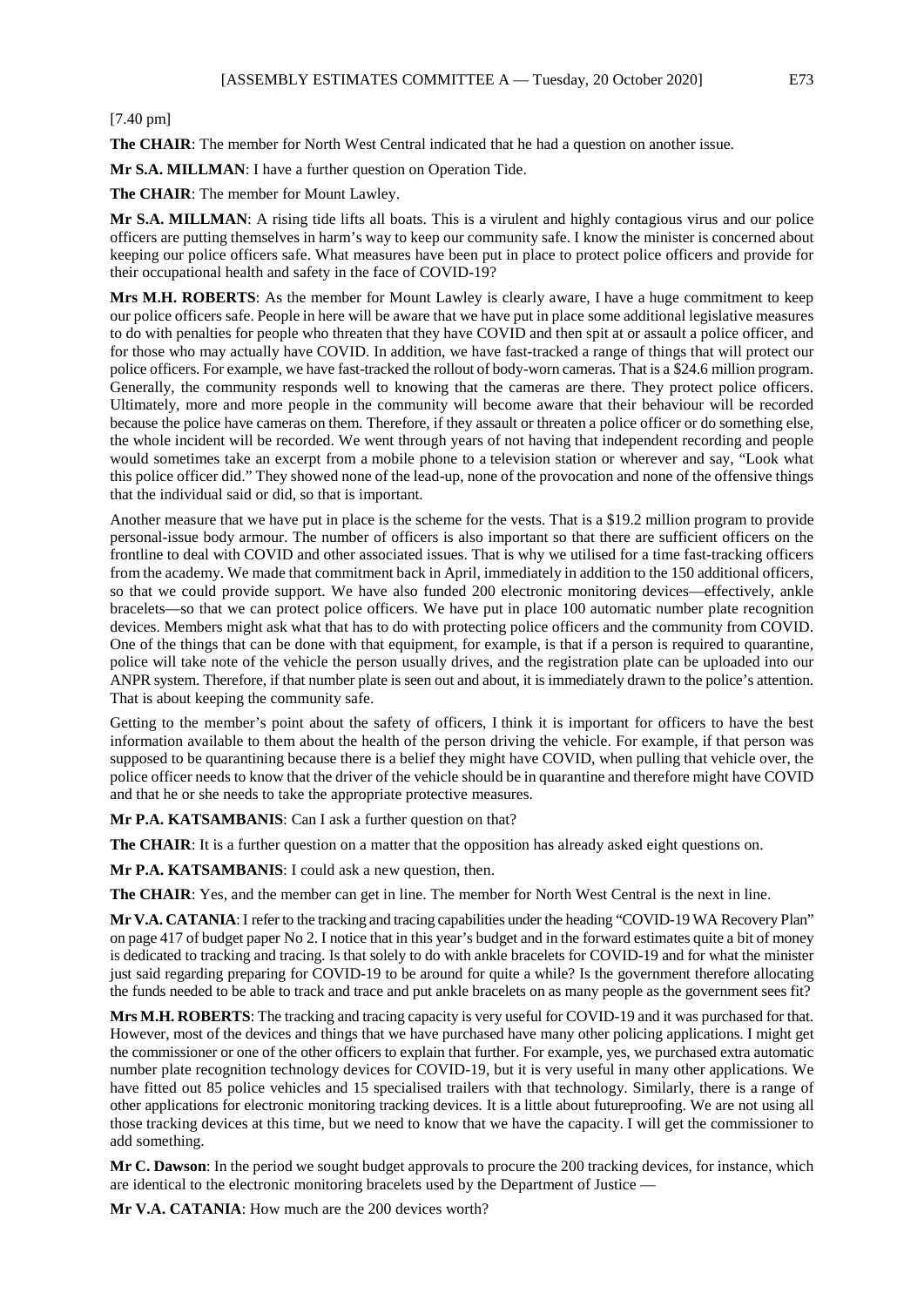## [7.40 pm]

**The CHAIR**: The member for North West Central indicated that he had a question on another issue.

**Mr S.A. MILLMAN**: I have a further question on Operation Tide.

**The CHAIR**: The member for Mount Lawley.

**Mr S.A. MILLMAN**: A rising tide lifts all boats. This is a virulent and highly contagious virus and our police officers are putting themselves in harm's way to keep our community safe. I know the minister is concerned about keeping our police officers safe. What measures have been put in place to protect police officers and provide for their occupational health and safety in the face of COVID-19?

**Mrs M.H. ROBERTS**: As the member for Mount Lawley is clearly aware, I have a huge commitment to keep our police officers safe. People in here will be aware that we have put in place some additional legislative measures to do with penalties for people who threaten that they have COVID and then spit at or assault a police officer, and for those who may actually have COVID. In addition, we have fast-tracked a range of things that will protect our police officers. For example, we have fast-tracked the rollout of body-worn cameras. That is a \$24.6 million program. Generally, the community responds well to knowing that the cameras are there. They protect police officers. Ultimately, more and more people in the community will become aware that their behaviour will be recorded because the police have cameras on them. Therefore, if they assault or threaten a police officer or do something else, the whole incident will be recorded. We went through years of not having that independent recording and people would sometimes take an excerpt from a mobile phone to a television station or wherever and say, "Look what this police officer did." They showed none of the lead-up, none of the provocation and none of the offensive things that the individual said or did, so that is important.

Another measure that we have put in place is the scheme for the vests. That is a \$19.2 million program to provide personal-issue body armour. The number of officers is also important so that there are sufficient officers on the frontline to deal with COVID and other associated issues. That is why we utilised for a time fast-tracking officers from the academy. We made that commitment back in April, immediately in addition to the 150 additional officers, so that we could provide support. We have also funded 200 electronic monitoring devices—effectively, ankle bracelets—so that we can protect police officers. We have put in place 100 automatic number plate recognition devices. Members might ask what that has to do with protecting police officers and the community from COVID. One of the things that can be done with that equipment, for example, is that if a person is required to quarantine, police will take note of the vehicle the person usually drives, and the registration plate can be uploaded into our ANPR system. Therefore, if that number plate is seen out and about, it is immediately drawn to the police's attention. That is about keeping the community safe.

Getting to the member's point about the safety of officers, I think it is important for officers to have the best information available to them about the health of the person driving the vehicle. For example, if that person was supposed to be quarantining because there is a belief they might have COVID, when pulling that vehicle over, the police officer needs to know that the driver of the vehicle should be in quarantine and therefore might have COVID and that he or she needs to take the appropriate protective measures.

**Mr P.A. KATSAMBANIS**: Can I ask a further question on that?

**The CHAIR**: It is a further question on a matter that the opposition has already asked eight questions on.

**Mr P.A. KATSAMBANIS**: I could ask a new question, then.

**The CHAIR**: Yes, and the member can get in line. The member for North West Central is the next in line.

**Mr V.A. CATANIA**: I refer to the tracking and tracing capabilities under the heading "COVID-19 WA Recovery Plan" on page 417 of budget paper No 2. I notice that in this year's budget and in the forward estimates quite a bit of money is dedicated to tracking and tracing. Is that solely to do with ankle bracelets for COVID-19 and for what the minister just said regarding preparing for COVID-19 to be around for quite a while? Is the government therefore allocating the funds needed to be able to track and trace and put ankle bracelets on as many people as the government sees fit?

**Mrs M.H. ROBERTS**: The tracking and tracing capacity is very useful for COVID-19 and it was purchased for that. However, most of the devices and things that we have purchased have many other policing applications. I might get the commissioner or one of the other officers to explain that further. For example, yes, we purchased extra automatic number plate recognition technology devices for COVID-19, but it is very useful in many other applications. We have fitted out 85 police vehicles and 15 specialised trailers with that technology. Similarly, there is a range of other applications for electronic monitoring tracking devices. It is a little about futureproofing. We are not using all those tracking devices at this time, but we need to know that we have the capacity. I will get the commissioner to add something.

**Mr C. Dawson**: In the period we sought budget approvals to procure the 200 tracking devices, for instance, which are identical to the electronic monitoring bracelets used by the Department of Justice —

**Mr V.A. CATANIA**: How much are the 200 devices worth?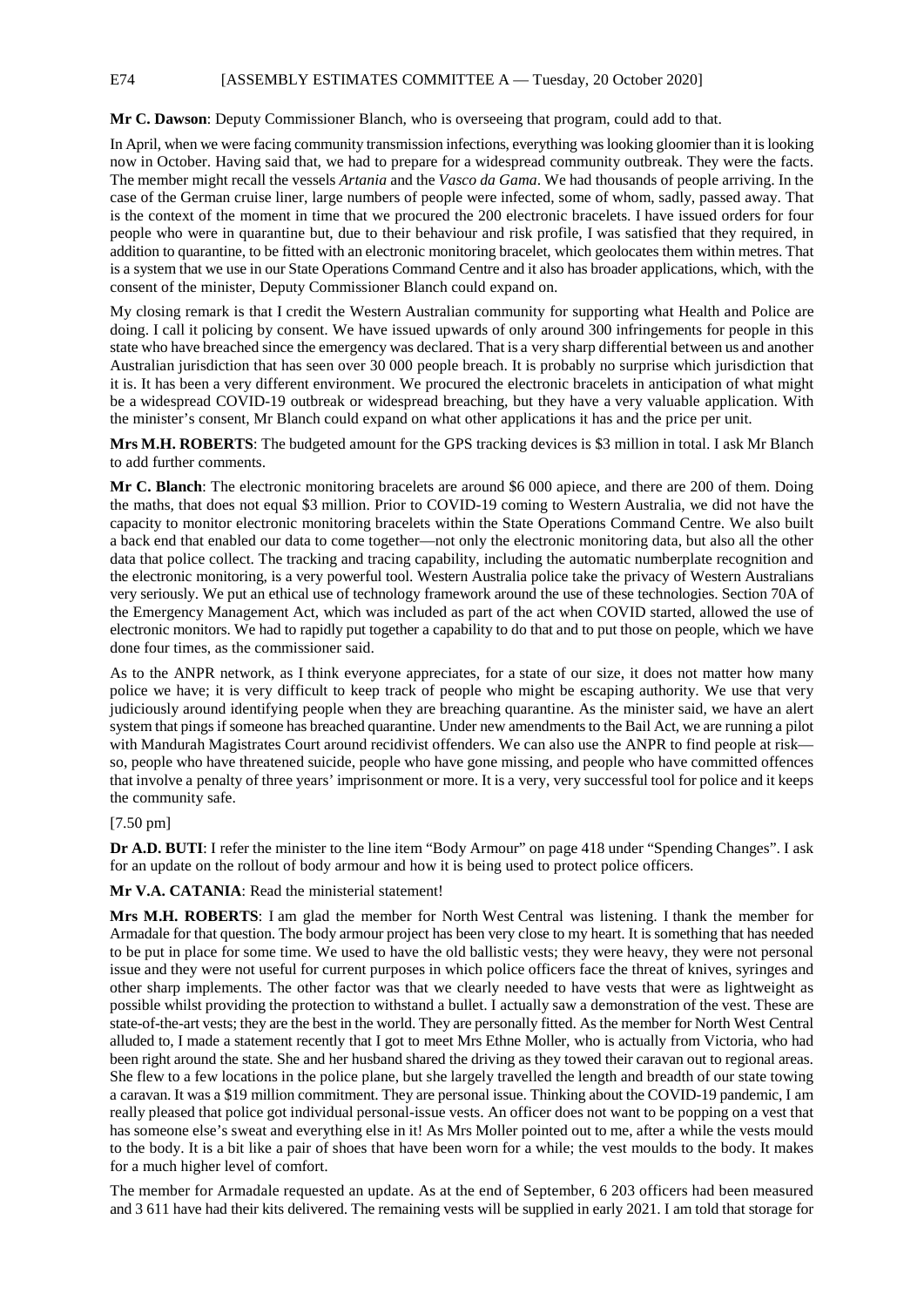E74 [ASSEMBLY ESTIMATES COMMITTEE A — Tuesday, 20 October 2020]

## **Mr C. Dawson**: Deputy Commissioner Blanch, who is overseeing that program, could add to that.

In April, when we were facing community transmission infections, everything was looking gloomier than it is looking now in October. Having said that, we had to prepare for a widespread community outbreak. They were the facts. The member might recall the vessels *Artania* and the *Vasco da Gama*. We had thousands of people arriving. In the case of the German cruise liner, large numbers of people were infected, some of whom, sadly, passed away. That is the context of the moment in time that we procured the 200 electronic bracelets. I have issued orders for four people who were in quarantine but, due to their behaviour and risk profile, I was satisfied that they required, in addition to quarantine, to be fitted with an electronic monitoring bracelet, which geolocates them within metres. That is a system that we use in our State Operations Command Centre and it also has broader applications, which, with the consent of the minister, Deputy Commissioner Blanch could expand on.

My closing remark is that I credit the Western Australian community for supporting what Health and Police are doing. I call it policing by consent. We have issued upwards of only around 300 infringements for people in this state who have breached since the emergency was declared. That is a very sharp differential between us and another Australian jurisdiction that has seen over 30 000 people breach. It is probably no surprise which jurisdiction that it is. It has been a very different environment. We procured the electronic bracelets in anticipation of what might be a widespread COVID-19 outbreak or widespread breaching, but they have a very valuable application. With the minister's consent, Mr Blanch could expand on what other applications it has and the price per unit.

**Mrs M.H. ROBERTS**: The budgeted amount for the GPS tracking devices is \$3 million in total. I ask Mr Blanch to add further comments.

**Mr C. Blanch**: The electronic monitoring bracelets are around \$6 000 apiece, and there are 200 of them. Doing the maths, that does not equal \$3 million. Prior to COVID-19 coming to Western Australia, we did not have the capacity to monitor electronic monitoring bracelets within the State Operations Command Centre. We also built a back end that enabled our data to come together—not only the electronic monitoring data, but also all the other data that police collect. The tracking and tracing capability, including the automatic numberplate recognition and the electronic monitoring, is a very powerful tool. Western Australia police take the privacy of Western Australians very seriously. We put an ethical use of technology framework around the use of these technologies. Section 70A of the Emergency Management Act, which was included as part of the act when COVID started, allowed the use of electronic monitors. We had to rapidly put together a capability to do that and to put those on people, which we have done four times, as the commissioner said.

As to the ANPR network, as I think everyone appreciates, for a state of our size, it does not matter how many police we have; it is very difficult to keep track of people who might be escaping authority. We use that very judiciously around identifying people when they are breaching quarantine. As the minister said, we have an alert system that pings if someone has breached quarantine. Under new amendments to the Bail Act, we are running a pilot with Mandurah Magistrates Court around recidivist offenders. We can also use the ANPR to find people at risk– so, people who have threatened suicide, people who have gone missing, and people who have committed offences that involve a penalty of three years' imprisonment or more. It is a very, very successful tool for police and it keeps the community safe.

## [7.50 pm]

**Dr A.D. BUTI**: I refer the minister to the line item "Body Armour" on page 418 under "Spending Changes". I ask for an update on the rollout of body armour and how it is being used to protect police officers.

**Mr V.A. CATANIA**: Read the ministerial statement!

**Mrs M.H. ROBERTS**: I am glad the member for North West Central was listening. I thank the member for Armadale for that question. The body armour project has been very close to my heart. It is something that has needed to be put in place for some time. We used to have the old ballistic vests; they were heavy, they were not personal issue and they were not useful for current purposes in which police officers face the threat of knives, syringes and other sharp implements. The other factor was that we clearly needed to have vests that were as lightweight as possible whilst providing the protection to withstand a bullet. I actually saw a demonstration of the vest. These are state-of-the-art vests; they are the best in the world. They are personally fitted. As the member for North West Central alluded to, I made a statement recently that I got to meet Mrs Ethne Moller, who is actually from Victoria, who had been right around the state. She and her husband shared the driving as they towed their caravan out to regional areas. She flew to a few locations in the police plane, but she largely travelled the length and breadth of our state towing a caravan. It was a \$19 million commitment. They are personal issue. Thinking about the COVID-19 pandemic, I am really pleased that police got individual personal-issue vests. An officer does not want to be popping on a vest that has someone else's sweat and everything else in it! As Mrs Moller pointed out to me, after a while the vests mould to the body. It is a bit like a pair of shoes that have been worn for a while; the vest moulds to the body. It makes for a much higher level of comfort.

The member for Armadale requested an update. As at the end of September, 6 203 officers had been measured and 3 611 have had their kits delivered. The remaining vests will be supplied in early 2021. I am told that storage for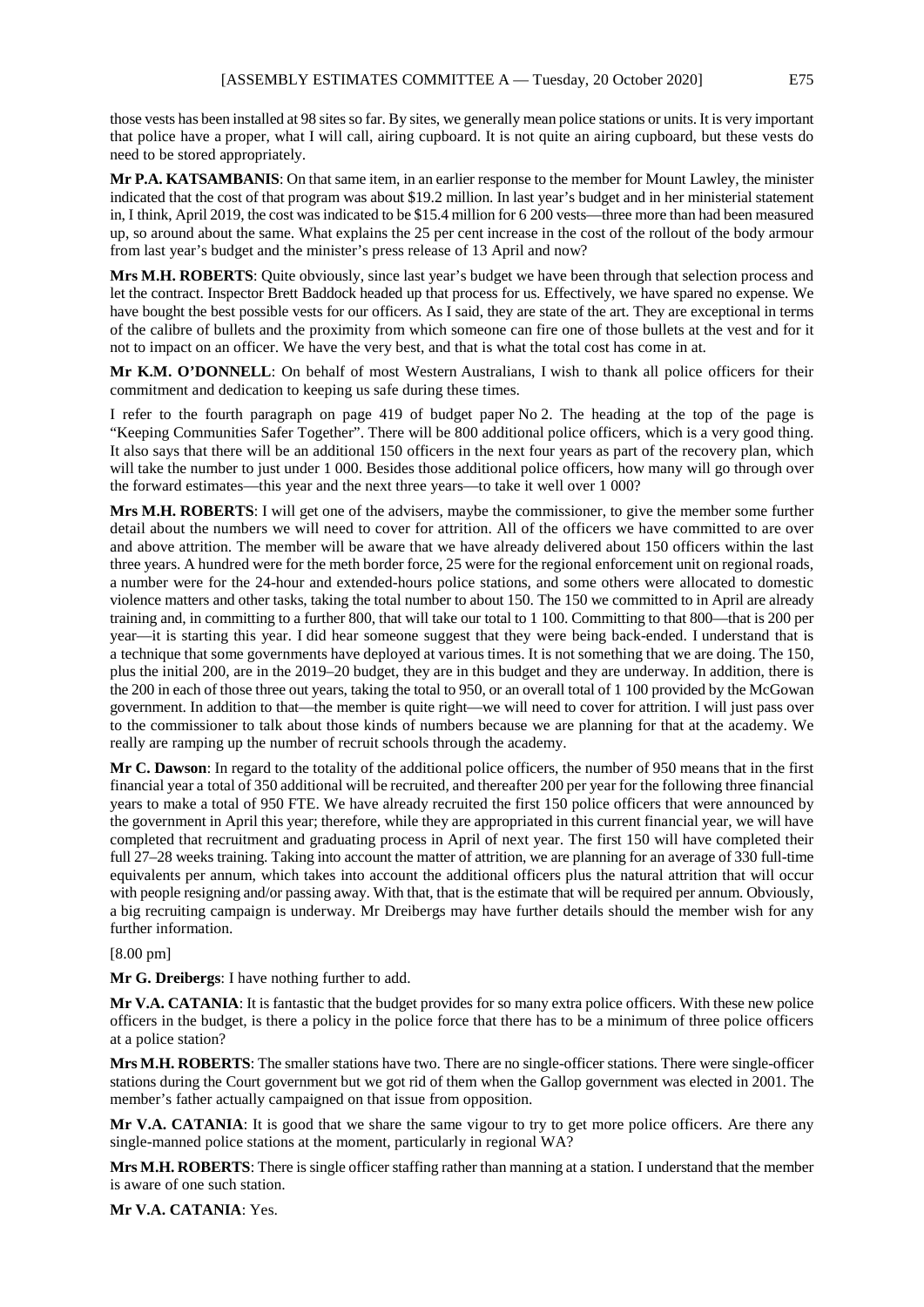those vests has been installed at 98 sites so far. By sites, we generally mean police stations or units. It is very important that police have a proper, what I will call, airing cupboard. It is not quite an airing cupboard, but these vests do need to be stored appropriately.

**Mr P.A. KATSAMBANIS**: On that same item, in an earlier response to the member for Mount Lawley, the minister indicated that the cost of that program was about \$19.2 million. In last year's budget and in her ministerial statement in, I think, April 2019, the cost was indicated to be \$15.4 million for 6 200 vests—three more than had been measured up, so around about the same. What explains the 25 per cent increase in the cost of the rollout of the body armour from last year's budget and the minister's press release of 13 April and now?

**Mrs M.H. ROBERTS**: Quite obviously, since last year's budget we have been through that selection process and let the contract. Inspector Brett Baddock headed up that process for us. Effectively, we have spared no expense. We have bought the best possible vests for our officers. As I said, they are state of the art. They are exceptional in terms of the calibre of bullets and the proximity from which someone can fire one of those bullets at the vest and for it not to impact on an officer. We have the very best, and that is what the total cost has come in at.

**Mr K.M. O'DONNELL**: On behalf of most Western Australians, I wish to thank all police officers for their commitment and dedication to keeping us safe during these times.

I refer to the fourth paragraph on page 419 of budget paper No 2. The heading at the top of the page is "Keeping Communities Safer Together". There will be 800 additional police officers, which is a very good thing. It also says that there will be an additional 150 officers in the next four years as part of the recovery plan, which will take the number to just under 1 000. Besides those additional police officers, how many will go through over the forward estimates—this year and the next three years—to take it well over 1 000?

**Mrs M.H. ROBERTS**: I will get one of the advisers, maybe the commissioner, to give the member some further detail about the numbers we will need to cover for attrition. All of the officers we have committed to are over and above attrition. The member will be aware that we have already delivered about 150 officers within the last three years. A hundred were for the meth border force, 25 were for the regional enforcement unit on regional roads, a number were for the 24-hour and extended-hours police stations, and some others were allocated to domestic violence matters and other tasks, taking the total number to about 150. The 150 we committed to in April are already training and, in committing to a further 800, that will take our total to 1 100. Committing to that 800—that is 200 per year—it is starting this year. I did hear someone suggest that they were being back-ended. I understand that is a technique that some governments have deployed at various times. It is not something that we are doing. The 150, plus the initial 200, are in the 2019–20 budget, they are in this budget and they are underway. In addition, there is the 200 in each of those three out years, taking the total to 950, or an overall total of 1 100 provided by the McGowan government. In addition to that—the member is quite right—we will need to cover for attrition. I will just pass over to the commissioner to talk about those kinds of numbers because we are planning for that at the academy. We really are ramping up the number of recruit schools through the academy.

**Mr C. Dawson**: In regard to the totality of the additional police officers, the number of 950 means that in the first financial year a total of 350 additional will be recruited, and thereafter 200 per year for the following three financial years to make a total of 950 FTE. We have already recruited the first 150 police officers that were announced by the government in April this year; therefore, while they are appropriated in this current financial year, we will have completed that recruitment and graduating process in April of next year. The first 150 will have completed their full 27–28 weeks training. Taking into account the matter of attrition, we are planning for an average of 330 full-time equivalents per annum, which takes into account the additional officers plus the natural attrition that will occur with people resigning and/or passing away. With that, that is the estimate that will be required per annum. Obviously, a big recruiting campaign is underway. Mr Dreibergs may have further details should the member wish for any further information.

## [8.00 pm]

**Mr G. Dreibergs**: I have nothing further to add.

**Mr V.A. CATANIA**: It is fantastic that the budget provides for so many extra police officers. With these new police officers in the budget, is there a policy in the police force that there has to be a minimum of three police officers at a police station?

**Mrs M.H. ROBERTS**: The smaller stations have two. There are no single-officer stations. There were single-officer stations during the Court government but we got rid of them when the Gallop government was elected in 2001. The member's father actually campaigned on that issue from opposition.

**Mr V.A. CATANIA**: It is good that we share the same vigour to try to get more police officers. Are there any single-manned police stations at the moment, particularly in regional WA?

**Mrs M.H. ROBERTS**: There is single officer staffing rather than manning at a station. I understand that the member is aware of one such station.

**Mr V.A. CATANIA**: Yes.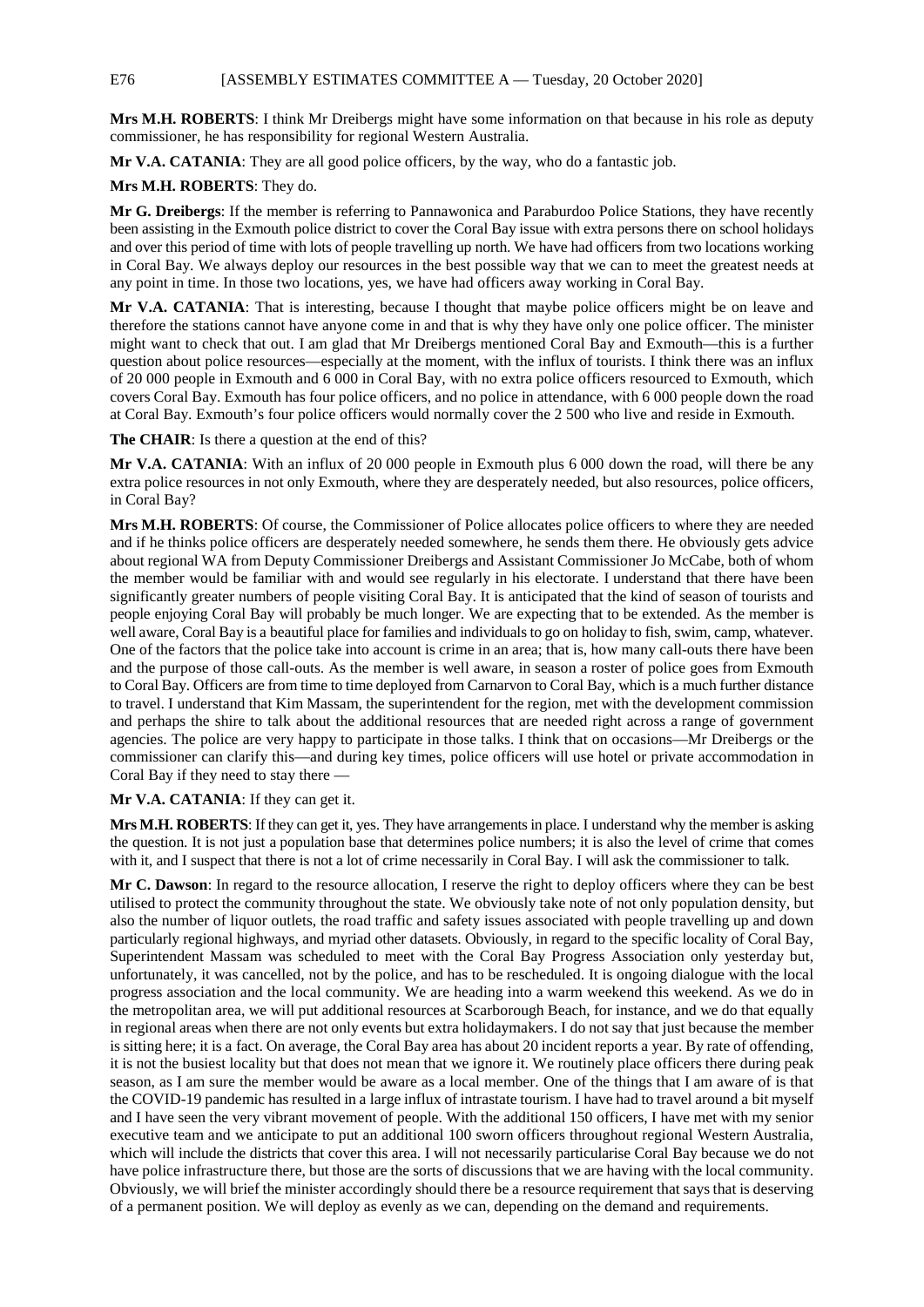## E76 [ASSEMBLY ESTIMATES COMMITTEE A — Tuesday, 20 October 2020]

**Mrs M.H. ROBERTS**: I think Mr Dreibergs might have some information on that because in his role as deputy commissioner, he has responsibility for regional Western Australia.

**Mr V.A. CATANIA**: They are all good police officers, by the way, who do a fantastic job.

## **Mrs M.H. ROBERTS**: They do.

**Mr G. Dreibergs**: If the member is referring to Pannawonica and Paraburdoo Police Stations, they have recently been assisting in the Exmouth police district to cover the Coral Bay issue with extra persons there on school holidays and over this period of time with lots of people travelling up north. We have had officers from two locations working in Coral Bay. We always deploy our resources in the best possible way that we can to meet the greatest needs at any point in time. In those two locations, yes, we have had officers away working in Coral Bay.

**Mr V.A. CATANIA**: That is interesting, because I thought that maybe police officers might be on leave and therefore the stations cannot have anyone come in and that is why they have only one police officer. The minister might want to check that out. I am glad that Mr Dreibergs mentioned Coral Bay and Exmouth—this is a further question about police resources—especially at the moment, with the influx of tourists. I think there was an influx of 20 000 people in Exmouth and 6 000 in Coral Bay, with no extra police officers resourced to Exmouth, which covers Coral Bay. Exmouth has four police officers, and no police in attendance, with 6 000 people down the road at Coral Bay. Exmouth's four police officers would normally cover the 2 500 who live and reside in Exmouth.

**The CHAIR:** Is there a question at the end of this?

**Mr V.A. CATANIA**: With an influx of 20 000 people in Exmouth plus 6 000 down the road, will there be any extra police resources in not only Exmouth, where they are desperately needed, but also resources, police officers, in Coral Bay?

**Mrs M.H. ROBERTS**: Of course, the Commissioner of Police allocates police officers to where they are needed and if he thinks police officers are desperately needed somewhere, he sends them there. He obviously gets advice about regional WA from Deputy Commissioner Dreibergs and Assistant Commissioner Jo McCabe, both of whom the member would be familiar with and would see regularly in his electorate. I understand that there have been significantly greater numbers of people visiting Coral Bay. It is anticipated that the kind of season of tourists and people enjoying Coral Bay will probably be much longer. We are expecting that to be extended. As the member is well aware, Coral Bay is a beautiful place for families and individuals to go on holiday to fish, swim, camp, whatever. One of the factors that the police take into account is crime in an area; that is, how many call-outs there have been and the purpose of those call-outs. As the member is well aware, in season a roster of police goes from Exmouth to Coral Bay. Officers are from time to time deployed from Carnarvon to Coral Bay, which is a much further distance to travel. I understand that Kim Massam, the superintendent for the region, met with the development commission and perhaps the shire to talk about the additional resources that are needed right across a range of government agencies. The police are very happy to participate in those talks. I think that on occasions—Mr Dreibergs or the commissioner can clarify this—and during key times, police officers will use hotel or private accommodation in Coral Bay if they need to stay there —

#### **Mr V.A. CATANIA**: If they can get it.

**Mrs M.H. ROBERTS**: If they can get it, yes. They have arrangements in place. I understand why the member is asking the question. It is not just a population base that determines police numbers; it is also the level of crime that comes with it, and I suspect that there is not a lot of crime necessarily in Coral Bay. I will ask the commissioner to talk.

**Mr C. Dawson**: In regard to the resource allocation, I reserve the right to deploy officers where they can be best utilised to protect the community throughout the state. We obviously take note of not only population density, but also the number of liquor outlets, the road traffic and safety issues associated with people travelling up and down particularly regional highways, and myriad other datasets. Obviously, in regard to the specific locality of Coral Bay, Superintendent Massam was scheduled to meet with the Coral Bay Progress Association only yesterday but, unfortunately, it was cancelled, not by the police, and has to be rescheduled. It is ongoing dialogue with the local progress association and the local community. We are heading into a warm weekend this weekend. As we do in the metropolitan area, we will put additional resources at Scarborough Beach, for instance, and we do that equally in regional areas when there are not only events but extra holidaymakers. I do not say that just because the member is sitting here; it is a fact. On average, the Coral Bay area has about 20 incident reports a year. By rate of offending, it is not the busiest locality but that does not mean that we ignore it. We routinely place officers there during peak season, as I am sure the member would be aware as a local member. One of the things that I am aware of is that the COVID-19 pandemic has resulted in a large influx of intrastate tourism. I have had to travel around a bit myself and I have seen the very vibrant movement of people. With the additional 150 officers, I have met with my senior executive team and we anticipate to put an additional 100 sworn officers throughout regional Western Australia, which will include the districts that cover this area. I will not necessarily particularise Coral Bay because we do not have police infrastructure there, but those are the sorts of discussions that we are having with the local community. Obviously, we will brief the minister accordingly should there be a resource requirement that says that is deserving of a permanent position. We will deploy as evenly as we can, depending on the demand and requirements.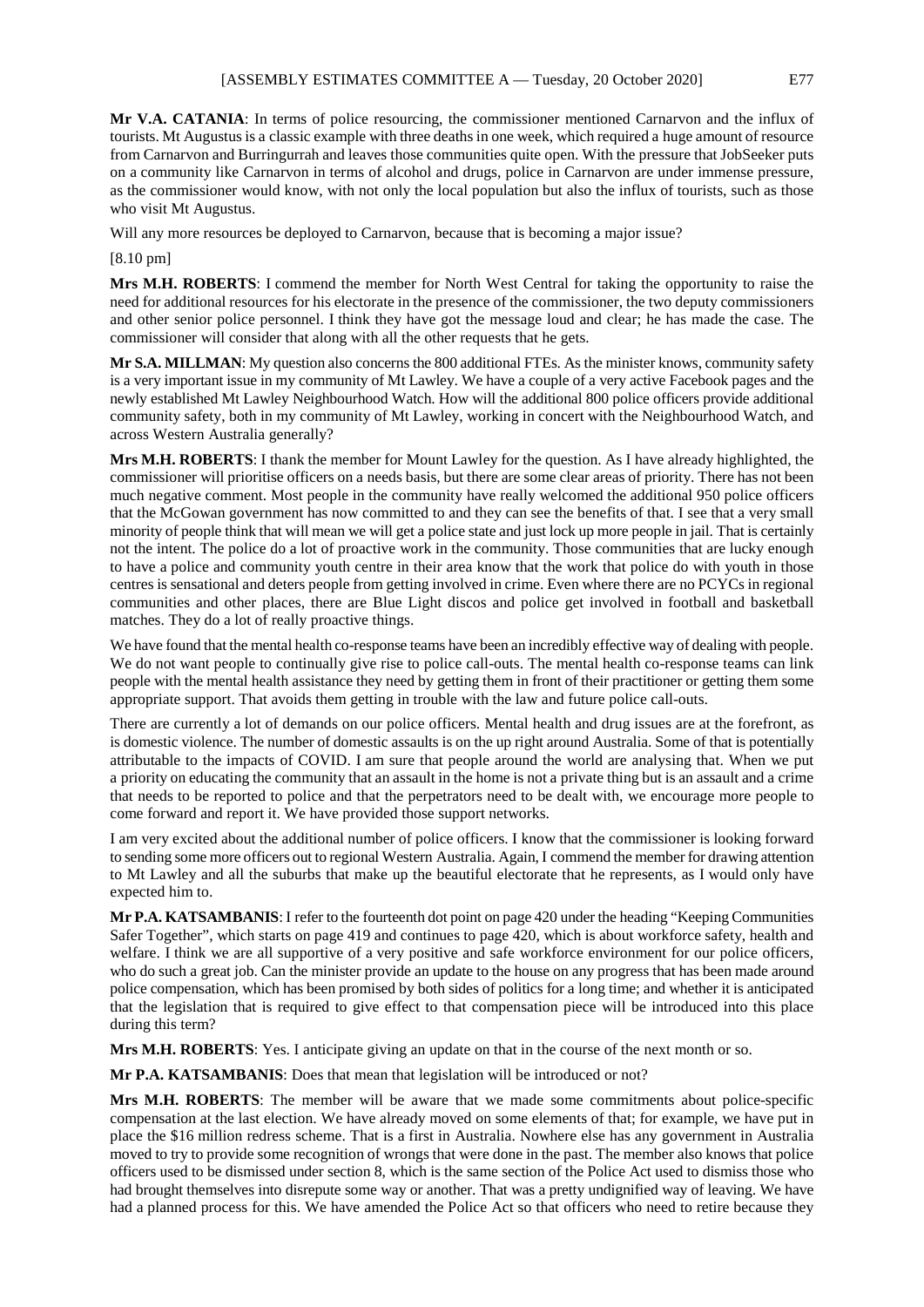**Mr V.A. CATANIA**: In terms of police resourcing, the commissioner mentioned Carnarvon and the influx of tourists. Mt Augustus is a classic example with three deaths in one week, which required a huge amount of resource from Carnarvon and Burringurrah and leaves those communities quite open. With the pressure that JobSeeker puts on a community like Carnarvon in terms of alcohol and drugs, police in Carnarvon are under immense pressure, as the commissioner would know, with not only the local population but also the influx of tourists, such as those who visit Mt Augustus.

Will any more resources be deployed to Carnarvon, because that is becoming a major issue?

[8.10 pm]

**Mrs M.H. ROBERTS**: I commend the member for North West Central for taking the opportunity to raise the need for additional resources for his electorate in the presence of the commissioner, the two deputy commissioners and other senior police personnel. I think they have got the message loud and clear; he has made the case. The commissioner will consider that along with all the other requests that he gets.

**Mr S.A. MILLMAN**: My question also concerns the 800 additional FTEs. As the minister knows, community safety is a very important issue in my community of Mt Lawley. We have a couple of a very active Facebook pages and the newly established Mt Lawley Neighbourhood Watch. How will the additional 800 police officers provide additional community safety, both in my community of Mt Lawley, working in concert with the Neighbourhood Watch, and across Western Australia generally?

**Mrs M.H. ROBERTS**: I thank the member for Mount Lawley for the question. As I have already highlighted, the commissioner will prioritise officers on a needs basis, but there are some clear areas of priority. There has not been much negative comment. Most people in the community have really welcomed the additional 950 police officers that the McGowan government has now committed to and they can see the benefits of that. I see that a very small minority of people think that will mean we will get a police state and just lock up more people in jail. That is certainly not the intent. The police do a lot of proactive work in the community. Those communities that are lucky enough to have a police and community youth centre in their area know that the work that police do with youth in those centres is sensational and deters people from getting involved in crime. Even where there are no PCYCs in regional communities and other places, there are Blue Light discos and police get involved in football and basketball matches. They do a lot of really proactive things.

We have found that the mental health co-response teams have been an incredibly effective way of dealing with people. We do not want people to continually give rise to police call-outs. The mental health co-response teams can link people with the mental health assistance they need by getting them in front of their practitioner or getting them some appropriate support. That avoids them getting in trouble with the law and future police call-outs.

There are currently a lot of demands on our police officers. Mental health and drug issues are at the forefront, as is domestic violence. The number of domestic assaults is on the up right around Australia. Some of that is potentially attributable to the impacts of COVID. I am sure that people around the world are analysing that. When we put a priority on educating the community that an assault in the home is not a private thing but is an assault and a crime that needs to be reported to police and that the perpetrators need to be dealt with, we encourage more people to come forward and report it. We have provided those support networks.

I am very excited about the additional number of police officers. I know that the commissioner is looking forward to sending some more officers out to regional Western Australia. Again, I commend the member for drawing attention to Mt Lawley and all the suburbs that make up the beautiful electorate that he represents, as I would only have expected him to.

**Mr P.A. KATSAMBANIS**: I refer to the fourteenth dot point on page 420 under the heading "Keeping Communities Safer Together", which starts on page 419 and continues to page 420, which is about workforce safety, health and welfare. I think we are all supportive of a very positive and safe workforce environment for our police officers, who do such a great job. Can the minister provide an update to the house on any progress that has been made around police compensation, which has been promised by both sides of politics for a long time; and whether it is anticipated that the legislation that is required to give effect to that compensation piece will be introduced into this place during this term?

**Mrs M.H. ROBERTS**: Yes. I anticipate giving an update on that in the course of the next month or so.

**Mr P.A. KATSAMBANIS**: Does that mean that legislation will be introduced or not?

**Mrs M.H. ROBERTS**: The member will be aware that we made some commitments about police-specific compensation at the last election. We have already moved on some elements of that; for example, we have put in place the \$16 million redress scheme. That is a first in Australia. Nowhere else has any government in Australia moved to try to provide some recognition of wrongs that were done in the past. The member also knows that police officers used to be dismissed under section 8, which is the same section of the Police Act used to dismiss those who had brought themselves into disrepute some way or another. That was a pretty undignified way of leaving. We have had a planned process for this. We have amended the Police Act so that officers who need to retire because they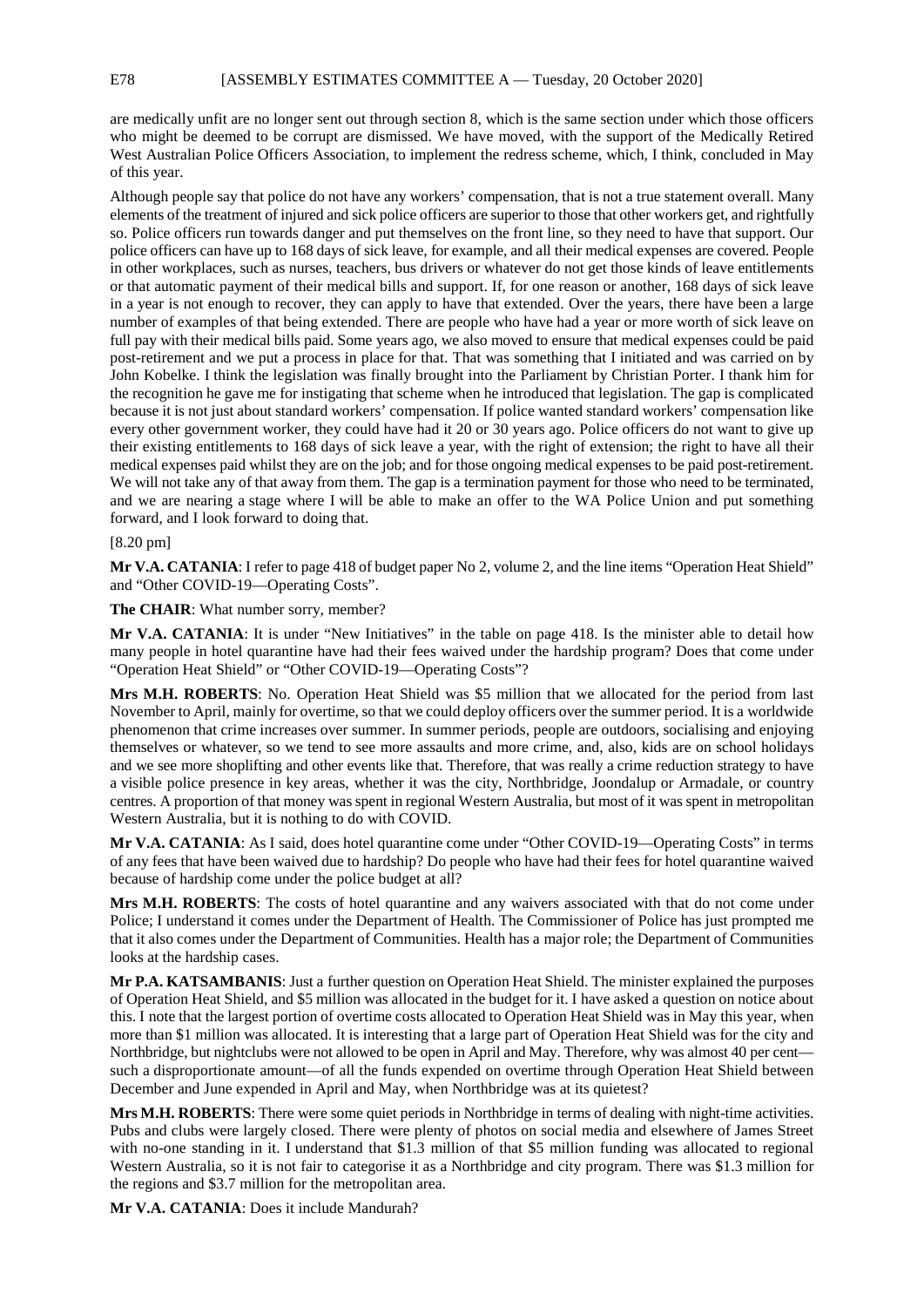are medically unfit are no longer sent out through section 8, which is the same section under which those officers who might be deemed to be corrupt are dismissed. We have moved, with the support of the Medically Retired West Australian Police Officers Association, to implement the redress scheme, which, I think, concluded in May of this year.

Although people say that police do not have any workers' compensation, that is not a true statement overall. Many elements of the treatment of injured and sick police officers are superior to those that other workers get, and rightfully so. Police officers run towards danger and put themselves on the front line, so they need to have that support. Our police officers can have up to 168 days of sick leave, for example, and all their medical expenses are covered. People in other workplaces, such as nurses, teachers, bus drivers or whatever do not get those kinds of leave entitlements or that automatic payment of their medical bills and support. If, for one reason or another, 168 days of sick leave in a year is not enough to recover, they can apply to have that extended. Over the years, there have been a large number of examples of that being extended. There are people who have had a year or more worth of sick leave on full pay with their medical bills paid. Some years ago, we also moved to ensure that medical expenses could be paid post-retirement and we put a process in place for that. That was something that I initiated and was carried on by John Kobelke. I think the legislation was finally brought into the Parliament by Christian Porter. I thank him for the recognition he gave me for instigating that scheme when he introduced that legislation. The gap is complicated because it is not just about standard workers' compensation. If police wanted standard workers' compensation like every other government worker, they could have had it 20 or 30 years ago. Police officers do not want to give up their existing entitlements to 168 days of sick leave a year, with the right of extension; the right to have all their medical expenses paid whilst they are on the job; and for those ongoing medical expenses to be paid post-retirement. We will not take any of that away from them. The gap is a termination payment for those who need to be terminated, and we are nearing a stage where I will be able to make an offer to the WA Police Union and put something forward, and I look forward to doing that.

#### [8.20 pm]

**Mr V.A. CATANIA**: I refer to page 418 of budget paper No 2, volume 2, and the line items "Operation Heat Shield" and "Other COVID-19—Operating Costs".

#### **The CHAIR**: What number sorry, member?

**Mr V.A. CATANIA:** It is under "New Initiatives" in the table on page 418. Is the minister able to detail how many people in hotel quarantine have had their fees waived under the hardship program? Does that come under "Operation Heat Shield" or "Other COVID-19—Operating Costs"?

**Mrs M.H. ROBERTS**: No. Operation Heat Shield was \$5 million that we allocated for the period from last November to April, mainly for overtime, so that we could deploy officers over the summer period. It is a worldwide phenomenon that crime increases over summer. In summer periods, people are outdoors, socialising and enjoying themselves or whatever, so we tend to see more assaults and more crime, and, also, kids are on school holidays and we see more shoplifting and other events like that. Therefore, that was really a crime reduction strategy to have a visible police presence in key areas, whether it was the city, Northbridge, Joondalup or Armadale, or country centres. A proportion of that money was spent in regional Western Australia, but most of it was spent in metropolitan Western Australia, but it is nothing to do with COVID.

**Mr V.A. CATANIA**: As I said, does hotel quarantine come under "Other COVID-19—Operating Costs" in terms of any fees that have been waived due to hardship? Do people who have had their fees for hotel quarantine waived because of hardship come under the police budget at all?

**Mrs M.H. ROBERTS**: The costs of hotel quarantine and any waivers associated with that do not come under Police; I understand it comes under the Department of Health. The Commissioner of Police has just prompted me that it also comes under the Department of Communities. Health has a major role; the Department of Communities looks at the hardship cases.

**Mr P.A. KATSAMBANIS**: Just a further question on Operation Heat Shield. The minister explained the purposes of Operation Heat Shield, and \$5 million was allocated in the budget for it. I have asked a question on notice about this. I note that the largest portion of overtime costs allocated to Operation Heat Shield was in May this year, when more than \$1 million was allocated. It is interesting that a large part of Operation Heat Shield was for the city and Northbridge, but nightclubs were not allowed to be open in April and May. Therefore, why was almost 40 per cent such a disproportionate amount—of all the funds expended on overtime through Operation Heat Shield between December and June expended in April and May, when Northbridge was at its quietest?

**Mrs M.H. ROBERTS**: There were some quiet periods in Northbridge in terms of dealing with night-time activities. Pubs and clubs were largely closed. There were plenty of photos on social media and elsewhere of James Street with no-one standing in it. I understand that \$1.3 million of that \$5 million funding was allocated to regional Western Australia, so it is not fair to categorise it as a Northbridge and city program. There was \$1.3 million for the regions and \$3.7 million for the metropolitan area.

**Mr V.A. CATANIA**: Does it include Mandurah?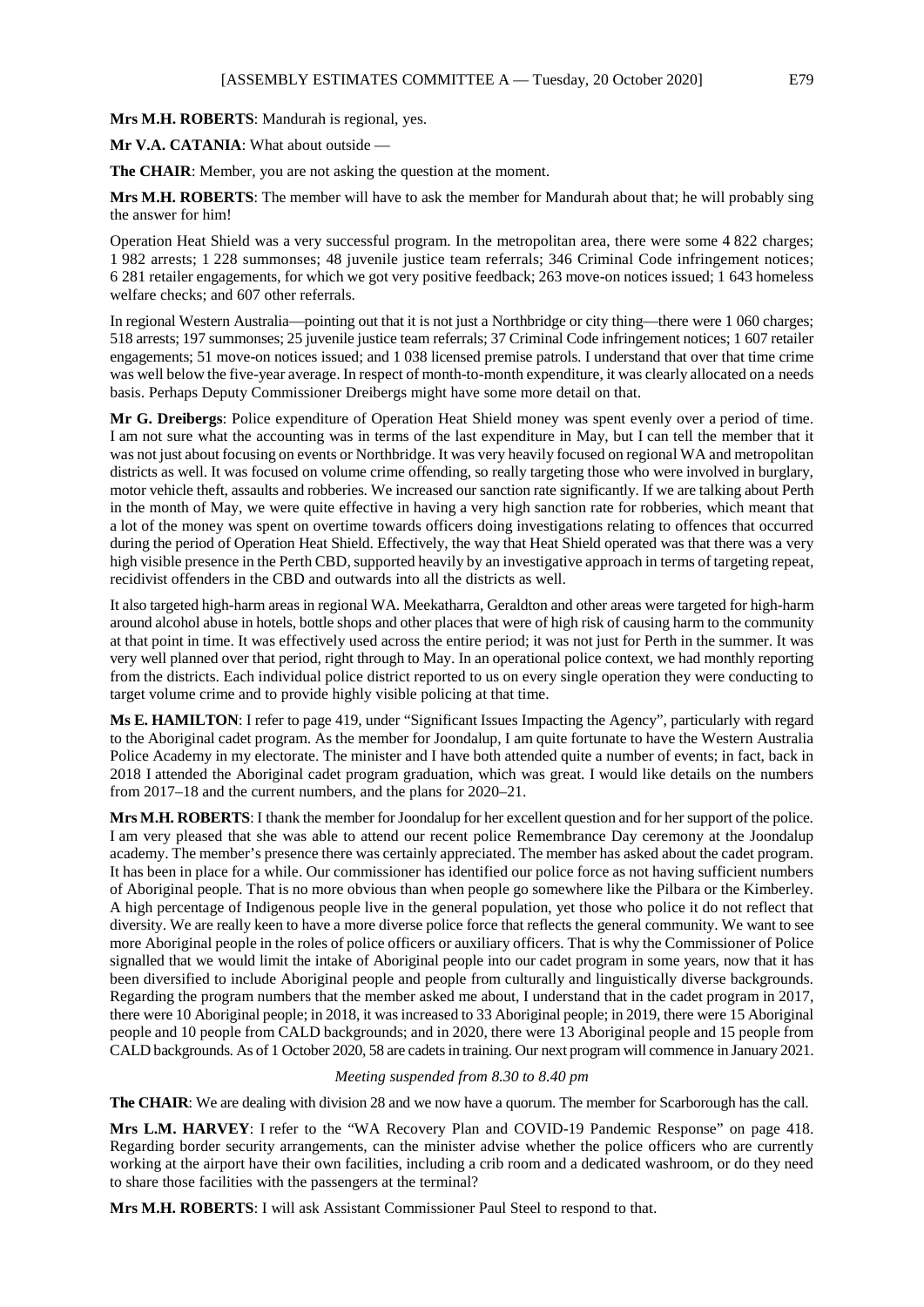**Mrs M.H. ROBERTS**: Mandurah is regional, yes.

**Mr V.A. CATANIA**: What about outside —

**The CHAIR**: Member, you are not asking the question at the moment.

**Mrs M.H. ROBERTS:** The member will have to ask the member for Mandurah about that; he will probably sing the answer for him!

Operation Heat Shield was a very successful program. In the metropolitan area, there were some 4 822 charges; 1 982 arrests; 1 228 summonses; 48 juvenile justice team referrals; 346 Criminal Code infringement notices; 6 281 retailer engagements, for which we got very positive feedback; 263 move-on notices issued; 1 643 homeless welfare checks; and 607 other referrals.

In regional Western Australia—pointing out that it is not just a Northbridge or city thing—there were 1 060 charges; 518 arrests; 197 summonses; 25 juvenile justice team referrals; 37 Criminal Code infringement notices; 1 607 retailer engagements; 51 move-on notices issued; and 1 038 licensed premise patrols. I understand that over that time crime was well below the five-year average. In respect of month-to-month expenditure, it was clearly allocated on a needs basis. Perhaps Deputy Commissioner Dreibergs might have some more detail on that.

**Mr G. Dreibergs**: Police expenditure of Operation Heat Shield money was spent evenly over a period of time. I am not sure what the accounting was in terms of the last expenditure in May, but I can tell the member that it was not just about focusing on events or Northbridge. It was very heavily focused on regional WA and metropolitan districts as well. It was focused on volume crime offending, so really targeting those who were involved in burglary, motor vehicle theft, assaults and robberies. We increased our sanction rate significantly. If we are talking about Perth in the month of May, we were quite effective in having a very high sanction rate for robberies, which meant that a lot of the money was spent on overtime towards officers doing investigations relating to offences that occurred during the period of Operation Heat Shield. Effectively, the way that Heat Shield operated was that there was a very high visible presence in the Perth CBD, supported heavily by an investigative approach in terms of targeting repeat, recidivist offenders in the CBD and outwards into all the districts as well.

It also targeted high-harm areas in regional WA. Meekatharra, Geraldton and other areas were targeted for high-harm around alcohol abuse in hotels, bottle shops and other places that were of high risk of causing harm to the community at that point in time. It was effectively used across the entire period; it was not just for Perth in the summer. It was very well planned over that period, right through to May. In an operational police context, we had monthly reporting from the districts. Each individual police district reported to us on every single operation they were conducting to target volume crime and to provide highly visible policing at that time.

**Ms E. HAMILTON**: I refer to page 419, under "Significant Issues Impacting the Agency", particularly with regard to the Aboriginal cadet program. As the member for Joondalup, I am quite fortunate to have the Western Australia Police Academy in my electorate. The minister and I have both attended quite a number of events; in fact, back in 2018 I attended the Aboriginal cadet program graduation, which was great. I would like details on the numbers from 2017–18 and the current numbers, and the plans for 2020–21.

**Mrs M.H. ROBERTS**: I thank the member for Joondalup for her excellent question and for her support of the police. I am very pleased that she was able to attend our recent police Remembrance Day ceremony at the Joondalup academy. The member's presence there was certainly appreciated. The member has asked about the cadet program. It has been in place for a while. Our commissioner has identified our police force as not having sufficient numbers of Aboriginal people. That is no more obvious than when people go somewhere like the Pilbara or the Kimberley. A high percentage of Indigenous people live in the general population, yet those who police it do not reflect that diversity. We are really keen to have a more diverse police force that reflects the general community. We want to see more Aboriginal people in the roles of police officers or auxiliary officers. That is why the Commissioner of Police signalled that we would limit the intake of Aboriginal people into our cadet program in some years, now that it has been diversified to include Aboriginal people and people from culturally and linguistically diverse backgrounds. Regarding the program numbers that the member asked me about, I understand that in the cadet program in 2017, there were 10 Aboriginal people; in 2018, it was increased to 33 Aboriginal people; in 2019, there were 15 Aboriginal people and 10 people from CALD backgrounds; and in 2020, there were 13 Aboriginal people and 15 people from CALD backgrounds. As of 1 October 2020, 58 are cadets in training. Our next program will commence in January 2021.

### *Meeting suspended from 8.30 to 8.40 pm*

**The CHAIR**: We are dealing with division 28 and we now have a quorum. The member for Scarborough has the call.

**Mrs L.M. HARVEY**: I refer to the "WA Recovery Plan and COVID-19 Pandemic Response" on page 418. Regarding border security arrangements, can the minister advise whether the police officers who are currently working at the airport have their own facilities, including a crib room and a dedicated washroom, or do they need to share those facilities with the passengers at the terminal?

**Mrs M.H. ROBERTS**: I will ask Assistant Commissioner Paul Steel to respond to that.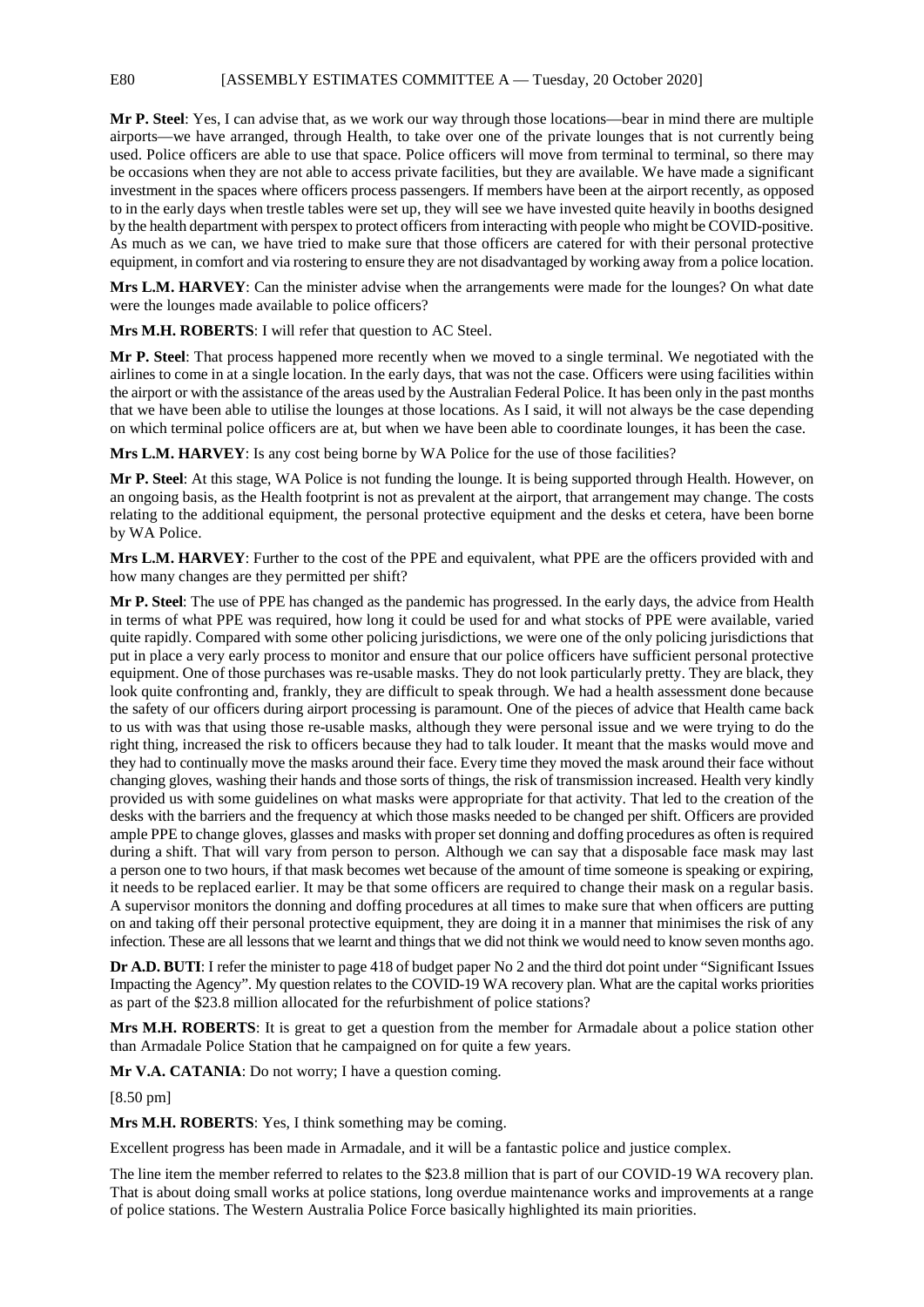**Mr P. Steel**: Yes, I can advise that, as we work our way through those locations—bear in mind there are multiple airports—we have arranged, through Health, to take over one of the private lounges that is not currently being used. Police officers are able to use that space. Police officers will move from terminal to terminal, so there may be occasions when they are not able to access private facilities, but they are available. We have made a significant investment in the spaces where officers process passengers. If members have been at the airport recently, as opposed to in the early days when trestle tables were set up, they will see we have invested quite heavily in booths designed by the health department with perspex to protect officers from interacting with people who might be COVID-positive. As much as we can, we have tried to make sure that those officers are catered for with their personal protective equipment, in comfort and via rostering to ensure they are not disadvantaged by working away from a police location.

**Mrs L.M. HARVEY**: Can the minister advise when the arrangements were made for the lounges? On what date were the lounges made available to police officers?

**Mrs M.H. ROBERTS**: I will refer that question to AC Steel.

**Mr P. Steel**: That process happened more recently when we moved to a single terminal. We negotiated with the airlines to come in at a single location. In the early days, that was not the case. Officers were using facilities within the airport or with the assistance of the areas used by the Australian Federal Police. It has been only in the past months that we have been able to utilise the lounges at those locations. As I said, it will not always be the case depending on which terminal police officers are at, but when we have been able to coordinate lounges, it has been the case.

**Mrs L.M. HARVEY**: Is any cost being borne by WA Police for the use of those facilities?

**Mr P. Steel**: At this stage, WA Police is not funding the lounge. It is being supported through Health. However, on an ongoing basis, as the Health footprint is not as prevalent at the airport, that arrangement may change. The costs relating to the additional equipment, the personal protective equipment and the desks et cetera, have been borne by WA Police.

**Mrs L.M. HARVEY**: Further to the cost of the PPE and equivalent, what PPE are the officers provided with and how many changes are they permitted per shift?

**Mr P. Steel**: The use of PPE has changed as the pandemic has progressed. In the early days, the advice from Health in terms of what PPE was required, how long it could be used for and what stocks of PPE were available, varied quite rapidly. Compared with some other policing jurisdictions, we were one of the only policing jurisdictions that put in place a very early process to monitor and ensure that our police officers have sufficient personal protective equipment. One of those purchases was re-usable masks. They do not look particularly pretty. They are black, they look quite confronting and, frankly, they are difficult to speak through. We had a health assessment done because the safety of our officers during airport processing is paramount. One of the pieces of advice that Health came back to us with was that using those re-usable masks, although they were personal issue and we were trying to do the right thing, increased the risk to officers because they had to talk louder. It meant that the masks would move and they had to continually move the masks around their face. Every time they moved the mask around their face without changing gloves, washing their hands and those sorts of things, the risk of transmission increased. Health very kindly provided us with some guidelines on what masks were appropriate for that activity. That led to the creation of the desks with the barriers and the frequency at which those masks needed to be changed per shift. Officers are provided ample PPE to change gloves, glasses and masks with proper set donning and doffing procedures as often is required during a shift. That will vary from person to person. Although we can say that a disposable face mask may last a person one to two hours, if that mask becomes wet because of the amount of time someone is speaking or expiring, it needs to be replaced earlier. It may be that some officers are required to change their mask on a regular basis. A supervisor monitors the donning and doffing procedures at all times to make sure that when officers are putting on and taking off their personal protective equipment, they are doing it in a manner that minimises the risk of any infection. These are all lessons that we learnt and things that we did not think we would need to know seven months ago.

**Dr A.D. BUTI**: I refer the minister to page 418 of budget paper No 2 and the third dot point under "Significant Issues Impacting the Agency". My question relates to the COVID-19 WA recovery plan. What are the capital works priorities as part of the \$23.8 million allocated for the refurbishment of police stations?

**Mrs M.H. ROBERTS**: It is great to get a question from the member for Armadale about a police station other than Armadale Police Station that he campaigned on for quite a few years.

**Mr V.A. CATANIA**: Do not worry; I have a question coming.

[8.50 pm]

**Mrs M.H. ROBERTS**: Yes, I think something may be coming.

Excellent progress has been made in Armadale, and it will be a fantastic police and justice complex.

The line item the member referred to relates to the \$23.8 million that is part of our COVID-19 WA recovery plan. That is about doing small works at police stations, long overdue maintenance works and improvements at a range of police stations. The Western Australia Police Force basically highlighted its main priorities.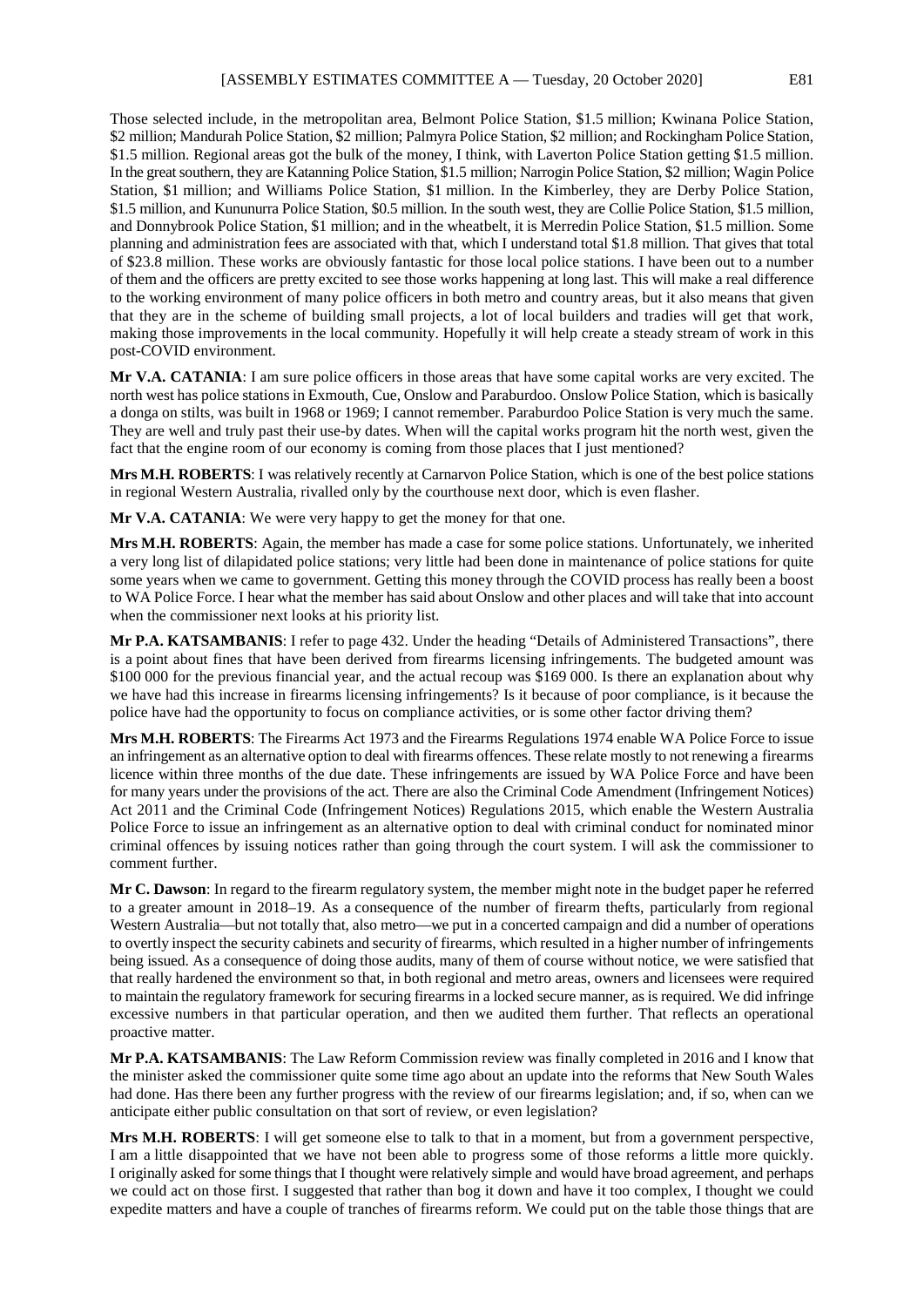Those selected include, in the metropolitan area, Belmont Police Station, \$1.5 million; Kwinana Police Station, \$2 million; Mandurah Police Station, \$2 million; Palmyra Police Station, \$2 million; and Rockingham Police Station, \$1.5 million. Regional areas got the bulk of the money, I think, with Laverton Police Station getting \$1.5 million. In the great southern, they are Katanning Police Station, \$1.5 million; Narrogin Police Station, \$2 million; Wagin Police Station, \$1 million; and Williams Police Station, \$1 million. In the Kimberley, they are Derby Police Station, \$1.5 million, and Kununurra Police Station, \$0.5 million. In the south west, they are Collie Police Station, \$1.5 million, and Donnybrook Police Station, \$1 million; and in the wheatbelt, it is Merredin Police Station, \$1.5 million. Some planning and administration fees are associated with that, which I understand total \$1.8 million. That gives that total of \$23.8 million. These works are obviously fantastic for those local police stations. I have been out to a number of them and the officers are pretty excited to see those works happening at long last. This will make a real difference to the working environment of many police officers in both metro and country areas, but it also means that given that they are in the scheme of building small projects, a lot of local builders and tradies will get that work, making those improvements in the local community. Hopefully it will help create a steady stream of work in this post-COVID environment.

**Mr V.A. CATANIA**: I am sure police officers in those areas that have some capital works are very excited. The north west has police stations in Exmouth, Cue, Onslow and Paraburdoo. Onslow Police Station, which is basically a donga on stilts, was built in 1968 or 1969; I cannot remember. Paraburdoo Police Station is very much the same. They are well and truly past their use-by dates. When will the capital works program hit the north west, given the fact that the engine room of our economy is coming from those places that I just mentioned?

**Mrs M.H. ROBERTS**: I was relatively recently at Carnarvon Police Station, which is one of the best police stations in regional Western Australia, rivalled only by the courthouse next door, which is even flasher.

**Mr V.A. CATANIA**: We were very happy to get the money for that one.

**Mrs M.H. ROBERTS**: Again, the member has made a case for some police stations. Unfortunately, we inherited a very long list of dilapidated police stations; very little had been done in maintenance of police stations for quite some years when we came to government. Getting this money through the COVID process has really been a boost to WA Police Force. I hear what the member has said about Onslow and other places and will take that into account when the commissioner next looks at his priority list.

**Mr P.A. KATSAMBANIS**: I refer to page 432. Under the heading "Details of Administered Transactions", there is a point about fines that have been derived from firearms licensing infringements. The budgeted amount was \$100 000 for the previous financial year, and the actual recoup was \$169 000. Is there an explanation about why we have had this increase in firearms licensing infringements? Is it because of poor compliance, is it because the police have had the opportunity to focus on compliance activities, or is some other factor driving them?

**Mrs M.H. ROBERTS**: The Firearms Act 1973 and the Firearms Regulations 1974 enable WA Police Force to issue an infringement as an alternative option to deal with firearms offences. These relate mostly to not renewing a firearms licence within three months of the due date. These infringements are issued by WA Police Force and have been for many years under the provisions of the act. There are also the Criminal Code Amendment (Infringement Notices) Act 2011 and the Criminal Code (Infringement Notices) Regulations 2015, which enable the Western Australia Police Force to issue an infringement as an alternative option to deal with criminal conduct for nominated minor criminal offences by issuing notices rather than going through the court system. I will ask the commissioner to comment further.

**Mr C. Dawson**: In regard to the firearm regulatory system, the member might note in the budget paper he referred to a greater amount in 2018–19. As a consequence of the number of firearm thefts, particularly from regional Western Australia—but not totally that, also metro—we put in a concerted campaign and did a number of operations to overtly inspect the security cabinets and security of firearms, which resulted in a higher number of infringements being issued. As a consequence of doing those audits, many of them of course without notice, we were satisfied that that really hardened the environment so that, in both regional and metro areas, owners and licensees were required to maintain the regulatory framework for securing firearms in a locked secure manner, as is required. We did infringe excessive numbers in that particular operation, and then we audited them further. That reflects an operational proactive matter.

**Mr P.A. KATSAMBANIS**: The Law Reform Commission review was finally completed in 2016 and I know that the minister asked the commissioner quite some time ago about an update into the reforms that New South Wales had done. Has there been any further progress with the review of our firearms legislation; and, if so, when can we anticipate either public consultation on that sort of review, or even legislation?

**Mrs M.H. ROBERTS**: I will get someone else to talk to that in a moment, but from a government perspective, I am a little disappointed that we have not been able to progress some of those reforms a little more quickly. I originally asked for some things that I thought were relatively simple and would have broad agreement, and perhaps we could act on those first. I suggested that rather than bog it down and have it too complex, I thought we could expedite matters and have a couple of tranches of firearms reform. We could put on the table those things that are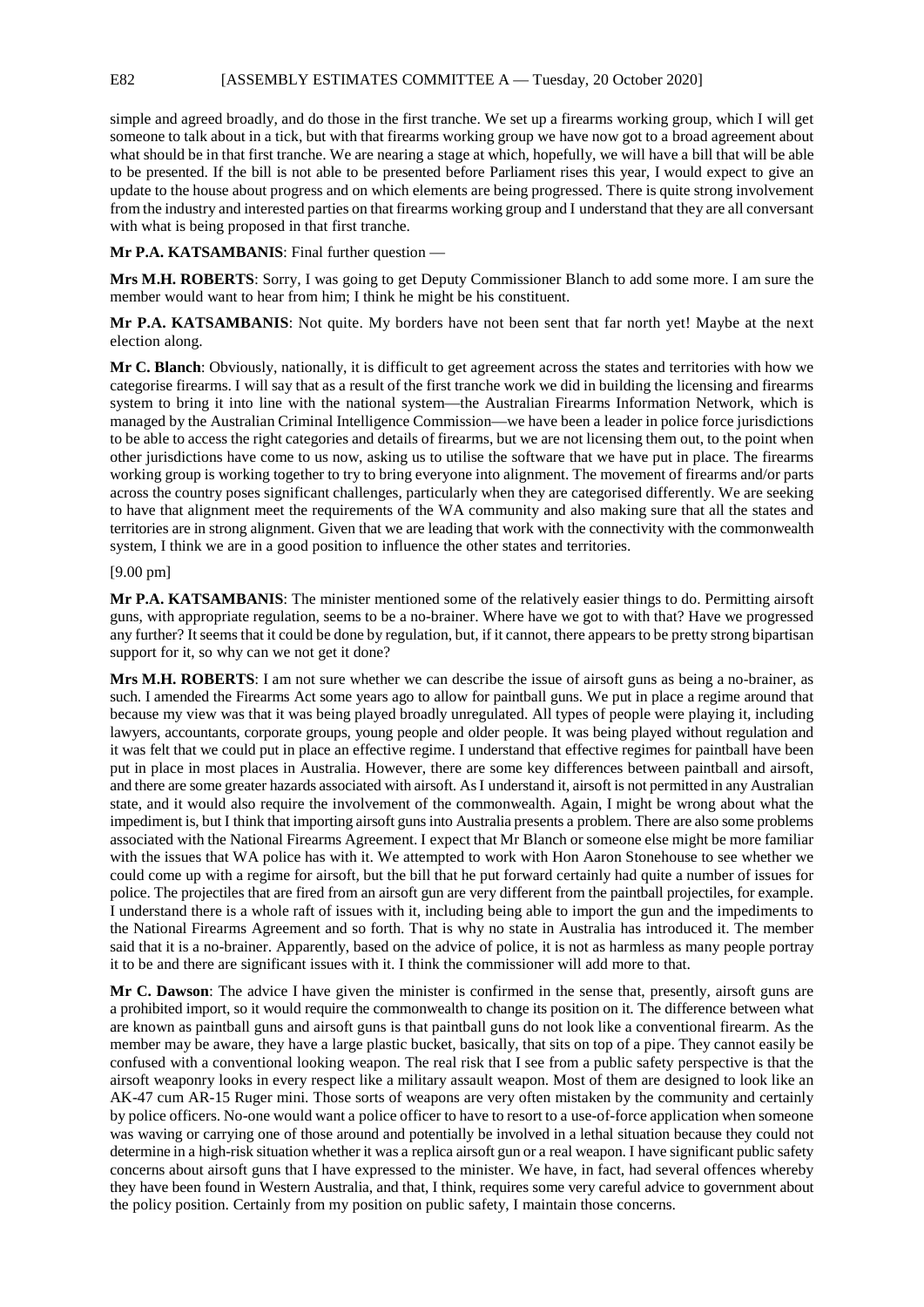simple and agreed broadly, and do those in the first tranche. We set up a firearms working group, which I will get someone to talk about in a tick, but with that firearms working group we have now got to a broad agreement about what should be in that first tranche. We are nearing a stage at which, hopefully, we will have a bill that will be able to be presented. If the bill is not able to be presented before Parliament rises this year, I would expect to give an update to the house about progress and on which elements are being progressed. There is quite strong involvement from the industry and interested parties on that firearms working group and I understand that they are all conversant with what is being proposed in that first tranche.

**Mr P.A. KATSAMBANIS:** Final further question —

**Mrs M.H. ROBERTS**: Sorry, I was going to get Deputy Commissioner Blanch to add some more. I am sure the member would want to hear from him; I think he might be his constituent.

**Mr P.A. KATSAMBANIS**: Not quite. My borders have not been sent that far north yet! Maybe at the next election along.

**Mr C. Blanch**: Obviously, nationally, it is difficult to get agreement across the states and territories with how we categorise firearms. I will say that as a result of the first tranche work we did in building the licensing and firearms system to bring it into line with the national system—the Australian Firearms Information Network, which is managed by the Australian Criminal Intelligence Commission—we have been a leader in police force jurisdictions to be able to access the right categories and details of firearms, but we are not licensing them out, to the point when other jurisdictions have come to us now, asking us to utilise the software that we have put in place. The firearms working group is working together to try to bring everyone into alignment. The movement of firearms and/or parts across the country poses significant challenges, particularly when they are categorised differently. We are seeking to have that alignment meet the requirements of the WA community and also making sure that all the states and territories are in strong alignment. Given that we are leading that work with the connectivity with the commonwealth system, I think we are in a good position to influence the other states and territories.

## [9.00 pm]

**Mr P.A. KATSAMBANIS**: The minister mentioned some of the relatively easier things to do. Permitting airsoft guns, with appropriate regulation, seems to be a no-brainer. Where have we got to with that? Have we progressed any further? It seems that it could be done by regulation, but, if it cannot, there appears to be pretty strong bipartisan support for it, so why can we not get it done?

**Mrs M.H. ROBERTS**: I am not sure whether we can describe the issue of airsoft guns as being a no-brainer, as such. I amended the Firearms Act some years ago to allow for paintball guns. We put in place a regime around that because my view was that it was being played broadly unregulated. All types of people were playing it, including lawyers, accountants, corporate groups, young people and older people. It was being played without regulation and it was felt that we could put in place an effective regime. I understand that effective regimes for paintball have been put in place in most places in Australia. However, there are some key differences between paintball and airsoft, and there are some greater hazards associated with airsoft. AsI understand it, airsoft is not permitted in any Australian state, and it would also require the involvement of the commonwealth. Again, I might be wrong about what the impediment is, but I think that importing airsoft guns into Australia presents a problem. There are also some problems associated with the National Firearms Agreement. I expect that Mr Blanch or someone else might be more familiar with the issues that WA police has with it. We attempted to work with Hon Aaron Stonehouse to see whether we could come up with a regime for airsoft, but the bill that he put forward certainly had quite a number of issues for police. The projectiles that are fired from an airsoft gun are very different from the paintball projectiles, for example. I understand there is a whole raft of issues with it, including being able to import the gun and the impediments to the National Firearms Agreement and so forth. That is why no state in Australia has introduced it. The member said that it is a no-brainer. Apparently, based on the advice of police, it is not as harmless as many people portray it to be and there are significant issues with it. I think the commissioner will add more to that.

**Mr C. Dawson**: The advice I have given the minister is confirmed in the sense that, presently, airsoft guns are a prohibited import, so it would require the commonwealth to change its position on it. The difference between what are known as paintball guns and airsoft guns is that paintball guns do not look like a conventional firearm. As the member may be aware, they have a large plastic bucket, basically, that sits on top of a pipe. They cannot easily be confused with a conventional looking weapon. The real risk that I see from a public safety perspective is that the airsoft weaponry looks in every respect like a military assault weapon. Most of them are designed to look like an AK-47 cum AR-15 Ruger mini. Those sorts of weapons are very often mistaken by the community and certainly by police officers. No-one would want a police officer to have to resort to a use-of-force application when someone was waving or carrying one of those around and potentially be involved in a lethal situation because they could not determine in a high-risk situation whether it was a replica airsoft gun or a real weapon. I have significant public safety concerns about airsoft guns that I have expressed to the minister. We have, in fact, had several offences whereby they have been found in Western Australia, and that, I think, requires some very careful advice to government about the policy position. Certainly from my position on public safety, I maintain those concerns.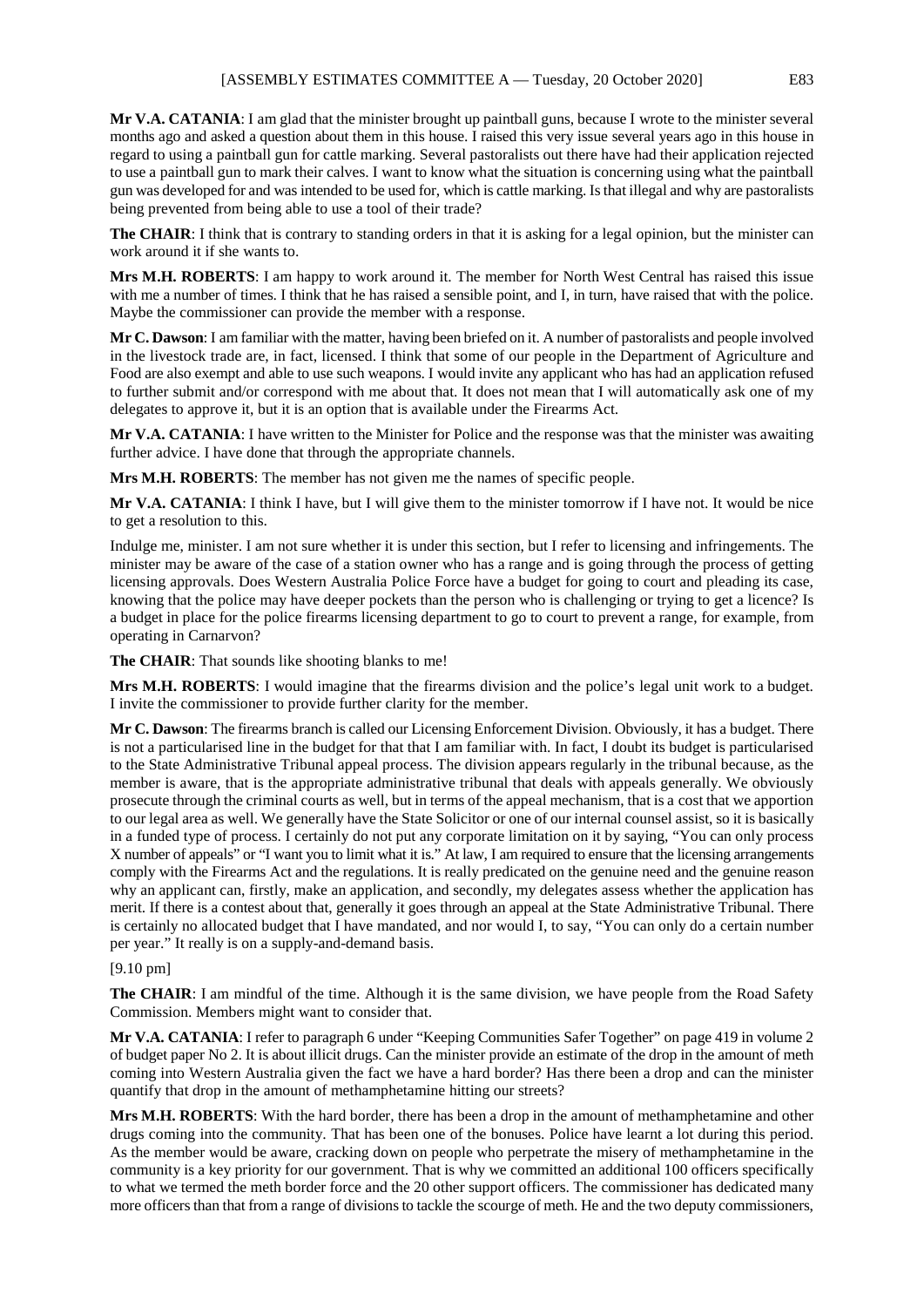**Mr V.A. CATANIA**: I am glad that the minister brought up paintball guns, because I wrote to the minister several months ago and asked a question about them in this house. I raised this very issue several years ago in this house in regard to using a paintball gun for cattle marking. Several pastoralists out there have had their application rejected to use a paintball gun to mark their calves. I want to know what the situation is concerning using what the paintball gun was developed for and was intended to be used for, which is cattle marking. Is that illegal and why are pastoralists being prevented from being able to use a tool of their trade?

**The CHAIR:** I think that is contrary to standing orders in that it is asking for a legal opinion, but the minister can work around it if she wants to.

**Mrs M.H. ROBERTS**: I am happy to work around it. The member for North West Central has raised this issue with me a number of times. I think that he has raised a sensible point, and I, in turn, have raised that with the police. Maybe the commissioner can provide the member with a response.

**Mr C. Dawson**: I am familiar with the matter, having been briefed on it. A number of pastoralists and people involved in the livestock trade are, in fact, licensed. I think that some of our people in the Department of Agriculture and Food are also exempt and able to use such weapons. I would invite any applicant who has had an application refused to further submit and/or correspond with me about that. It does not mean that I will automatically ask one of my delegates to approve it, but it is an option that is available under the Firearms Act.

**Mr V.A. CATANIA**: I have written to the Minister for Police and the response was that the minister was awaiting further advice. I have done that through the appropriate channels.

**Mrs M.H. ROBERTS**: The member has not given me the names of specific people.

**Mr V.A. CATANIA**: I think I have, but I will give them to the minister tomorrow if I have not. It would be nice to get a resolution to this.

Indulge me, minister. I am not sure whether it is under this section, but I refer to licensing and infringements. The minister may be aware of the case of a station owner who has a range and is going through the process of getting licensing approvals. Does Western Australia Police Force have a budget for going to court and pleading its case, knowing that the police may have deeper pockets than the person who is challenging or trying to get a licence? Is a budget in place for the police firearms licensing department to go to court to prevent a range, for example, from operating in Carnarvon?

**The CHAIR**: That sounds like shooting blanks to me!

**Mrs M.H. ROBERTS**: I would imagine that the firearms division and the police's legal unit work to a budget. I invite the commissioner to provide further clarity for the member.

**Mr C. Dawson**: The firearms branch is called our Licensing Enforcement Division. Obviously, it has a budget. There is not a particularised line in the budget for that that I am familiar with. In fact, I doubt its budget is particularised to the State Administrative Tribunal appeal process. The division appears regularly in the tribunal because, as the member is aware, that is the appropriate administrative tribunal that deals with appeals generally. We obviously prosecute through the criminal courts as well, but in terms of the appeal mechanism, that is a cost that we apportion to our legal area as well. We generally have the State Solicitor or one of our internal counsel assist, so it is basically in a funded type of process. I certainly do not put any corporate limitation on it by saying, "You can only process X number of appeals" or "I want you to limit what it is." At law, I am required to ensure that the licensing arrangements comply with the Firearms Act and the regulations. It is really predicated on the genuine need and the genuine reason why an applicant can, firstly, make an application, and secondly, my delegates assess whether the application has merit. If there is a contest about that, generally it goes through an appeal at the State Administrative Tribunal. There is certainly no allocated budget that I have mandated, and nor would I, to say, "You can only do a certain number per year." It really is on a supply-and-demand basis.

## [9.10 pm]

**The CHAIR**: I am mindful of the time. Although it is the same division, we have people from the Road Safety Commission. Members might want to consider that.

**Mr V.A. CATANIA**: I refer to paragraph 6 under "Keeping Communities Safer Together" on page 419 in volume 2 of budget paper No 2. It is about illicit drugs. Can the minister provide an estimate of the drop in the amount of meth coming into Western Australia given the fact we have a hard border? Has there been a drop and can the minister quantify that drop in the amount of methamphetamine hitting our streets?

**Mrs M.H. ROBERTS**: With the hard border, there has been a drop in the amount of methamphetamine and other drugs coming into the community. That has been one of the bonuses. Police have learnt a lot during this period. As the member would be aware, cracking down on people who perpetrate the misery of methamphetamine in the community is a key priority for our government. That is why we committed an additional 100 officers specifically to what we termed the meth border force and the 20 other support officers. The commissioner has dedicated many more officers than that from a range of divisions to tackle the scourge of meth. He and the two deputy commissioners,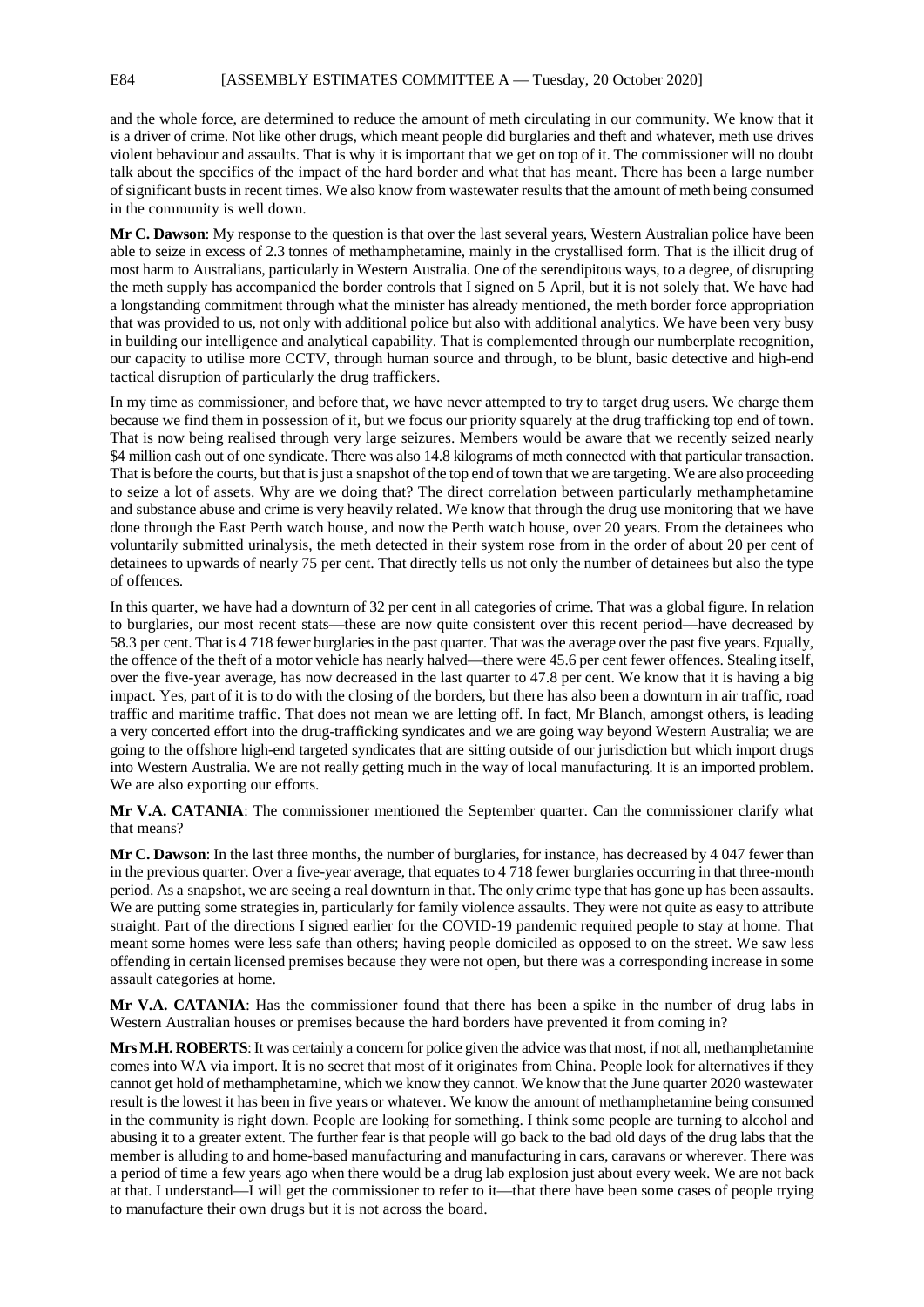and the whole force, are determined to reduce the amount of meth circulating in our community. We know that it is a driver of crime. Not like other drugs, which meant people did burglaries and theft and whatever, meth use drives violent behaviour and assaults. That is why it is important that we get on top of it. The commissioner will no doubt talk about the specifics of the impact of the hard border and what that has meant. There has been a large number of significant busts in recent times. We also know from wastewater results that the amount of meth being consumed in the community is well down.

**Mr C. Dawson**: My response to the question is that over the last several years, Western Australian police have been able to seize in excess of 2.3 tonnes of methamphetamine, mainly in the crystallised form. That is the illicit drug of most harm to Australians, particularly in Western Australia. One of the serendipitous ways, to a degree, of disrupting the meth supply has accompanied the border controls that I signed on 5 April, but it is not solely that. We have had a longstanding commitment through what the minister has already mentioned, the meth border force appropriation that was provided to us, not only with additional police but also with additional analytics. We have been very busy in building our intelligence and analytical capability. That is complemented through our numberplate recognition, our capacity to utilise more CCTV, through human source and through, to be blunt, basic detective and high-end tactical disruption of particularly the drug traffickers.

In my time as commissioner, and before that, we have never attempted to try to target drug users. We charge them because we find them in possession of it, but we focus our priority squarely at the drug trafficking top end of town. That is now being realised through very large seizures. Members would be aware that we recently seized nearly \$4 million cash out of one syndicate. There was also 14.8 kilograms of meth connected with that particular transaction. That is before the courts, but that is just a snapshot of the top end of town that we are targeting. We are also proceeding to seize a lot of assets. Why are we doing that? The direct correlation between particularly methamphetamine and substance abuse and crime is very heavily related. We know that through the drug use monitoring that we have done through the East Perth watch house, and now the Perth watch house, over 20 years. From the detainees who voluntarily submitted urinalysis, the meth detected in their system rose from in the order of about 20 per cent of detainees to upwards of nearly 75 per cent. That directly tells us not only the number of detainees but also the type of offences.

In this quarter, we have had a downturn of 32 per cent in all categories of crime. That was a global figure. In relation to burglaries, our most recent stats—these are now quite consistent over this recent period—have decreased by 58.3 per cent. That is 4 718 fewer burglaries in the past quarter. That was the average over the past five years. Equally, the offence of the theft of a motor vehicle has nearly halved—there were 45.6 per cent fewer offences. Stealing itself, over the five-year average, has now decreased in the last quarter to 47.8 per cent. We know that it is having a big impact. Yes, part of it is to do with the closing of the borders, but there has also been a downturn in air traffic, road traffic and maritime traffic. That does not mean we are letting off. In fact, Mr Blanch, amongst others, is leading a very concerted effort into the drug-trafficking syndicates and we are going way beyond Western Australia; we are going to the offshore high-end targeted syndicates that are sitting outside of our jurisdiction but which import drugs into Western Australia. We are not really getting much in the way of local manufacturing. It is an imported problem. We are also exporting our efforts.

**Mr V.A. CATANIA**: The commissioner mentioned the September quarter. Can the commissioner clarify what that means?

**Mr C. Dawson**: In the last three months, the number of burglaries, for instance, has decreased by 4 047 fewer than in the previous quarter. Over a five-year average, that equates to 4 718 fewer burglaries occurring in that three-month period. As a snapshot, we are seeing a real downturn in that. The only crime type that has gone up has been assaults. We are putting some strategies in, particularly for family violence assaults. They were not quite as easy to attribute straight. Part of the directions I signed earlier for the COVID-19 pandemic required people to stay at home. That meant some homes were less safe than others; having people domiciled as opposed to on the street. We saw less offending in certain licensed premises because they were not open, but there was a corresponding increase in some assault categories at home.

**Mr V.A. CATANIA**: Has the commissioner found that there has been a spike in the number of drug labs in Western Australian houses or premises because the hard borders have prevented it from coming in?

**Mrs M.H. ROBERTS**: It was certainly a concern for police given the advice was that most, if not all, methamphetamine comes into WA via import. It is no secret that most of it originates from China. People look for alternatives if they cannot get hold of methamphetamine, which we know they cannot. We know that the June quarter 2020 wastewater result is the lowest it has been in five years or whatever. We know the amount of methamphetamine being consumed in the community is right down. People are looking for something. I think some people are turning to alcohol and abusing it to a greater extent. The further fear is that people will go back to the bad old days of the drug labs that the member is alluding to and home-based manufacturing and manufacturing in cars, caravans or wherever. There was a period of time a few years ago when there would be a drug lab explosion just about every week. We are not back at that. I understand—I will get the commissioner to refer to it—that there have been some cases of people trying to manufacture their own drugs but it is not across the board.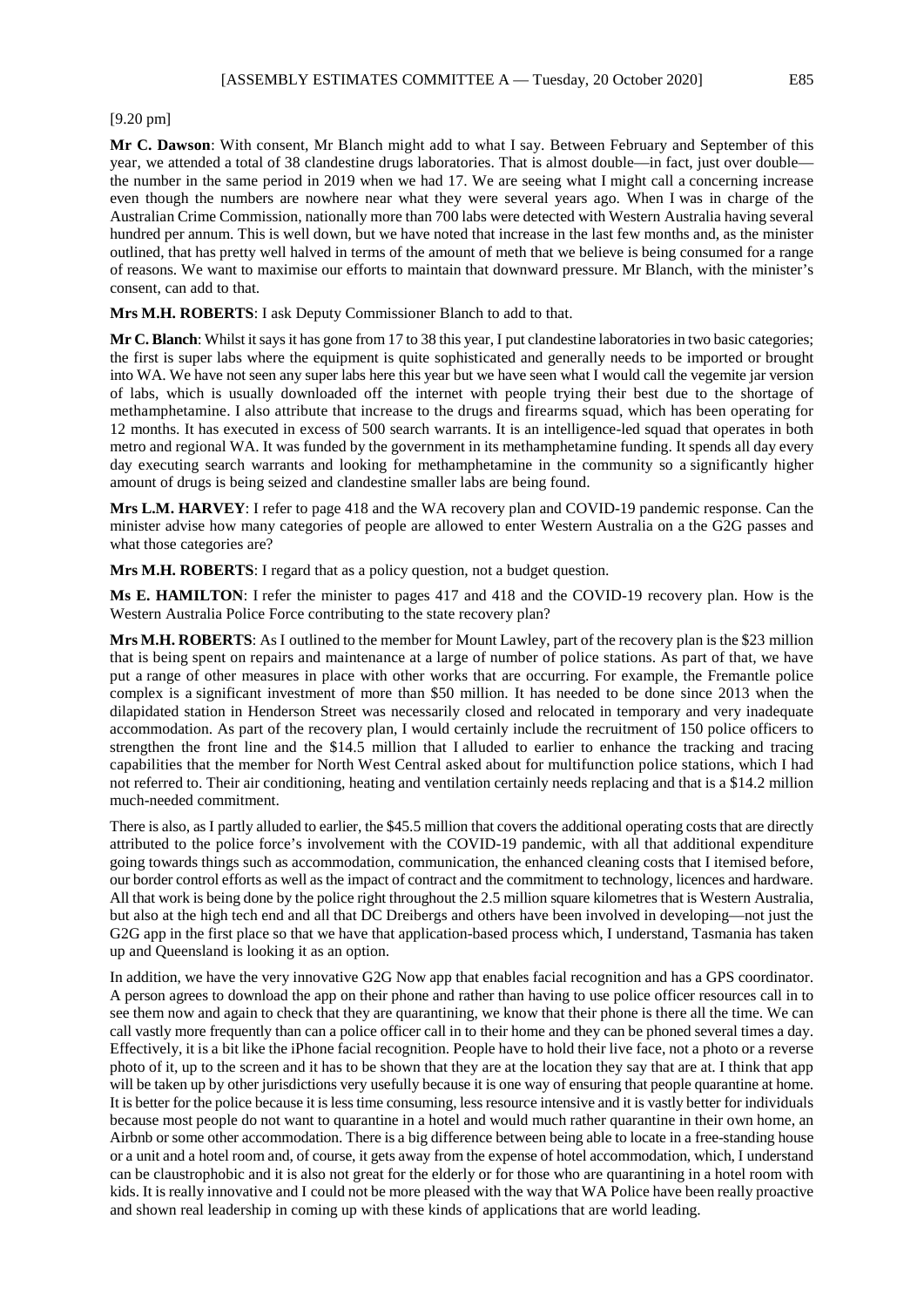### [9.20 pm]

**Mr C. Dawson**: With consent, Mr Blanch might add to what I say. Between February and September of this year, we attended a total of 38 clandestine drugs laboratories. That is almost double—in fact, just over double the number in the same period in 2019 when we had 17. We are seeing what I might call a concerning increase even though the numbers are nowhere near what they were several years ago. When I was in charge of the Australian Crime Commission, nationally more than 700 labs were detected with Western Australia having several hundred per annum. This is well down, but we have noted that increase in the last few months and, as the minister outlined, that has pretty well halved in terms of the amount of meth that we believe is being consumed for a range of reasons. We want to maximise our efforts to maintain that downward pressure. Mr Blanch, with the minister's consent, can add to that.

**Mrs M.H. ROBERTS**: I ask Deputy Commissioner Blanch to add to that.

**Mr C. Blanch**: Whilst it says it has gone from 17 to 38 this year, I put clandestine laboratories in two basic categories; the first is super labs where the equipment is quite sophisticated and generally needs to be imported or brought into WA. We have not seen any super labs here this year but we have seen what I would call the vegemite jar version of labs, which is usually downloaded off the internet with people trying their best due to the shortage of methamphetamine. I also attribute that increase to the drugs and firearms squad, which has been operating for 12 months. It has executed in excess of 500 search warrants. It is an intelligence-led squad that operates in both metro and regional WA. It was funded by the government in its methamphetamine funding. It spends all day every day executing search warrants and looking for methamphetamine in the community so a significantly higher amount of drugs is being seized and clandestine smaller labs are being found.

**Mrs L.M. HARVEY**: I refer to page 418 and the WA recovery plan and COVID-19 pandemic response. Can the minister advise how many categories of people are allowed to enter Western Australia on a the G2G passes and what those categories are?

**Mrs M.H. ROBERTS**: I regard that as a policy question, not a budget question.

**Ms E. HAMILTON**: I refer the minister to pages 417 and 418 and the COVID-19 recovery plan. How is the Western Australia Police Force contributing to the state recovery plan?

**Mrs M.H. ROBERTS**: As I outlined to the member for Mount Lawley, part of the recovery plan is the \$23 million that is being spent on repairs and maintenance at a large of number of police stations. As part of that, we have put a range of other measures in place with other works that are occurring. For example, the Fremantle police complex is a significant investment of more than \$50 million. It has needed to be done since 2013 when the dilapidated station in Henderson Street was necessarily closed and relocated in temporary and very inadequate accommodation. As part of the recovery plan, I would certainly include the recruitment of 150 police officers to strengthen the front line and the \$14.5 million that I alluded to earlier to enhance the tracking and tracing capabilities that the member for North West Central asked about for multifunction police stations, which I had not referred to. Their air conditioning, heating and ventilation certainly needs replacing and that is a \$14.2 million much-needed commitment.

There is also, as I partly alluded to earlier, the \$45.5 million that covers the additional operating costs that are directly attributed to the police force's involvement with the COVID-19 pandemic, with all that additional expenditure going towards things such as accommodation, communication, the enhanced cleaning costs that I itemised before, our border control efforts as well as the impact of contract and the commitment to technology, licences and hardware. All that work is being done by the police right throughout the 2.5 million square kilometres that is Western Australia, but also at the high tech end and all that DC Dreibergs and others have been involved in developing—not just the G2G app in the first place so that we have that application-based process which, I understand, Tasmania has taken up and Queensland is looking it as an option.

In addition, we have the very innovative G2G Now app that enables facial recognition and has a GPS coordinator. A person agrees to download the app on their phone and rather than having to use police officer resources call in to see them now and again to check that they are quarantining, we know that their phone is there all the time. We can call vastly more frequently than can a police officer call in to their home and they can be phoned several times a day. Effectively, it is a bit like the iPhone facial recognition. People have to hold their live face, not a photo or a reverse photo of it, up to the screen and it has to be shown that they are at the location they say that are at. I think that app will be taken up by other jurisdictions very usefully because it is one way of ensuring that people quarantine at home. It is better for the police because it is less time consuming, less resource intensive and it is vastly better for individuals because most people do not want to quarantine in a hotel and would much rather quarantine in their own home, an Airbnb or some other accommodation. There is a big difference between being able to locate in a free-standing house or a unit and a hotel room and, of course, it gets away from the expense of hotel accommodation, which, I understand can be claustrophobic and it is also not great for the elderly or for those who are quarantining in a hotel room with kids. It is really innovative and I could not be more pleased with the way that WA Police have been really proactive and shown real leadership in coming up with these kinds of applications that are world leading.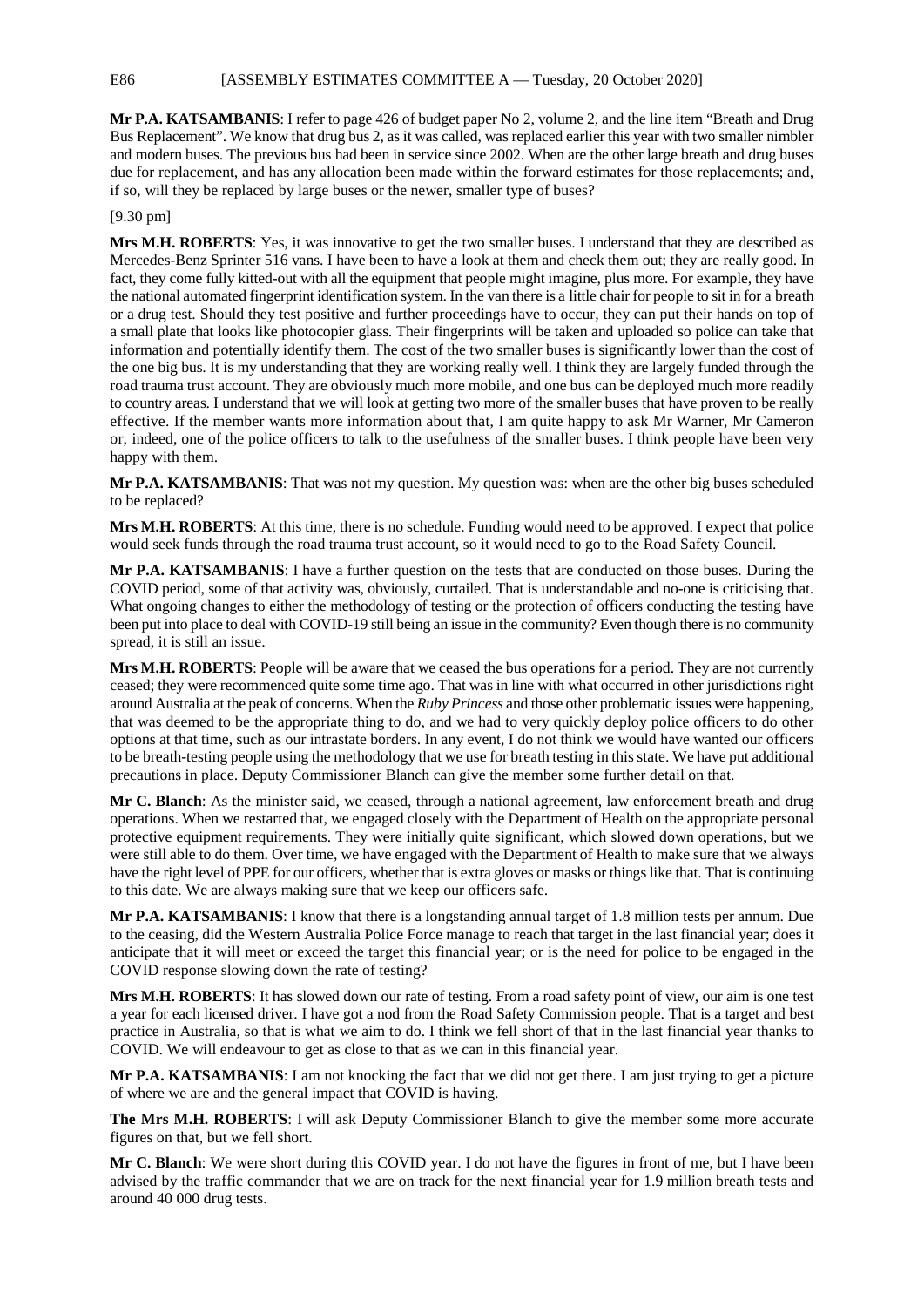E86 [ASSEMBLY ESTIMATES COMMITTEE A — Tuesday, 20 October 2020]

**Mr P.A. KATSAMBANIS**: I refer to page 426 of budget paper No 2, volume 2, and the line item "Breath and Drug Bus Replacement". We know that drug bus 2, as it was called, was replaced earlier this year with two smaller nimbler and modern buses. The previous bus had been in service since 2002. When are the other large breath and drug buses due for replacement, and has any allocation been made within the forward estimates for those replacements; and, if so, will they be replaced by large buses or the newer, smaller type of buses?

## [9.30 pm]

**Mrs M.H. ROBERTS**: Yes, it was innovative to get the two smaller buses. I understand that they are described as Mercedes-Benz Sprinter 516 vans. I have been to have a look at them and check them out; they are really good. In fact, they come fully kitted-out with all the equipment that people might imagine, plus more. For example, they have the national automated fingerprint identification system. In the van there is a little chair for people to sit in for a breath or a drug test. Should they test positive and further proceedings have to occur, they can put their hands on top of a small plate that looks like photocopier glass. Their fingerprints will be taken and uploaded so police can take that information and potentially identify them. The cost of the two smaller buses is significantly lower than the cost of the one big bus. It is my understanding that they are working really well. I think they are largely funded through the road trauma trust account. They are obviously much more mobile, and one bus can be deployed much more readily to country areas. I understand that we will look at getting two more of the smaller buses that have proven to be really effective. If the member wants more information about that, I am quite happy to ask Mr Warner, Mr Cameron or, indeed, one of the police officers to talk to the usefulness of the smaller buses. I think people have been very happy with them.

**Mr P.A. KATSAMBANIS**: That was not my question. My question was: when are the other big buses scheduled to be replaced?

**Mrs M.H. ROBERTS:** At this time, there is no schedule. Funding would need to be approved. I expect that police would seek funds through the road trauma trust account, so it would need to go to the Road Safety Council.

**Mr P.A. KATSAMBANIS**: I have a further question on the tests that are conducted on those buses. During the COVID period, some of that activity was, obviously, curtailed. That is understandable and no-one is criticising that. What ongoing changes to either the methodology of testing or the protection of officers conducting the testing have been put into place to deal with COVID-19 still being an issue in the community? Even though there is no community spread, it is still an issue.

**Mrs M.H. ROBERTS**: People will be aware that we ceased the bus operations for a period. They are not currently ceased; they were recommenced quite some time ago. That was in line with what occurred in other jurisdictions right around Australia at the peak of concerns. When the *Ruby Princess* and those other problematic issues were happening, that was deemed to be the appropriate thing to do, and we had to very quickly deploy police officers to do other options at that time, such as our intrastate borders. In any event, I do not think we would have wanted our officers to be breath-testing people using the methodology that we use for breath testing in this state. We have put additional precautions in place. Deputy Commissioner Blanch can give the member some further detail on that.

**Mr C. Blanch**: As the minister said, we ceased, through a national agreement, law enforcement breath and drug operations. When we restarted that, we engaged closely with the Department of Health on the appropriate personal protective equipment requirements. They were initially quite significant, which slowed down operations, but we were still able to do them. Over time, we have engaged with the Department of Health to make sure that we always have the right level of PPE for our officers, whether that is extra gloves or masks or things like that. That is continuing to this date. We are always making sure that we keep our officers safe.

**Mr P.A. KATSAMBANIS**: I know that there is a longstanding annual target of 1.8 million tests per annum. Due to the ceasing, did the Western Australia Police Force manage to reach that target in the last financial year; does it anticipate that it will meet or exceed the target this financial year; or is the need for police to be engaged in the COVID response slowing down the rate of testing?

**Mrs M.H. ROBERTS**: It has slowed down our rate of testing. From a road safety point of view, our aim is one test a year for each licensed driver. I have got a nod from the Road Safety Commission people. That is a target and best practice in Australia, so that is what we aim to do. I think we fell short of that in the last financial year thanks to COVID. We will endeavour to get as close to that as we can in this financial year.

**Mr P.A. KATSAMBANIS**: I am not knocking the fact that we did not get there. I am just trying to get a picture of where we are and the general impact that COVID is having.

**The Mrs M.H. ROBERTS**: I will ask Deputy Commissioner Blanch to give the member some more accurate figures on that, but we fell short.

**Mr C. Blanch**: We were short during this COVID year. I do not have the figures in front of me, but I have been advised by the traffic commander that we are on track for the next financial year for 1.9 million breath tests and around 40 000 drug tests.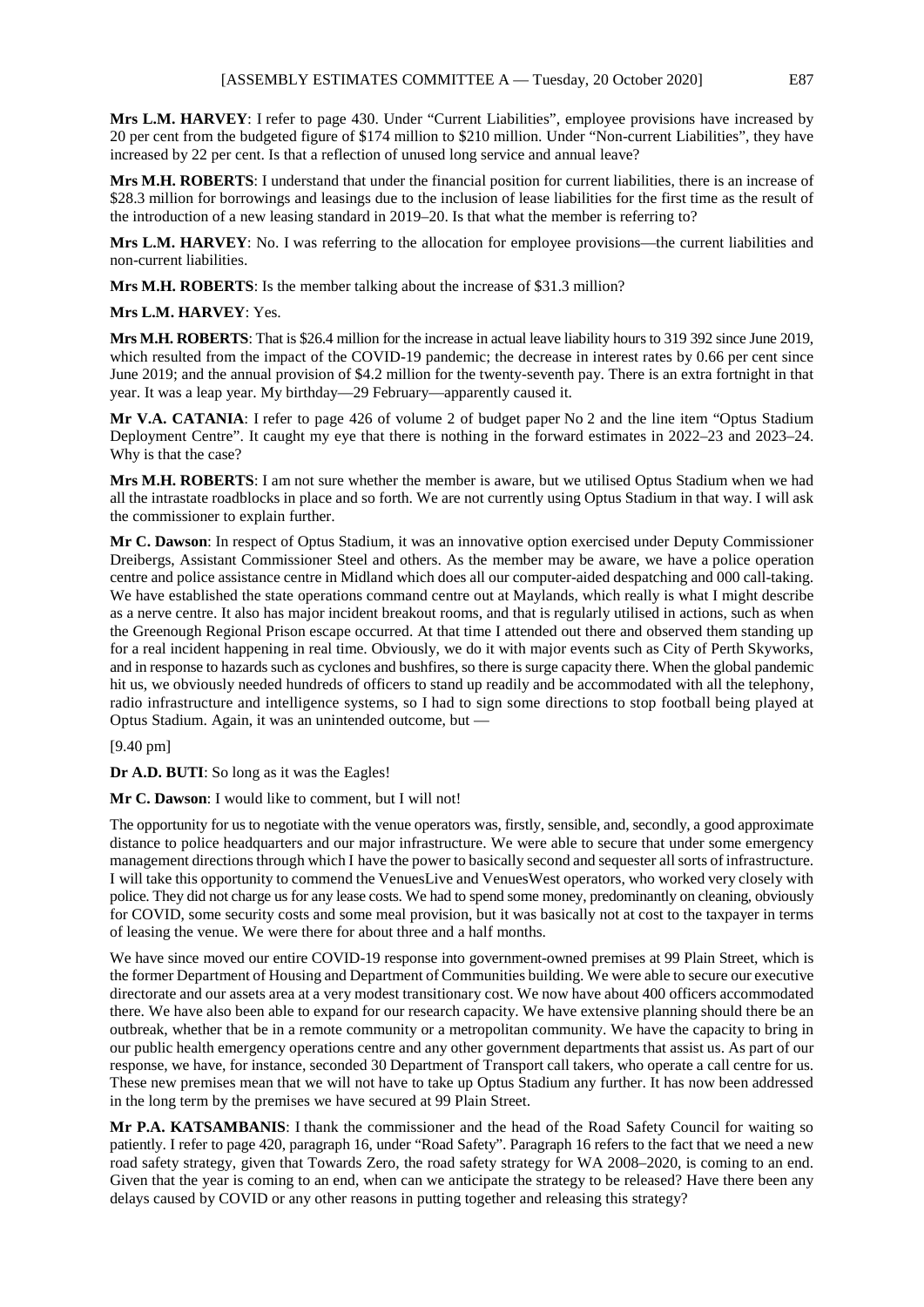**Mrs L.M. HARVEY**: I refer to page 430. Under "Current Liabilities", employee provisions have increased by 20 per cent from the budgeted figure of \$174 million to \$210 million. Under "Non-current Liabilities", they have increased by 22 per cent. Is that a reflection of unused long service and annual leave?

**Mrs M.H. ROBERTS**: I understand that under the financial position for current liabilities, there is an increase of \$28.3 million for borrowings and leasings due to the inclusion of lease liabilities for the first time as the result of the introduction of a new leasing standard in 2019–20. Is that what the member is referring to?

**Mrs L.M. HARVEY**: No. I was referring to the allocation for employee provisions—the current liabilities and non-current liabilities.

**Mrs M.H. ROBERTS**: Is the member talking about the increase of \$31.3 million?

**Mrs L.M. HARVEY**: Yes.

**Mrs M.H. ROBERTS**: That is \$26.4 million for the increase in actual leave liability hours to 319 392 since June 2019, which resulted from the impact of the COVID-19 pandemic; the decrease in interest rates by 0.66 per cent since June 2019; and the annual provision of \$4.2 million for the twenty-seventh pay. There is an extra fortnight in that year. It was a leap year. My birthday—29 February—apparently caused it.

**Mr V.A. CATANIA**: I refer to page 426 of volume 2 of budget paper No 2 and the line item "Optus Stadium Deployment Centre". It caught my eye that there is nothing in the forward estimates in 2022–23 and 2023–24. Why is that the case?

**Mrs M.H. ROBERTS**: I am not sure whether the member is aware, but we utilised Optus Stadium when we had all the intrastate roadblocks in place and so forth. We are not currently using Optus Stadium in that way. I will ask the commissioner to explain further.

**Mr C. Dawson**: In respect of Optus Stadium, it was an innovative option exercised under Deputy Commissioner Dreibergs, Assistant Commissioner Steel and others. As the member may be aware, we have a police operation centre and police assistance centre in Midland which does all our computer-aided despatching and 000 call-taking. We have established the state operations command centre out at Maylands, which really is what I might describe as a nerve centre. It also has major incident breakout rooms, and that is regularly utilised in actions, such as when the Greenough Regional Prison escape occurred. At that time I attended out there and observed them standing up for a real incident happening in real time. Obviously, we do it with major events such as City of Perth Skyworks, and in response to hazards such as cyclones and bushfires, so there is surge capacity there. When the global pandemic hit us, we obviously needed hundreds of officers to stand up readily and be accommodated with all the telephony, radio infrastructure and intelligence systems, so I had to sign some directions to stop football being played at Optus Stadium. Again, it was an unintended outcome, but —

[9.40 pm]

**Dr A.D. BUTI**: So long as it was the Eagles!

**Mr C. Dawson**: I would like to comment, but I will not!

The opportunity for us to negotiate with the venue operators was, firstly, sensible, and, secondly, a good approximate distance to police headquarters and our major infrastructure. We were able to secure that under some emergency management directions through which I have the power to basically second and sequester all sorts of infrastructure. I will take this opportunity to commend the VenuesLive and VenuesWest operators, who worked very closely with police. They did not charge us for any lease costs. We had to spend some money, predominantly on cleaning, obviously for COVID, some security costs and some meal provision, but it was basically not at cost to the taxpayer in terms of leasing the venue. We were there for about three and a half months.

We have since moved our entire COVID-19 response into government-owned premises at 99 Plain Street, which is the former Department of Housing and Department of Communities building. We were able to secure our executive directorate and our assets area at a very modest transitionary cost. We now have about 400 officers accommodated there. We have also been able to expand for our research capacity. We have extensive planning should there be an outbreak, whether that be in a remote community or a metropolitan community. We have the capacity to bring in our public health emergency operations centre and any other government departments that assist us. As part of our response, we have, for instance, seconded 30 Department of Transport call takers, who operate a call centre for us. These new premises mean that we will not have to take up Optus Stadium any further. It has now been addressed in the long term by the premises we have secured at 99 Plain Street.

**Mr P.A. KATSAMBANIS**: I thank the commissioner and the head of the Road Safety Council for waiting so patiently. I refer to page 420, paragraph 16, under "Road Safety". Paragraph 16 refers to the fact that we need a new road safety strategy, given that Towards Zero, the road safety strategy for WA 2008–2020, is coming to an end. Given that the year is coming to an end, when can we anticipate the strategy to be released? Have there been any delays caused by COVID or any other reasons in putting together and releasing this strategy?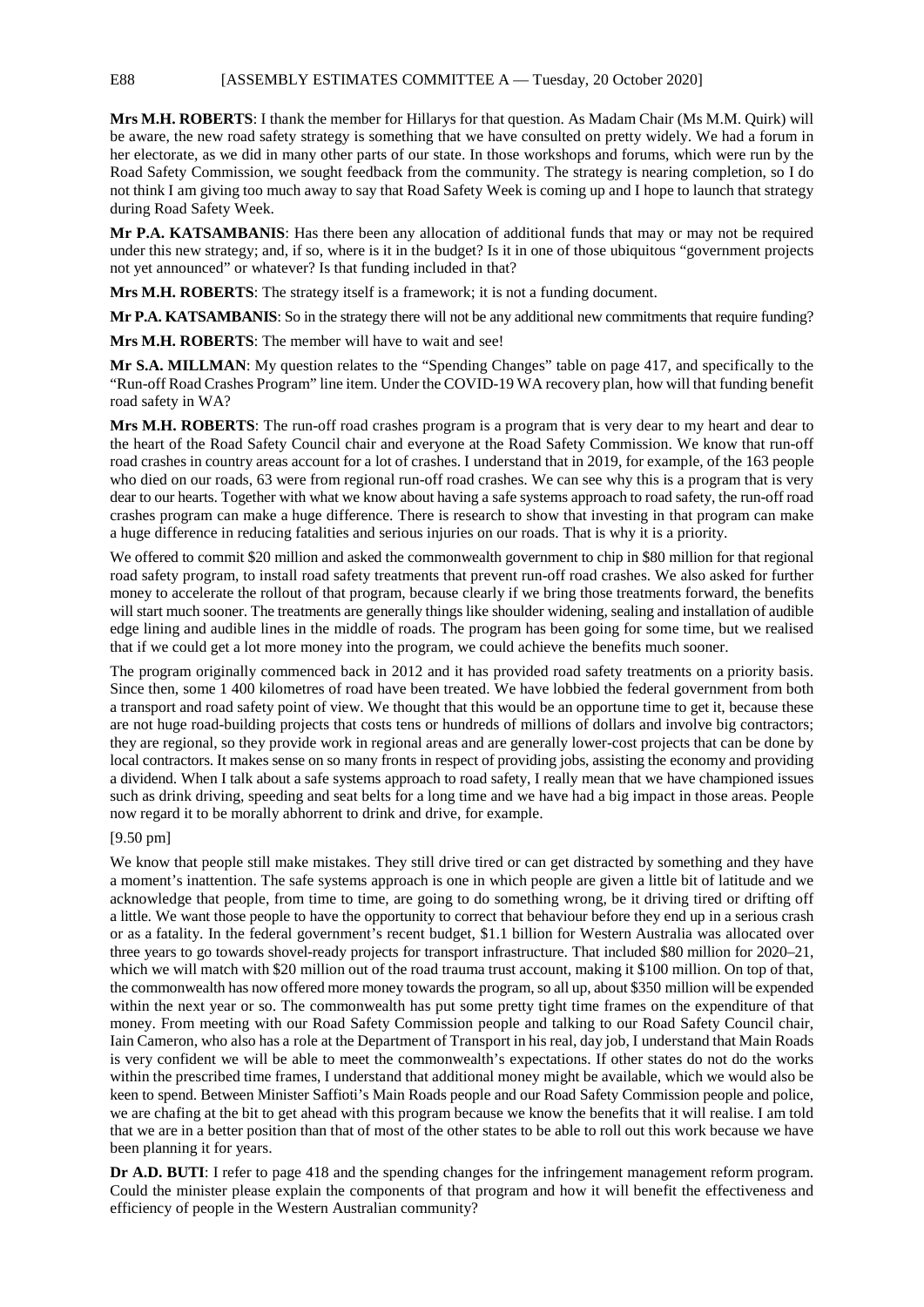**Mrs M.H. ROBERTS**: I thank the member for Hillarys for that question. As Madam Chair (Ms M.M. Quirk) will be aware, the new road safety strategy is something that we have consulted on pretty widely. We had a forum in her electorate, as we did in many other parts of our state. In those workshops and forums, which were run by the Road Safety Commission, we sought feedback from the community. The strategy is nearing completion, so I do not think I am giving too much away to say that Road Safety Week is coming up and I hope to launch that strategy during Road Safety Week.

**Mr P.A. KATSAMBANIS**: Has there been any allocation of additional funds that may or may not be required under this new strategy; and, if so, where is it in the budget? Is it in one of those ubiquitous "government projects not yet announced" or whatever? Is that funding included in that?

**Mrs M.H. ROBERTS**: The strategy itself is a framework; it is not a funding document.

**Mr P.A. KATSAMBANIS:** So in the strategy there will not be any additional new commitments that require funding?

**Mrs M.H. ROBERTS**: The member will have to wait and see!

**Mr S.A. MILLMAN**: My question relates to the "Spending Changes" table on page 417, and specifically to the "Run-off Road Crashes Program" line item. Under the COVID-19 WA recovery plan, how will that funding benefit road safety in WA?

**Mrs M.H. ROBERTS**: The run-off road crashes program is a program that is very dear to my heart and dear to the heart of the Road Safety Council chair and everyone at the Road Safety Commission. We know that run-off road crashes in country areas account for a lot of crashes. I understand that in 2019, for example, of the 163 people who died on our roads, 63 were from regional run-off road crashes. We can see why this is a program that is very dear to our hearts. Together with what we know about having a safe systems approach to road safety, the run-off road crashes program can make a huge difference. There is research to show that investing in that program can make a huge difference in reducing fatalities and serious injuries on our roads. That is why it is a priority.

We offered to commit \$20 million and asked the commonwealth government to chip in \$80 million for that regional road safety program, to install road safety treatments that prevent run-off road crashes. We also asked for further money to accelerate the rollout of that program, because clearly if we bring those treatments forward, the benefits will start much sooner. The treatments are generally things like shoulder widening, sealing and installation of audible edge lining and audible lines in the middle of roads. The program has been going for some time, but we realised that if we could get a lot more money into the program, we could achieve the benefits much sooner.

The program originally commenced back in 2012 and it has provided road safety treatments on a priority basis. Since then, some 1 400 kilometres of road have been treated. We have lobbied the federal government from both a transport and road safety point of view. We thought that this would be an opportune time to get it, because these are not huge road-building projects that costs tens or hundreds of millions of dollars and involve big contractors; they are regional, so they provide work in regional areas and are generally lower-cost projects that can be done by local contractors. It makes sense on so many fronts in respect of providing jobs, assisting the economy and providing a dividend. When I talk about a safe systems approach to road safety, I really mean that we have championed issues such as drink driving, speeding and seat belts for a long time and we have had a big impact in those areas. People now regard it to be morally abhorrent to drink and drive, for example.

## [9.50 pm]

We know that people still make mistakes. They still drive tired or can get distracted by something and they have a moment's inattention. The safe systems approach is one in which people are given a little bit of latitude and we acknowledge that people, from time to time, are going to do something wrong, be it driving tired or drifting off a little. We want those people to have the opportunity to correct that behaviour before they end up in a serious crash or as a fatality. In the federal government's recent budget, \$1.1 billion for Western Australia was allocated over three years to go towards shovel-ready projects for transport infrastructure. That included \$80 million for 2020–21, which we will match with \$20 million out of the road trauma trust account, making it \$100 million. On top of that, the commonwealth has now offered more money towards the program, so all up, about \$350 million will be expended within the next year or so. The commonwealth has put some pretty tight time frames on the expenditure of that money. From meeting with our Road Safety Commission people and talking to our Road Safety Council chair, Iain Cameron, who also has a role at the Department of Transport in his real, day job, I understand that Main Roads is very confident we will be able to meet the commonwealth's expectations. If other states do not do the works within the prescribed time frames, I understand that additional money might be available, which we would also be keen to spend. Between Minister Saffioti's Main Roads people and our Road Safety Commission people and police, we are chafing at the bit to get ahead with this program because we know the benefits that it will realise. I am told that we are in a better position than that of most of the other states to be able to roll out this work because we have been planning it for years.

**Dr A.D. BUTI:** I refer to page 418 and the spending changes for the infringement management reform program. Could the minister please explain the components of that program and how it will benefit the effectiveness and efficiency of people in the Western Australian community?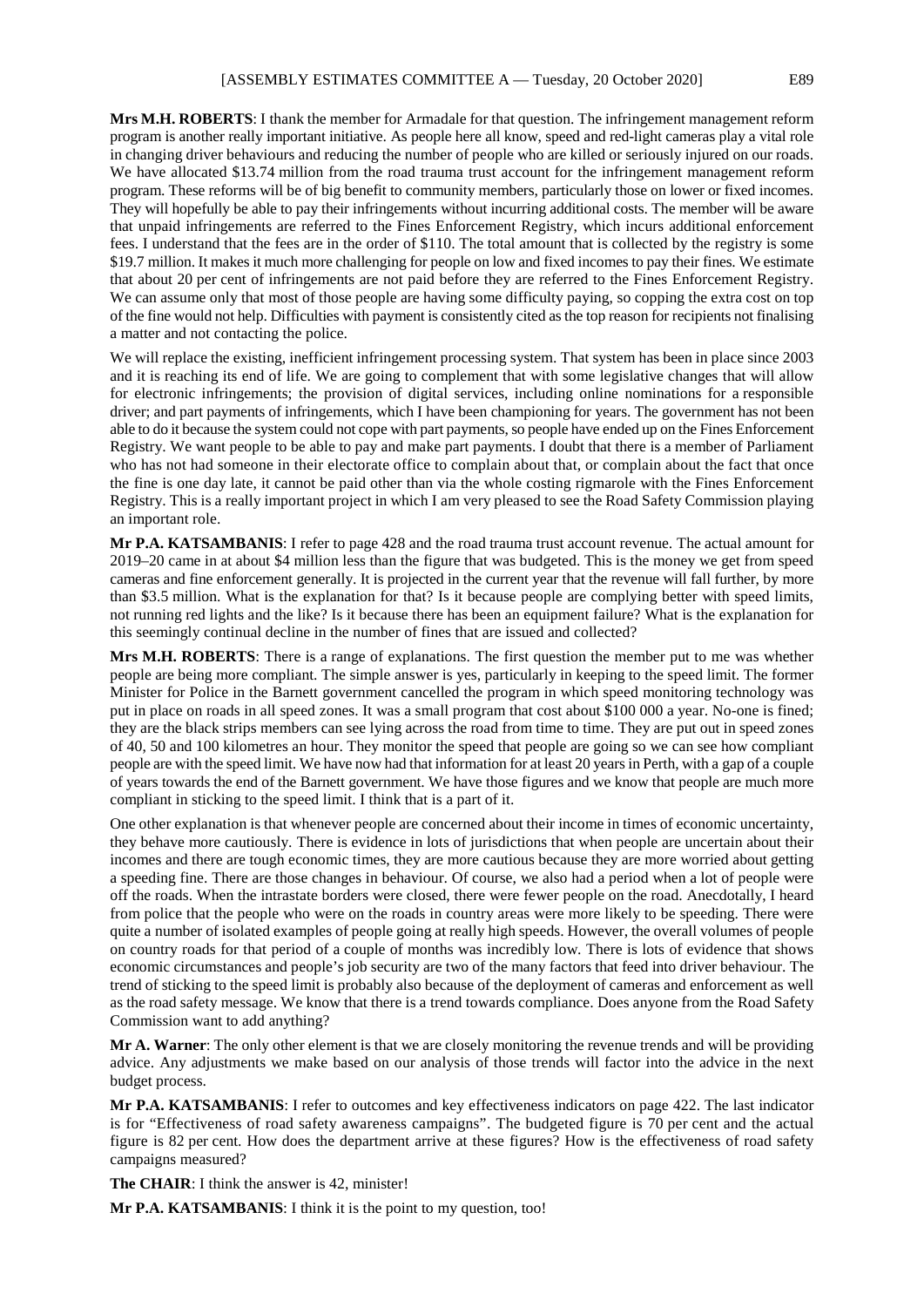**Mrs M.H. ROBERTS**: I thank the member for Armadale for that question. The infringement management reform program is another really important initiative. As people here all know, speed and red-light cameras play a vital role in changing driver behaviours and reducing the number of people who are killed or seriously injured on our roads. We have allocated \$13.74 million from the road trauma trust account for the infringement management reform program. These reforms will be of big benefit to community members, particularly those on lower or fixed incomes. They will hopefully be able to pay their infringements without incurring additional costs. The member will be aware that unpaid infringements are referred to the Fines Enforcement Registry, which incurs additional enforcement fees. I understand that the fees are in the order of \$110. The total amount that is collected by the registry is some \$19.7 million. It makes it much more challenging for people on low and fixed incomes to pay their fines. We estimate that about 20 per cent of infringements are not paid before they are referred to the Fines Enforcement Registry. We can assume only that most of those people are having some difficulty paying, so copping the extra cost on top of the fine would not help. Difficulties with payment is consistently cited as the top reason for recipients not finalising a matter and not contacting the police.

We will replace the existing, inefficient infringement processing system. That system has been in place since 2003 and it is reaching its end of life. We are going to complement that with some legislative changes that will allow for electronic infringements; the provision of digital services, including online nominations for a responsible driver; and part payments of infringements, which I have been championing for years. The government has not been able to do it because the system could not cope with part payments, so people have ended up on the Fines Enforcement Registry. We want people to be able to pay and make part payments. I doubt that there is a member of Parliament who has not had someone in their electorate office to complain about that, or complain about the fact that once the fine is one day late, it cannot be paid other than via the whole costing rigmarole with the Fines Enforcement Registry. This is a really important project in which I am very pleased to see the Road Safety Commission playing an important role.

**Mr P.A. KATSAMBANIS**: I refer to page 428 and the road trauma trust account revenue. The actual amount for 2019–20 came in at about \$4 million less than the figure that was budgeted. This is the money we get from speed cameras and fine enforcement generally. It is projected in the current year that the revenue will fall further, by more than \$3.5 million. What is the explanation for that? Is it because people are complying better with speed limits, not running red lights and the like? Is it because there has been an equipment failure? What is the explanation for this seemingly continual decline in the number of fines that are issued and collected?

**Mrs M.H. ROBERTS**: There is a range of explanations. The first question the member put to me was whether people are being more compliant. The simple answer is yes, particularly in keeping to the speed limit. The former Minister for Police in the Barnett government cancelled the program in which speed monitoring technology was put in place on roads in all speed zones. It was a small program that cost about \$100 000 a year. No-one is fined; they are the black strips members can see lying across the road from time to time. They are put out in speed zones of 40, 50 and 100 kilometres an hour. They monitor the speed that people are going so we can see how compliant people are with the speed limit. We have now had that information for at least 20 years in Perth, with a gap of a couple of years towards the end of the Barnett government. We have those figures and we know that people are much more compliant in sticking to the speed limit. I think that is a part of it.

One other explanation is that whenever people are concerned about their income in times of economic uncertainty, they behave more cautiously. There is evidence in lots of jurisdictions that when people are uncertain about their incomes and there are tough economic times, they are more cautious because they are more worried about getting a speeding fine. There are those changes in behaviour. Of course, we also had a period when a lot of people were off the roads. When the intrastate borders were closed, there were fewer people on the road. Anecdotally, I heard from police that the people who were on the roads in country areas were more likely to be speeding. There were quite a number of isolated examples of people going at really high speeds. However, the overall volumes of people on country roads for that period of a couple of months was incredibly low. There is lots of evidence that shows economic circumstances and people's job security are two of the many factors that feed into driver behaviour. The trend of sticking to the speed limit is probably also because of the deployment of cameras and enforcement as well as the road safety message. We know that there is a trend towards compliance. Does anyone from the Road Safety Commission want to add anything?

**Mr A. Warner**: The only other element is that we are closely monitoring the revenue trends and will be providing advice. Any adjustments we make based on our analysis of those trends will factor into the advice in the next budget process.

**Mr P.A. KATSAMBANIS**: I refer to outcomes and key effectiveness indicators on page 422. The last indicator is for "Effectiveness of road safety awareness campaigns". The budgeted figure is 70 per cent and the actual figure is 82 per cent. How does the department arrive at these figures? How is the effectiveness of road safety campaigns measured?

**The CHAIR**: I think the answer is 42, minister!

**Mr P.A. KATSAMBANIS**: I think it is the point to my question, too!